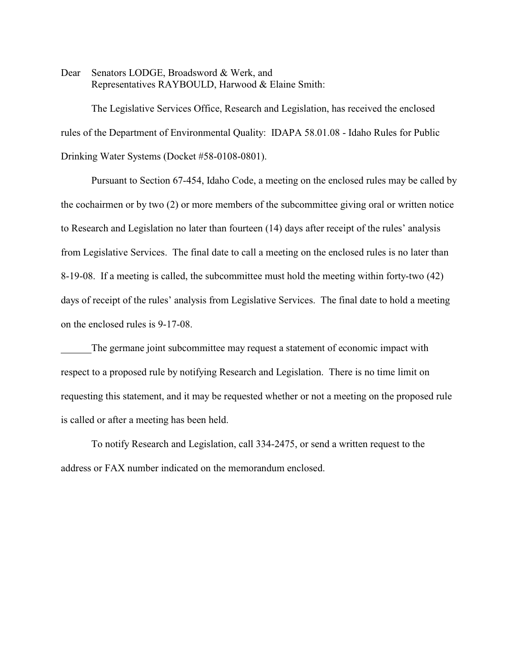Dear Senators LODGE, Broadsword & Werk, and Representatives RAYBOULD, Harwood & Elaine Smith:

The Legislative Services Office, Research and Legislation, has received the enclosed rules of the Department of Environmental Quality: IDAPA 58.01.08 - Idaho Rules for Public Drinking Water Systems (Docket #58-0108-0801).

Pursuant to Section 67-454, Idaho Code, a meeting on the enclosed rules may be called by the cochairmen or by two (2) or more members of the subcommittee giving oral or written notice to Research and Legislation no later than fourteen (14) days after receipt of the rules' analysis from Legislative Services. The final date to call a meeting on the enclosed rules is no later than 8-19-08. If a meeting is called, the subcommittee must hold the meeting within forty-two (42) days of receipt of the rules' analysis from Legislative Services. The final date to hold a meeting on the enclosed rules is 9-17-08.

The germane joint subcommittee may request a statement of economic impact with respect to a proposed rule by notifying Research and Legislation. There is no time limit on requesting this statement, and it may be requested whether or not a meeting on the proposed rule is called or after a meeting has been held.

To notify Research and Legislation, call 334-2475, or send a written request to the address or FAX number indicated on the memorandum enclosed.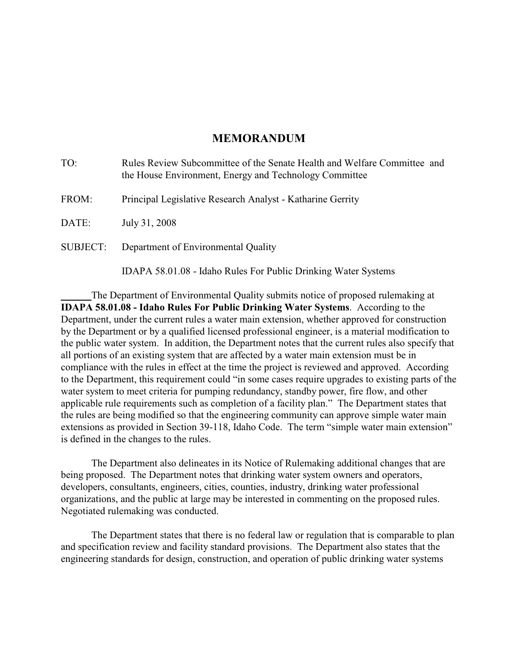# **MEMORANDUM**

| TO:             | Rules Review Subcommittee of the Senate Health and Welfare Committee and<br>the House Environment, Energy and Technology Committee |
|-----------------|------------------------------------------------------------------------------------------------------------------------------------|
| FROM:           | Principal Legislative Research Analyst - Katharine Gerrity                                                                         |
| DATE:           | July 31, 2008                                                                                                                      |
| <b>SUBJECT:</b> | Department of Environmental Quality                                                                                                |

IDAPA 58.01.08 - Idaho Rules For Public Drinking Water Systems

The Department of Environmental Quality submits notice of proposed rulemaking at **IDAPA 58.01.08 - Idaho Rules For Public Drinking Water Systems**. According to the Department, under the current rules a water main extension, whether approved for construction by the Department or by a qualified licensed professional engineer, is a material modification to the public water system. In addition, the Department notes that the current rules also specify that all portions of an existing system that are affected by a water main extension must be in compliance with the rules in effect at the time the project is reviewed and approved. According to the Department, this requirement could "in some cases require upgrades to existing parts of the water system to meet criteria for pumping redundancy, standby power, fire flow, and other applicable rule requirements such as completion of a facility plan." The Department states that the rules are being modified so that the engineering community can approve simple water main extensions as provided in Section 39-118, Idaho Code. The term "simple water main extension" is defined in the changes to the rules.

The Department also delineates in its Notice of Rulemaking additional changes that are being proposed. The Department notes that drinking water system owners and operators, developers, consultants, engineers, cities, counties, industry, drinking water professional organizations, and the public at large may be interested in commenting on the proposed rules. Negotiated rulemaking was conducted.

The Department states that there is no federal law or regulation that is comparable to plan and specification review and facility standard provisions. The Department also states that the engineering standards for design, construction, and operation of public drinking water systems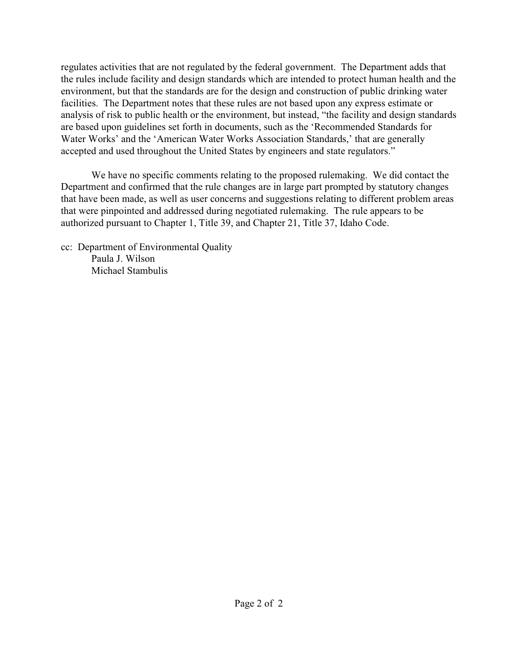regulates activities that are not regulated by the federal government. The Department adds that the rules include facility and design standards which are intended to protect human health and the environment, but that the standards are for the design and construction of public drinking water facilities. The Department notes that these rules are not based upon any express estimate or analysis of risk to public health or the environment, but instead, "the facility and design standards are based upon guidelines set forth in documents, such as the 'Recommended Standards for Water Works' and the 'American Water Works Association Standards,' that are generally accepted and used throughout the United States by engineers and state regulators."

We have no specific comments relating to the proposed rulemaking. We did contact the Department and confirmed that the rule changes are in large part prompted by statutory changes that have been made, as well as user concerns and suggestions relating to different problem areas that were pinpointed and addressed during negotiated rulemaking. The rule appears to be authorized pursuant to Chapter 1, Title 39, and Chapter 21, Title 37, Idaho Code.

cc: Department of Environmental Quality Paula J. Wilson Michael Stambulis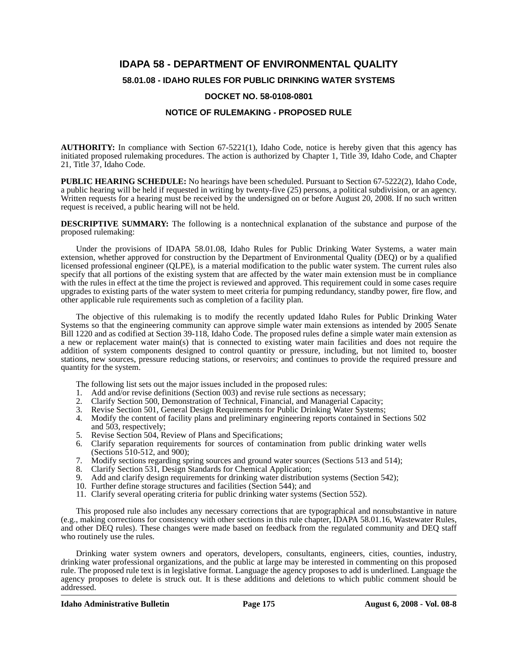# **IDAPA 58 - DEPARTMENT OF ENVIRONMENTAL QUALITY**

## **58.01.08 - IDAHO RULES FOR PUBLIC DRINKING WATER SYSTEMS**

## **DOCKET NO. 58-0108-0801**

## **NOTICE OF RULEMAKING - PROPOSED RULE**

**AUTHORITY:** In compliance with Section 67-5221(1), Idaho Code, notice is hereby given that this agency has initiated proposed rulemaking procedures. The action is authorized by Chapter 1, Title 39, Idaho Code, and Chapter 21, Title 37, Idaho Code.

**PUBLIC HEARING SCHEDULE:** No hearings have been scheduled. Pursuant to Section 67-5222(2), Idaho Code, a public hearing will be held if requested in writing by twenty-five (25) persons, a political subdivision, or an agency. Written requests for a hearing must be received by the undersigned on or before August 20, 2008. If no such written request is received, a public hearing will not be held.

**DESCRIPTIVE SUMMARY:** The following is a nontechnical explanation of the substance and purpose of the proposed rulemaking:

Under the provisions of IDAPA 58.01.08, Idaho Rules for Public Drinking Water Systems, a water main extension, whether approved for construction by the Department of Environmental Quality (DEQ) or by a qualified licensed professional engineer (QLPE), is a material modification to the public water system. The current rules also specify that all portions of the existing system that are affected by the water main extension must be in compliance with the rules in effect at the time the project is reviewed and approved. This requirement could in some cases require upgrades to existing parts of the water system to meet criteria for pumping redundancy, standby power, fire flow, and other applicable rule requirements such as completion of a facility plan.

The objective of this rulemaking is to modify the recently updated Idaho Rules for Public Drinking Water Systems so that the engineering community can approve simple water main extensions as intended by 2005 Senate Bill 1220 and as codified at Section 39-118, Idaho Code. The proposed rules define a simple water main extension as a new or replacement water main(s) that is connected to existing water main facilities and does not require the addition of system components designed to control quantity or pressure, including, but not limited to, booster stations, new sources, pressure reducing stations, or reservoirs; and continues to provide the required pressure and quantity for the system.

The following list sets out the major issues included in the proposed rules:

- 1. Add and/or revise definitions (Section 003) and revise rule sections as necessary;
- 2. Clarify Section 500, Demonstration of Technical, Financial, and Managerial Capacity;
- 3. Revise Section 501, General Design Requirements for Public Drinking Water Systems;
- 4. Modify the content of facility plans and preliminary engineering reports contained in Sections 502 and 503, respectively;
- 5. Revise Section 504, Review of Plans and Specifications;
- 6. Clarify separation requirements for sources of contamination from public drinking water wells (Sections 510-512, and 900);
- 7. Modify sections regarding spring sources and ground water sources (Sections 513 and 514);
- 8. Clarify Section 531, Design Standards for Chemical Application;<br>9. Add and clarify design requirements for drinking water distribution.
- Add and clarify design requirements for drinking water distribution systems (Section 542);
- 10. Further define storage structures and facilities (Section 544); and
- 11. Clarify several operating criteria for public drinking water systems (Section 552).

This proposed rule also includes any necessary corrections that are typographical and nonsubstantive in nature (e.g., making corrections for consistency with other sections in this rule chapter, IDAPA 58.01.16, Wastewater Rules, and other DEQ rules). These changes were made based on feedback from the regulated community and DEQ staff who routinely use the rules.

Drinking water system owners and operators, developers, consultants, engineers, cities, counties, industry, drinking water professional organizations, and the public at large may be interested in commenting on this proposed rule. The proposed rule text is in legislative format. Language the agency proposes to add is underlined. Language the agency proposes to delete is struck out. It is these additions and deletions to which public comment should be addressed.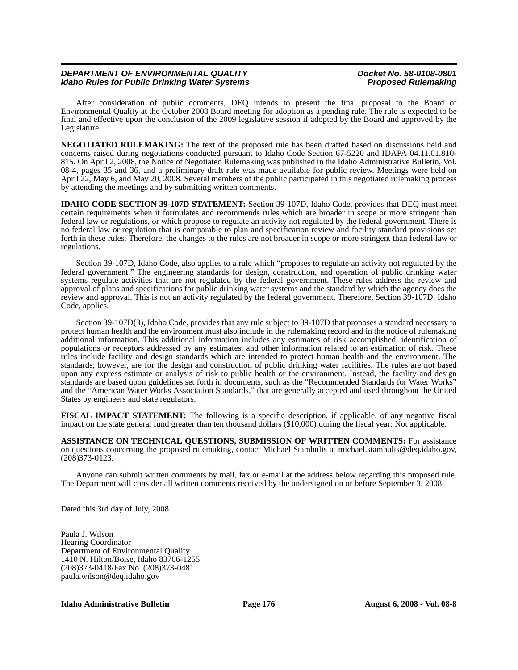After consideration of public comments, DEQ intends to present the final proposal to the Board of Environmental Quality at the October 2008 Board meeting for adoption as a pending rule. The rule is expected to be final and effective upon the conclusion of the 2009 legislative session if adopted by the Board and approved by the Legislature.

**NEGOTIATED RULEMAKING:** The text of the proposed rule has been drafted based on discussions held and concerns raised during negotiations conducted pursuant to Idaho Code Section 67-5220 and IDAPA 04.11.01.810- 815. On April 2, 2008, the Notice of Negotiated Rulemaking was published in the Idaho Administrative Bulletin, Vol. 08-4, pages 35 and 36, and a preliminary draft rule was made available for public review. Meetings were held on April 22, May 6, and May 20, 2008. Several members of the public participated in this negotiated rulemaking process by attending the meetings and by submitting written comments.

**IDAHO CODE SECTION 39-107D STATEMENT:** Section 39-107D, Idaho Code, provides that DEQ must meet certain requirements when it formulates and recommends rules which are broader in scope or more stringent than federal law or regulations, or which propose to regulate an activity not regulated by the federal government. There is no federal law or regulation that is comparable to plan and specification review and facility standard provisions set forth in these rules. Therefore, the changes to the rules are not broader in scope or more stringent than federal law or regulations.

Section 39-107D, Idaho Code, also applies to a rule which "proposes to regulate an activity not regulated by the federal government." The engineering standards for design, construction, and operation of public drinking water systems regulate activities that are not regulated by the federal government. These rules address the review and approval of plans and specifications for public drinking water systems and the standard by which the agency does the review and approval. This is not an activity regulated by the federal government. Therefore, Section 39-107D, Idaho Code, applies.

Section 39-107D(3), Idaho Code, provides that any rule subject to 39-107D that proposes a standard necessary to protect human health and the environment must also include in the rulemaking record and in the notice of rulemaking additional information. This additional information includes any estimates of risk accomplished, identification of populations or receptors addressed by any estimates, and other information related to an estimation of risk. These rules include facility and design standards which are intended to protect human health and the environment. The standards, however, are for the design and construction of public drinking water facilities. The rules are not based upon any express estimate or analysis of risk to public health or the environment. Instead, the facility and design standards are based upon guidelines set forth in documents, such as the "Recommended Standards for Water Works" and the "American Water Works Association Standards," that are generally accepted and used throughout the United States by engineers and state regulators.

**FISCAL IMPACT STATEMENT:** The following is a specific description, if applicable, of any negative fiscal impact on the state general fund greater than ten thousand dollars (\$10,000) during the fiscal year: Not applicable.

**ASSISTANCE ON TECHNICAL QUESTIONS, SUBMISSION OF WRITTEN COMMENTS:** For assistance on questions concerning the proposed rulemaking, contact Michael Stambulis at michael.stambulis@deq.idaho.gov, (208)373-0123.

Anyone can submit written comments by mail, fax or e-mail at the address below regarding this proposed rule. The Department will consider all written comments received by the undersigned on or before September 3, 2008.

Dated this 3rd day of July, 2008.

Paula J. Wilson Hearing Coordinator Department of Environmental Quality 1410 N. Hilton/Boise, Idaho 83706-1255 (208)373-0418/Fax No. (208)373-0481 paula.wilson@deq.idaho.gov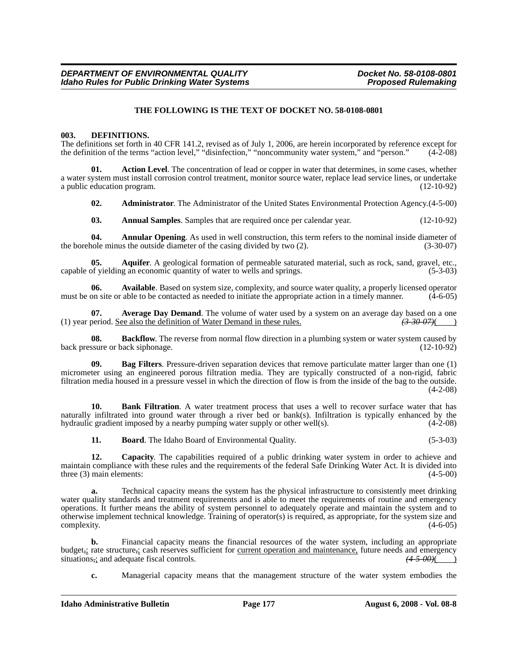### **THE FOLLOWING IS THE TEXT OF DOCKET NO. 58-0108-0801**

#### **003. DEFINITIONS.**

The definitions set forth in 40 CFR 141.2, revised as of July 1, 2006, are herein incorporated by reference except for the definition of the terms "action level," "disinfection," "noncommunity water system," and "person." the definition of the terms "action level," "disinfection," "noncommunity water system," and "person."

**Action Level**. The concentration of lead or copper in water that determines, in some cases, whether a water system must install corrosion control treatment, monitor source water, replace lead service lines, or undertake a public education program. (12-10-92) a public education program.

**02. Administrator**. The Administrator of the United States Environmental Protection Agency.(4-5-00)

**03.** Annual Samples. Samples that are required once per calendar year. (12-10-92)

**04. Annular Opening**. As used in well construction, this term refers to the nominal inside diameter of the borehole minus the outside diameter of the casing divided by two (2). (3-30-07)

**05. Aquifer**. A geological formation of permeable saturated material, such as rock, sand, gravel, etc., capable of yielding an economic quantity of water to wells and springs. (5-3-03)

**06. Available**. Based on system size, complexity, and source water quality, a properly licensed operator must be on site or able to be contacted as needed to initiate the appropriate action in a timely manner. (4-6-05)

**07.** Average Day Demand. The volume of water used by a system on an average day based on a one (1) year period. See also the definition of Water Demand in these rules. *(3-30-07)*( )

**08.** Backflow. The reverse from normal flow direction in a plumbing system or water system caused by back pressure or back siphonage. (12-10-92)

**09. Bag Filters**. Pressure-driven separation devices that remove particulate matter larger than one (1) micrometer using an engineered porous filtration media. They are typically constructed of a non-rigid, fabric filtration media housed in a pressure vessel in which the direction of flow is from the inside of the bag to the outside. (4-2-08)

**10. Bank Filtration**. A water treatment process that uses a well to recover surface water that has naturally infiltrated into ground water through a river bed or bank(s). Infiltration is typically enhanced by the hydraulic gradient imposed by a nearby pumping water supply or other well(s). (4-2-08)

**11. Board**. The Idaho Board of Environmental Quality. (5-3-03)

**12. Capacity**. The capabilities required of a public drinking water system in order to achieve and maintain compliance with these rules and the requirements of the federal Safe Drinking Water Act. It is divided into three (3) main elements: (4-5-00)

**a.** Technical capacity means the system has the physical infrastructure to consistently meet drinking water quality standards and treatment requirements and is able to meet the requirements of routine and emergency operations. It further means the ability of system personnel to adequately operate and maintain the system and to otherwise implement technical knowledge. Training of operator(s) is required, as appropriate, for the system size and complexity. (4-6-05)

**b.** Financial capacity means the financial resources of the water system, including an appropriate budget<sub>r</sub>; rate structure<sub>r</sub>; cash reserves sufficient for <u>current operation and maintenance</u>, future needs and emergency situations; and adequate fiscal controls. (4-5-00)( situations, *;* and adequate fiscal controls.

**c.** Managerial capacity means that the management structure of the water system embodies the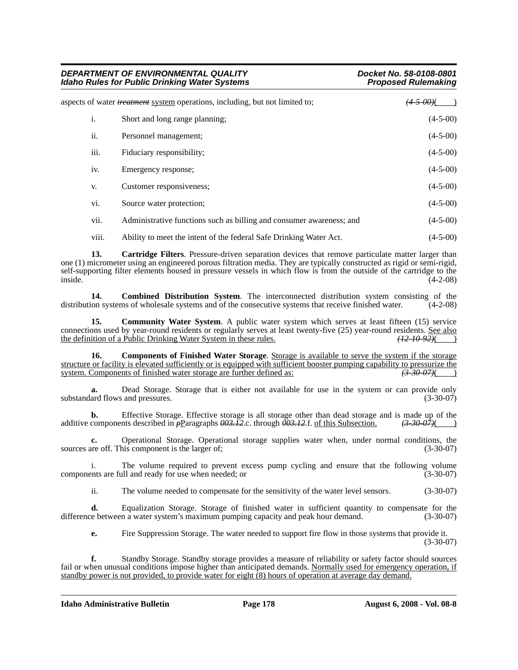## *DEPARTMENT OF ENVIRONMENTAL QUALITY*<br>Idaho Rules for Public Drinking Water Systems **Department of the Convention of the Convention** *Idaho Rules for Public Drinking Water Systems*

aspects of water *treatment* system operations, including, but not limited to; *(4-5-00)*( )

| $\mathbf{i}$ . | Short and long range planning;                                       | $(4-5-00)$ |
|----------------|----------------------------------------------------------------------|------------|
| ii.            | Personnel management;                                                | $(4-5-00)$ |
| iii.           | Fiduciary responsibility;                                            | $(4-5-00)$ |
| iv.            | Emergency response;                                                  | $(4-5-00)$ |
| V.             | Customer responsiveness;                                             | $(4-5-00)$ |
| vi.            | Source water protection;                                             | $(4-5-00)$ |
| vii.           | Administrative functions such as billing and consumer awareness; and | $(4-5-00)$ |

viii. Ability to meet the intent of the federal Safe Drinking Water Act. (4-5-00)

**13. Cartridge Filters**. Pressure-driven separation devices that remove particulate matter larger than one (1) micrometer using an engineered porous filtration media. They are typically constructed as rigid or semi-rigid, self-supporting filter elements housed in pressure vessels in which flow is from the outside of the cartridge to the inside.  $\frac{1}{4-2-08}$ 

**14. Combined Distribution System**. The interconnected distribution system consisting of the distribution systems of wholesale systems and of the consecutive systems that receive finished water. <sup>(4-2-08)</sup>

**15.** Community Water System. A public water system which serves at least fifteen (15) service connections used by year-round residents or regularly serves at least twenty-five (25) year-round residents. See also the definition of a Public Drinking Water System in these rules.  $\frac{(12.10 \text{ } 92)}{(12.10 \text{ } 92)}$ the definition of a Public Drinking Water System in these rules.

**16.** Components of Finished Water Storage. Storage is available to serve the system if the storage structure or facility is elevated sufficiently or is equipped with sufficient booster pumping capability to pressurize the system. Components of finished water storage are further defined as:  $(3-30-07)$ 

**a.** Dead Storage. Storage that is either not available for use in the system or can provide only substandard flows and pressures. (3-30-07) (3-30-07)

**b.** Effective Storage. Effective storage is all storage other than dead storage and is made up of the components described in  $p$ Paragraphs  $\theta$ 03.12.6. through  $\theta$ 03.12.f. of this Subsection.  $\theta$ 3.10.16. additive components described in *pParagraphs*  $\theta$ *03.72.c.* through  $\ddot{\theta}$ 03.72.f. of this Subsection.

**c.** Operational Storage. Operational storage supplies water when, under normal conditions, the sources are off. This component is the larger of; (3-30-07)

i. The volume required to prevent excess pump cycling and ensure that the following volume ents are full and ready for use when needed; or (3-30-07) components are full and ready for use when needed; or

ii. The volume needed to compensate for the sensitivity of the water level sensors. (3-30-07)

**d.** Equalization Storage. Storage of finished water in sufficient quantity to compensate for the even a water system's maximum pumping capacity and peak hour demand. (3-30-07) difference between a water system's maximum pumping capacity and peak hour demand.

**e.** Fire Suppression Storage. The water needed to support fire flow in those systems that provide it. (3-30-07)

**f.** Standby Storage. Standby storage provides a measure of reliability or safety factor should sources fail or when unusual conditions impose higher than anticipated demands. Normally used for emergency operation, if standby power is not provided, to provide water for eight (8) hours of operation at average day demand.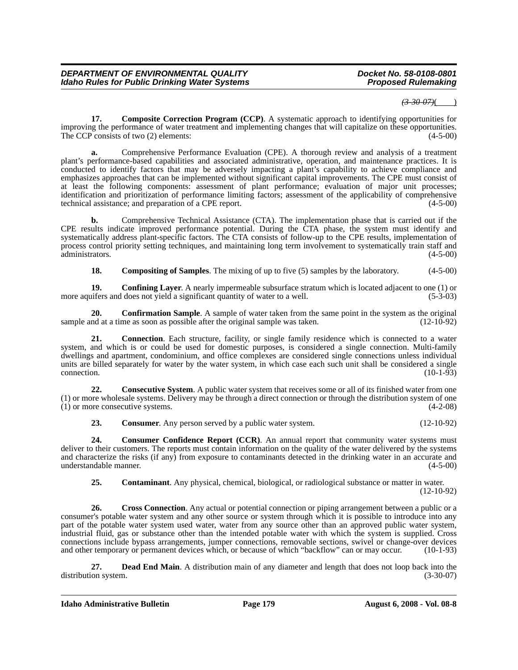## *(3-30-07)*( )

**17. Composite Correction Program (CCP)**. A systematic approach to identifying opportunities for improving the performance of water treatment and implementing changes that will capitalize on these opportunities. The CCP consists of two  $(2)$  elements:

**a.** Comprehensive Performance Evaluation (CPE). A thorough review and analysis of a treatment plant's performance-based capabilities and associated administrative, operation, and maintenance practices. It is conducted to identify factors that may be adversely impacting a plant's capability to achieve compliance and emphasizes approaches that can be implemented without significant capital improvements. The CPE must consist of at least the following components: assessment of plant performance; evaluation of major unit processes; identification and prioritization of performance limiting factors; assessment of the applicability of comprehensive technical assistance: and preparation of a CPE report. (4-5-00) technical assistance; and preparation of a CPE report.

**b.** Comprehensive Technical Assistance (CTA). The implementation phase that is carried out if the CPE results indicate improved performance potential. During the CTA phase, the system must identify and systematically address plant-specific factors. The CTA consists of follow-up to the CPE results, implementation of process control priority setting techniques, and maintaining long term involvement to systematically train staff and administrators. (4-5-00)

**18. Compositing of Samples**. The mixing of up to five (5) samples by the laboratory. (4-5-00)

**19. Confining Layer**. A nearly impermeable subsurface stratum which is located adjacent to one (1) or more aquifers and does not yield a significant quantity of water to a well.  $(5-3-03)$ 

**20. Confirmation Sample**. A sample of water taken from the same point in the system as the original sample and at a time as soon as possible after the original sample was taken.  $(12-10-92)$ 

**21. Connection**. Each structure, facility, or single family residence which is connected to a water system, and which is or could be used for domestic purposes, is considered a single connection. Multi-family dwellings and apartment, condominium, and office complexes are considered single connections unless individual units are billed separately for water by the water system, in which case each such unit shall be considered a single  $\omega$  (10-1-93) (10-1-93)

**22. Consecutive System**. A public water system that receives some or all of its finished water from one (1) or more wholesale systems. Delivery may be through a direct connection or through the distribution system of one (1) or more consecutive systems. (4-2-08)

**23. Consumer**. Any person served by a public water system. (12-10-92)

**24. Consumer Confidence Report (CCR)**. An annual report that community water systems must deliver to their customers. The reports must contain information on the quality of the water delivered by the systems and characterize the risks (if any) from exposure to contaminants detected in the drinking water in an accurate and understandable manner. (4-5-00)

**25. Contaminant**. Any physical, chemical, biological, or radiological substance or matter in water. (12-10-92)

**26. Cross Connection**. Any actual or potential connection or piping arrangement between a public or a consumer's potable water system and any other source or system through which it is possible to introduce into any part of the potable water system used water, water from any source other than an approved public water system, industrial fluid, gas or substance other than the intended potable water with which the system is supplied. Cross connections include bypass arrangements, jumper connections, removable sections, swivel or change-over devices and other temporary or permanent devices which, or because of which "backflow" can or may occur. (10-1-93)

**27. Dead End Main**. A distribution main of any diameter and length that does not loop back into the distribution system. (3-30-07)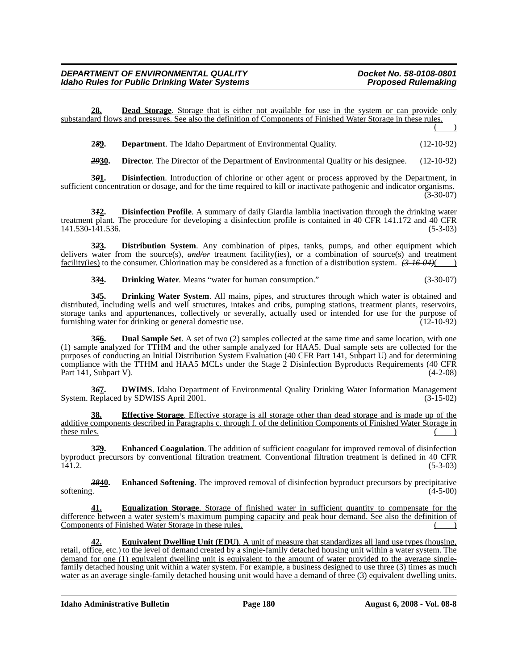**28. Dead Storage**. Storage that is either not available for use in the system or can provide only substandard flows and pressures. See also the definition of Components of Finished Water Storage in these rules.  $($ 

**2***8***9. Department**. The Idaho Department of Environmental Quality. (12-10-92)

*29***30. Director**. The Director of the Department of Environmental Quality or his designee. (12-10-92)

**3***0***1. Disinfection**. Introduction of chlorine or other agent or process approved by the Department, in sufficient concentration or dosage, and for the time required to kill or inactivate pathogenic and indicator organisms. (3-30-07)

**3***1***2. Disinfection Profile**. A summary of daily Giardia lamblia inactivation through the drinking water treatment plant. The procedure for developing a disinfection profile is contained in 40 CFR 141.172 and 40 CFR 141.530-141.536. (5-3-03)

**3***2***3. Distribution System**. Any combination of pipes, tanks, pumps, and other equipment which delivers water from the source(s), *and/or* treatment facility(ies), or a combination of source(s) and treatment facility(ies) to the consumer. Chlorination may be considered as a function of a distribution system.  $(3\;16\;04)$ (

**3***3***4. Drinking Water**. Means "water for human consumption." (3-30-07)

**3***4***5. Drinking Water System**. All mains, pipes, and structures through which water is obtained and distributed, including wells and well structures, intakes and cribs, pumping stations, treatment plants, reservoirs, storage tanks and appurtenances, collectively or severally, actually used or intended for use for the purpose of furnishing water for drinking or general domestic use. (12-10-92)

**3***5***6. Dual Sample Set**. A set of two (2) samples collected at the same time and same location, with one (1) sample analyzed for TTHM and the other sample analyzed for HAA5. Dual sample sets are collected for the purposes of conducting an Initial Distribution System Evaluation (40 CFR Part 141, Subpart U) and for determining compliance with the TTHM and HAA5 MCLs under the Stage 2 Disinfection Byproducts Requirements (40 CFR Part 141, Subpart V). (4-2-08)

**36<u>7</u>. DWIMS**. Idaho Department of Environmental Quality Drinking Water Information Management Replaced by SDWISS April 2001. (3-15-02) System. Replaced by SDWISS April 2001.

**38. Effective Storage**. Effective storage is all storage other than dead storage and is made up of the additive components described in Paragraphs c. through f. of the definition Components of Finished Water Storage in  $\frac{1}{2}$  these rules. ( $\qquad$ )

**3***7***9. Enhanced Coagulation**. The addition of sufficient coagulant for improved removal of disinfection byproduct precursors by conventional filtration treatment. Conventional filtration treatment is defined in 40 CFR 141.2. (5-3-03)

**3840.** Enhanced Softening. The improved removal of disinfection byproduct precursors by precipitative softening.  $(4-5-00)$ 

**41. Equalization Storage**. Storage of finished water in sufficient quantity to compensate for the difference between a water system's maximum pumping capacity and peak hour demand. See also the definition of Components of Finished Water Storage in these rules.

**42. Equivalent Dwelling Unit (EDU)**. A unit of measure that standardizes all land use types (housing, retail, office, etc.) to the level of demand created by a single-family detached housing unit within a water system. The demand for one (1) equivalent dwelling unit is equivalent to the amount of water provided to the average singlefamily detached housing unit within a water system. For example, a business designed to use three (3) times as much water as an average single-family detached housing unit would have a demand of three (3) equivalent dwelling units.

**Idaho Administrative Bulletin Page 180 August 6, 2008 - Vol. 08-8**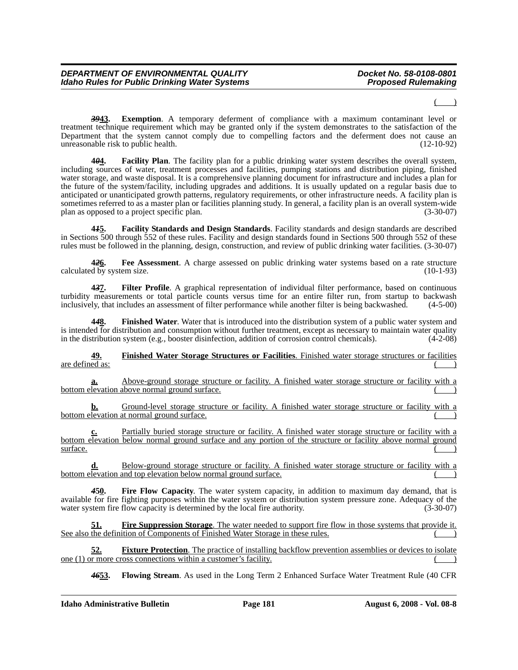### $($

*39***43. Exemption**. A temporary deferment of compliance with a maximum contaminant level or treatment technique requirement which may be granted only if the system demonstrates to the satisfaction of the Department that the system cannot comply due to compelling factors and the deferment does not cause an unreasonable risk to public health. (12-10-92)

**4***0***4. Facility Plan**. The facility plan for a public drinking water system describes the overall system, including sources of water, treatment processes and facilities, pumping stations and distribution piping, finished water storage, and waste disposal. It is a comprehensive planning document for infrastructure and includes a plan for the future of the system/facility, including upgrades and additions. It is usually updated on a regular basis due to anticipated or unanticipated growth patterns, regulatory requirements, or other infrastructure needs. A facility plan is sometimes referred to as a master plan or facilities planning study. In general, a facility plan is an overall system-wide plan as opposed to a project specific plan. (3-30-07)

**4***1***5. Facility Standards and Design Standards**. Facility standards and design standards are described in Sections 500 through 552 of these rules. Facility and design standards found in Sections 500 through 552 of these rules must be followed in the planning, design, construction, and review of public drinking water facilities. (3-30-07)

**4***2***6. Fee Assessment**. A charge assessed on public drinking water systems based on a rate structure calculated by system size. (10-1-93)

**4***3***7. Filter Profile**. A graphical representation of individual filter performance, based on continuous turbidity measurements or total particle counts versus time for an entire filter run, from startup to backwash inclusively, that includes an assessment of filter performance while another filter is being backwashed. (4-5-00)

**4***4***8. Finished Water**. Water that is introduced into the distribution system of a public water system and is intended for distribution and consumption without further treatment, except as necessary to maintain water quality in the distribution system (e.g., booster disinfection, addition of corrosion control chemicals). (4-2-08)

**49. Finished Water Storage Structures or Facilities**. Finished water storage structures or facilities are defined as:

**a.** Above-ground storage structure or facility. A finished water storage structure or facility with a bottom elevation above normal ground surface.

**b.** Ground-level storage structure or facility. A finished water storage structure or facility with a bottom elevation at normal ground surface.

Partially buried storage structure or facility. A finished water storage structure or facility with a bottom elevation below normal ground surface and any portion of the structure or facility above normal ground  $\frac{\text{surface}}{ }$ 

**d.** Below-ground storage structure or facility. A finished water storage structure or facility with a bottom elevation and top elevation below normal ground surface.

**Fire Flow Capacity.** The water system capacity, in addition to maximum day demand, that is available for fire fighting purposes within the water system or distribution system pressure zone. Adequacy of the water system fire flow capacity is determined by the local fire authority. (3-30-07)

**51. Fire Suppression Storage**. The water needed to support fire flow in those systems that provide it. See also the definition of Components of Finished Water Storage in these rules. ( )

**52. Fixture Protection**. The practice of installing backflow prevention assemblies or devices to isolate one  $(1)$  or more cross connections within a customer's facility.

*46***53. Flowing Stream**. As used in the Long Term 2 Enhanced Surface Water Treatment Rule (40 CFR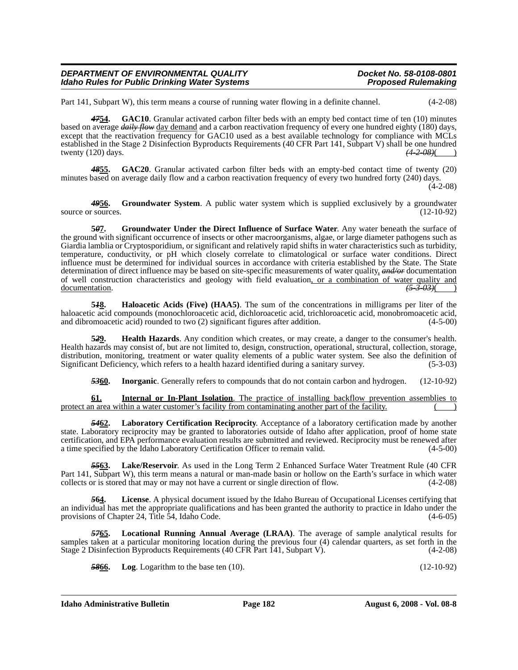| DEPARTMENT OF ENVIRONMENTAL QUALITY                  | Docket No. 58-0108-0801    |
|------------------------------------------------------|----------------------------|
| <b>Idaho Rules for Public Drinking Water Systems</b> | <b>Proposed Rulemaking</b> |

Part 141, Subpart W), this term means a course of running water flowing in a definite channel. (4-2-08)

4754. GAC10. Granular activated carbon filter beds with an empty bed contact time of ten (10) minutes based on average *daily flow* day demand and a carbon reactivation frequency of every one hundred eighty (180) days, except that the reactivation frequency for GAC10 used as a best available technology for compliance with MCLs established in the Stage 2 Disinfection Byproducts Requirements (40 CFR Part 141, Subpart V) shall be one hundred twenty (120) days.  $(4-2-0.8)($ twenty (120) days.

*48***55. GAC20**. Granular activated carbon filter beds with an empty-bed contact time of twenty (20) minutes based on average daily flow and a carbon reactivation frequency of every two hundred forty (240) days.  $(4-2-08)$ 

*49***56. Groundwater System**. A public water system which is supplied exclusively by a groundwater source or sources. (12-10-92)

**507.** Groundwater Under the Direct Influence of Surface Water. Any water beneath the surface of the ground with significant occurrence of insects or other macroorganisms, algae, or large diameter pathogens such as Giardia lamblia or Cryptosporidium, or significant and relatively rapid shifts in water characteristics such as turbidity, temperature, conductivity, or pH which closely correlate to climatological or surface water conditions. Direct influence must be determined for individual sources in accordance with criteria established by the State. The State determination of direct influence may be based on site-specific measurements of water quality, *and/or* documentation of well construction characteristics and geology with field evaluation, or a combination of water quality and documentation.  $\frac{(53.03)}{(25.00)}$ documentation. *(5-3-03)*( )

**5***1***8. Haloacetic Acids (Five) (HAA5)**. The sum of the concentrations in milligrams per liter of the haloacetic acid compounds (monochloroacetic acid, dichloroacetic acid, trichloroacetic acid, monobromoacetic acid, and dibromoacetic acid) rounded to two (2) significant figures after addition. (4-5-00)

**5***2***9. Health Hazards**. Any condition which creates, or may create, a danger to the consumer's health. Health hazards may consist of, but are not limited to, design, construction, operational, structural, collection, storage, distribution, monitoring, treatment or water quality elements of a public water system. See also the definition of Significant Deficiency, which refers to a health hazard identified during a sanitary survey. (5-3-03) Significant Deficiency, which refers to a health hazard identified during a sanitary survey.

**5360.** Inorganic. Generally refers to compounds that do not contain carbon and hydrogen. (12-10-92)

**61. Internal or In-Plant Isolation**. The practice of installing backflow prevention assemblies to protect an area within a water customer's facility from contaminating another part of the facility.

*54***62. Laboratory Certification Reciprocity**. Acceptance of a laboratory certification made by another state. Laboratory reciprocity may be granted to laboratories outside of Idaho after application, proof of home state certification, and EPA performance evaluation results are submitted and reviewed. Reciprocity must be renewed after a time specified by the Idaho Laboratory Certification Officer to remain valid. (4-5-00)

*55***63. Lake/Reservoir**. As used in the Long Term 2 Enhanced Surface Water Treatment Rule (40 CFR Part 141, Subpart W), this term means a natural or man-made basin or hollow on the Earth's surface in which water collects or is stored that may or may not have a current or single direction of flow. (4-2-08) collects or is stored that may or may not have a current or single direction of flow.

*5***64. License**. A physical document issued by the Idaho Bureau of Occupational Licenses certifying that an individual has met the appropriate qualifications and has been granted the authority to practice in Idaho under the provisions of Chapter 24, Title 54, Idaho Code. (4-6-05) provisions of Chapter 24, Title 54, Idaho Code.

*57***65. Locational Running Annual Average (LRAA)**. The average of sample analytical results for samples taken at a particular monitoring location during the previous four (4) calendar quarters, as set forth in the Stage 2 Disinfection Byproducts Requirements (40 CFR Part 141, Subpart V). (4-2-08)

**5866.** Log. Logarithm to the base ten (10). (12-10-92)

**Idaho Administrative Bulletin Page 182 August 6, 2008 - Vol. 08-8**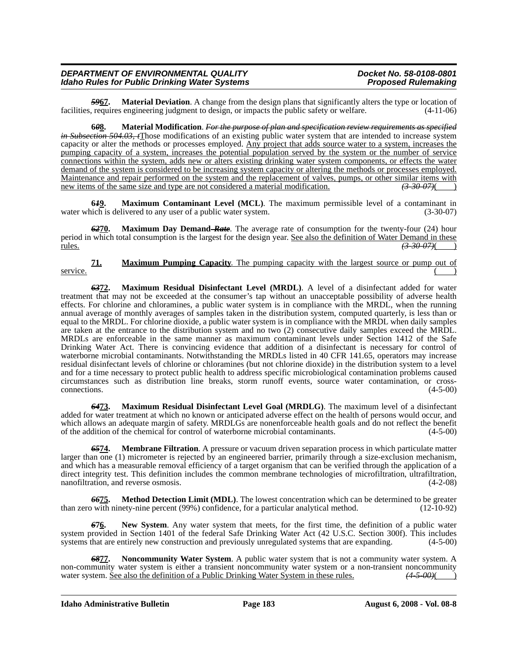**5967. Material Deviation**. A change from the design plans that significantly alters the type or location of requires engineering judgment to design, or impacts the public safety or welfare. (4-11-06) facilities, requires engineering judgment to design, or impacts the public safety or welfare.

**6***0***8. Material Modification**. *For the purpose of plan and specification review requirements as specified in Subsection 504.03, t*Those modifications of an existing public water system that are intended to increase system capacity or alter the methods or processes employed. Any project that adds source water to a system, increases the pumping capacity of a system, increases the potential population served by the system or the number of service connections within the system, adds new or alters existing drinking water system components, or effects the water demand of the system is considered to be increasing system capacity or altering the methods or processes employed. Maintenance and repair performed on the system and the replacement of valves, pumps, or other similar items with new items of the same size and type are not considered a material modification.  $(3-30-0.07)$ 

**6***1***9. Maximum Contaminant Level (MCL)**. The maximum permissible level of a contaminant in water which is delivered to any user of a public water system. (3-30-07)

6270. Maximum Day Demand–Rate. The average rate of consumption for the twenty-four (24) hour period in which total consumption is the largest for the design year. <u>See also the definition of Water Demand in these</u><br>rules.  $\left( \frac{3-30-07}{2} \right)$ rules. *(3-30-07)*( )

**71. Maximum Pumping Capacity**. The pumping capacity with the largest source or pump out of service. ( )

*63***72. Maximum Residual Disinfectant Level (MRDL)**. A level of a disinfectant added for water treatment that may not be exceeded at the consumer's tap without an unacceptable possibility of adverse health effects. For chlorine and chloramines, a public water system is in compliance with the MRDL, when the running annual average of monthly averages of samples taken in the distribution system, computed quarterly, is less than or equal to the MRDL. For chlorine dioxide, a public water system is in compliance with the MRDL when daily samples are taken at the entrance to the distribution system and no two (2) consecutive daily samples exceed the MRDL. MRDLs are enforceable in the same manner as maximum contaminant levels under Section 1412 of the Safe Drinking Water Act. There is convincing evidence that addition of a disinfectant is necessary for control of waterborne microbial contaminants. Notwithstanding the MRDLs listed in 40 CFR 141.65, operators may increase residual disinfectant levels of chlorine or chloramines (but not chlorine dioxide) in the distribution system to a level and for a time necessary to protect public health to address specific microbiological contamination problems caused circumstances such as distribution line breaks, storm runoff events, source water contamination, or cross- $\epsilon$  connections. (4-5-00)

*64***73. Maximum Residual Disinfectant Level Goal (MRDLG)**. The maximum level of a disinfectant added for water treatment at which no known or anticipated adverse effect on the health of persons would occur, and which allows an adequate margin of safety. MRDLGs are nonenforceable health goals and do not reflect the benefit of the addition of the chemical for control of waterborne microbial contaminants. (4-5-00) of the addition of the chemical for control of waterborne microbial contaminants.

*65***74. Membrane Filtration**. A pressure or vacuum driven separation process in which particulate matter larger than one (1) micrometer is rejected by an engineered barrier, primarily through a size-exclusion mechanism, and which has a measurable removal efficiency of a target organism that can be verified through the application of a direct integrity test. This definition includes the common membrane technologies of microfiltration, ultrafiltration, nanofiltration, and reverse osmosis. nanofiltration, and reverse osmosis.

**Method Detection Limit (MDL)**. The lowest concentration which can be determined to be greater than zero with ninety-nine percent (99%) confidence, for a particular analytical method. (12-10-92)

*6***76. New System**. Any water system that meets, for the first time, the definition of a public water system provided in Section 1401 of the federal Safe Drinking Water Act (42 U.S.C. Section 300f). This includes systems that are entirely new construction and previously unregulated systems that are expanding. (4-5-00)

*68***77. Noncommunity Water System**. A public water system that is not a community water system. A non-community water system is either a transient noncommunity water system or a non-transient noncommunity water system. <u>See also the definition of a Public Drinking Water System in these rules.  $(4-5-00)$  (</u>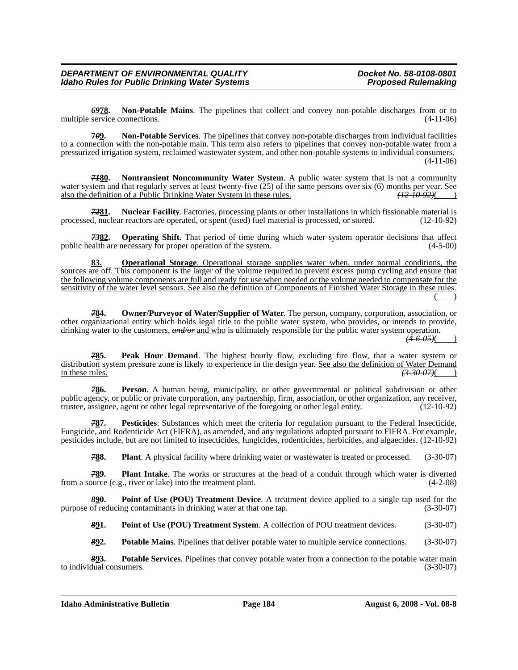*69***78. Non-Potable Mains**. The pipelines that collect and convey non-potable discharges from or to multiple service connections. (4-11-06)

**7***0***9. Non-Potable Services**. The pipelines that convey non-potable discharges from individual facilities to a connection with the non-potable main. This term also refers to pipelines that convey non-potable water from a pressurized irrigation system, reclaimed wastewater system, and other non-potable systems to individual consumers. (4-11-06)

*Nontransient Noncommunity Water System. A public water system that is not a community* water system and that regularly serves at least twenty-five (25) of the same persons over six (6) months per year. See<br>also the definition of a Public Drinking Water System in these rules.  $\frac{(12-10-92)}{(12-10-92)}$ also the definition of a Public Drinking Water System in these rules.

*72***81. Nuclear Facility**. Factories, processing plants or other installations in which fissionable material is processed, nuclear reactors are operated, or spent (used) fuel material is processed, or stored. (12-10-92)

*73***82. Operating Shift**. That period of time during which water system operator decisions that affect public health are necessary for proper operation of the system. (4-5-00)

**83. Operational Storage**. Operational storage supplies water when, under normal conditions, the sources are off. This component is the larger of the volume required to prevent excess pump cycling and ensure that the following volume components are full and ready for use when needed or the volume needed to compensate for the sensitivity of the water level sensors. See also the definition of Components of Finished Water Storage in these rules.  $($  )

*7***84. Owner/Purveyor of Water/Supplier of Water**. The person, company, corporation, association, or other organizational entity which holds legal title to the public water system, who provides, or intends to provide, drinking water to the customers, *and/or* and who is ultimately responsible for the public water system operation.

 $(4.6 - 0.5)$ 

*7***85. Peak Hour Demand**. The highest hourly flow, excluding fire flow, that a water system or distribution system pressure zone is likely to experience in the design year. See also the definition of Water Demand in these rules.  $(3-30-07)$ 

*7***86. Person**. A human being, municipality, or other governmental or political subdivision or other public agency, or public or private corporation, any partnership, firm, association, or other organization, any receiver, trustee, assignee, agent or other legal representative of the foregoing or other legal entity. (12-10-92)

*7***87. Pesticides**. Substances which meet the criteria for regulation pursuant to the Federal Insecticide, Fungicide, and Rodenticide Act (FIFRA), as amended, and any regulations adopted pursuant to FIFRA. For example, pesticides include, but are not limited to insecticides, fungicides, rodenticides, herbicides, and algaecides. (12-10-92)

*7***88. Plant**. A physical facility where drinking water or wastewater is treated or processed. (3-30-07)

**789.** Plant Intake. The works or structures at the head of a conduit through which water is diverted parce (e.g., river or lake) into the treatment plant. (4-2-08) from a source (e.g., river or lake) into the treatment plant.

*8***90. Point of Use (POU) Treatment Device**. A treatment device applied to a single tap used for the purpose of reducing contaminants in drinking water at that one tap. (3-30-07)

*8***91. Point of Use (POU) Treatment System**. A collection of POU treatment devices. (3-30-07)

*8***92. Potable Mains**. Pipelines that deliver potable water to multiple service connections. (3-30-07)

*8***93. Potable Services**. Pipelines that convey potable water from a connection to the potable water main to individual consumers.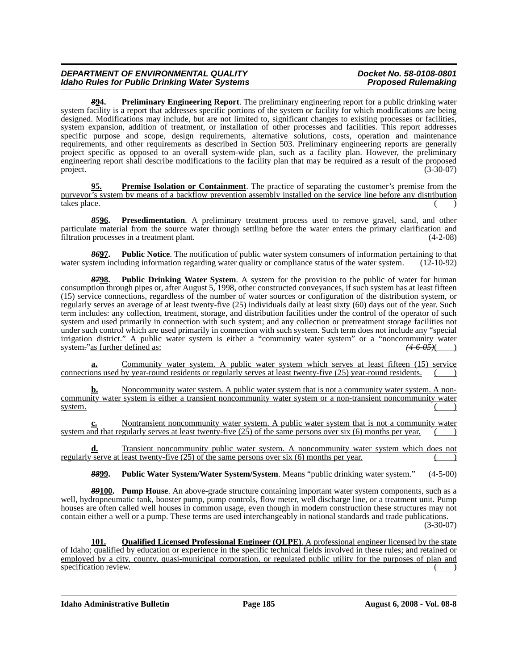*8***94. Preliminary Engineering Report**. The preliminary engineering report for a public drinking water system facility is a report that addresses specific portions of the system or facility for which modifications are being designed. Modifications may include, but are not limited to, significant changes to existing processes or facilities, system expansion, addition of treatment, or installation of other processes and facilities. This report addresses specific purpose and scope, design requirements, alternative solutions, costs, operation and maintenance requirements, and other requirements as described in Section 503. Preliminary engineering reports are generally project specific as opposed to an overall system-wide plan, such as a facility plan. However, the preliminary engineering report shall describe modifications to the facility plan that may be required as a result of the proposed project.  $(3-30-07)$ 

**95. Premise Isolation or Containment**. The practice of separating the customer's premise from the purveyor's system by means of a backflow prevention assembly installed on the service line before any distribution takes place. takes place. ( )

*85***96. Presedimentation**. A preliminary treatment process used to remove gravel, sand, and other particulate material from the source water through settling before the water enters the primary clarification and filtration processes in a treatment plant. (4-2-08) filtration processes in a treatment plant.

*86***97. Public Notice**. The notification of public water system consumers of information pertaining to that water system including information regarding water quality or compliance status of the water system. (12-10-92)

*87***98. Public Drinking Water System**. A system for the provision to the public of water for human consumption through pipes or, after August 5, 1998, other constructed conveyances, if such system has at least fifteen (15) service connections, regardless of the number of water sources or configuration of the distribution system, or regularly serves an average of at least twenty-five (25) individuals daily at least sixty (60) days out of the year. Such term includes: any collection, treatment, storage, and distribution facilities under the control of the operator of such system and used primarily in connection with such system; and any collection or pretreatment storage facilities not under such control which are used primarily in connection with such system. Such term does not include any "special irrigation district." A public water system is either a "community water system" or a "noncommunity water system*.*"as further defined as: *(4-6-05)*( )

**a.** Community water system. A public water system which serves at least fifteen (15) service connections used by year-round residents or regularly serves at least twenty-five (25) year-round residents.

**b.** Noncommunity water system. A public water system that is not a community water system. A noncommunity water system is either a transient noncommunity water system or a non-transient noncommunity water  $\frac{1}{2}$  system.

Nontransient noncommunity water system. A public water system that is not a community water system and that regularly serves at least twenty-five  $(25)$  of the same persons over six (6) months per year.

**d.** Transient noncommunity public water system. A noncommunity water system which does not regularly serve at least twenty-five  $(25)$  of the same persons over six  $(6)$  months per year.

*88***99. Public Water System/Water System/System**. Means "public drinking water system." (4-5-00)

*89***100. Pump House**. An above-grade structure containing important water system components, such as a well, hydropneumatic tank, booster pump, pump controls, flow meter, well discharge line, or a treatment unit. Pump houses are often called well houses in common usage, even though in modern construction these structures may not contain either a well or a pump. These terms are used interchangeably in national standards and trade publications. (3-30-07)

**101. Qualified Licensed Professional Engineer (QLPE)**. A professional engineer licensed by the state of Idaho; qualified by education or experience in the specific technical fields involved in these rules; and retained or employed by a city, county, quasi-municipal corporation, or regulated public utility for the purposes of plan and specification review.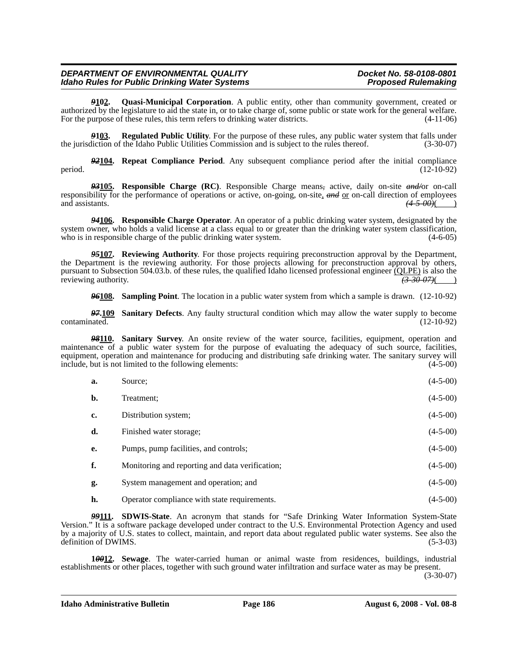*9***102. Quasi-Municipal Corporation**. A public entity, other than community government, created or authorized by the legislature to aid the state in, or to take charge of, some public or state work for the general welfare. For the purpose of these rules, this term refers to drinking water districts.  $(4-11-06)$ 

*9***103. Regulated Public Utility**. For the purpose of these rules, any public water system that falls under the jurisdiction of the Idaho Public Utilities Commission and is subject to the rules thereof. (3-30-07)

*92***104. Repeat Compliance Period**. Any subsequent compliance period after the initial compliance period.  $(12-10-92)$ 

*93***105. Responsible Charge (RC)**. Responsible Charge means*,* active, daily on-site *and/*or on-call responsibility for the performance of operations or active, on-going, on-site, *and* <u>or</u> on-call direction of employees and assistants. and assistants.

*94***106. Responsible Charge Operator**. An operator of a public drinking water system, designated by the system owner, who holds a valid license at a class equal to or greater than the drinking water system classification, who is in responsible charge of the public drinking water system. (4-6-05) who is in responsible charge of the public drinking water system.

*95***107. Reviewing Authority**. For those projects requiring preconstruction approval by the Department, the Department is the reviewing authority. For those projects allowing for preconstruction approval by others, pursuant to Subsection 504.03.b. of these rules, the qualified Idaho licensed professional engineer  $\overline{(\overline{Q}LPE)}$  is also the reviewing authority.  $reviewing$  authority.

*96***108. Sampling Point**. The location in a public water system from which a sample is drawn. (12-10-92)

*97***.109 Sanitary Defects**. Any faulty structural condition which may allow the water supply to become contaminated. (12-10-92)

*98***110. Sanitary Survey**. An onsite review of the water source, facilities, equipment, operation and maintenance of a public water system for the purpose of evaluating the adequacy of such source, facilities, equipment, operation and maintenance for producing and distributing safe drinking water. The sanitary survey will include, but is not limited to the following elements: (4-5-00) include, but is not limited to the following elements:

| a. | Source:                                         | $(4-5-00)$ |
|----|-------------------------------------------------|------------|
| b. | Treatment:                                      | $(4-5-00)$ |
| c. | Distribution system;                            | $(4-5-00)$ |
| d. | Finished water storage;                         | $(4-5-00)$ |
| e. | Pumps, pump facilities, and controls;           | $(4-5-00)$ |
| f. | Monitoring and reporting and data verification; | $(4-5-00)$ |
|    |                                                 |            |

- **g.** System management and operation; and  $(4-5-00)$
- **h.** Operator compliance with state requirements. (4-5-00)

*99***111. SDWIS-State**. An acronym that stands for "Safe Drinking Water Information System-State Version." It is a software package developed under contract to the U.S. Environmental Protection Agency and used by a majority of U.S. states to collect, maintain, and report data about regulated public water systems. See also the definition of DWIMS.

**1***00***12. Sewage**. The water-carried human or animal waste from residences, buildings, industrial establishments or other places, together with such ground water infiltration and surface water as may be present. (3-30-07)

**Idaho Administrative Bulletin Page 186 August 6, 2008 - Vol. 08-8**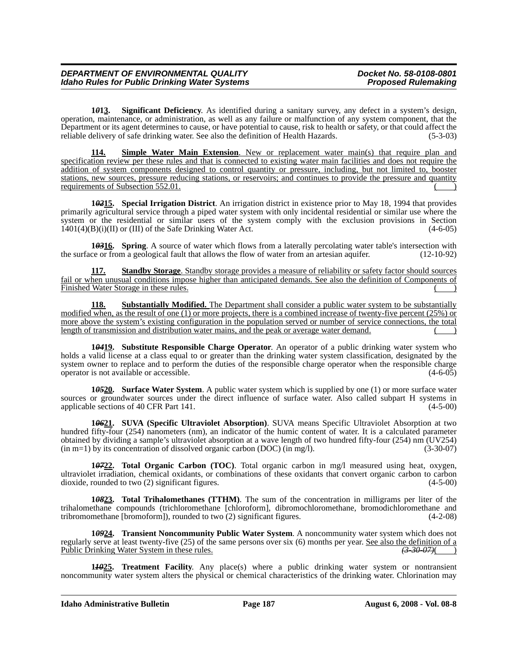**1***0***13. Significant Deficiency**. As identified during a sanitary survey, any defect in a system's design, operation, maintenance, or administration, as well as any failure or malfunction of any system component, that the Department or its agent determines to cause, or have potential to cause, risk to health or safety, or that could affect the reliable delivery of safe drinking water. See also the definition of Health Hazards. (5-3-03)

**114. Simple Water Main Extension**. New or replacement water main(s) that require plan and specification review per these rules and that is connected to existing water main facilities and does not require the addition of system components designed to control quantity or pressure, including, but not limited to, booster stations, new sources, pressure reducing stations, or reservoirs; and continues to provide the pressure and quantity requirements of Subsection 552.01.

**1***02***15. Special Irrigation District**. An irrigation district in existence prior to May 18, 1994 that provides primarily agricultural service through a piped water system with only incidental residential or similar use where the system or the residential or similar users of the system comply with the exclusion provisions in Section  $1401(4)(B)(i)(II)$  or (III) of the Safe Drinking Water Act. (4-6-05)

**1***03***16. Spring**. A source of water which flows from a laterally percolating water table's intersection with the surface or from a geological fault that allows the flow of water from an artesian aquifer. (12-10-92)

**117. Standby Storage**. Standby storage provides a measure of reliability or safety factor should sources fail or when unusual conditions impose higher than anticipated demands. See also the definition of Components of Finished Water Storage in these rules.

**118. Substantially Modified.** The Department shall consider a public water system to be substantially modified when, as the result of one (1) or more projects, there is a combined increase of twenty-five percent (25%) or more above the system's existing configuration in the population served or number of service connections, the total length of transmission and distribution water mains, and the peak or average water demand.

**1***04***19. Substitute Responsible Charge Operator**. An operator of a public drinking water system who holds a valid license at a class equal to or greater than the drinking water system classification, designated by the system owner to replace and to perform the duties of the responsible charge operator when the responsible charge operator is not available or accessible. (4-6-05)

**1***05***<sup>20</sup>. Surface Water System**. A public water system which is supplied by one (1) or more surface water sources or groundwater sources under the direct influence of surface water. Also called subpart H systems in applicable sections of 40 CFR Part 141. applicable sections of 40 CFR Part 141.

**1***06***21. SUVA (Specific Ultraviolet Absorption)**. SUVA means Specific Ultraviolet Absorption at two hundred fifty-four (254) nanometers (nm), an indicator of the humic content of water. It is a calculated parameter obtained by dividing a sample's ultraviolet absorption at a wave length of two hundred fifty-four (254) nm (UV254)  $(in m=1) by its concentration of dissolved organic carbon (DOC) (in m<sub>g</sub>/l).$  (3-30-07)

**1***07***22. Total Organic Carbon (TOC)**. Total organic carbon in mg/l measured using heat, oxygen, ultraviolet irradiation, chemical oxidants, or combinations of these oxidants that convert organic carbon to carbon dioxide, rounded to two (2) significant figures. (4-5-00) dioxide, rounded to two  $(2)$  significant figures.

**1***08***23. Total Trihalomethanes (TTHM)**. The sum of the concentration in milligrams per liter of the trihalomethane compounds (trichloromethane [chloroform], dibromochloromethane, bromodichloromethane and tribromomethane [bromoform]), rounded to two (2) significant figures. (4-2-08) tribromomethane [bromoform]), rounded to two  $(2)$  significant figures.

**1***09***24. Transient Noncommunity Public Water System**. A noncommunity water system which does not regularly serve at least twenty-five (25) of the same persons over six (6) months per year. See also the definition of a Public Drinking Water System in these rules. *(3-30-07)*  $\left(3-30-07\right)$ 

**1***10***25. Treatment Facility**. Any place(s) where a public drinking water system or nontransient noncommunity water system alters the physical or chemical characteristics of the drinking water. Chlorination may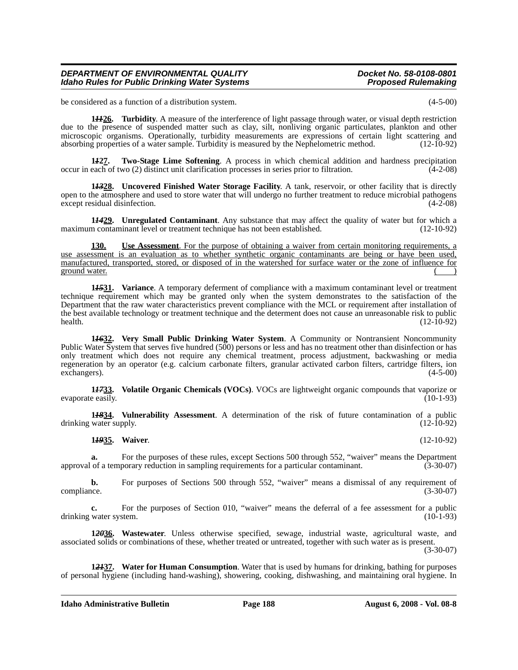be considered as a function of a distribution system. (4-5-00)

**1***11***26. Turbidity**. A measure of the interference of light passage through water, or visual depth restriction due to the presence of suspended matter such as clay, silt, nonliving organic particulates, plankton and other microscopic organisms. Operationally, turbidity measurements are expressions of certain light scattering and absorbing properties of a water sample. Turbidity is measured by the Nephelometric method. (12-10-92)

**1***1***27. Two-Stage Lime Softening**. A process in which chemical addition and hardness precipitation occur in each of two (2) distinct unit clarification processes in series prior to filtration. (4-2-08)

**1***13***28. Uncovered Finished Water Storage Facility**. A tank, reservoir, or other facility that is directly open to the atmosphere and used to store water that will undergo no further treatment to reduce microbial pathogens except residual disinfection. (4-2-08) except residual disinfection.

**1***429***.** Unregulated Contaminant. Any substance that may affect the quality of water but for which a m contaminant level or treatment technique has not been established. (12-10-92) maximum contaminant level or treatment technique has not been established.

**130. Use Assessment**. For the purpose of obtaining a waiver from certain monitoring requirements, a use assessment is an evaluation as to whether synthetic organic contaminants are being or have been used, manufactured, transported, stored, or disposed of in the watershed for surface water or the zone of influence for ground water. ( )

**1***15***31. Variance**. A temporary deferment of compliance with a maximum contaminant level or treatment technique requirement which may be granted only when the system demonstrates to the satisfaction of the Department that the raw water characteristics prevent compliance with the MCL or requirement after installation of the best available technology or treatment technique and the determent does not cause an unreasonable risk to public health.  $(12-10-92)$ 

**1***16***32. Very Small Public Drinking Water System**. A Community or Nontransient Noncommunity Public Water System that serves five hundred (500) persons or less and has no treatment other than disinfection or has only treatment which does not require any chemical treatment, process adjustment, backwashing or media regeneration by an operator (e.g. calcium carbonate filters, granular activated carbon filters, cartridge filters, ion exchangers). (4-5-00)

**1***17***33. Volatile Organic Chemicals (VOCs)**. VOCs are lightweight organic compounds that vaporize or evaporate easily. (10-1-93)

**1***18***34. Vulnerability Assessment**. A determination of the risk of future contamination of a public drinking water supply. (12-10-92)

## **1***19***35. Waiver**. (12-10-92)

**a.** For the purposes of these rules, except Sections 500 through 552, "waiver" means the Department of a temporary reduction in sampling requirements for a particular contaminant. (3-30-07) approval of a temporary reduction in sampling requirements for a particular contaminant.

**b.** For purposes of Sections 500 through 552, "waiver" means a dismissal of any requirement of compliance. (3-30-07)

**c.** For the purposes of Section 010, "waiver" means the deferral of a fee assessment for a public water system. (10-1-93) drinking water system.

**1***20***36. Wastewater**. Unless otherwise specified, sewage, industrial waste, agricultural waste, and associated solids or combinations of these, whether treated or untreated, together with such water as is present.

(3-30-07)

**1***21***37. Water for Human Consumption**. Water that is used by humans for drinking, bathing for purposes of personal hygiene (including hand-washing), showering, cooking, dishwashing, and maintaining oral hygiene. In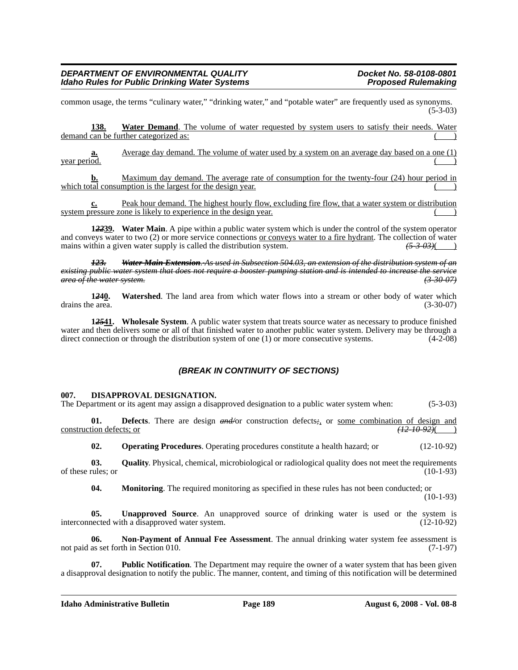common usage, the terms "culinary water," "drinking water," and "potable water" are frequently used as synonyms.  $(5-3-03)$ 

**138. Water Demand**. The volume of water requested by system users to satisfy their needs. Water demand can be further categorized as:

**a.** Average day demand. The volume of water used by a system on an average day based on a one (1) year period. ( )

**b.** Maximum day demand. The average rate of consumption for the twenty-four (24) hour period in which total consumption is the largest for the design year.

**c.** Peak hour demand. The highest hourly flow, excluding fire flow, that a water system or distribution system pressure zone is likely to experience in the design year.

**1***22***39. Water Main**. A pipe within a public water system which is under the control of the system operator and conveys water to two (2) or more service connections or conveys water to a fire hydrant. The collection of water mains within a given water supply is called the distribution system. *(5-3-03)*(*5-3-03)*(

*123. Water Main Extension. As used in Subsection 504.03, an extension of the distribution system of an existing public water system that does not require a booster pumping station and is intended to increase the service area of the water system. (3-30-07)*

**1***2***40. Watershed**. The land area from which water flows into a stream or other body of water which drains the area. (3-30-07)

**1***25***41. Wholesale System**. A public water system that treats source water as necessary to produce finished water and then delivers some or all of that finished water to another public water system. Delivery may be through a direct connection or through the distribution system of one (1) or more consecutive systems. (4-2-08)

## *(BREAK IN CONTINUITY OF SECTIONS)*

### **007. DISAPPROVAL DESIGNATION.**

The Department or its agent may assign a disapproved designation to a public water system when: (5-3-03)

**01. Defects**. There are design  $\frac{a \cdot b}{c}$  or construction defects; or <u>some combination of design and</u> tion defects: or construction defects; or

**02. Operating Procedures**. Operating procedures constitute a health hazard; or (12-10-92)

**03.** Quality. Physical, chemical, microbiological or radiological quality does not meet the requirements of these rules; or  $(10-1-93)$ 

**04. Monitoring**. The required monitoring as specified in these rules has not been conducted; or

(10-1-93)

**05. Unapproved Source**. An unapproved source of drinking water is used or the system is interconnected with a disapproved water system. (12-10-92)

**06. Non-Payment of Annual Fee Assessment**. The annual drinking water system fee assessment is not paid as set forth in Section 010. (7-1-97)

**07. Public Notification**. The Department may require the owner of a water system that has been given a disapproval designation to notify the public. The manner, content, and timing of this notification will be determined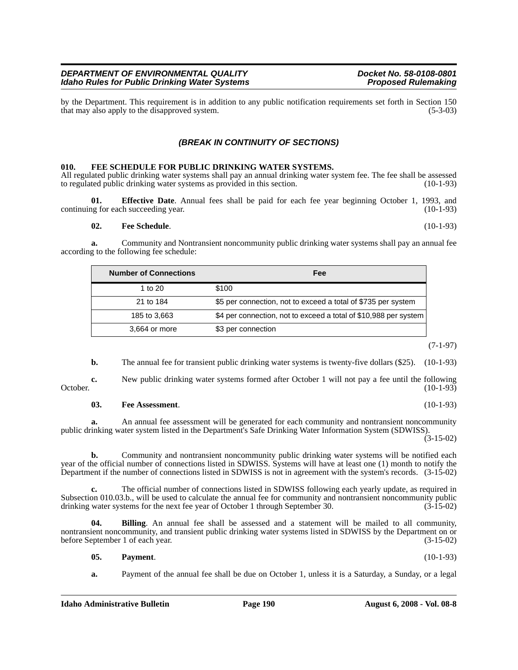### **Idaho Administrative Bulletin Page 190 August 6, 2008 - Vol. 08-8**

# *DEPARTMENT OF ENVIRONMENTAL QUALITY Docket No. 58-0108-0801 Idaho Rules for Public Drinking Water Systems*

by the Department. This requirement is in addition to any public notification requirements set forth in Section 150 that may also apply to the disapproved system. that may also apply to the disapproved system.

# *(BREAK IN CONTINUITY OF SECTIONS)*

## **010. FEE SCHEDULE FOR PUBLIC DRINKING WATER SYSTEMS.**

All regulated public drinking water systems shall pay an annual drinking water system fee. The fee shall be assessed to regulated public drinking water systems as provided in this section. (10-1-93) to regulated public drinking water systems as provided in this section.

**Effective Date.** Annual fees shall be paid for each fee year beginning October 1, 1993, and continuing for each succeeding year. (10-1-93)

### **02. Fee Schedule**. (10-1-93)

**a.** Community and Nontransient noncommunity public drinking water systems shall pay an annual fee according to the following fee schedule:

| <b>Number of Connections</b> | Fee                                                              |
|------------------------------|------------------------------------------------------------------|
| 1 to 20                      | \$100                                                            |
| 21 to 184                    | \$5 per connection, not to exceed a total of \$735 per system    |
| 185 to 3,663                 | \$4 per connection, not to exceed a total of \$10,988 per system |
| 3,664 or more                | \$3 per connection                                               |

(7-1-97)

**b.** The annual fee for transient public drinking water systems is twenty-five dollars (\$25). (10-1-93)

**c.** New public drinking water systems formed after October 1 will not pay a fee until the following October. (10-1-93)

### **03. Fee Assessment**. (10-1-93)

**a.** An annual fee assessment will be generated for each community and nontransient noncommunity public drinking water system listed in the Department's Safe Drinking Water Information System (SDWISS).

(3-15-02)

**b.** Community and nontransient noncommunity public drinking water systems will be notified each year of the official number of connections listed in SDWISS. Systems will have at least one (1) month to notify the Department if the number of connections listed in SDWISS is not in agreement with the system's records. (3-15-02)

**c.** The official number of connections listed in SDWISS following each yearly update, as required in Subsection 010.03.b., will be used to calculate the annual fee for community and nontransient noncommunity public drinking water systems for the next fee year of October 1 through September 30.  $(3-15-02)$ 

**04. Billing**. An annual fee shall be assessed and a statement will be mailed to all community, nontransient noncommunity, and transient public drinking water systems listed in SDWISS by the Department on or before September 1 of each year. (3-15-02)

**05. Payment**. (10-1-93)

**a.** Payment of the annual fee shall be due on October 1, unless it is a Saturday, a Sunday, or a legal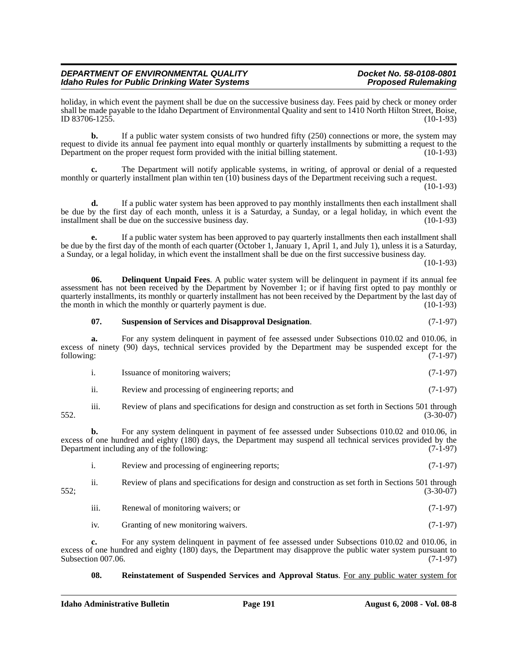holiday, in which event the payment shall be due on the successive business day. Fees paid by check or money order shall be made payable to the Idaho Department of Environmental Quality and sent to 1410 North Hilton Street, Boise,  $ID 83706-1255.$  (10-1-93)

**b.** If a public water system consists of two hundred fifty (250) connections or more, the system may request to divide its annual fee payment into equal monthly or quarterly installments by submitting a request to the<br>Department on the proper request form provided with the initial billing statement. (10-1-93) Department on the proper request form provided with the initial billing statement.

**c.** The Department will notify applicable systems, in writing, of approval or denial of a requested monthly or quarterly installment plan within ten (10) business days of the Department receiving such a request.

(10-1-93)

**d.** If a public water system has been approved to pay monthly installments then each installment shall be due by the first day of each month, unless it is a Saturday, a Sunday, or a legal holiday, in which event the installment shall be due on the successive business day. (10-1-93)

**e.** If a public water system has been approved to pay quarterly installments then each installment shall be due by the first day of the month of each quarter (October 1, January 1, April 1, and July 1), unless it is a Saturday, a Sunday, or a legal holiday, in which event the installment shall be due on the first successive business day.

(10-1-93)

**06. Delinquent Unpaid Fees**. A public water system will be delinquent in payment if its annual fee assessment has not been received by the Department by November 1; or if having first opted to pay monthly or quarterly installments, its monthly or quarterly installment has not been received by the Department by the last day of the month in which the monthly or quarterly payment is due. (10-1-93) the month in which the monthly or quarterly payment is due.

## **07. Suspension of Services and Disapproval Designation**. (7-1-97)

**a.** For any system delinquent in payment of fee assessed under Subsections 010.02 and 010.06, in excess of ninety (90) days, technical services provided by the Department may be suspended except for the following: (7-1-97) following: (7-1-97)

- i. Issuance of monitoring waivers; (7-1-97)
- ii. Review and processing of engineering reports; and (7-1-97)

iii. Review of plans and specifications for design and construction as set forth in Sections 501 through 552. (3-30-07)

**b.** For any system delinquent in payment of fee assessed under Subsections 010.02 and 010.06, in excess of one hundred and eighty (180) days, the Department may suspend all technical services provided by the Department including any of the following: (7-1-97)

|  | Review and processing of engineering reports; | $(7-1-97)$ |
|--|-----------------------------------------------|------------|
|--|-----------------------------------------------|------------|

ii. Review of plans and specifications for design and construction as set forth in Sections 501 through 552; (3-30-07)

iii. Renewal of monitoring waivers; or (7-1-97)

iv. Granting of new monitoring waivers. (7-1-97)

**c.** For any system delinquent in payment of fee assessed under Subsections 010.02 and 010.06, in excess of one hundred and eighty (180) days, the Department may disapprove the public water system pursuant to Subsection 007.06. (7-1-97) Subsection 007.06.

### **08. Reinstatement of Suspended Services and Approval Status**. For any public water system for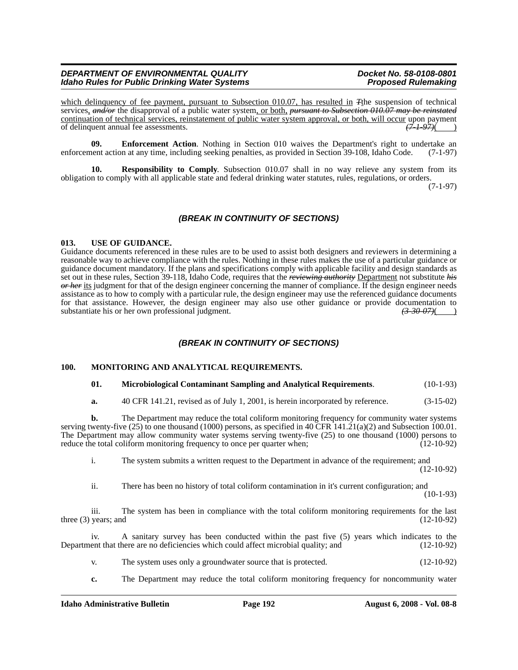## *DEPARTMENT OF ENVIRONMENTAL QUALITY Docket No. 58-0108-0801 Idaho Rules for Public Drinking Water Systems*

which delinquency of fee payment, pursuant to Subsection 010.07, has resulted in *T*the suspension of technical services, *and/or* the disapproval of a public water system, or both, *pursuant to Subsection 010.07 may be reinstated* <u>continuation of technical services, reinstatement of public water system approval, or both, will occur upon payment</u><br>of delinguent annual fee assessments. of delinquent annual fee assessments. *(7-1-97)*( )

**09. Enforcement Action**. Nothing in Section 010 waives the Department's right to undertake an nent action at any time, including seeking penalties, as provided in Section 39-108, Idaho Code. (7-1-97) enforcement action at any time, including seeking penalties, as provided in Section 39-108, Idaho Code.

**10. Responsibility to Comply**. Subsection 010.07 shall in no way relieve any system from its obligation to comply with all applicable state and federal drinking water statutes, rules, regulations, or orders.

(7-1-97)

## *(BREAK IN CONTINUITY OF SECTIONS)*

#### **013. USE OF GUIDANCE.**

Guidance documents referenced in these rules are to be used to assist both designers and reviewers in determining a reasonable way to achieve compliance with the rules. Nothing in these rules makes the use of a particular guidance or guidance document mandatory. If the plans and specifications comply with applicable facility and design standards as set out in these rules, Section 39-118, Idaho Code, requires that the *reviewing authority* Department not substitute *his or her* its judgment for that of the design engineer concerning the manner of compliance. If the design engineer needs assistance as to how to comply with a particular rule, the design engineer may use the referenced guidance documents for that assistance. However, the design engineer may also use other guidance or provide documentation to substantiate his or her own professional judgment.  $\left(3.3007\right)(\right)$ substantiate his or her own professional judgment. *(3-30-07)*( )

## *(BREAK IN CONTINUITY OF SECTIONS)*

## **100. MONITORING AND ANALYTICAL REQUIREMENTS.**

### **01. Microbiological Contaminant Sampling and Analytical Requirements**. (10-1-93)

**a.** 40 CFR 141.21, revised as of July 1, 2001, is herein incorporated by reference.  $(3-15-02)$ 

**b.** The Department may reduce the total coliform monitoring frequency for community water systems serving twenty-five (25) to one thousand (1000) persons, as specified in 40 CFR  $141.21(a)(2)$  and Subsection 100.01. The Department may allow community water systems serving twenty-five (25) to one thousand (1000) persons to reduce the total coliform monitoring frequency to once per quarter when; (12-10-92)

i. The system submits a written request to the Department in advance of the requirement; and (12-10-92)

ii. There has been no history of total coliform contamination in it's current configuration; and

(10-1-93)

iii. The system has been in compliance with the total coliform monitoring requirements for the last three (3) years; and  $(12-10-92)$ 

iv. A sanitary survey has been conducted within the past five (5) years which indicates to the Department that there are no deficiencies which could affect microbial quality; and (12-10-92)

v. The system uses only a groundwater source that is protected. (12-10-92)

**c.** The Department may reduce the total coliform monitoring frequency for noncommunity water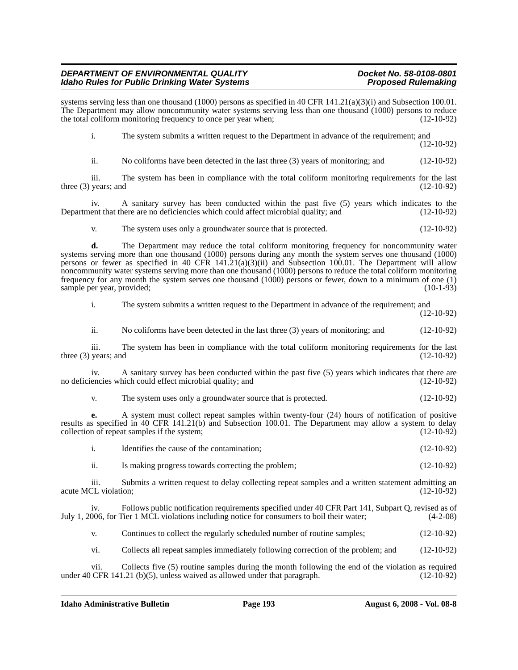systems serving less than one thousand (1000) persons as specified in 40 CFR 141.21(a)(3)(i) and Subsection 100.01. The Department may allow noncommunity water systems serving less than one thousand (1000) persons to reduce the total coliform monitoring frequency to once per year when; (12-10-92)

i. The system submits a written request to the Department in advance of the requirement; and (12-10-92)

ii. No coliforms have been detected in the last three (3) years of monitoring; and (12-10-92)

iii. The system has been in compliance with the total coliform monitoring requirements for the last years; and (12-10-92) three  $(3)$  years; and

iv. A sanitary survey has been conducted within the past five (5) years which indicates to the Department that there are no deficiencies which could affect microbial quality; and (12-10-92)

v. The system uses only a groundwater source that is protected. (12-10-92)

**d.** The Department may reduce the total coliform monitoring frequency for noncommunity water systems serving more than one thousand (1000) persons during any month the system serves one thousand (1000) persons or fewer as specified in 40 CFR 141.21(a)(3)(ii) and Subsection 100.01. The Department will allow noncommunity water systems serving more than one thousand (1000) persons to reduce the total coliform monitoring frequency for any month the system serves one thousand (1000) persons or fewer, down to a minimum of one (1) sample per year, provided; (10-1-93) sample per year, provided;

i. The system submits a written request to the Department in advance of the requirement; and (12-10-92)

ii. No coliforms have been detected in the last three (3) years of monitoring; and (12-10-92)

iii. The system has been in compliance with the total coliform monitoring requirements for the last years; and (12-10-92) three  $(3)$  years; and

iv. A sanitary survey has been conducted within the past five (5) years which indicates that there are no deficiencies which could effect microbial quality; and (12-10-92)

v. The system uses only a groundwater source that is protected. (12-10-92)

**e.** A system must collect repeat samples within twenty-four (24) hours of notification of positive results as specified in 40 CFR 141.21(b) and Subsection 100.01. The Department may allow a system to delay collection of repeat samples if the system; (12-10-92) collection of repeat samples if the system;

| Identifies the cause of the contamination: | $(12-10-92)$ |
|--------------------------------------------|--------------|
|                                            |              |

ii. Is making progress towards correcting the problem; (12-10-92)

iii. Submits a written request to delay collecting repeat samples and a written statement admitting an acute MCL violation; (12-10-92)

iv. Follows public notification requirements specified under 40 CFR Part 141, Subpart Q, revised as of 006, for Tier 1 MCL violations including notice for consumers to boil their water; (4-2-08) July 1, 2006, for Tier 1 MCL violations including notice for consumers to boil their water;

v. Continues to collect the regularly scheduled number of routine samples; (12-10-92)

vi. Collects all repeat samples immediately following correction of the problem; and (12-10-92)

vii. Collects five (5) routine samples during the month following the end of the violation as required under 40 CFR 141.21 (b)(5), unless waived as allowed under that paragraph. (12-10-92)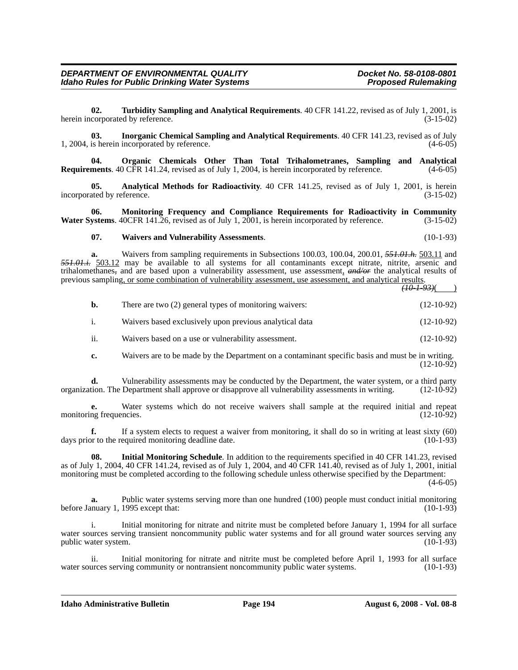**02. Turbidity Sampling and Analytical Requirements**. 40 CFR 141.22, revised as of July 1, 2001, is herein incorporated by reference. (3-15-02)

**03. Inorganic Chemical Sampling and Analytical Requirements**. 40 CFR 141.23, revised as of July 1, 2004, is herein incorporated by reference. (4-6-05)

**04. Organic Chemicals Other Than Total Trihalometranes, Sampling and Analytical Requirements**. 40 CFR 141.24, revised as of July 1, 2004, is herein incorporated by reference. (4-6-05)

**05.** Analytical Methods for Radioactivity. 40 CFR 141.25, revised as of July 1, 2001, is herein incorporated by reference. (3-15-02)

**06. Monitoring Frequency and Compliance Requirements for Radioactivity in Community Water Systems**. 40CFR 141.26, revised as of July 1, 2001, is herein incorporated by reference. (3-15-02)

## **07. Waivers and Vulnerability Assessments**. (10-1-93)

**a.** Waivers from sampling requirements in Subsections 100.03, 100.04, 200.01, *551.01.h.* 503.11 and *551.01.i.* 503.12 may be available to all systems for all contaminants except nitrate, nitrite, arsenic and trihalomethanes*,* and are based upon a vulnerability assessment, use assessment, *and/or* the analytical results of previous sampling, or some combination of vulnerability assessment, use assessment, and analytical results. *(10-1-93)* 

| <b>b.</b> | There are two (2) general types of monitoring waivers:  | $(12-10-92)$ |
|-----------|---------------------------------------------------------|--------------|
|           | Waivers based exclusively upon previous analytical data | $(12-10-92)$ |
| ii.       | Waivers based on a use or vulnerability assessment.     | $(12-10-92)$ |

**c.** Waivers are to be made by the Department on a contaminant specific basis and must be in writing.  $(12-10-92)$ 

**d.** Vulnerability assessments may be conducted by the Department, the water system, or a third party tion. The Department shall approve or disapprove all vulnerability assessments in writing. (12-10-92) organization. The Department shall approve or disapprove all vulnerability assessments in writing.

**e.** Water systems which do not receive waivers shall sample at the required initial and repeat monitoring frequencies. (12-10-92)

**f.** If a system elects to request a waiver from monitoring, it shall do so in writing at least sixty (60) days prior to the required monitoring deadline date. (10-1-93)

**08. Initial Monitoring Schedule**. In addition to the requirements specified in 40 CFR 141.23, revised as of July 1, 2004, 40 CFR 141.24, revised as of July 1, 2004, and 40 CFR 141.40, revised as of July 1, 2001, initial monitoring must be completed according to the following schedule unless otherwise specified by the Department:

 $(4-6-05)$ 

**a.** Public water systems serving more than one hundred (100) people must conduct initial monitoring inuary 1, 1995 except that: (10-1-93) before January 1, 1995 except that:

i. Initial monitoring for nitrate and nitrite must be completed before January 1, 1994 for all surface water sources serving transient noncommunity public water systems and for all ground water sources serving any public water system. (10-1-93)

ii. Initial monitoring for nitrate and nitrite must be completed before April 1, 1993 for all surface urces serving community or nontransient noncommunity public water systems. (10-1-93) water sources serving community or nontransient noncommunity public water systems.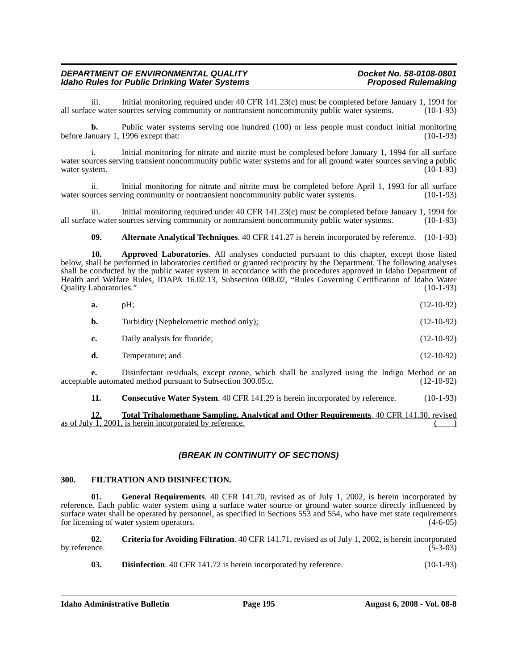iii. Initial monitoring required under 40 CFR 141.23(c) must be completed before January 1, 1994 for the water sources serving community or nontransient noncommunity public water systems. (10-1-93) all surface water sources serving community or nontransient noncommunity public water systems.

**b.** Public water systems serving one hundred (100) or less people must conduct initial monitoring before January 1, 1996 except that: (10-1-93)

i. Initial monitoring for nitrate and nitrite must be completed before January 1, 1994 for all surface water sources serving transient noncommunity public water systems and for all ground water sources serving a public water system.  $(10-1-93)$ 

ii. Initial monitoring for nitrate and nitrite must be completed before April 1, 1993 for all surface urces serving community or nontransient noncommunity public water systems. (10-1-93) water sources serving community or nontransient noncommunity public water systems.

iii. Initial monitoring required under 40 CFR 141.23(c) must be completed before January 1, 1994 for all surface water sources serving community or nontransient noncommunity public water systems. (10-1-93)

**09. Alternate Analytical Techniques**. 40 CFR 141.27 is herein incorporated by reference. (10-1-93)

**10. Approved Laboratories**. All analyses conducted pursuant to this chapter, except those listed below, shall be performed in laboratories certified or granted reciprocity by the Department. The following analyses shall be conducted by the public water system in accordance with the procedures approved in Idaho Department of Health and Welfare Rules, IDAPA 16.02.13, Subsection 008.02, "Rules Governing Certification of Idaho Water Quality Laboratories." (10-1-93) Quality Laboratories."

| a. | $pH$ :                                 | $(12-10-92)$ |
|----|----------------------------------------|--------------|
| b. | Turbidity (Nephelometric method only); | $(12-10-92)$ |
| c. | Daily analysis for fluoride;           | $(12-10-92)$ |
| d. | Temperature; and                       | $(12-10-92)$ |

**e.** Disinfectant residuals, except ozone, which shall be analyzed using the Indigo Method or an acceptable automated method pursuant to Subsection 300.05.c. (12-10-92)

### **11.** Consecutive Water System. 40 CFR 141.29 is herein incorporated by reference. (10-1-93)

**12. Total Trihalomethane Sampling, Analytical and Other Requirements**. 40 CFR 141.30, revised as of July 1, 2001, is herein incorporated by reference.

## *(BREAK IN CONTINUITY OF SECTIONS)*

### **300. FILTRATION AND DISINFECTION.**

**01.** General Requirements. 40 CFR 141.70, revised as of July 1, 2002, is herein incorporated by reference. Each public water system using a surface water source or ground water source directly influenced by surface water shall be operated by personnel, as specified in Sections 553 and 554, who have met state requirements for licensing of water system operators. (4-6-05)

**02. Criteria for Avoiding Filtration**. 40 CFR 141.71, revised as of July 1, 2002, is herein incorporated by reference. (5-3-03)

**03. Disinfection**. 40 CFR 141.72 is herein incorporated by reference. (10-1-93)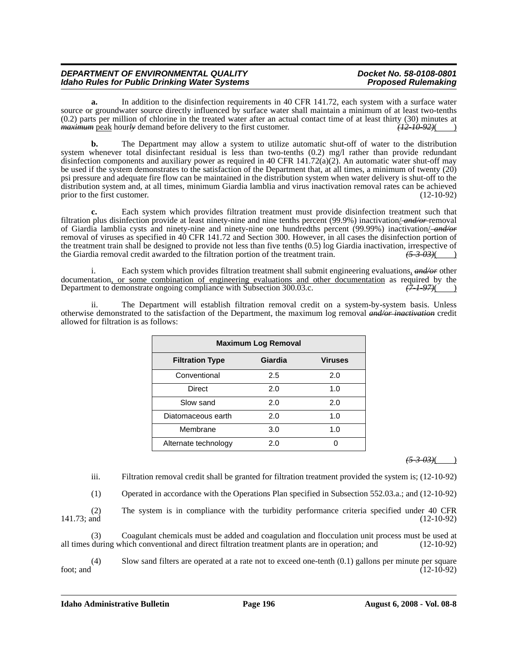**a.** In addition to the disinfection requirements in 40 CFR 141.72, each system with a surface water source or groundwater source directly influenced by surface water shall maintain a minimum of at least two-tenths (0.2) parts per million of chlorine in the treated water after an actual contact time of at least thirty (30) minutes at *maximum* peak hour<sup>t</sup> demand before delivery to the first customer. (12-10-92) (12-10-92) *maximum* peak hour<sub>l</sub>y demand before delivery to the first customer.

**b.** The Department may allow a system to utilize automatic shut-off of water to the distribution system whenever total disinfectant residual is less than two-tenths (0.2) mg/l rather than provide redundant disinfection components and auxiliary power as required in 40 CFR 141.72(a)(2). An automatic water shut-off may be used if the system demonstrates to the satisfaction of the Department that, at all times, a minimum of twenty (20) psi pressure and adequate fire flow can be maintained in the distribution system when water delivery is shut-off to the distribution system and, at all times, minimum Giardia lamblia and virus inactivation removal rates can be achieved prior to the first customer. (12-10-92)

**c.** Each system which provides filtration treatment must provide disinfection treatment such that filtration plus disinfection provide at least ninety-nine and nine tenths percent (99.9%) inactivation/ *and/or* removal of Giardia lamblia cysts and ninety-nine and ninety-nine one hundredths percent (99.99%) inactivation/ *and/or* removal of viruses as specified in 40 CFR 141.72 and Section 300. However, in all cases the disinfection portion of the treatment train shall be designed to provide not less than five tenths (0.5) log Giardia inactivation, irrespective of the Giardia removal credit awarded to the filtration portion of the treatment train.  $\frac{(5-3-0.3)}{($ the Giardia removal credit awarded to the filtration portion of the treatment train. *(5-3-03)*( )

i. Each system which provides filtration treatment shall submit engineering evaluations, *and/or* other documentation, or some combination of engineering evaluations and other documentation as required by the Department to demonstrate ongoing compliance with Subsection 300.03.c.  $(7.197)()$ Department to demonstrate ongoing compliance with Subsection 300.03.c.

ii. The Department will establish filtration removal credit on a system-by-system basis. Unless otherwise demonstrated to the satisfaction of the Department, the maximum log removal *and/or inactivation* credit allowed for filtration is as follows:

| <b>Maximum Log Removal</b>                          |     |     |  |
|-----------------------------------------------------|-----|-----|--|
| Giardia<br><b>Viruses</b><br><b>Filtration Type</b> |     |     |  |
| Conventional                                        | 2.5 | 2.0 |  |
| Direct                                              | 2.0 | 1.0 |  |
| Slow sand                                           | 2.0 | 2.0 |  |
| Diatomaceous earth                                  | 2.0 | 1.0 |  |
| Membrane                                            | 3.0 | 1.0 |  |
| Alternate technology                                | 2.0 |     |  |

*(5-3-03)*( )

iii. Filtration removal credit shall be granted for filtration treatment provided the system is; (12-10-92)

(1) Operated in accordance with the Operations Plan specified in Subsection 552.03.a.; and (12-10-92)

(2) The system is in compliance with the turbidity performance criteria specified under 40 CFR 141.73; and (12-10-92)

(3) Coagulant chemicals must be added and coagulation and flocculation unit process must be used at all times during which conventional and direct filtration treatment plants are in operation; and (12-10-92)

(4) Slow sand filters are operated at a rate not to exceed one-tenth  $(0.1)$  gallons per minute per square foot: and  $(12-10-92)$ foot; and  $(12-10-92)$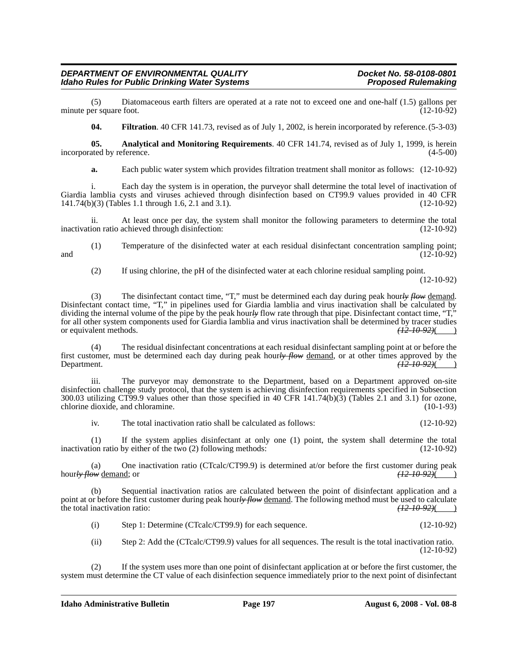(5) Diatomaceous earth filters are operated at a rate not to exceed one and one-half (1.5) gallons per minute per square foot.

**04. Filtration**. 40 CFR 141.73, revised as of July 1, 2002, is herein incorporated by reference. (5-3-03)

**05.** Analytical and Monitoring Requirements. 40 CFR 141.74, revised as of July 1, 1999, is herein ated by reference. (4-5-00) incorporated by reference.

**a.** Each public water system which provides filtration treatment shall monitor as follows:  $(12-10-92)$ 

i. Each day the system is in operation, the purveyor shall determine the total level of inactivation of Giardia lamblia cysts and viruses achieved through disinfection based on CT99.9 values provided in 40 CFR 141.74(b)(3) (Tables 1.1 through 1.6, 2.1 and 3.1). 141.74(b)(3) (Tables 1.1 through 1.6, 2.1 and 3.1).

ii. At least once per day, the system shall monitor the following parameters to determine the total ion ratio achieved through disinfection: (12-10-92) inactivation ratio achieved through disinfection:

(1) Temperature of the disinfected water at each residual disinfectant concentration sampling point; and (12-10-92) (12-10-92)

(2) If using chlorine, the pH of the disinfected water at each chlorine residual sampling point.

(12-10-92)

(3) The disinfectant contact time, "T," must be determined each day during peak hour*ly flow* demand. Disinfectant contact time, "T," in pipelines used for Giardia lamblia and virus inactivation shall be calculated by dividing the internal volume of the pipe by the peak hour*ly* flow rate through that pipe. Disinfectant contact time, "T," for all other system components used for Giardia lamblia and virus inactivation shall be determined by tracer studies<br>or equivalent methods.<br> $\frac{(12-10-92)}{(12-10-92)}$ or equivalent methods. *(12-10-92)*( )

(4) The residual disinfectant concentrations at each residual disinfectant sampling point at or before the first customer, must be determined each day during peak hour<del>ly *flow* demand</del>, or at other times approved by the Department. Department. *(12-10-92)*( )

iii. The purveyor may demonstrate to the Department, based on a Department approved on-site disinfection challenge study protocol, that the system is achieving disinfection requirements specified in Subsection 300.03 utilizing CT99.9 values other than those specified in 40 CFR 141.74(b)(3) (Tables 2.1 and 3.1) for ozone, chlorine dioxide. and chloramine. chlorine dioxide, and chloramine.

iv. The total inactivation ratio shall be calculated as follows: (12-10-92)

(1) If the system applies disinfectant at only one (1) point, the system shall determine the total inactivation ratio by either of the two (2) following methods: (12-10-92)

(a) One inactivation ratio (CTcalc/CT99.9) is determined at/or before the first customer during peak  $\frac{642-10-92}{(12-10-92)}$ hourly *flow* demand; or

Sequential inactivation ratios are calculated between the point of disinfectant application and a point at or before the first customer during peak hour<del>ly *flow*</del> demand. The following method must be used to calculate the total inactivation ratio:  $\frac{(12-10-92)}{(12-10-92)}$ the total inactivation ratio: *(12-10-92)*( )

(i) Step 1: Determine (CTcalc/CT99.9) for each sequence. (12-10-92)

(ii) Step 2: Add the (CTcalc/CT99.9) values for all sequences. The result is the total inactivation ratio. (12-10-92)

(2) If the system uses more than one point of disinfectant application at or before the first customer, the system must determine the CT value of each disinfection sequence immediately prior to the next point of disinfectant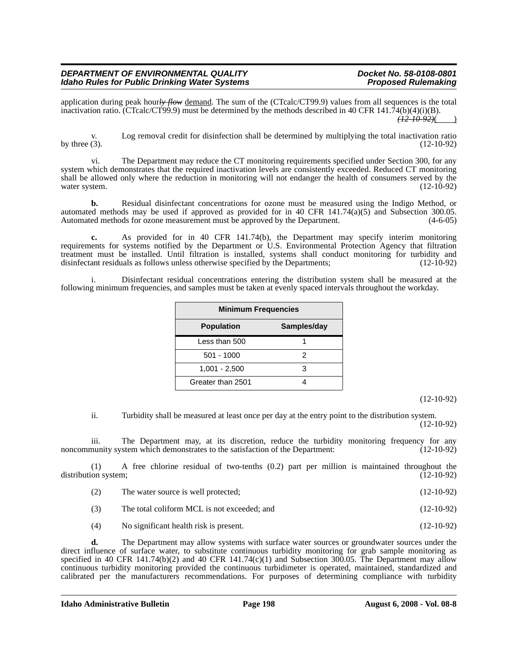| DEPARTMENT OF ENVIRONMENTAL QUALITY                  |  |
|------------------------------------------------------|--|
| <b>Idaho Rules for Public Drinking Water Systems</b> |  |

application during peak hour*ly flow* demand. The sum of the (CTcalc/CT99.9) values from all sequences is the total inactivation ratio. (CTcalc/CT99.9) must be determined by the methods described in 40 CFR 141.74(b)(4)(i)(B). *(12-10-92)*( )

v. Log removal credit for disinfection shall be determined by multiplying the total inactivation ratio by three (3). (12-10-92)

vi. The Department may reduce the CT monitoring requirements specified under Section 300, for any system which demonstrates that the required inactivation levels are consistently exceeded. Reduced CT monitoring shall be allowed only where the reduction in monitoring will not endanger the health of consumers served by the water system. (12-10-92) water system.

**b.** Residual disinfectant concentrations for ozone must be measured using the Indigo Method, or automated methods may be used if approved as provided for in 40 CFR  $141.74(a)(5)$  and Subsection 300.05. Automated methods for ozone measurement must be approved by the Department. (4-6-05)

**c.** As provided for in 40 CFR 141.74(b), the Department may specify interim monitoring requirements for systems notified by the Department or U.S. Environmental Protection Agency that filtration treatment must be installed. Until filtration is installed, systems shall conduct monitoring for turbidity and<br>disinfectant residuals as follows unless otherwise specified by the Departments: (12-10-92) disinfectant residuals as follows unless otherwise specified by the Departments;

i. Disinfectant residual concentrations entering the distribution system shall be measured at the following minimum frequencies, and samples must be taken at evenly spaced intervals throughout the workday.

| <b>Minimum Frequencies</b>       |  |  |
|----------------------------------|--|--|
| Samples/day<br><b>Population</b> |  |  |
| Less than 500                    |  |  |
| $501 - 1000$                     |  |  |
| $1,001 - 2,500$                  |  |  |
| Greater than 2501                |  |  |

#### (12-10-92)

ii. Turbidity shall be measured at least once per day at the entry point to the distribution system. (12-10-92)

iii. The Department may, at its discretion, reduce the turbidity monitoring frequency for any munity system which demonstrates to the satisfaction of the Department: (12-10-92) noncommunity system which demonstrates to the satisfaction of the Department:

(1) A free chlorine residual of two-tenths (0.2) part per million is maintained throughout the distribution system; (12-10-92)

- (2) The water source is well protected; (12-10-92)
- (3) The total coliform MCL is not exceeded; and (12-10-92)
- (4) No significant health risk is present. (12-10-92)

**d.** The Department may allow systems with surface water sources or groundwater sources under the direct influence of surface water, to substitute continuous turbidity monitoring for grab sample monitoring as specified in 40 CFR 141.74(b)(2) and 40 CFR 141.74(c)(1) and Subsection 300.05. The Department may allow continuous turbidity monitoring provided the continuous turbidimeter is operated, maintained, standardized and calibrated per the manufacturers recommendations. For purposes of determining compliance with turbidity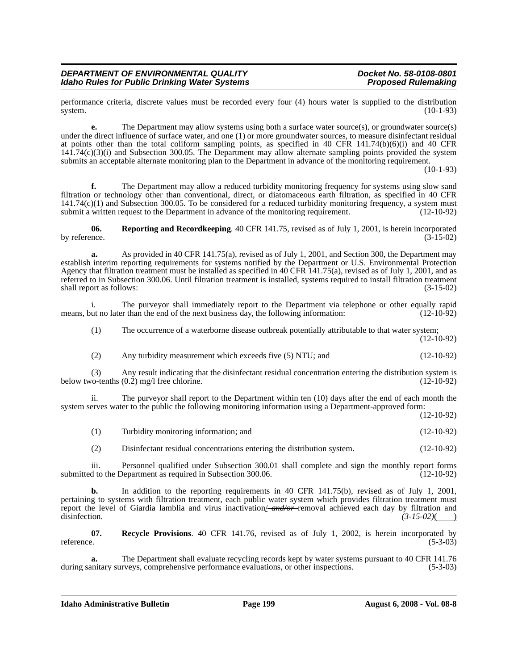performance criteria, discrete values must be recorded every four (4) hours water is supplied to the distribution system. (10-1-93)

**e.** The Department may allow systems using both a surface water source(s), or groundwater source(s) under the direct influence of surface water, and one (1) or more groundwater sources, to measure disinfectant residual at points other than the total coliform sampling points, as specified in 40 CFR 141.74(b)(6)(i) and 40 CFR 141.74(c)(3)(i) and Subsection 300.05. The Department may allow alternate sampling points provided the system submits an acceptable alternate monitoring plan to the Department in advance of the monitoring requirement.

 $(10-1-93)$ 

**f.** The Department may allow a reduced turbidity monitoring frequency for systems using slow sand filtration or technology other than conventional, direct, or diatomaceous earth filtration, as specified in 40 CFR 141.74(c)(1) and Subsection 300.05. To be considered for a reduced turbidity monitoring frequency, a system must submit a written request to the Department in advance of the monitoring requirement. (12-10-92)

**06. Reporting and Recordkeeping**. 40 CFR 141.75, revised as of July 1, 2001, is herein incorporated (3-15-02) by reference.

**a.** As provided in 40 CFR 141.75(a), revised as of July 1, 2001, and Section 300, the Department may establish interim reporting requirements for systems notified by the Department or U.S. Environmental Protection Agency that filtration treatment must be installed as specified in 40 CFR 141.75(a), revised as of July 1, 2001, and as referred to in Subsection 300.06. Until filtration treatment is installed, systems required to install filtration treatment shall report as follows: (3-15-02) shall report as follows:

i. The purveyor shall immediately report to the Department via telephone or other equally rapid<br>ut no later than the end of the next business day, the following information: (12-10-92) means, but no later than the end of the next business day, the following information:

(1) The occurrence of a waterborne disease outbreak potentially attributable to that water system;

(12-10-92)

(2) Any turbidity measurement which exceeds five (5) NTU; and (12-10-92)

(3) Any result indicating that the disinfectant residual concentration entering the distribution system is vo-tenths  $(0.2)$  mg/l free chlorine. (12-10-92) below two-tenths  $(0.2)$  mg/l free chlorine.

ii. The purveyor shall report to the Department within ten (10) days after the end of each month the system serves water to the public the following monitoring information using a Department-approved form:

(12-10-92)

(1) Turbidity monitoring information; and (12-10-92)

(2) Disinfectant residual concentrations entering the distribution system. (12-10-92)

iii. Personnel qualified under Subsection 300.01 shall complete and sign the monthly report forms d to the Department as required in Subsection 300.06. (12-10-92) submitted to the Department as required in Subsection 300.06.

**b.** In addition to the reporting requirements in 40 CFR 141.75(b), revised as of July 1, 2001, pertaining to systems with filtration treatment, each public water system which provides filtration treatment must report the level of Giardia lamblia and virus inactivation/*-and/or*-removal achieved each day by filtration and disinfection. (3.15.02) disinfection. *(3-15-02)*( )

**07. Recycle Provisions**. 40 CFR 141.76, revised as of July 1, 2002, is herein incorporated by reference.  $(5-3-03)$ 

**a.** The Department shall evaluate recycling records kept by water systems pursuant to 40 CFR 141.76 unitary surveys, comprehensive performance evaluations, or other inspections. (5-3-03) during sanitary surveys, comprehensive performance evaluations, or other inspections.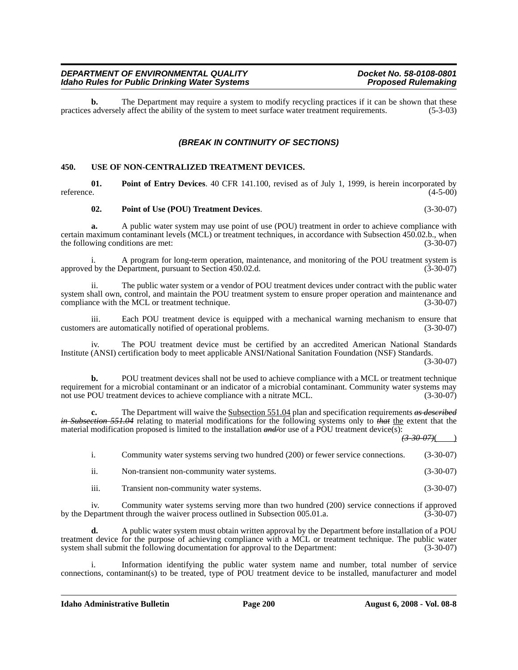### *DEPARTMENT OF ENVIRONMENTAL QUALITY Docket No. 58-0108-0801 Idaho Rules for Public Drinking Water Systems*

**b.** The Department may require a system to modify recycling practices if it can be shown that these adversely affect the ability of the system to meet surface water treatment requirements. (5-3-03) practices adversely affect the ability of the system to meet surface water treatment requirements.

## *(BREAK IN CONTINUITY OF SECTIONS)*

## **450. USE OF NON-CENTRALIZED TREATMENT DEVICES.**

**01.** Point of Entry Devices. 40 CFR 141.100, revised as of July 1, 1999, is herein incorporated by reference.  $(4-5-00)$ 

## **02. Point of Use (POU) Treatment Devices**. (3-30-07)

**a.** A public water system may use point of use (POU) treatment in order to achieve compliance with certain maximum contaminant levels (MCL) or treatment techniques, in accordance with Subsection 450.02.b., when the following conditions are met: (3-30-07)

i. A program for long-term operation, maintenance, and monitoring of the POU treatment system is approved by the Department, pursuant to Section 450.02.d. (3-30-07)

The public water system or a vendor of POU treatment devices under contract with the public water system shall own, control, and maintain the POU treatment system to ensure proper operation and maintenance and compliance with the MCL or treatment technique. (3-30-07) compliance with the MCL or treatment technique.

iii. Each POU treatment device is equipped with a mechanical warning mechanism to ensure that customers are automatically notified of operational problems. (3-30-07)

iv. The POU treatment device must be certified by an accredited American National Standards Institute (ANSI) certification body to meet applicable ANSI/National Sanitation Foundation (NSF) Standards. (3-30-07)

**b.** POU treatment devices shall not be used to achieve compliance with a MCL or treatment technique requirement for a microbial contaminant or an indicator of a microbial contaminant. Community water systems may not use POU treatment devices to achieve compliance with a nitrate MCL. (3-30-07)

**c.** The Department will waive the Subsection 551.04 plan and specification requirements *as described in Subsection 551.04* relating to material modifications for the following systems only to *that* the extent that the material modification proposed is limited to the installation  $\frac{and}{ }$  or use of a POU treatment device(s):

|  | <u> 30.071</u> 0                               |  |
|--|------------------------------------------------|--|
|  | $\overline{\mathcal{O}\mathcal{O}\mathcal{O}}$ |  |

|      | Community water systems serving two hundred (200) or fewer service connections. | $(3-30-07)$ |
|------|---------------------------------------------------------------------------------|-------------|
| ii.  | Non-transient non-community water systems.                                      | $(3-30-07)$ |
| iii. | Transient non-community water systems.                                          | $(3-30-07)$ |

iv. Community water systems serving more than two hundred (200) service connections if approved epartment through the waiver process outlined in Subsection 005.01.a. (3-30-07) by the Department through the waiver process outlined in Subsection 005.01.a.

**d.** A public water system must obtain written approval by the Department before installation of a POU treatment device for the purpose of achieving compliance with a MCL or treatment technique. The public water system shall submit the following documentation for approval to the Department: (3-30-07) system shall submit the following documentation for approval to the Department:

Information identifying the public water system name and number, total number of service connections, contaminant(s) to be treated, type of POU treatment device to be installed, manufacturer and model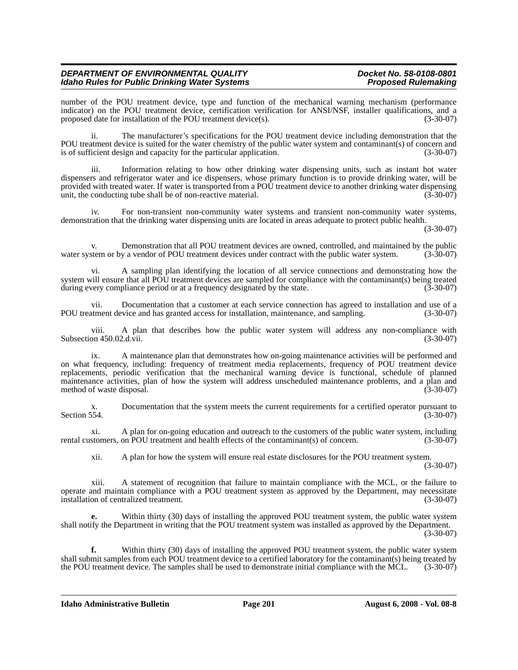number of the POU treatment device, type and function of the mechanical warning mechanism (performance indicator) on the POU treatment device, certification verification for ANSI/NSF, installer qualifications, and a proposed date for installation of the POU treatment device(s). (3-30-07)

ii. The manufacturer's specifications for the POU treatment device including demonstration that the POU treatment device is suited for the water chemistry of the public water system and contaminant(s) of concern and<br>is of sufficient design and capacity for the particular application. (3-30-07) is of sufficient design and capacity for the particular application.

iii. Information relating to how other drinking water dispensing units, such as instant hot water dispensers and refrigerator water and ice dispensers, whose primary function is to provide drinking water, will be provided with treated water. If water is transported from a POU treatment device to another drinking water dispensing unit, the conducting tube shall be of non-reactive material.  $(3-30-07)$ 

For non-transient non-community water systems and transient non-community water systems, demonstration that the drinking water dispensing units are located in areas adequate to protect public health.

(3-30-07)

v. Demonstration that all POU treatment devices are owned, controlled, and maintained by the public water system or by a vendor of POU treatment devices under contract with the public water system. (3-30-07)

vi. A sampling plan identifying the location of all service connections and demonstrating how the system will ensure that all  $\overrightarrow{POU}$  treatment devices are sampled for compliance with the contaminant(s) being treated during every compliance period or at a frequency designated by the state. (3-30-07) during every compliance period or at a frequency designated by the state.

vii. Documentation that a customer at each service connection has agreed to installation and use of a POU treatment device and has granted access for installation, maintenance, and sampling.

viii. A plan that describes how the public water system will address any non-compliance with Subsection 450.02.d.vii. (3-30-07)

ix. A maintenance plan that demonstrates how on-going maintenance activities will be performed and on what frequency, including: frequency of treatment media replacements, frequency of POU treatment device replacements, periodic verification that the mechanical warning device is functional, schedule of planned maintenance activities, plan of how the system will address unscheduled maintenance problems, and a plan and method of waste disposal. (3-30-07) method of waste disposal.

x. Documentation that the system meets the current requirements for a certified operator pursuant to Section 554. (3-30-07)

xi. A plan for on-going education and outreach to the customers of the public water system, including rental customers, on POU treatment and health effects of the contaminant(s) of concern. (3-30-07)

xii. A plan for how the system will ensure real estate disclosures for the POU treatment system. (3-30-07)

xiii. A statement of recognition that failure to maintain compliance with the MCL, or the failure to operate and maintain compliance with a POU treatment system as approved by the Department, may necessitate installation of centralized treatment. (3-30-07)

Within thirty (30) days of installing the approved POU treatment system, the public water system shall notify the Department in writing that the POU treatment system was installed as approved by the Department.

(3-30-07)

**f.** Within thirty (30) days of installing the approved POU treatment system, the public water system shall submit samples from each POU treatment device to a certified laboratory for the contaminant(s) being treated by the POU treatment device. The samples shall be used to demonstrate initial compliance with the MCL. (3-30-07)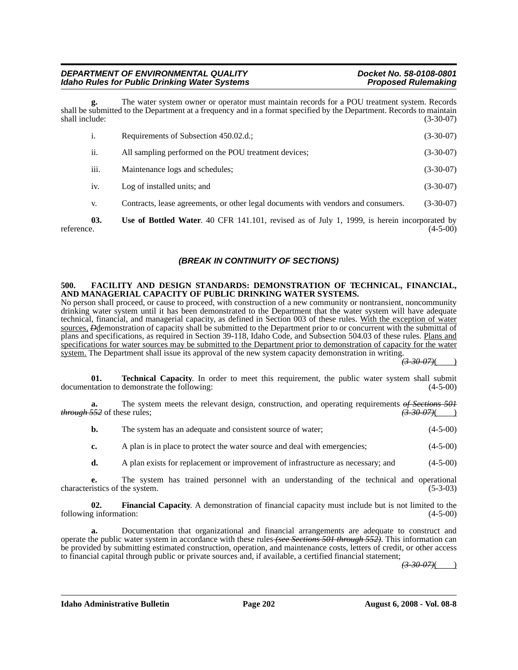**g.** The water system owner or operator must maintain records for a POU treatment system. Records shall be submitted to the Department at a frequency and in a format specified by the Department. Records to maintain shall include: (3-30-07) (3-30-07)

| 1.   | Requirements of Subsection 450.02.d.;                                             | $(3-30-07)$ |
|------|-----------------------------------------------------------------------------------|-------------|
| ii.  | All sampling performed on the POU treatment devices;                              | $(3-30-07)$ |
| iii. | Maintenance logs and schedules;                                                   | $(3-30-07)$ |
| iv.  | Log of installed units; and                                                       | $(3-30-07)$ |
| V.   | Contracts, lease agreements, or other legal documents with vendors and consumers. | $(3-30-07)$ |
|      |                                                                                   |             |

**03.** Use of Bottled Water. 40 CFR 141.101, revised as of July 1, 1999, is herein incorporated by reference. (4-5-00) reference.  $(4-5-00)$ 

## *(BREAK IN CONTINUITY OF SECTIONS)*

### **500. FACILITY AND DESIGN STANDARDS: DEMONSTRATION OF TECHNICAL, FINANCIAL, AND MANAGERIAL CAPACITY OF PUBLIC DRINKING WATER SYSTEMS.**

No person shall proceed, or cause to proceed, with construction of a new community or nontransient, noncommunity drinking water system until it has been demonstrated to the Department that the water system will have adequate technical, financial, and managerial capacity, as defined in Section 003 of these rules. With the exception of water sources, *D*demonstration of capacity shall be submitted to the Department prior to or concurrent with the submittal of plans and specifications, as required in Section 39-118, Idaho Code, and Subsection 504.03 of these rules. Plans and specifications for water sources may be submitted to the Department prior to demonstration of capacity for the water system. The Department shall issue its approval of the new system capacity demonstration in writing.

*(3-30-07)*( )

**01. Technical Capacity**. In order to meet this requirement, the public water system shall submit tation to demonstrate the following: (4-5-00) documentation to demonstrate the following:

**a.** The system meets the relevant design, construction, and operating requirements *of Sections 501 through 552* of these rules; *(3-30-07)*( )

| b. | The system has an adequate and consistent source of water; | $(4-5-00)$ |
|----|------------------------------------------------------------|------------|
|----|------------------------------------------------------------|------------|

- **c.** A plan is in place to protect the water source and deal with emergencies; (4-5-00)
- **d.** A plan exists for replacement or improvement of infrastructure as necessary; and  $(4-5-00)$

**e.** The system has trained personnel with an understanding of the technical and operational characteristics of the system. (5-3-03)

**02. Financial Capacity**. A demonstration of financial capacity must include but is not limited to the following information: (4-5-00) (4-5-00)

**a.** Documentation that organizational and financial arrangements are adequate to construct and operate the public water system in accordance with these rules *(see Sections 501 through 552)*. This information can be provided by submitting estimated construction, operation, and maintenance costs, letters of credit, or other access to financial capital through public or private sources and, if available, a certified financial statement;

*(3-30-07)*( )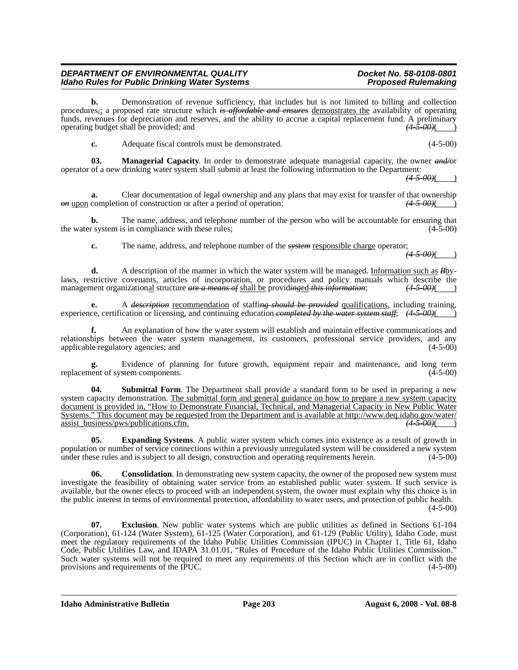**b.** Demonstration of revenue sufficiency, that includes but is not limited to billing and collection procedures*,*; a proposed rate structure which *is affordable and ensures* demonstrates the availability of operating funds, revenues for depreciation and reserves, and the ability to accrue a capital replacement fund. A preliminary operating budget shall be provided: and  $(4-5-00)($ operating budget shall be provided; and

**c.** Adequate fiscal controls must be demonstrated. (4-5-00)

**03. Managerial Capacity**. In order to demonstrate adequate managerial capacity, the owner *and/*or operator of a new drinking water system shall submit at least the following information to the Department:

 $(4-5-00)$ 

**a.** Clear documentation of legal ownership and any plans that may exist for transfer of that ownership completion of construction or after a period of operation;  $\frac{(4-5-00)}{(4-5-00)}$ *on* upon completion of construction or after a period of operation;

**b.** The name, address, and telephone number of the person who will be accountable for ensuring that r system is in compliance with these rules; (4-5-00) the water system is in compliance with these rules;

**c.** The name, address, and telephone number of the **system** responsible charge operator;

 $(4 - 5 - 00)$ 

**d.** A description of the manner in which the water system will be managed. Information such as *B*bylaws, restrictive covenants, articles of incorporation, or procedures and policy manuals which describe the management organizational structure *are a means of* shall be providenced *this information*:  $(4.5-0.0)($ management organizational structure *are a means of* shall be providinged this information;

**e.** A *description* recommendation of staffi*ng should be provided* qualifications, including training, experience, certification or licensing, and continuing education *completed by the water system staff*; *(4-5-00)*( )

**f.** An explanation of how the water system will establish and maintain effective communications and relationships between the water system management, its customers, professional service providers, and any applicable regulatory agencies; and (4-5-00)

**g.** Evidence of planning for future growth, equipment repair and maintenance, and long term replacement of system components. (4-5-00)

**04. Submittal Form**. The Department shall provide a standard form to be used in preparing a new system capacity demonstration. The submittal form and general guidance on how to prepare a new system capacity document is provided in, "How to Demonstrate Financial, Technical, and Managerial Capacity in New Public Water Systems." This document may be requested from the Department and is available at http://www.deq.idaho.gov/water/ assist\_business/pws/publications.cfm.  $\frac{(4-5-00)}{(4-5-00)}$ 

**05. Expanding Systems**. A public water system which comes into existence as a result of growth in population or number of service connections within a previously unregulated system will be considered a new system under these rules and is subject to all design, construction and operating requirements herein. (4-5-00)

**06.** Consolidation. In demonstrating new system capacity, the owner of the proposed new system must investigate the feasibility of obtaining water service from an established public water system. If such service is available, but the owner elects to proceed with an independent system, the owner must explain why this choice is in the public interest in terms of environmental protection, affordability to water users, and protection of public health.

 $(4-5-00)$ 

**07. Exclusion**. New public water systems which are public utilities as defined in Sections 61-104 (Corporation), 61-124 (Water System), 61-125 (Water Corporation), and 61-129 (Public Utility), Idaho Code, must meet the regulatory requirements of the Idaho Public Utilities Commission (IPUC) in Chapter 1, Title 61, Idaho Code, Public Utilities Law, and IDAPA 31.01.01, "Rules of Procedure of the Idaho Public Utilities Commission." Such water systems will not be required to meet any requirements of this Section which are in conflict with the provisions and requirements of the IPUC.  $(4-5-00)$ provisions and requirements of the IPUC.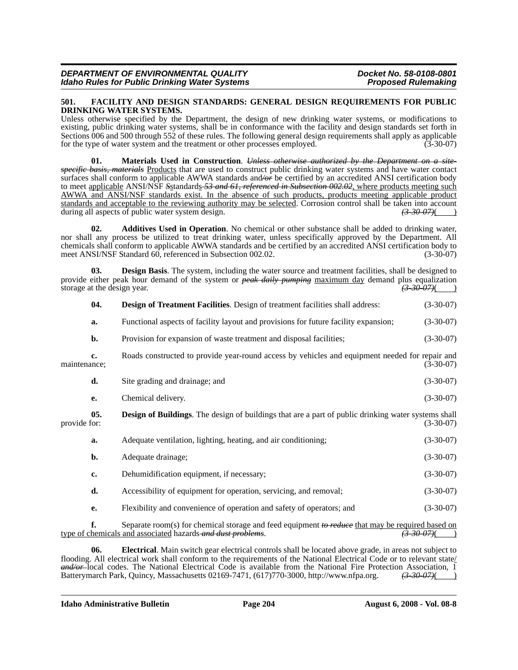#### **501. FACILITY AND DESIGN STANDARDS: GENERAL DESIGN REQUIREMENTS FOR PUBLIC DRINKING WATER SYSTEMS.**

Unless otherwise specified by the Department, the design of new drinking water systems, or modifications to existing, public drinking water systems, shall be in conformance with the facility and design standards set forth in Sections 006 and 500 through 552 of these rules. The following general design requirements shall apply as applicable for the type of water system and the treatment or other processes employed. (3-30-07)

**01. Materials Used in Construction**. *Unless otherwise authorized by the Department on a sitespecific basis, materials* Products that are used to construct public drinking water systems and have water contact surfaces shall conform to applicable AWWA standards and*/or* be certified by an accredited ANSI certification body to meet applicable ANSI/NSF *S*standards *53 and 61, referenced in Subsection 002.02*, where products meeting such AWWA and ANSI/NSF standards exist. In the absence of such products, products meeting applicable product standards and acceptable to the reviewing authority may be selected. Corrosion control shall be taken into account during all aspects of public water system design.  $\left(3.3007\right)(\right)$ during all aspects of public water system design.

**02. Additives Used in Operation**. No chemical or other substance shall be added to drinking water, nor shall any process be utilized to treat drinking water, unless specifically approved by the Department. All chemicals shall conform to applicable AWWA standards and be certified by an accredited ANSI certification body to meet ANSI/NSF Standard 60, referenced in Subsection 002.02. (3-30-07)

**03. Design Basis**. The system, including the water source and treatment facilities, shall be designed to provide either peak hour demand of the system or *peak daily pumping* maximum day demand plus equalization storage at the design year. storage at the design year.

|                     | 04. | Design of Treatment Facilities. Design of treatment facilities shall address:                                                                                                             | $(3-30-07)$ |
|---------------------|-----|-------------------------------------------------------------------------------------------------------------------------------------------------------------------------------------------|-------------|
|                     | a.  | Functional aspects of facility layout and provisions for future facility expansion;                                                                                                       | $(3-30-07)$ |
|                     | b.  | Provision for expansion of waste treatment and disposal facilities;                                                                                                                       | $(3-30-07)$ |
| maintenance;        | c.  | Roads constructed to provide year-round access by vehicles and equipment needed for repair and                                                                                            | $(3-30-07)$ |
|                     | d.  | Site grading and drainage; and                                                                                                                                                            | $(3-30-07)$ |
|                     | e.  | Chemical delivery.                                                                                                                                                                        | $(3-30-07)$ |
| 05.<br>provide for: |     | <b>Design of Buildings.</b> The design of buildings that are a part of public drinking water systems shall                                                                                | $(3-30-07)$ |
|                     | a.  | Adequate ventilation, lighting, heating, and air conditioning;                                                                                                                            | $(3-30-07)$ |
|                     | b.  | Adequate drainage;                                                                                                                                                                        | $(3-30-07)$ |
|                     | c.  | Dehumidification equipment, if necessary;                                                                                                                                                 | $(3-30-07)$ |
|                     | d.  | Accessibility of equipment for operation, servicing, and removal;                                                                                                                         | $(3-30-07)$ |
|                     | e.  | Flexibility and convenience of operation and safety of operators; and                                                                                                                     | $(3-30-07)$ |
|                     | f.  | Separate room(s) for chemical storage and feed equipment to reduce that may be required based on<br>type of chemicals and associated hazards-and dust problems.<br><del>(3-30-07)</del> ( |             |

**06. Electrical**. Main switch gear electrical controls shall be located above grade, in areas not subject to flooding. All electrical work shall conform to the requirements of the National Electrical Code or to relevant state/ *and/or* local codes. The National Electrical Code is available from the National Fire Protection Association, 1 Batterymarch Park, Quincy, Massachusetts 02169-7471, (617)770-3000, http://www.nfpa.org. *(3-30-07)*( )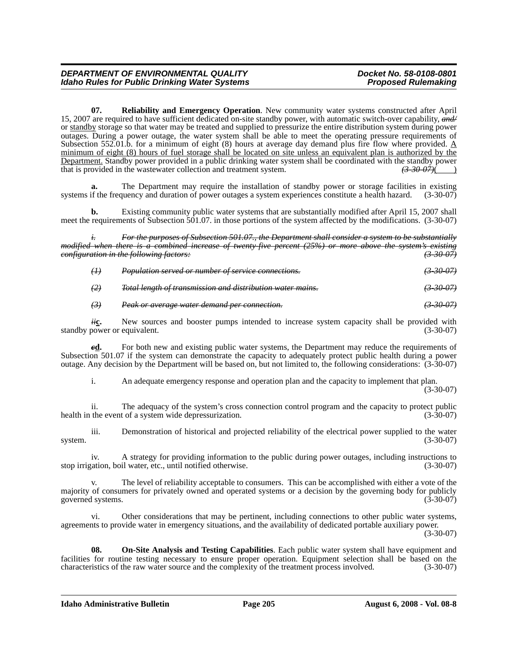**07. Reliability and Emergency Operation**. New community water systems constructed after April 15, 2007 are required to have sufficient dedicated on-site standby power, with automatic switch-over capability, *and/* or standby storage so that water may be treated and supplied to pressurize the entire distribution system during power outages. During a power outage, the water system shall be able to meet the operating pressure requirements of Subsection 552.01.b. for a minimum of eight (8) hours at average day demand plus fire flow where provided.  $\underline{A}$ minimum of eight (8) hours of fuel storage shall be located on site unless an equivalent plan is authorized by the Department. Standby power provided in a public drinking water system shall be coordinated with the standby power that is provided in the wastewater collection and treatment system. *(3-30-07)*( *)*  $(3-30-07)$ 

**a.** The Department may require the installation of standby power or storage facilities in existing systems if the frequency and duration of power outages a system experiences constitute a health hazard. (3-30-07)

**b.** Existing community public water systems that are substantially modified after April 15, 2007 shall meet the requirements of Subsection 501.07. in those portions of the system affected by the modifications. (3-30-07)

*i. For the purposes of Subsection 501.07., the Department shall consider a system to be substantially modified when there is a combined increase of twenty-five percent (25%) or more above the system's existing configuration in the following factors: (3-30-07) (1) Population served or number of service connections. (3-30-07)*

*(2) Total length of transmission and distribution water mains. (3-30-07)*

*(3) Peak or average water demand per connection. (3-30-07)*

 $\frac{\partial \mathbf{r}}{\partial \mathbf{r}}$ . New sources and booster pumps intended to increase system capacity shall be provided with power or equivalent. standby power or equivalent.

*e***<u>d</u>.** For both new and existing public water systems, the Department may reduce the requirements of Subsection 501.07 if the system can demonstrate the capacity to adequately protect public health during a power outage. Any decision by the Department will be based on, but not limited to, the following considerations: (3-30-07)

i. An adequate emergency response and operation plan and the capacity to implement that plan.  $(3-30-07)$ 

ii. The adequacy of the system's cross connection control program and the capacity to protect public health in the event of a system wide depressurization. (3-30-07)

iii. Demonstration of historical and projected reliability of the electrical power supplied to the water system. (3-30-07)

iv. A strategy for providing information to the public during power outages, including instructions to action, boil water, etc., until notified otherwise. (3-30-07) stop irrigation, boil water, etc., until notified otherwise.

The level of reliability acceptable to consumers. This can be accomplished with either a vote of the majority of consumers for privately owned and operated systems or a decision by the governing body for publicly governed systems. (3-30-07)

vi. Other considerations that may be pertinent, including connections to other public water systems, agreements to provide water in emergency situations, and the availability of dedicated portable auxiliary power.

(3-30-07)

**08. On-Site Analysis and Testing Capabilities**. Each public water system shall have equipment and facilities for routine testing necessary to ensure proper operation. Equipment selection shall be based on the characteristics of the raw water source and the complexity of the treatment process involved. (3-30-07) characteristics of the raw water source and the complexity of the treatment process involved.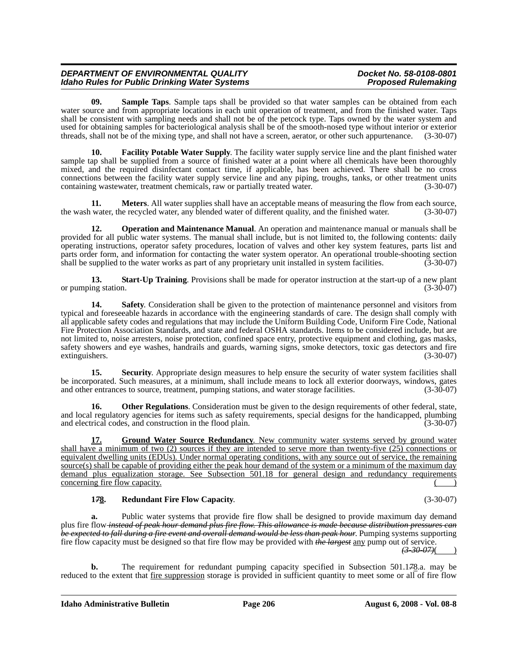**09. Sample Taps**. Sample taps shall be provided so that water samples can be obtained from each water source and from appropriate locations in each unit operation of treatment, and from the finished water. Taps shall be consistent with sampling needs and shall not be of the petcock type. Taps owned by the water system and used for obtaining samples for bacteriological analysis shall be of the smooth-nosed type without interior or exterior threads, shall not be of the mixing type, and shall not have a screen, aerator, or other such appurtenance. (3-30-07)

**10. Facility Potable Water Supply**. The facility water supply service line and the plant finished water sample tap shall be supplied from a source of finished water at a point where all chemicals have been thoroughly mixed, and the required disinfectant contact time, if applicable, has been achieved. There shall be no cross connections between the facility water supply service line and any piping, troughs, tanks, or other treatment units containing wastewater, treatment chemicals, raw or partially treated water. (3-30-07)

**11. Meters**. All water supplies shall have an acceptable means of measuring the flow from each source, the wash water, the recycled water, any blended water of different quality, and the finished water. (3-30-07)

**12. Operation and Maintenance Manual**. An operation and maintenance manual or manuals shall be provided for all public water systems. The manual shall include, but is not limited to, the following contents: daily operating instructions, operator safety procedures, location of valves and other key system features, parts list and parts order form, and information for contacting the water system operator. An operational trouble-shooting section shall be supplied to the water works as part of any proprietary unit installed in system facilities. (3-30-07)

**13. Start-Up Training**. Provisions shall be made for operator instruction at the start-up of a new plant ing station. (3-30-07) or pumping station.

**14. Safety**. Consideration shall be given to the protection of maintenance personnel and visitors from typical and foreseeable hazards in accordance with the engineering standards of care. The design shall comply with all applicable safety codes and regulations that may include the Uniform Building Code, Uniform Fire Code, National Fire Protection Association Standards, and state and federal OSHA standards. Items to be considered include, but are not limited to, noise arresters, noise protection, confined space entry, protective equipment and clothing, gas masks, safety showers and eye washes, handrails and guards, warning signs, smoke detectors, toxic gas detectors and fire extinguishers. (3-30-07)

**15.** Security. Appropriate design measures to help ensure the security of water system facilities shall be incorporated. Such measures, at a minimum, shall include means to lock all exterior doorways, windows, gates and other entrances to source, treatment, pumping stations, and water storage facilities. (3-30-07) and other entrances to source, treatment, pumping stations, and water storage facilities.

**16.** Other Regulations. Consideration must be given to the design requirements of other federal, state, and local regulatory agencies for items such as safety requirements, special designs for the handicapped, plumbing and electrical codes, and construction in the flood plain. (3-30-07)

**<u>Ground Water Source Redundancy.** New community water systems served by ground water</u> shall have a minimum of two (2) sources if they are intended to serve more than twenty-five (25) connections or equivalent dwelling units (EDUs). Under normal operating conditions, with any source out of service, the remaining source(s) shall be capable of providing either the peak hour demand of the system or a minimum of the maximum day demand plus equalization storage. See Subsection 501.18 for general design and redundancy requirements  $\frac{1}{2}$  concerning fire flow capacity.

## **1***7***8. Redundant Fire Flow Capacity**. (3-30-07)

**a.** Public water systems that provide fire flow shall be designed to provide maximum day demand plus fire flow *instead of peak hour demand plus fire flow. This allowance is made because distribution pressures can be expected to fall during a fire event and overall demand would be less than peak hour*. Pumping systems supporting fire flow capacity must be designed so that fire flow may be provided with *the largest* any pump out of service.

*(3-30-07)*( )

**b.** The requirement for redundant pumping capacity specified in Subsection 501.178.a. may be reduced to the extent that *fire suppression* storage is provided in sufficient quantity to meet some or all of fire flow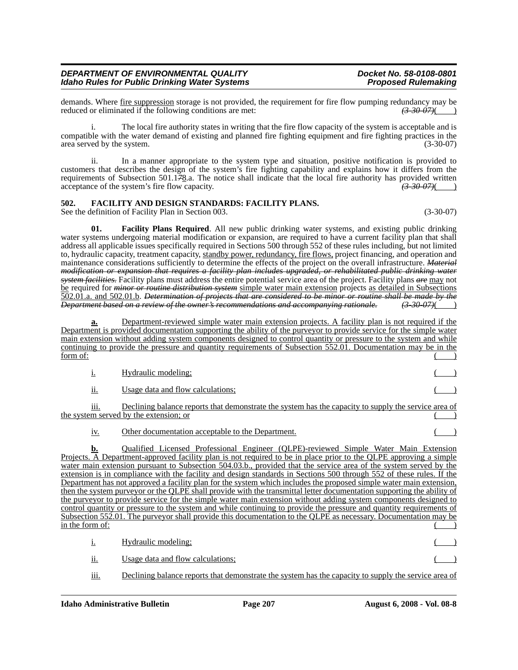#### *DEPARTMENT OF ENVIRONMENTAL QUALITY Docket No. 58-0108-0801 Idaho Rules for Public Drinking Water Systems*

demands. Where <u>fire suppression</u> storage is not provided, the requirement for fire flow pumping redundancy may be reduced or eliminated if the following conditions are met: reduced or eliminated if the following conditions are met:

The local fire authority states in writing that the fire flow capacity of the system is acceptable and is compatible with the water demand of existing and planned fire fighting equipment and fire fighting practices in the area served by the system. (3-30-07)  $(3-30-07)$ 

ii. In a manner appropriate to the system type and situation, positive notification is provided to customers that describes the design of the system's fire fighting capability and explains how it differs from the requirements of Subsection 501.178.a. The notice shall indicate that the local fire authority has provided written acceptance of the system's fire flow capacity. acceptance of the system's fire flow capacity. *(3-30-07)*( )

### **502. FACILITY AND DESIGN STANDARDS: FACILITY PLANS.**

See the definition of Facility Plan in Section 003. (3-30-07)

**01. Facility Plans Required**. All new public drinking water systems, and existing public drinking water systems undergoing material modification or expansion, are required to have a current facility plan that shall address all applicable issues specifically required in Sections 500 through 552 of these rules including, but not limited to, hydraulic capacity, treatment capacity, standby power, redundancy, fire flows, project financing, and operation and maintenance considerations sufficiently to determine the effects of the project on the overall infrastructure. *Material modification or expansion that requires a facility plan includes upgraded, or rehabilitated public drinking water system facilities.* Facility plans must address the entire potential service area of the project. Facility plans *are* may not be required for *minor or routine distribution system* simple water main extension projects as detailed in Subsections 502.01.a. and 502.01.b. *Determination of projects that are considered to be minor or routine shall be made by the Department based on a review of the owner's recommendations and accompanying rationale.* 

**a.** Department-reviewed simple water main extension projects. A facility plan is not required if the Department is provided documentation supporting the ability of the purveyor to provide service for the simple water main extension without adding system components designed to control quantity or pressure to the system and while continuing to provide the pressure and quantity requirements of Subsection 552.01. Documentation may be in the  $\frac{\text{form of:}}{\text{form of:}}$ 

| $\mathbf{L}$ | Hydraulic modeling:                                                                                  |  |
|--------------|------------------------------------------------------------------------------------------------------|--|
| <u>ii.</u>   | Usage data and flow calculations;                                                                    |  |
| <u>iii.</u>  | Declining balance reports that demonstrate the system has the capacity to supply the service area of |  |

the system served by the extension; or

iv. Other documentation acceptable to the Department.

**b.** Qualified Licensed Professional Engineer (QLPE)-reviewed Simple Water Main Extension Projects. A Department-approved facility plan is not required to be in place prior to the QLPE approving a simple water main extension pursuant to Subsection 504.03.b., provided that the service area of the system served by the extension is in compliance with the facility and design standards in Sections 500 through 552 of these rules. If the Department has not approved a facility plan for the system which includes the proposed simple water main extension, then the system purveyor or the QLPE shall provide with the transmittal letter documentation supporting the ability of the purveyor to provide service for the simple water main extension without adding system components designed to control quantity or pressure to the system and while continuing to provide the pressure and quantity requirements of Subsection 552.01. The purveyor shall provide this documentation to the QLPE as necessary. Documentation may be in the form of:

i. Hydraulic modeling;

ii. Usage data and flow calculations;

iii. Declining balance reports that demonstrate the system has the capacity to supply the service area of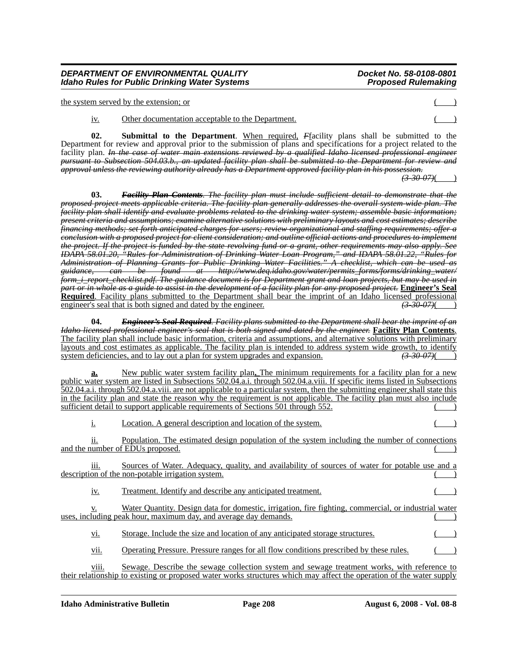the system served by the extension; or

iv. Other documentation acceptable to the Department.

**02. Submittal to the Department**. When required, *F*facility plans shall be submitted to the Department for review and approval prior to the submission of plans and specifications for a project related to the facility plan. *In the case of water main extensions reviewed by a qualified Idaho licensed professional engineer pursuant to Subsection 504.03.b., an updated facility plan shall be submitted to the Department for review and approval unless the reviewing authority already has a Department approved facility plan in his possession. (3-30-07)*( )

**03.** *Facility Plan Contents. The facility plan must include sufficient detail to demonstrate that the proposed project meets applicable criteria. The facility plan generally addresses the overall system-wide plan. The facility plan shall identify and evaluate problems related to the drinking water system; assemble basic information; present criteria and assumptions; examine alternative solutions with preliminary layouts and cost estimates; describe financing methods; set forth anticipated charges for users; review organizational and staffing requirements; offer a conclusion with a proposed project for client consideration; and outline official actions and procedures to implement the project. If the project is funded by the state revolving fund or a grant, other requirements may also apply. See IDAPA 58.01.20, "Rules for Administration of Drinking Water Loan Program," and IDAPA 58.01.22, "Rules for Administration of Planning Grants for Public Drinking Water Facilities." A checklist, which can be used as guidance, can be found at http://www.deq.idaho.gov/water/permits\_forms/forms/drinking\_water/ form\_i\_report\_checklist.pdf. The guidance document is for Department grant and loan projects, but may be used in part or in whole as a guide to assist in the development of a facility plan for any proposed project.* **Engineer's Seal Required**. Facility plans submitted to the Department shall bear the imprint of an Idaho licensed professional engineer's seal that is both signed and dated by the engineer. engineer's seal that is both signed and dated by the engineer.

**04.** *Engineer's Seal Required. Facility plans submitted to the Department shall bear the imprint of an Idaho licensed professional engineer's seal that is both signed and dated by the engineer.* **Facility Plan Contents**. The facility plan shall include basic information, criteria and assumptions, and alternative solutions with preliminary layouts and cost estimates as applicable. The facility plan is intended to address system wide growth, to identify system deficiencies, and to lay out a plan for system upgrades and expansion.  $\left(3-30-07\right)$ system deficiencies, and to lay out a plan for system upgrades and expansion.

New public water system facility plan. The minimum requirements for a facility plan for a new public water system are listed in Subsections 502.04.a.i. through 502.04.a.viii. If specific items listed in Subsections 502.04.a.i. through 502.04.a.viii. are not applicable to a particular system, then the submitting engineer shall state this in the facility plan and state the reason why the requirement is not applicable. The facility plan must also include sufficient detail to support applicable requirements of Sections 501 through 552.

i. Location. A general description and location of the system. ii. Population. The estimated design population of the system including the number of connections and the number of EDUs proposed.

iii. Sources of Water. Adequacy, quality, and availability of sources of water for potable use and a description of the non-potable irrigation system.

iv. Treatment. Identify and describe any anticipated treatment.

Water Quantity. Design data for domestic, irrigation, fire fighting, commercial, or industrial water uses, including peak hour, maximum day, and average day demands.

vi. Storage. Include the size and location of any anticipated storage structures. ( )

vii. Operating Pressure. Pressure ranges for all flow conditions prescribed by these rules. ( )

viii. Sewage. Describe the sewage collection system and sewage treatment works, with reference to their relationship to existing or proposed water works structures which may affect the operation of the water supply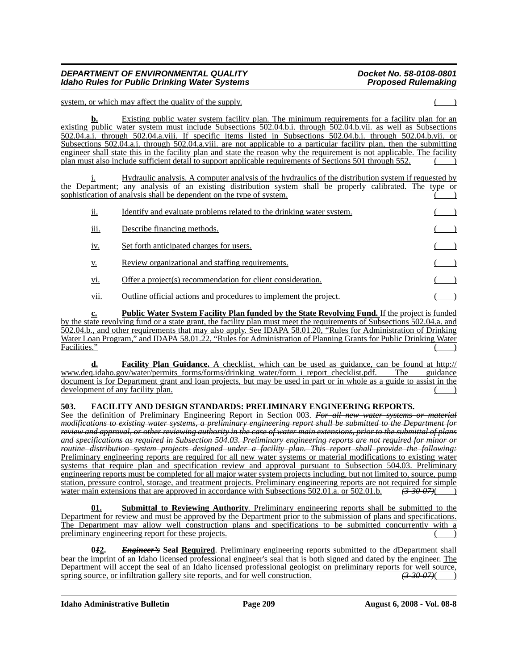### *DEPARTMENT OF ENVIRONMENTAL QUALITY*<br>Idaho Rules for Public Drinking Water Systems **Depart of Convention Convention** *Idaho Rules for Public Drinking Water Systems*

system, or which may affect the quality of the supply.

Existing public water system facility plan. The minimum requirements for a facility plan for an existing public water system must include Subsections 502.04.b.i. through 502.04.b.vii. as well as Subsections 502.04.a.i. through 502.04.a.viii. If specific items listed in Subsections 502.04.b.i. through 502.04.b.vii. or Subsections 502.04.a.i. through 502.04.a.viii. are not applicable to a particular facility plan, then the submitting engineer shall state this in the facility plan and state the reason why the requirement is not applicable. The facility plan must also include sufficient detail to support applicable requirements of Sections 501 through 552. ( )

i. Hydraulic analysis. A computer analysis of the hydraulics of the distribution system if requested by the Department; any analysis of an existing distribution system shall be properly calibrated. The type or sophistication of analysis shall be dependent on the type of system.

| <u>ii.</u>       | <u>Identify</u> and evaluate problems related to the drinking water system. |  |
|------------------|-----------------------------------------------------------------------------|--|
| $\cdots$<br>111. | Describe financing methods.                                                 |  |
| 1V.              | Set forth anticipated charges for users.                                    |  |
| v.               | Review organizational and staffing requirements.                            |  |
| <u>vi.</u>       | Offer a project(s) recommendation for client consideration.                 |  |
| vii.             | Outline official actions and procedures to implement the project.           |  |

**c. Public Water System Facility Plan funded by the State Revolving Fund.** If the project is funded by the state revolving fund or a state grant, the facility plan must meet the requirements of Subsections 502.04.a. and 502.04.b., and other requirements that may also apply. See IDAPA 58.01.20, "Rules for Administration of Drinking Water Loan Program," and IDAPA 58.01.22, "Rules for Administration of Planning Grants for Public Drinking Water Facilities."  $\qquad \qquad ($ 

**d. Facility Plan Guidance.** A checklist, which can be used as guidance, can be found at http:// www.deq.idaho.gov/water/permits\_forms/forms/drinking\_water/form\_i\_report\_checklist.pdf. The guidance document is for Department grant and loan projects, but may be used in part or in whole as a guide to assist in the development of any facility plan.

**503. FACILITY AND DESIGN STANDARDS: PRELIMINARY ENGINEERING REPORTS.**

See the definition of Preliminary Engineering Report in Section 003. *For all new water systems or material modifications to existing water systems, a preliminary engineering report shall be submitted to the Department for review and approval, or other reviewing authority in the case of water main extensions, prior to the submittal of plans and specifications as required in Subsection 504.03. Preliminary engineering reports are not required for minor or routine distribution system projects designed under a facility plan. This report shall provide the following:* Preliminary engineering reports are required for all new water systems or material modifications to existing water systems that require plan and specification review and approval pursuant to Subsection 504.03. Preliminary engineering reports must be completed for all major water system projects including, but not limited to, source, pump station, pressure control, storage, and treatment projects. Preliminary engineering reports are not required for simple water main extensions that are approved in accordance with Subsections 502.01.a. or 502.01.b. **(3.30.07)**( )

**01. Submittal to Reviewing Authority**. Preliminary engineering reports shall be submitted to the Department for review and must be approved by the Department prior to the submission of plans and specifications. The Department may allow well construction plans and specifications to be submitted concurrently with a preliminary engineering report for these projects.

**0***1***2.** *Engineer's* **Seal Required**. Preliminary engineering reports submitted to the *d*Department shall bear the imprint of an Idaho licensed professional engineer's seal that is both signed and dated by the engineer. The Department will accept the seal of an Idaho licensed professional geologist on preliminary reports for well source, spring source, or infiltration gallery site reports, and for well construction.  $\left( \frac{3-30-07}{2} \right)$ spring source, or infiltration gallery site reports, and for well construction.

**Idaho Administrative Bulletin Page 209 August 6, 2008 - Vol. 08-8**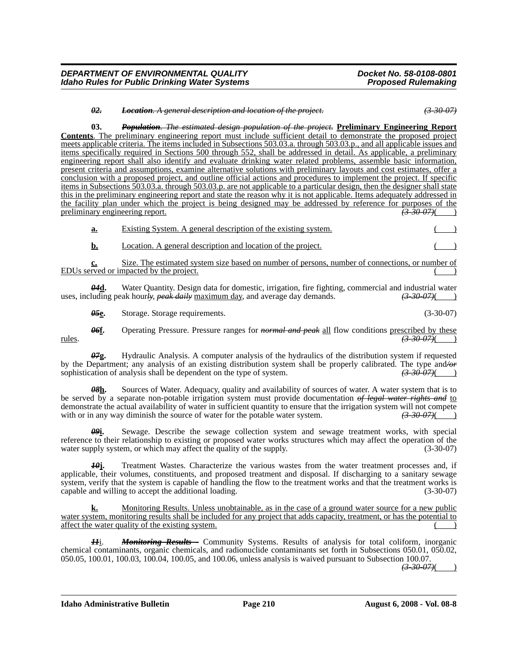# *02. Location. A general description and location of the project. (3-30-07)*

**03.** *Population. The estimated design population of the project.* **Preliminary Engineering Report Contents**. The preliminary engineering report must include sufficient detail to demonstrate the proposed project meets applicable criteria. The items included in Subsections 503.03.a. through 503.03.p., and all applicable issues and items specifically required in Sections 500 through 552, shall be addressed in detail. As applicable, a preliminary engineering report shall also identify and evaluate drinking water related problems, assemble basic information, present criteria and assumptions, examine alternative solutions with preliminary layouts and cost estimates, offer a conclusion with a proposed project, and outline official actions and procedures to implement the project. If specific items in Subsections 503.03.a. through 503.03.p. are not applicable to a particular design, then the designer shall state this in the preliminary engineering report and state the reason why it is not applicable. Items adequately addressed in the facility plan under which the project is being designed may be addressed by reference for purposes of the preliminary engineering report.  $(3-30-0.07)($ 

- **a.** Existing System. A general description of the existing system.
- **b.** Location. A general description and location of the project.

**c.** Size. The estimated system size based on number of persons, number of connections, or number of EDUs served or impacted by the project. ( )

*04***d.** Water Quantity. Design data for domestic, irrigation, fire fighting, commercial and industrial water uses, including peak hour<del>ly</del>, *peak daily* maximum day, and average day demands.  $(3-30-07)()$ 

**95e.** Storage. Storage requirements. (3-30-07)

*06***<sup>f</sup>.** Operating Pressure. Pressure ranges for *normal and peak* all flow conditions prescribed by these rules. *(3-30-07)*( )

*07***g.** Hydraulic Analysis. A computer analysis of the hydraulics of the distribution system if requested by the Department; any analysis of an existing distribution system shall be properly calibrated. The type and*/or* sophistication of analysis shall be dependent on the type of system.  $\left(3\text{-}30\text{-}07\right)$ 

*08***h.** Sources of Water. Adequacy, quality and availability of sources of water. A water system that is to be served by a separate non-potable irrigation system must provide documentation *of legal water rights and* to demonstrate the actual availability of water in sufficient quantity to ensure that the irrigation system will not compete with or in any way diminish the source of water for the potable water system. with or in any way diminish the source of water for the potable water system.

*09***i.** Sewage. Describe the sewage collection system and sewage treatment works, with special reference to their relationship to existing or proposed water works structures which may affect the operation of the water supply system, or which may affect the quality of the supply. (3-30-07)

*10***j.** Treatment Wastes. Characterize the various wastes from the water treatment processes and, if applicable, their volumes, constituents, and proposed treatment and disposal. If discharging to a sanitary sewage system, verify that the system is capable of handling the flow to the treatment works and that the treatment works is capable and willing to accept the additional loading. (3-30-07)

**k.** Monitoring Results. Unless unobtainable, as in the case of a ground water source for a new public water system, monitoring results shall be included for any project that adds capacity, treatment, or has the potential to affect the water quality of the existing system. ( )

*11*i. *Monitoring Results -* Community Systems. Results of analysis for total coliform, inorganic chemical contaminants, organic chemicals, and radionuclide contaminants set forth in Subsections 050.01, 050.02, 050.05, 100.01, 100.03, 100.04, 100.05, and 100.06, unless analysis is waived pursuant to Subsection 100.07.

*(3-30-07)*( )

**Idaho Administrative Bulletin Page 210 August 6, 2008 - Vol. 08-8**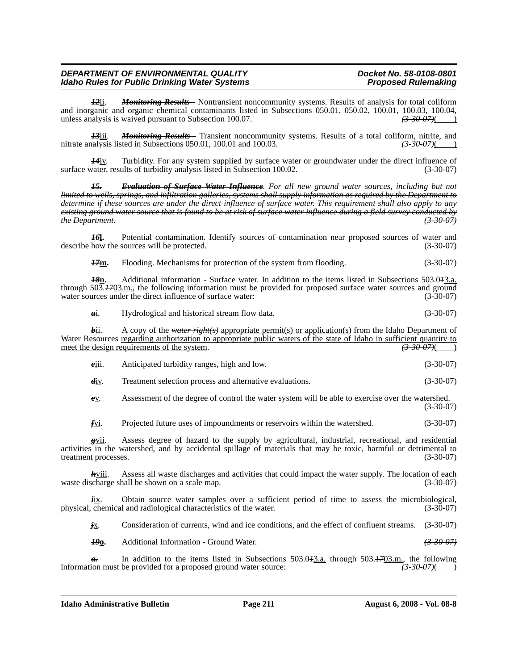*12*ii. *Monitoring Results -* Nontransient noncommunity systems. Results of analysis for total coliform and inorganic and organic chemical contaminants listed in Subsections 050.01, 050.02, 100.01, 100.03, 100.04, unless analysis is waived pursuant to Subsection 100.07. *(3-30-07)*( )

*13*iii. *Monitoring Results -* Transient noncommunity systems. Results of a total coliform, nitrite, and nitrate analysis listed in Subsections 050.01, 100.01 and 100.03. *(3-30-07)*( *)* 

*14*iv. Turbidity. For any system supplied by surface water or groundwater under the direct influence of surface water, results of turbidity analysis listed in Subsection 100.02. (3-30-07)

*15. Evaluation of Surface Water Influence. For all new ground water sources, including but not limited to wells, springs, and infiltration galleries, systems shall supply information as required by the Department to determine if these sources are under the direct influence of surface water. This requirement shall also apply to any existing ground water source that is found to be at risk of surface water influence during a field survey conducted by the Department. (3-30-07)*

*16***l.** Potential contamination. Identify sources of contamination near proposed sources of water and describe how the sources will be protected. (3-30-07)

*17***m.** Flooding. Mechanisms for protection of the system from flooding. (3-30-07)

*18***n.** Additional information - Surface water. In addition to the items listed in Subsections 503.0*1*3.a. through 503.*17*03.m., the following information must be provided for proposed surface water sources and ground water sources under the direct influence of surface water: (3-30-07)

*a*i. Hydrological and historical stream flow data. (3-30-07)

**b**<sub>ii</sub>. A copy of the *water right(s)* appropriate permit(s) or application(s) from the Idaho Department of Water Resources <u>regarding authorization</u> to appropriate public waters of the state of Idaho in sufficient quantity to meet the design requirements of the system.  $(3-30-07)$ 

| $\cdots$<br>$e_{111}$ . | Anticipated turbidity ranges, high and low.              | $(3-30-07)$ |
|-------------------------|----------------------------------------------------------|-------------|
| div.                    | Treatment selection process and alternative evaluations. | $(3-30-07)$ |

*e*v. Assessment of the degree of control the water system will be able to exercise over the watershed. (3-30-07)

*f*<u>vi</u>. Projected future uses of impoundments or reservoirs within the watershed. (3-30-07)

*g*vii. Assess degree of hazard to the supply by agricultural, industrial, recreational, and residential activities in the watershed, and by accidental spillage of materials that may be toxic, harmful or detrimental to treatment processes. (3-30-07)

*h*viii. Assess all waste discharges and activities that could impact the water supply. The location of each scharge shall be shown on a scale map. (3-30-07) waste discharge shall be shown on a scale map.

*iix.* Obtain source water samples over a sufficient period of time to assess the microbiological, physical, chemical and radiological characteristics of the water. (3-30-07)

*j*x. Consideration of currents, wind and ice conditions, and the effect of confluent streams. (3-30-07)

*19***o.** Additional Information - Ground Water. *(3-30-07)*

 $\alpha$ . In addition to the items listed in Subsections 503.043.a. through 503.4703.m., the following ion must be provided for a proposed ground water source: information must be provided for a proposed ground water source: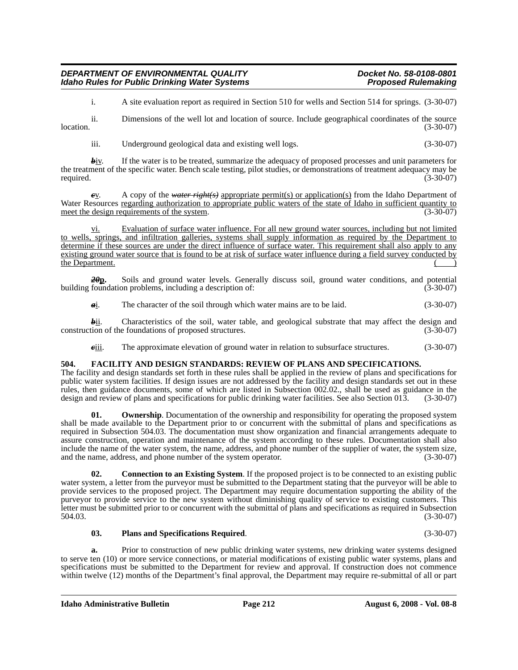i. A site evaluation report as required in Section 510 for wells and Section 514 for springs. (3-30-07)

ii. Dimensions of the well lot and location of source. Include geographical coordinates of the source  $\sqrt{(3-30-07)}$ 

iii. Underground geological data and existing well logs. (3-30-07)

*biv.* If the water is to be treated, summarize the adequacy of proposed processes and unit parameters for the treatment of the specific water. Bench scale testing, pilot studies, or demonstrations of treatment adequacy may be required.  $(3-30-07)$ 

*e*<u>v</u>. A copy of the *water right(s)* appropriate permit(s) or application(s) from the Idaho Department of Water Resources <u>regarding authorization to appropriate public</u> waters of the state of Idaho in sufficient quantity to meet the design requirements of the system. (3-30-07)

Evaluation of surface water influence. For all new ground water sources, including but not limited to wells, springs, and infiltration galleries, systems shall supply information as required by the Department to determine if these sources are under the direct influence of surface water. This requirement shall also apply to any existing ground water source that is found to be at risk of surface water influence during a field survey conducted by the Department.

**20p.** Soils and ground water levels. Generally discuss soil, ground water conditions, and potential foundation problems, including a description of: (3-30-07) building foundation problems, including a description of:

 $a$ <sup>i</sup>. The character of the soil through which water mains are to be laid.  $(3-30-07)$ 

**b**<sub>ii</sub>. Characteristics of the soil, water table, and geological substrate that may affect the design and tion of the foundations of proposed structures. (3-30-07) construction of the foundations of proposed structures.

*e*iii. The approximate elevation of ground water in relation to subsurface structures. (3-30-07)

### **504. FACILITY AND DESIGN STANDARDS: REVIEW OF PLANS AND SPECIFICATIONS.**

The facility and design standards set forth in these rules shall be applied in the review of plans and specifications for public water system facilities. If design issues are not addressed by the facility and design standards set out in these rules, then guidance documents, some of which are listed in Subsection 002.02., shall be used as guidance in the design and review of plans and specifications for public drinking water facilities. See also Section 013. (3-30-07)

**01.** Ownership. Documentation of the ownership and responsibility for operating the proposed system shall be made available to the Department prior to or concurrent with the submittal of plans and specifications as required in Subsection 504.03. The documentation must show organization and financial arrangements adequate to assure construction, operation and maintenance of the system according to these rules. Documentation shall also include the name of the water system, the name, address, and phone number of the supplier of water, the system size, and the name, address, and phone number of the system operator. (3-30-07)

**02.** Connection to an Existing System. If the proposed project is to be connected to an existing public water system, a letter from the purveyor must be submitted to the Department stating that the purveyor will be able to provide services to the proposed project. The Department may require documentation supporting the ability of the purveyor to provide service to the new system without diminishing quality of service to existing customers. This letter must be submitted prior to or concurrent with the submittal of plans and specifications as required in Subsection 504.03. (3-30-07)

#### **03. Plans and Specifications Required**. (3-30-07)

**a.** Prior to construction of new public drinking water systems, new drinking water systems designed to serve ten (10) or more service connections, or material modifications of existing public water systems, plans and specifications must be submitted to the Department for review and approval. If construction does not commence within twelve (12) months of the Department's final approval, the Department may require re-submittal of all or part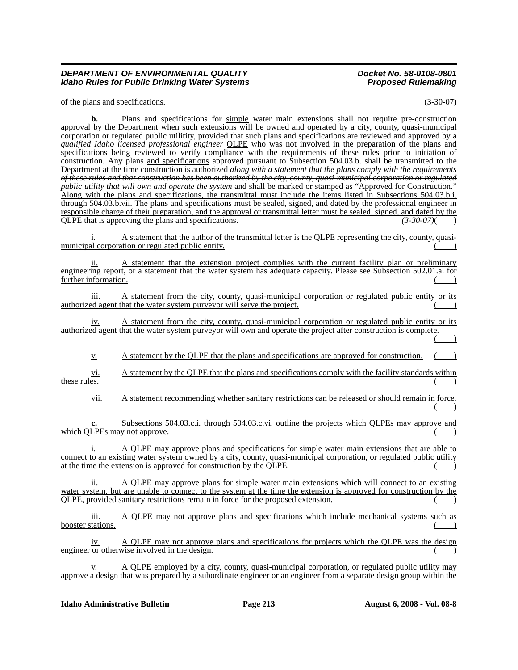#### *DEPARTMENT OF ENVIRONMENTAL QUALITY*<br>Idaho Rules for Public Drinking Water Systems **Department of the Convention of the Convention** *Idaho Rules for Public Drinking Water Systems*

of the plans and specifications. (3-30-07)

Plans and specifications for simple water main extensions shall not require pre-construction approval by the Department when such extensions will be owned and operated by a city, county, quasi-municipal corporation or regulated public utilitity, provided that such plans and specifications are reviewed and approved by a *qualified Idaho licensed professional engineer* QLPE who was not involved in the preparation of the plans and specifications being reviewed to verify compliance with the requirements of these rules prior to initiation of construction. Any plans and specifications approved pursuant to Subsection 504.03.b. shall be transmitted to the Department at the time construction is authorized *along with a statement that the plans comply with the requirements of these rules and that construction has been authorized by the city, county, quasi-municipal corporation or regulated public utility that will own and operate the system* and shall be marked or stamped as "Approved for Construction." Along with the plans and specifications, the transmittal must include the items listed in Subsections 504.03.b.i. through 504.03.b.vii. The plans and specifications must be sealed, signed, and dated by the professional engineer in responsible charge of their preparation, and the approval or transmittal letter must be sealed, signed, and dated by the QLPE that is approving the plans and specifications. *(3-30-07)*( )

i. A statement that the author of the transmittal letter is the QLPE representing the city, county, quasimunicipal corporation or regulated public entity.

ii. A statement that the extension project complies with the current facility plan or preliminary engineering report, or a statement that the water system has adequate capacity. Please see Subsection 502.01.a. for further information.

iii. A statement from the city, county, quasi-municipal corporation or regulated public entity or its authorized agent that the water system purveyor will serve the project.

iv. A statement from the city, county, quasi-municipal corporation or regulated public entity or its authorized agent that the water system purveyor will own and operate the project after construction is complete.  $($  )

v. A statement by the QLPE that the plans and specifications are approved for construction. ( )

<u>vi.</u> A statement by the QLPE that the plans and specifications comply with the facility standards within  $($ )  $\frac{1}{2}$  these rules. ( $\qquad$ )

vii. A statement recommending whether sanitary restrictions can be released or should remain in force.  $($  )

**c.** Subsections 504.03.c.i. through 504.03.c.vi. outline the projects which QLPEs may approve and which QLPEs may not approve.

i. A QLPE may approve plans and specifications for simple water main extensions that are able to connect to an existing water system owned by a city, county, quasi-municipal corporation, or regulated public utility at the time the extension is approved for construction by the QLPE.

ii. A QLPE may approve plans for simple water main extensions which will connect to an existing water system, but are unable to connect to the system at the time the extension is approved for construction by the QLPE, provided sanitary restrictions remain in force for the proposed extension. ( )

iii. A QLPE may not approve plans and specifications which include mechanical systems such as booster stations.

iv. A QLPE may not approve plans and specifications for projects which the QLPE was the design engineer or otherwise involved in the design.

A QLPE employed by a city, county, quasi-municipal corporation, or regulated public utility may approve a design that was prepared by a subordinate engineer or an engineer from a separate design group within the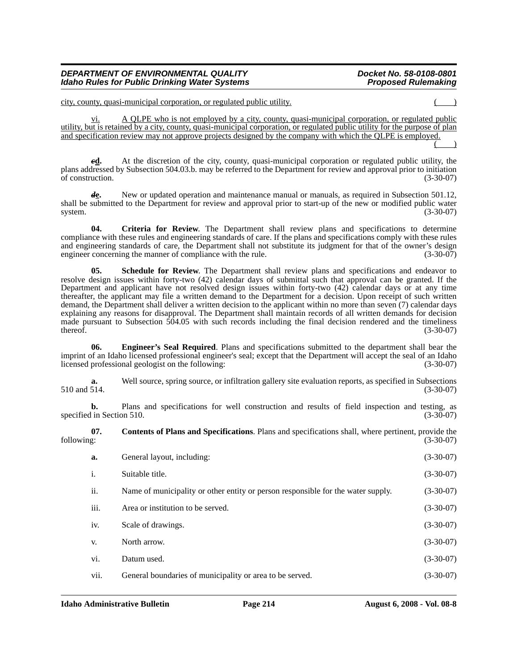city, county, quasi-municipal corporation, or regulated public utility.

vi. A QLPE who is not employed by a city, county, quasi-municipal corporation, or regulated public utility, but is retained by a city, county, quasi-municipal corporation, or regulated public utility for the purpose of plan and specification review may not approve projects designed by the company with which the QLPE is employed.  $($  )

*ed.* At the discretion of the city, county, quasi-municipal corporation or regulated public utility, the plans addressed by Subsection 504.03.b. may be referred to the Department for review and approval prior to initiation of construction. (3-30-07)

*d***e.** New or updated operation and maintenance manual or manuals, as required in Subsection 501.12, shall be submitted to the Department for review and approval prior to start-up of the new or modified public water system.  $(3-30-07)$ 

**04. Criteria for Review**. The Department shall review plans and specifications to determine compliance with these rules and engineering standards of care. If the plans and specifications comply with these rules and engineering standards of care, the Department shall not substitute its judgment for that of the owner's design engineer concerning the manner of compliance with the rule. (3-30-07)

**05. Schedule for Review**. The Department shall review plans and specifications and endeavor to resolve design issues within forty-two (42) calendar days of submittal such that approval can be granted. If the Department and applicant have not resolved design issues within forty-two (42) calendar days or at any time thereafter, the applicant may file a written demand to the Department for a decision. Upon receipt of such written demand, the Department shall deliver a written decision to the applicant within no more than seven (7) calendar days explaining any reasons for disapproval. The Department shall maintain records of all written demands for decision made pursuant to Subsection  $\overline{504.05}$  with such records including the final decision rendered and the timeliness thereof. (3-30-07)  $t = (3-30-07)$ 

**06. Engineer's Seal Required**. Plans and specifications submitted to the department shall bear the imprint of an Idaho licensed professional engineer's seal; except that the Department will accept the seal of an Idaho licensed professional geologist on the following: (3-30-07)

**a.** Well source, spring source, or infiltration gallery site evaluation reports, as specified in Subsections 510 and 514. (3-30-07) 510 and 514. (3-30-07)

**b.** Plans and specifications for well construction and results of field inspection and testing, as specified in Section 510. (3-30-07)  $(3-30-07)$ 

| following: | 07.  | Contents of Plans and Specifications. Plans and specifications shall, where pertinent, provide the | $(3-30-07)$ |
|------------|------|----------------------------------------------------------------------------------------------------|-------------|
|            | a.   | General layout, including:                                                                         | $(3-30-07)$ |
|            | i.   | Suitable title.                                                                                    | $(3-30-07)$ |
|            | ii.  | Name of municipality or other entity or person responsible for the water supply.                   | $(3-30-07)$ |
|            | iii. | Area or institution to be served.                                                                  | $(3-30-07)$ |
|            | iv.  | Scale of drawings.                                                                                 | $(3-30-07)$ |
|            | V.   | North arrow.                                                                                       | $(3-30-07)$ |
|            | vi.  | Datum used.                                                                                        | $(3-30-07)$ |
|            | vii. | General boundaries of municipality or area to be served.                                           | $(3-30-07)$ |
|            |      |                                                                                                    |             |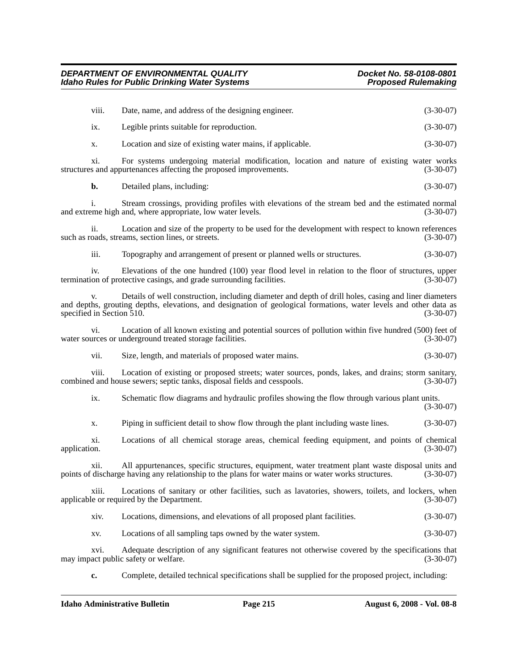|              | viii.                     | Date, name, and address of the designing engineer.                                                                                                                                                                         | $(3-30-07)$ |
|--------------|---------------------------|----------------------------------------------------------------------------------------------------------------------------------------------------------------------------------------------------------------------------|-------------|
|              | ix.                       | Legible prints suitable for reproduction.                                                                                                                                                                                  | $(3-30-07)$ |
|              | X.                        | Location and size of existing water mains, if applicable.                                                                                                                                                                  | $(3-30-07)$ |
|              | xi.                       | For systems undergoing material modification, location and nature of existing water works<br>structures and appurtenances affecting the proposed improvements.                                                             | $(3-30-07)$ |
|              | b.                        | Detailed plans, including:                                                                                                                                                                                                 | $(3-30-07)$ |
|              | 1.                        | Stream crossings, providing profiles with elevations of the stream bed and the estimated normal<br>and extreme high and, where appropriate, low water levels.                                                              | $(3-30-07)$ |
|              | ii.                       | Location and size of the property to be used for the development with respect to known references<br>such as roads, streams, section lines, or streets.                                                                    | $(3-30-07)$ |
|              | iii.                      | Topography and arrangement of present or planned wells or structures.                                                                                                                                                      | $(3-30-07)$ |
|              | iv.                       | Elevations of the one hundred (100) year flood level in relation to the floor of structures, upper<br>termination of protective casings, and grade surrounding facilities.                                                 | $(3-30-07)$ |
|              | specified in Section 510. | Details of well construction, including diameter and depth of drill holes, casing and liner diameters<br>and depths, grouting depths, elevations, and designation of geological formations, water levels and other data as | $(3-30-07)$ |
|              | vi.                       | Location of all known existing and potential sources of pollution within five hundred (500) feet of<br>water sources or underground treated storage facilities.                                                            | $(3-30-07)$ |
|              | vii.                      | Size, length, and materials of proposed water mains.                                                                                                                                                                       | $(3-30-07)$ |
|              | viii.                     | Location of existing or proposed streets; water sources, ponds, lakes, and drains; storm sanitary,<br>combined and house sewers; septic tanks, disposal fields and cesspools.                                              | $(3-30-07)$ |
|              | ix.                       | Schematic flow diagrams and hydraulic profiles showing the flow through various plant units.                                                                                                                               | $(3-30-07)$ |
|              | X.                        | Piping in sufficient detail to show flow through the plant including waste lines.                                                                                                                                          | $(3-30-07)$ |
| application. | xi.                       | Locations of all chemical storage areas, chemical feeding equipment, and points of chemical                                                                                                                                | $(3-30-07)$ |
|              | xii.                      | All appurtenances, specific structures, equipment, water treatment plant waste disposal units and<br>points of discharge having any relationship to the plans for water mains or water works structures.                   | $(3-30-07)$ |
|              | xiii.                     | Locations of sanitary or other facilities, such as lavatories, showers, toilets, and lockers, when<br>applicable or required by the Department.                                                                            | $(3-30-07)$ |
|              | xiv.                      | Locations, dimensions, and elevations of all proposed plant facilities.                                                                                                                                                    | $(3-30-07)$ |
|              | XV.                       | Locations of all sampling taps owned by the water system.                                                                                                                                                                  | $(3-30-07)$ |
|              | xvi.                      | Adequate description of any significant features not otherwise covered by the specifications that<br>may impact public safety or welfare.                                                                                  | $(3-30-07)$ |
|              | c.                        | Complete, detailed technical specifications shall be supplied for the proposed project, including:                                                                                                                         |             |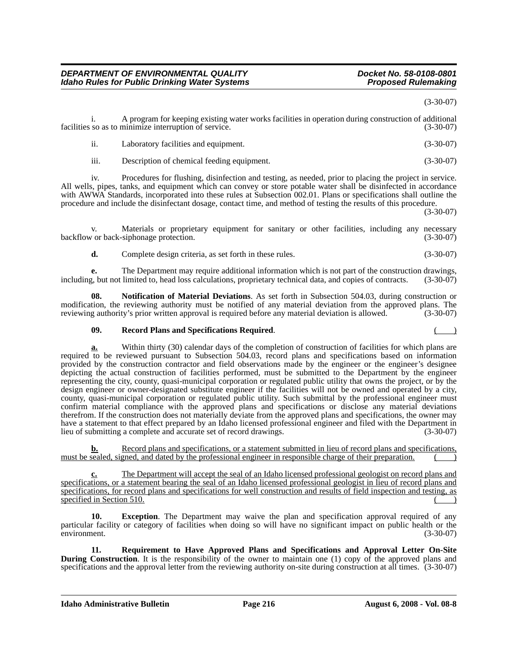(3-30-07)

i. A program for keeping existing water works facilities in operation during construction of additional facilities so as to minimize interruption of service. (3-30-07)

| ii. | Laboratory facilities and equipment. | $(3-30-07)$ |
|-----|--------------------------------------|-------------|
|     |                                      |             |

iii. Description of chemical feeding equipment. (3-30-07)

iv. Procedures for flushing, disinfection and testing, as needed, prior to placing the project in service. All wells, pipes, tanks, and equipment which can convey or store potable water shall be disinfected in accordance with AWWA Standards, incorporated into these rules at Subsection 002.01. Plans or specifications shall outline the procedure and include the disinfectant dosage, contact time, and method of testing the results of this procedure.

(3-30-07)

v. Materials or proprietary equipment for sanitary or other facilities, including any necessary or back-siphonage protection. (3-30-07) backflow or back-siphonage protection.

**d.** Complete design criteria, as set forth in these rules. (3-30-07)

**e.** The Department may require additional information which is not part of the construction drawings, <br>e. but not limited to, head loss calculations, proprietary technical data, and copies of contracts. (3-30-07) including, but not limited to, head loss calculations, proprietary technical data, and copies of contracts.

**08. Notification of Material Deviations**. As set forth in Subsection 504.03, during construction or modification, the reviewing authority must be notified of any material deviation from the approved plans. The reviewing authority's prior written approval is required before any material deviation is allowed. (3-30-07) reviewing authority's prior written approval is required before any material deviation is allowed.

## **09.** Record Plans and Specifications Required.

**a.** Within thirty (30) calendar days of the completion of construction of facilities for which plans are required to be reviewed pursuant to Subsection 504.03, record plans and specifications based on information provided by the construction contractor and field observations made by the engineer or the engineer's designee depicting the actual construction of facilities performed, must be submitted to the Department by the engineer representing the city, county, quasi-municipal corporation or regulated public utility that owns the project, or by the design engineer or owner-designated substitute engineer if the facilities will not be owned and operated by a city, county, quasi-municipal corporation or regulated public utility. Such submittal by the professional engineer must confirm material compliance with the approved plans and specifications or disclose any material deviations therefrom. If the construction does not materially deviate from the approved plans and specifications, the owner may have a statement to that effect prepared by an Idaho licensed professional engineer and filed with the Department in lieu of submitting a complete and accurate set of record drawings. (3-30-07) lieu of submitting a complete and accurate set of record drawings.

**b.** Record plans and specifications, or a statement submitted in lieu of record plans and specifications, must be sealed, signed, and dated by the professional engineer in responsible charge of their preparation.

The Department will accept the seal of an Idaho licensed professional geologist on record plans and specifications, or a statement bearing the seal of an Idaho licensed professional geologist in lieu of record plans and specifications, for record plans and specifications for well construction and results of field inspection and testing, as specified in Section 510.

**10. Exception**. The Department may waive the plan and specification approval required of any particular facility or category of facilities when doing so will have no significant impact on public health or the environment. (3-30-07)

**11. Requirement to Have Approved Plans and Specifications and Approval Letter On-Site During Construction.** It is the responsibility of the owner to maintain one (1) copy of the approved plans and specifications and the approval letter from the reviewing authority on-site during construction at all times. (3-30-07)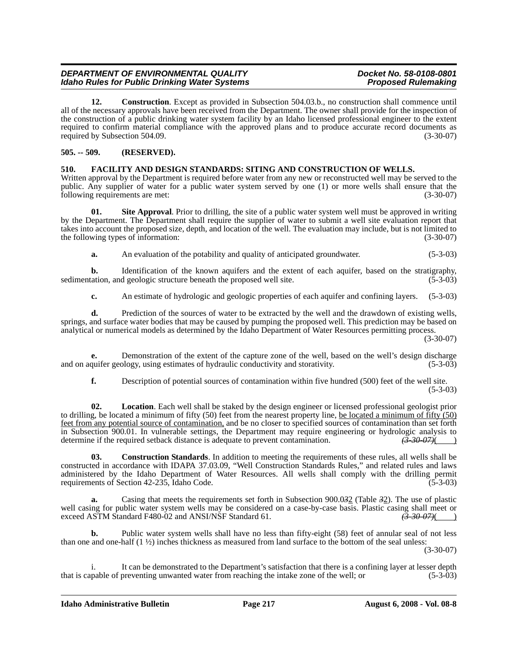**12. Construction**. Except as provided in Subsection 504.03.b., no construction shall commence until all of the necessary approvals have been received from the Department. The owner shall provide for the inspection of the construction of a public drinking water system facility by an Idaho licensed professional engineer to the extent required to confirm material compliance with the approved plans and to produce accurate record documents as required by Subsection 504.09. (3-30-07) (3-30-07)

### **505. -- 509. (RESERVED).**

### **510. FACILITY AND DESIGN STANDARDS: SITING AND CONSTRUCTION OF WELLS.**

Written approval by the Department is required before water from any new or reconstructed well may be served to the public. Any supplier of water for a public water system served by one (1) or more wells shall ensure that the following requirements are met: (3-30-07)

**01.** Site Approval. Prior to drilling, the site of a public water system well must be approved in writing by the Department. The Department shall require the supplier of water to submit a well site evaluation report that takes into account the proposed size, depth, and location of the well. The evaluation may include, but is not limited to the following types of information: (3-30-07) the following types of information:

**a.** An evaluation of the potability and quality of anticipated groundwater. (5-3-03)

**b.** Identification of the known aquifers and the extent of each aquifer, based on the stratigraphy, tation, and geologic structure beneath the proposed well site. (5-3-03) sedimentation, and geologic structure beneath the proposed well site.

**c.** An estimate of hydrologic and geologic properties of each aquifer and confining layers. (5-3-03)

**d.** Prediction of the sources of water to be extracted by the well and the drawdown of existing wells, springs, and surface water bodies that may be caused by pumping the proposed well. This prediction may be based on analytical or numerical models as determined by the Idaho Department of Water Resources permitting process.

(3-30-07)

**e.** Demonstration of the extent of the capture zone of the well, based on the well's design discharge and on aquifer geology, using estimates of hydraulic conductivity and storativity. (5-3-03)

**f.** Description of potential sources of contamination within five hundred (500) feet of the well site. (5-3-03)

**02. Location**. Each well shall be staked by the design engineer or licensed professional geologist prior to drilling, be located a minimum of fifty  $(50)$  feet from the nearest property line, be located a minimum of fifty  $(50)$ feet from any potential source of contamination, and be no closer to specified sources of contamination than set forth in Subsection 900.01. In vulnerable settings, the Department may require engineering or hydrologic analysis to determine if the required setback distance is adequate to prevent contamination.  $\overrightarrow{3.3007}$ determine if the required setback distance is adequate to prevent contamination.

**03. Construction Standards**. In addition to meeting the requirements of these rules, all wells shall be constructed in accordance with IDAPA 37.03.09, "Well Construction Standards Rules," and related rules and laws administered by the Idaho Department of Water Resources. All wells shall comply with the drilling permit requirements of Section 42-235. Idaho Code. (5-3-03) requirements of Section 42-235, Idaho Code.

**a.** Casing that meets the requirements set forth in Subsection 900.0*3*2 (Table *3*2). The use of plastic well casing for public water system wells may be considered on a case-by-case basis. Plastic casing shall meet or exceed ASTM Standard F480-02 and ANSI/NSF Standard 61.  $\overline{(3\cdot30\cdot97)(})$ exceed ASTM Standard F480-02 and ANSI/NSF Standard 61.

**b.** Public water system wells shall have no less than fifty-eight (58) feet of annular seal of not less than one and one-half (1 ½) inches thickness as measured from land surface to the bottom of the seal unless:

(3-30-07)

It can be demonstrated to the Department's satisfaction that there is a confining layer at lesser depth that is capable of preventing unwanted water from reaching the intake zone of the well; or (5-3-03)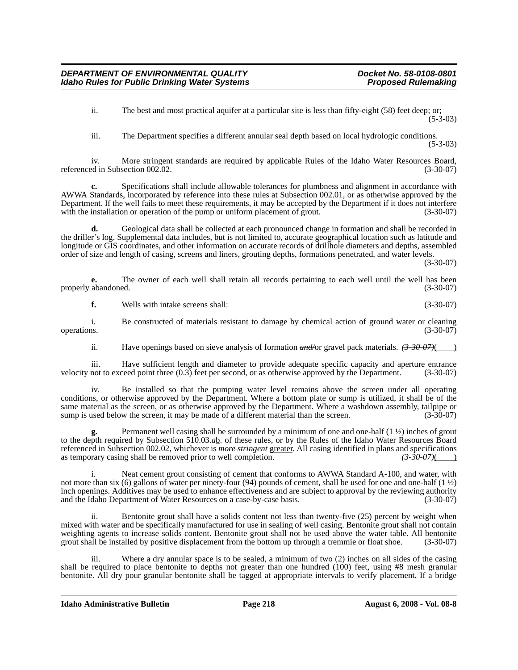ii. The best and most practical aquifer at a particular site is less than fifty-eight (58) feet deep; or; (5-3-03)

iii. The Department specifies a different annular seal depth based on local hydrologic conditions.

(5-3-03)

iv. More stringent standards are required by applicable Rules of the Idaho Water Resources Board, referenced in Subsection 002.02. (3-30-07) (3-30-07)

**c.** Specifications shall include allowable tolerances for plumbness and alignment in accordance with AWWA Standards, incorporated by reference into these rules at Subsection 002.01, or as otherwise approved by the Department. If the well fails to meet these requirements, it may be accepted by the Department if it does not interfere with the installation or operation of the pump or uniform placement of grout. (3-30-07)

**d.** Geological data shall be collected at each pronounced change in formation and shall be recorded in the driller's log. Supplemental data includes, but is not limited to, accurate geographical location such as latitude and longitude or GIS coordinates, and other information on accurate records of drillhole diameters and depths, assembled order of size and length of casing, screens and liners, grouting depths, formations penetrated, and water levels.

(3-30-07)

**e.** The owner of each well shall retain all records pertaining to each well until the well has been abandoned. (3-30-07) properly abandoned.

**f.** Wells with intake screens shall: (3-30-07)

i. Be constructed of materials resistant to damage by chemical action of ground water or cleaning ns. (3-30-07) operations.  $(3-30-07)$ 

ii. Have openings based on sieve analysis of formation  $\frac{and}{ }$  for gravel pack materials.  $\frac{3-30-07}{0}$ 

iii. Have sufficient length and diameter to provide adequate specific capacity and aperture entrance velocity not to exceed point three (0.3) feet per second, or as otherwise approved by the Department. (3-30-07)

iv. Be installed so that the pumping water level remains above the screen under all operating conditions, or otherwise approved by the Department. Where a bottom plate or sump is utilized, it shall be of the same material as the screen, or as otherwise approved by the Department. Where a washdown assembly, tailpipe or sump is used below the screen, it may be made of a different material than the screen. (3-30-07)

**g.** Permanent well casing shall be surrounded by a minimum of one and one-half (1 ½) inches of grout to the depth required by Subsection 510.03.*a*b. of these rules, or by the Rules of the Idaho Water Resources Board referenced in Subsection 002.02, whichever is *more stringent* greater. All casing identified in plans and specifications as temporary casing shall be removed prior to well completion.  $(3-30-07)($ 

i. Neat cement grout consisting of cement that conforms to AWWA Standard A-100, and water, with not more than six (6) gallons of water per ninety-four (94) pounds of cement, shall be used for one and one-half (1  $\frac{1}{2}$ ) inch openings. Additives may be used to enhance effectiveness and are subject to approval by the reviewing authority and the Idaho Department of Water Resources on a case-by-case basis. (3-30-07)

ii. Bentonite grout shall have a solids content not less than twenty-five (25) percent by weight when mixed with water and be specifically manufactured for use in sealing of well casing. Bentonite grout shall not contain weighting agents to increase solids content. Bentonite grout shall not be used above the water table. All bentonite grout shall be installed by positive displacement from the bottom up through a tremmie or float shoe. (3-30-07)

iii. Where a dry annular space is to be sealed, a minimum of two (2) inches on all sides of the casing shall be required to place bentonite to depths not greater than one hundred (100) feet, using #8 mesh granular bentonite. All dry pour granular bentonite shall be tagged at appropriate intervals to verify placement. If a bridge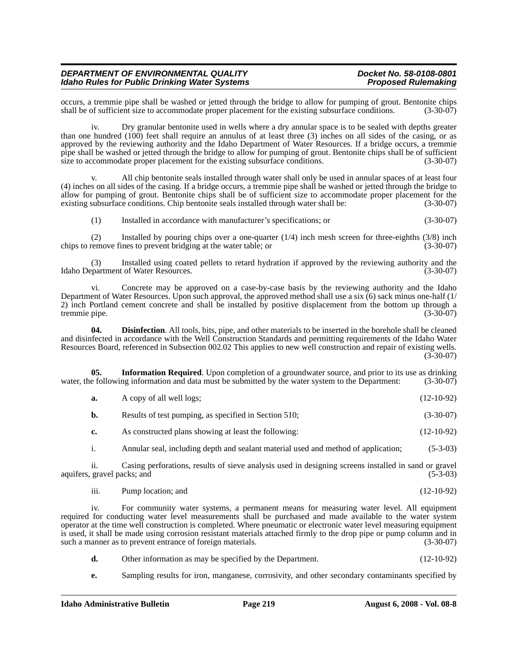occurs, a tremmie pipe shall be washed or jetted through the bridge to allow for pumping of grout. Bentonite chips shall be of sufficient size to accommodate proper placement for the existing subsurface conditions. (3-30-0 shall be of sufficient size to accommodate proper placement for the existing subsurface conditions.

iv. Dry granular bentonite used in wells where a dry annular space is to be sealed with depths greater than one hundred (100) feet shall require an annulus of at least three (3) inches on all sides of the casing, or as approved by the reviewing authority and the Idaho Department of Water Resources. If a bridge occurs, a tremmie pipe shall be washed or jetted through the bridge to allow for pumping of grout. Bentonite chips shall be of sufficient size to accommodate proper placement for the existing subsurface conditions. (3-30-07)

All chip bentonite seals installed through water shall only be used in annular spaces of at least four (4) inches on all sides of the casing. If a bridge occurs, a tremmie pipe shall be washed or jetted through the bridge to allow for pumping of grout. Bentonite chips shall be of sufficient size to accommodate proper placement for the existing subsurface conditions. Chip bentonite seals installed through water shall be: (3-30-07) existing subsurface conditions. Chip bentonite seals installed through water shall be:

(1) Installed in accordance with manufacturer's specifications; or (3-30-07)

(2) Installed by pouring chips over a one-quarter (1/4) inch mesh screen for three-eighths (3/8) inch chips to remove fines to prevent bridging at the water table; or (3-30-07)

(3) Installed using coated pellets to retard hydration if approved by the reviewing authority and the Idaho Department of Water Resources. (3-30-07)

vi. Concrete may be approved on a case-by-case basis by the reviewing authority and the Idaho Department of Water Resources. Upon such approval, the approved method shall use a six (6) sack minus one-half (1/ 2) inch Portland cement concrete and shall be installed by positive displacement from the bottom up through a tremmie pipe. (3-30-07) tremmie pipe.

**04. Disinfection**. All tools, bits, pipe, and other materials to be inserted in the borehole shall be cleaned and disinfected in accordance with the Well Construction Standards and permitting requirements of the Idaho Water Resources Board, referenced in Subsection 002.02 This applies to new well construction and repair of existing wells.  $(3-30-07)$ 

**05.** Information Required. Upon completion of a groundwater source, and prior to its use as drinking water, the following information and data must be submitted by the water system to the Department: (3-30-07)

| A copy of all well logs;<br><b>a.</b> | $(12-10-92)$ |
|---------------------------------------|--------------|
|---------------------------------------|--------------|

| b. | Results of test pumping, as specified in Section 510; | $(3-30-07)$ |
|----|-------------------------------------------------------|-------------|
|----|-------------------------------------------------------|-------------|

**c.** As constructed plans showing at least the following: (12-10-92)

i. Annular seal, including depth and sealant material used and method of application; (5-3-03)

ii. Casing perforations, results of sieve analysis used in designing screens installed in sand or gravel aquifers, gravel packs; and

| $\cdots$ |                    |              |
|----------|--------------------|--------------|
| - 111.   | Pump location; and | $(12-10-92)$ |
|          |                    |              |

iv. For community water systems, a permanent means for measuring water level. All equipment required for conducting water level measurements shall be purchased and made available to the water system operator at the time well construction is completed. Where pneumatic or electronic water level measuring equipment is used, it shall be made using corrosion resistant materials attached firmly to the drop pipe or pump column and in such a manner as to prevent entrance of foreign materials. (3-30-07)

**d.** Other information as may be specified by the Department. (12-10-92)

**e.** Sampling results for iron, manganese, corrosivity, and other secondary contaminants specified by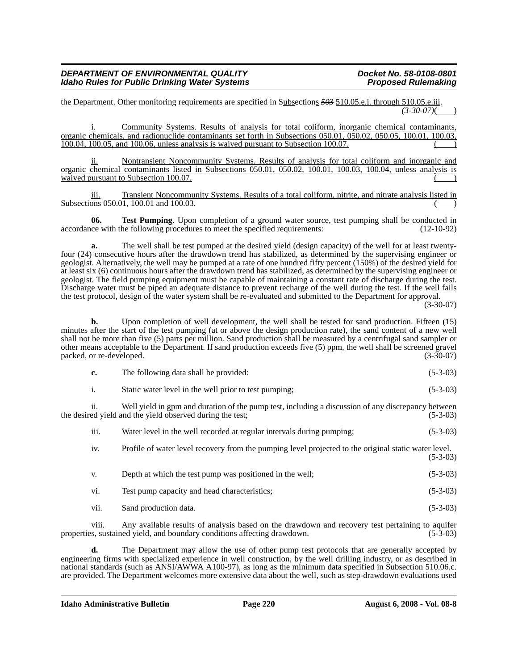the Department. Other monitoring requirements are specified in Subsections *503* 510.05.e.i. through 510.05.e.iii.  $\sqrt{330007}$ 

Community Systems. Results of analysis for total coliform, inorganic chemical contaminants, organic chemicals, and radionuclide contaminants set forth in Subsections 050.01, 050.02, 050.05, 100.01, 100.03,  $100.04$ ,  $100.05$ , and  $100.06$ , unless analysis is waived pursuant to Subsection  $100.07$ .

ii. Nontransient Noncommunity Systems. Results of analysis for total coliform and inorganic and organic chemical contaminants listed in Subsections 050.01, 050.02, 100.01, 100.03, 100.04, unless analysis is waived pursuant to Subsection 100.07.

iii. Transient Noncommunity Systems. Results of a total coliform, nitrite, and nitrate analysis listed in Subsections 050.01, 100.01 and 100.03.

**06. Test Pumping**. Upon completion of a ground water source, test pumping shall be conducted in the following procedures to meet the specified requirements: (12-10-92) accordance with the following procedures to meet the specified requirements:

**a.** The well shall be test pumped at the desired yield (design capacity) of the well for at least twentyfour (24) consecutive hours after the drawdown trend has stabilized, as determined by the supervising engineer or geologist. Alternatively, the well may be pumped at a rate of one hundred fifty percent (150%) of the desired yield for at least six (6) continuous hours after the drawdown trend has stabilized, as determined by the supervising engineer or geologist. The field pumping equipment must be capable of maintaining a constant rate of discharge during the test. Discharge water must be piped an adequate distance to prevent recharge of the well during the test. If the well fails the test protocol, design of the water system shall be re-evaluated and submitted to the Department for approval.

(3-30-07)

**b.** Upon completion of well development, the well shall be tested for sand production. Fifteen (15) minutes after the start of the test pumping (at or above the design production rate), the sand content of a new well shall not be more than five (5) parts per million. Sand production shall be measured by a centrifugal sand sampler or other means acceptable to the Department. If sand production exceeds five (5) ppm, the well shall be screened gravel packed, or re-developed.

| The following data shall be provided: | $(5-3-03)$ |
|---------------------------------------|------------|
|                                       |            |

i. Static water level in the well prior to test pumping; (5-3-03)

ii. Well yield in gpm and duration of the pump test, including a discussion of any discrepancy between the desired yield and the yield observed during the test; (5-3-03)

iii. Water level in the well recorded at regular intervals during pumping; (5-3-03)

| iv. | Profile of water level recovery from the pumping level projected to the original static water level. | $(5-3-03)$ |
|-----|------------------------------------------------------------------------------------------------------|------------|
| V.  | Depth at which the test pump was positioned in the well;                                             | $(5-3-03)$ |
| vi. | Test pump capacity and head characteristics;                                                         | $(5-3-03)$ |

vii. Sand production data. (5-3-03)

viii. Any available results of analysis based on the drawdown and recovery test pertaining to aquifer properties, sustained yield, and boundary conditions affecting drawdown. (5-3-03)

**d.** The Department may allow the use of other pump test protocols that are generally accepted by engineering firms with specialized experience in well construction, by the well drilling industry, or as described in national standards (such as ANSI/AWWA A100-97), as long as the minimum data specified in Subsection 510.06.c. are provided. The Department welcomes more extensive data about the well, such as step-drawdown evaluations used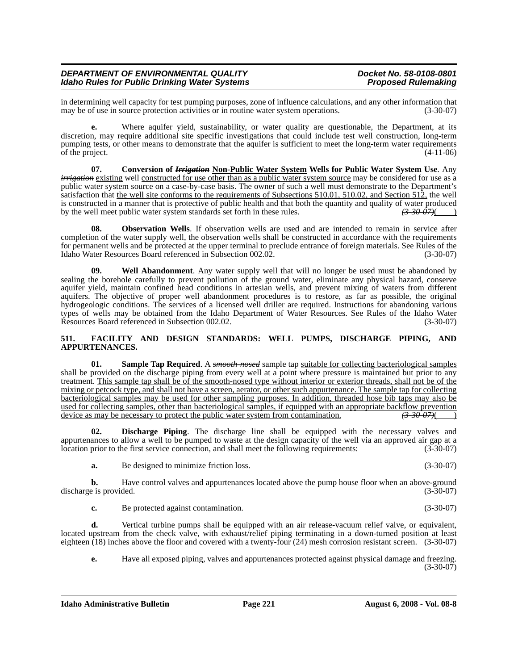in determining well capacity for test pumping purposes, zone of influence calculations, and any other information that may be of use in source protection activities or in routine water system operations. (3-30-07) may be of use in source protection activities or in routine water system operations.

**e.** Where aquifer yield, sustainability, or water quality are questionable, the Department, at its discretion, may require additional site specific investigations that could include test well construction, long-term pumping tests, or other means to demonstrate that the aquifer is sufficient to meet the long-term water requirements of the project. (4-11-06) of the project.

**07. Conversion of** *Irrigation* **Non-Public Water System Wells for Public Water System Use**. Any *irrigation* existing well constructed for use other than as a public water system source may be considered for use as a public water system source on a case-by-case basis. The owner of such a well must demonstrate to the Department's satisfaction that the well site conforms to the requirements of Subsections 510.01, 510.02, and Section 512, the well is constructed in a manner that is protective of public health and that both the quantity and quality of water produced by the well meet public water system standards set forth in these rules.  $(3-30-0.07)($ 

**08. Observation Wells**. If observation wells are used and are intended to remain in service after completion of the water supply well, the observation wells shall be constructed in accordance with the requirements for permanent wells and be protected at the upper terminal to preclude entrance of foreign materials. See Rules of the Idaho Water Resources Board referenced in Subsection 002.02. (3-30-07)

**09. Well Abandonment**. Any water supply well that will no longer be used must be abandoned by sealing the borehole carefully to prevent pollution of the ground water, eliminate any physical hazard, conserve aquifer yield, maintain confined head conditions in artesian wells, and prevent mixing of waters from different aquifers. The objective of proper well abandonment procedures is to restore, as far as possible, the original hydrogeologic conditions. The services of a licensed well driller are required. Instructions for abandoning various types of wells may be obtained from the Idaho Department of Water Resources. See Rules of the Idaho Water Resources Board referenced in Subsection 002.02. (3-30-07)

### **511. FACILITY AND DESIGN STANDARDS: WELL PUMPS, DISCHARGE PIPING, AND APPURTENANCES.**

**01. Sample Tap Required**. A *smooth-nosed* sample tap suitable for collecting bacteriological samples shall be provided on the discharge piping from every well at a point where pressure is maintained but prior to any treatment. This sample tap shall be of the smooth-nosed type without interior or exterior threads, shall not be of the mixing or petcock type, and shall not have a screen, aerator, or other such appurtenance. The sample tap for collecting bacteriological samples may be used for other sampling purposes. In addition, threaded hose bib taps may also be used for collecting samples, other than bacteriological samples, if equipped with an appropriate backflow prevention device as may be necessary to protect the public water system from contamination.  $\left(\frac{3.30-07}{2}\right)$ device as may be necessary to protect the public water system from contamination.

**02. Discharge Piping**. The discharge line shall be equipped with the necessary valves and appurtenances to allow a well to be pumped to waste at the design capacity of the well via an approved air gap at a location prior to the first service connection, and shall meet the following requirements: (3-30-07)

**a.** Be designed to minimize friction loss. (3-30-07)

**b.** Have control valves and appurtenances located above the pump house floor when an above-ground discharge is provided. (3-30-07)

**c.** Be protected against contamination. (3-30-07)

**d.** Vertical turbine pumps shall be equipped with an air release-vacuum relief valve, or equivalent, located upstream from the check valve, with exhaust/relief piping terminating in a down-turned position at least eighteen (18) inches above the floor and covered with a twenty-four (24) mesh corrosion resistant screen. (3-30-07)

**e.** Have all exposed piping, valves and appurtenances protected against physical damage and freezing.  $(3-30-07)$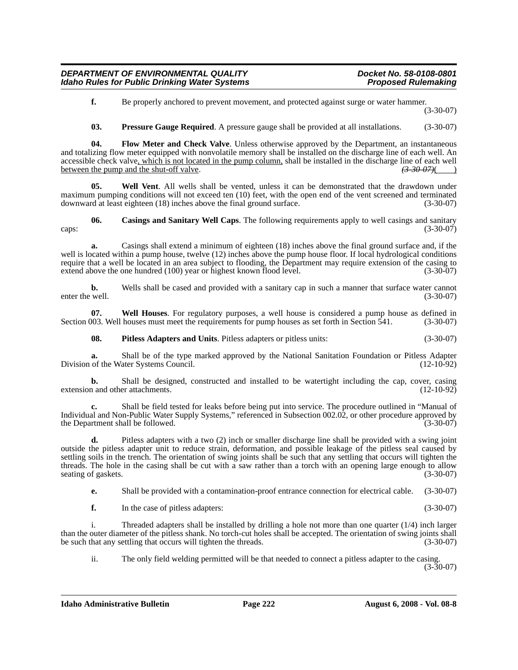**f.** Be properly anchored to prevent movement, and protected against surge or water hammer. (3-30-07)

**03. Pressure Gauge Required**. A pressure gauge shall be provided at all installations. (3-30-07)

**04.** Flow Meter and Check Valve. Unless otherwise approved by the Department, an instantaneous and totalizing flow meter equipped with nonvolatile memory shall be installed on the discharge line of each well. An accessible check valve, which is not located in the pump column, shall be installed in the discharge line of each well between the pump and the shut-off valve. *(3-30-07)*( )

**05. Well Vent**. All wells shall be vented, unless it can be demonstrated that the drawdown under maximum pumping conditions will not exceed ten (10) feet, with the open end of the vent screened and terminated<br>downward at least eighteen (18) inches above the final ground surface. (3-30-07) downward at least eighteen  $(18)$  inches above the final ground surface.

**06. Casings and Sanitary Well Caps**. The following requirements apply to well casings and sanitary  $\cos(3-30-07)$ 

**a.** Casings shall extend a minimum of eighteen (18) inches above the final ground surface and, if the well is located within a pump house, twelve (12) inches above the pump house floor. If local hydrological conditions require that a well be located in an area subject to flooding, the Department may require extension of the casing to extend above the one hundred (100) year or highest known flood level. (3-30-07)

**b.** Wells shall be cased and provided with a sanitary cap in such a manner that surface water cannot enter the well. (3-30-07)

**07. Well Houses**. For regulatory purposes, a well house is considered a pump house as defined in Section 003. Well houses must meet the requirements for pump houses as set forth in Section 541. (3-30-07)

**08. Pitless Adapters and Units**. Pitless adapters or pitless units: (3-30-07)

**a.** Shall be of the type marked approved by the National Sanitation Foundation or Pitless Adapter of the Water Systems Council. (12-10-92) Division of the Water Systems Council.

**b.** Shall be designed, constructed and installed to be watertight including the cap, cover, casing n and other attachments. (12-10-92) extension and other attachments.

**c.** Shall be field tested for leaks before being put into service. The procedure outlined in "Manual of Individual and Non-Public Water Supply Systems," referenced in Subsection 002.02, or other procedure approved by the Department shall be followed. (3-30-07)

**d.** Pitless adapters with a two (2) inch or smaller discharge line shall be provided with a swing joint outside the pitless adapter unit to reduce strain, deformation, and possible leakage of the pitless seal caused by settling soils in the trench. The orientation of swing joints shall be such that any settling that occurs will tighten the threads. The hole in the casing shall be cut with a saw rather than a torch with an opening large enough to allow seating of gaskets. (3-30-07)

**e.** Shall be provided with a contamination-proof entrance connection for electrical cable.  $(3-30-07)$ 

**f.** In the case of pitless adapters: (3-30-07)

i. Threaded adapters shall be installed by drilling a hole not more than one quarter (1/4) inch larger than the outer diameter of the pitless shank. No torch-cut holes shall be accepted. The orientation of swing joints shall be such that any settling that occurs will tighten the threads. (3-30-07)

ii. The only field welding permitted will be that needed to connect a pitless adapter to the casing.  $(3-30-07)$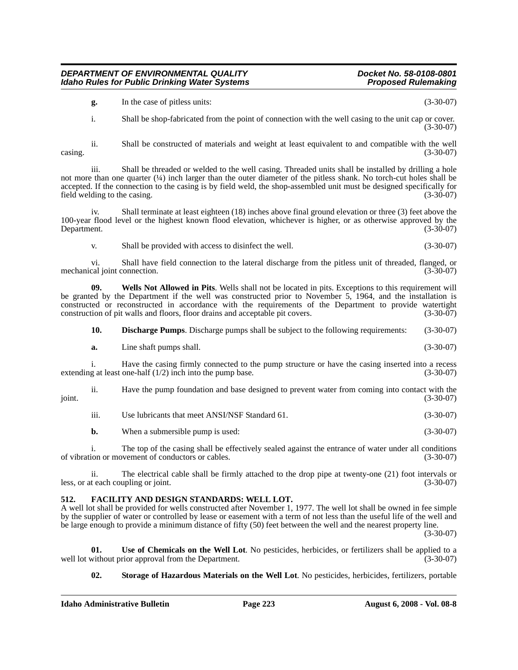**g.** In the case of pitless units: (3-30-07)

i. Shall be shop-fabricated from the point of connection with the well casing to the unit cap or cover. (3-30-07)

ii. Shall be constructed of materials and weight at least equivalent to and compatible with the well  $\cos\theta$  (3-30-07) (3-30-07)

iii. Shall be threaded or welded to the well casing. Threaded units shall be installed by drilling a hole not more than one quarter (¼) inch larger than the outer diameter of the pitless shank. No torch-cut holes shall be accepted. If the connection to the casing is by field weld, the shop-assembled unit must be designed specifically for field welding to the casing. (3-30-07)

iv. Shall terminate at least eighteen (18) inches above final ground elevation or three (3) feet above the 100-year flood level or the highest known flood elevation, whichever is higher, or as otherwise approved by the Department. (3-30-07) Department. (3-30-07)

v. Shall be provided with access to disinfect the well. (3-30-07)

vi. Shall have field connection to the lateral discharge from the pitless unit of threaded, flanged, or mechanical joint connection. (3-30-07)

**09. Wells Not Allowed in Pits**. Wells shall not be located in pits. Exceptions to this requirement will be granted by the Department if the well was constructed prior to November 5, 1964, and the installation is constructed or reconstructed in accordance with the requirements of the Department to provide watertight construction of pit walls and floors, floor drains and acceptable pit covers. (3-30-07) construction of pit walls and floors, floor drains and acceptable pit covers.

**10. Discharge Pumps**. Discharge pumps shall be subject to the following requirements: (3-30-07)

**a.** Line shaft pumps shall. (3-30-07)

i. Have the casing firmly connected to the pump structure or have the casing inserted into a recess extending at least one-half  $(1/2)$  inch into the pump base.  $(3-30-07)$ 

ii. Have the pump foundation and base designed to prevent water from coming into contact with the joint. (3-30-07)

iii. Use lubricants that meet ANSI/NSF Standard 61. (3-30-07)

**b.** When a submersible pump is used: (3-30-07)

i. The top of the casing shall be effectively sealed against the entrance of water under all conditions of vibration or movement of conductors or cables. (3-30-07)

ii. The electrical cable shall be firmly attached to the drop pipe at twenty-one (21) foot intervals or less, or at each coupling or joint.

### **512. FACILITY AND DESIGN STANDARDS: WELL LOT.**

A well lot shall be provided for wells constructed after November 1, 1977. The well lot shall be owned in fee simple by the supplier of water or controlled by lease or easement with a term of not less than the useful life of the well and be large enough to provide a minimum distance of fifty (50) feet between the well and the nearest property line.

(3-30-07)

**01.** Use of Chemicals on the Well Lot. No pesticides, herbicides, or fertilizers shall be applied to a without prior approval from the Department. (3-30-07) well lot without prior approval from the Department.

**02. Storage of Hazardous Materials on the Well Lot**. No pesticides, herbicides, fertilizers, portable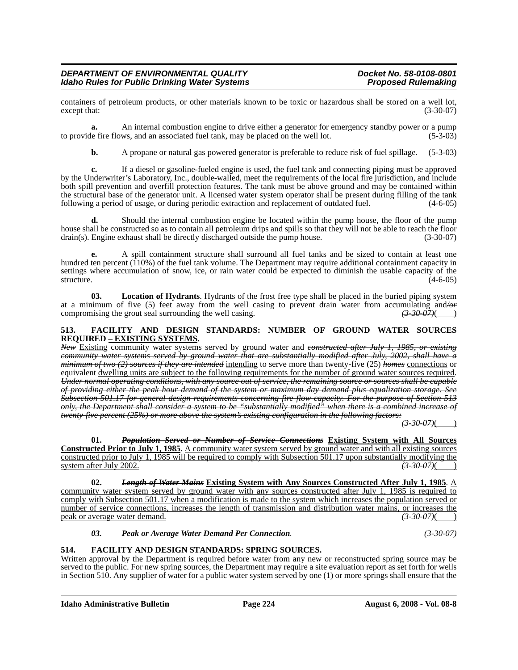containers of petroleum products, or other materials known to be toxic or hazardous shall be stored on a well lot, except that: (3-30-07)  $\alpha$  except that:  $(3-30-07)$ 

**a.** An internal combustion engine to drive either a generator for emergency standby power or a pump to provide fire flows, and an associated fuel tank, may be placed on the well lot. (5-3-03)

**b.** A propane or natural gas powered generator is preferable to reduce risk of fuel spillage.  $(5-3-03)$ 

**c.** If a diesel or gasoline-fueled engine is used, the fuel tank and connecting piping must be approved by the Underwriter's Laboratory, Inc., double-walled, meet the requirements of the local fire jurisdiction, and include both spill prevention and overfill protection features. The tank must be above ground and may be contained within the structural base of the generator unit. A licensed water system operator shall be present during filling of the tank<br>following a period of usage, or during periodic extraction and replacement of outdated fuel. (4-6-05) following a period of usage, or during periodic extraction and replacement of outdated fuel.

**d.** Should the internal combustion engine be located within the pump house, the floor of the pump house shall be constructed so as to contain all petroleum drips and spills so that they will not be able to reach the floor drain(s). Engine exhaust shall be directly discharged outside the pump house. (3-30-07)

**e.** A spill containment structure shall surround all fuel tanks and be sized to contain at least one hundred ten percent  $(110%)$  of the fuel tank volume. The Department may require additional containment capacity in settings where accumulation of snow, ice, or rain water could be expected to diminish the usable capacity of the structure. (4-6-05) structure. (4-6-05)

**03. Location of Hydrants**. Hydrants of the frost free type shall be placed in the buried piping system at a minimum of five (5) feet away from the well casing to prevent drain water from accumulating and  $\theta$ *r* compromising the grout seal surrounding the well casing. compromising the grout seal surrounding the well casing.

#### **513. FACILITY AND DESIGN STANDARDS: NUMBER OF GROUND WATER SOURCES REQUIRED – EXISTING SYSTEMS.**

*New* Existing community water systems served by ground water and *constructed after July 1, 1985, or existing community water systems served by ground water that are substantially modified after July, 2002, shall have a minimum of two (2) sources if they are intended* intending to serve more than twenty-five (25) *homes* connections or equivalent dwelling units are subject to the following requirements for the number of ground water sources required. *Under normal operating conditions, with any source out of service, the remaining source or sources shall be capable of providing either the peak hour demand of the system or maximum day demand plus equalization storage. See Subsection 501.17 for general design requirements concerning fire flow capacity. For the purpose of Section 513 only, the Department shall consider a system to be "substantially modified" when there is a combined increase of twenty-five percent (25%) or more above the system's existing configuration in the following factors:*

*(3-30-07)*( )

**01.** *Population Served or Number of Service Connections* **Existing System with All Sources Constructed Prior to July 1, 1985**. A community water system served by ground water and with all existing sources constructed prior to July 1, 1985 will be required to comply with Subsection 501.17 upon substantially modifying the system after July 2002. *(3-30-07)* 

**02.** *Length of Water Mains* **Existing System with Any Sources Constructed After July 1, 1985**. A community water system served by ground water with any sources constructed after July 1, 1985 is required to comply with Subsection 501.17 when a modification is made to the system which increases the population served or number of service connections, increases the length of transmission and distribution water mains, or increases the peak or average water demand.  $\left(3.3007\right)\left(1.3000\right)$ peak or average water demand.

#### *03. Peak or Average Water Demand Per Connection. (3-30-07)*

**514. FACILITY AND DESIGN STANDARDS: SPRING SOURCES.** Written approval by the Department is required before water from any new or reconstructed spring source may be served to the public. For new spring sources, the Department may require a site evaluation report as set forth for wells in Section 510. Any supplier of water for a public water system served by one (1) or more springs shall ensure that the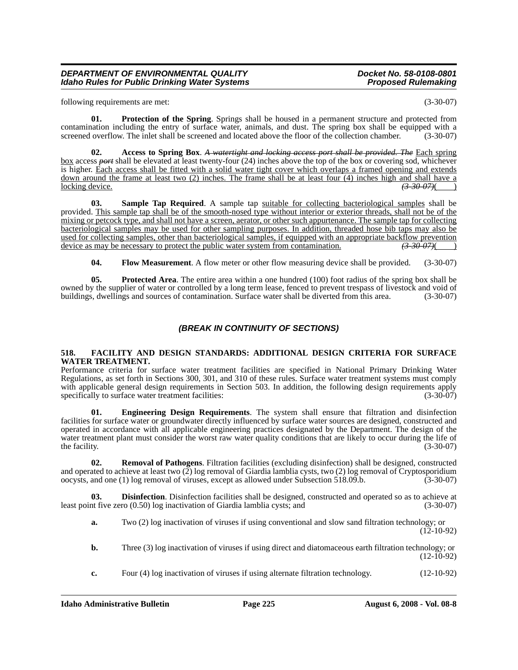following requirements are met: (3-30-07)

**01. Protection of the Spring**. Springs shall be housed in a permanent structure and protected from contamination including the entry of surface water, animals, and dust. The spring box shall be equipped with a screened overflow. The inlet shall be screened and located above the floor of the collection chamber. (3-30-07)

**02. Access to Spring Box**. *A watertight and locking access port shall be provided. The* Each spring box access *port* shall be elevated at least twenty-four (24) inches above the top of the box or covering sod, whichever is higher. Each access shall be fitted with a solid water tight cover which overlaps a framed opening and extends <u>down around the frame at least two (2) inches. The frame shall be at least four (4) inches high and shall have a locking device.  $\left(3.30-0.07\right)$ </u> locking device.

**03.** Sample Tap Required. A sample tap suitable for collecting bacteriological samples shall be provided. This sample tap shall be of the smooth-nosed type without interior or exterior threads, shall not be of the mixing or petcock type, and shall not have a screen, aerator, or other such appurtenance. The sample tap for collecting bacteriological samples may be used for other sampling purposes. In addition, threaded hose bib taps may also be used for collecting samples, other than bacteriological samples, if equipped with an appropriate backflow prevention<br>device as may be necessary to protect the public water system from contamination.  $\left(3-30-07\right)$ device as may be necessary to protect the public water system from contamination.

**04. Flow Measurement**. A flow meter or other flow measuring device shall be provided. (3-30-07)

**05. Protected Area**. The entire area within a one hundred (100) foot radius of the spring box shall be owned by the supplier of water or controlled by a long term lease, fenced to prevent trespass of livestock and void of buildings, dwellings and sources of contamination. Surface water shall be diverted from this area. (3-30-07)

# *(BREAK IN CONTINUITY OF SECTIONS)*

#### **518. FACILITY AND DESIGN STANDARDS: ADDITIONAL DESIGN CRITERIA FOR SURFACE WATER TREATMENT.**

Performance criteria for surface water treatment facilities are specified in National Primary Drinking Water Regulations, as set forth in Sections 300, 301, and 310 of these rules. Surface water treatment systems must comply with applicable general design requirements in Section 503. In addition, the following design requirements apply specifically to surface water treatment facilities: (3-30-07)

**01. Engineering Design Requirements**. The system shall ensure that filtration and disinfection facilities for surface water or groundwater directly influenced by surface water sources are designed, constructed and operated in accordance with all applicable engineering practices designated by the Department. The design of the water treatment plant must consider the worst raw water quality conditions that are likely to occur during the life of the facility.  $(3-30-07)$ 

**02. Removal of Pathogens**. Filtration facilities (excluding disinfection) shall be designed, constructed and operated to achieve at least two  $(2)$  log removal of Giardia lamblia cysts, two  $(2)$  log removal of Cryptosporidium occysts, and one  $(1)$  log removal of viruses, except as allowed under Subsection 518.09.b.  $(3-30$ oocysts, and one  $(1)$  log removal of viruses, except as allowed under Subsection 518.09.b.

**03. Disinfection**. Disinfection facilities shall be designed, constructed and operated so as to achieve at least point five zero (0.50) log inactivation of Giardia lamblia cysts; and (3-30-07)

**a.** Two (2) log inactivation of viruses if using conventional and slow sand filtration technology; or  $(12-10-92)$ 

- **b.** Three (3) log inactivation of viruses if using direct and diatomaceous earth filtration technology; or  $(12-10-92)$
- **c.** Four (4) log inactivation of viruses if using alternate filtration technology. (12-10-92)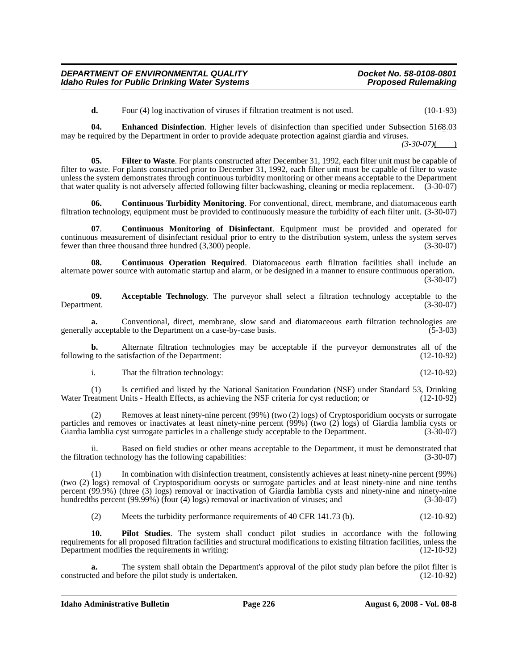**d.** Four (4) log inactivation of viruses if filtration treatment is not used. (10-1-93)

**04. Enhanced Disinfection**. Higher levels of disinfection than specified under Subsection 51*6*8.03 may be required by the Department in order to provide adequate protection against giardia and viruses.

*(3-30-07)*( )

**05. Filter to Waste**. For plants constructed after December 31, 1992, each filter unit must be capable of filter to waste. For plants constructed prior to December 31, 1992, each filter unit must be capable of filter to waste unless the system demonstrates through continuous turbidity monitoring or other means acceptable to the Department that water quality is not adversely affected following filter backwashing, cleaning or media replacement. (3-30-07)

**06. Continuous Turbidity Monitoring**. For conventional, direct, membrane, and diatomaceous earth filtration technology, equipment must be provided to continuously measure the turbidity of each filter unit. (3-30-07)

**07**. **Continuous Monitoring of Disinfectant**. Equipment must be provided and operated for continuous measurement of disinfectant residual prior to entry to the distribution system, unless the system serves fewer than three thousand three hundred (3,300) people. (3-30-07)

**08. Continuous Operation Required**. Diatomaceous earth filtration facilities shall include an alternate power source with automatic startup and alarm, or be designed in a manner to ensure continuous operation.  $(3-30-07)$ 

**09. Acceptable Technology**. The purveyor shall select a filtration technology acceptable to the Department. (3-30-07)

**a.** Conventional, direct, membrane, slow sand and diatomaceous earth filtration technologies are *a* case-by-case basis. (5-3-03) generally acceptable to the Department on a case-by-case basis.

**b.** Alternate filtration technologies may be acceptable if the purveyor demonstrates all of the g to the satisfaction of the Department: (12-10-92) following to the satisfaction of the Department:

i. That the filtration technology: (12-10-92)

(1) Is certified and listed by the National Sanitation Foundation (NSF) under Standard 53, Drinking eatment Units - Health Effects, as achieving the NSF criteria for cyst reduction; or (12-10-92) Water Treatment Units - Health Effects, as achieving the NSF criteria for cyst reduction; or

(2) Removes at least ninety-nine percent (99%) (two (2) logs) of Cryptosporidium oocysts or surrogate particles and removes or inactivates at least ninety-nine percent (99%) (two (2) logs) of Giardia lamblia cysts or Giardia lamblia cyst surrogate particles in a challenge study acceptable to the Department. (3-30-07)

ii. Based on field studies or other means acceptable to the Department, it must be demonstrated that the filtration technology has the following capabilities: (3-30-07)

(1) In combination with disinfection treatment, consistently achieves at least ninety-nine percent (99%) (two (2) logs) removal of Cryptosporidium oocysts or surrogate particles and at least ninety-nine and nine tenths percent (99.9%) (three (3) logs) removal or inactivation of Giardia lamblia cysts and ninety-nine and ninety-nine hundredths percent (99.99%) (four (4) logs) removal or inactivation of viruses; and (3-30-07)

(2) Meets the turbidity performance requirements of 40 CFR 141.73 (b). (12-10-92)

**10. Pilot Studies**. The system shall conduct pilot studies in accordance with the following requirements for all proposed filtration facilities and structural modifications to existing filtration facilities, unless the Department modifies the requirements in writing: (12-10-92)

**a.** The system shall obtain the Department's approval of the pilot study plan before the pilot filter is constructed and before the pilot study is undertaken. (12-10-92)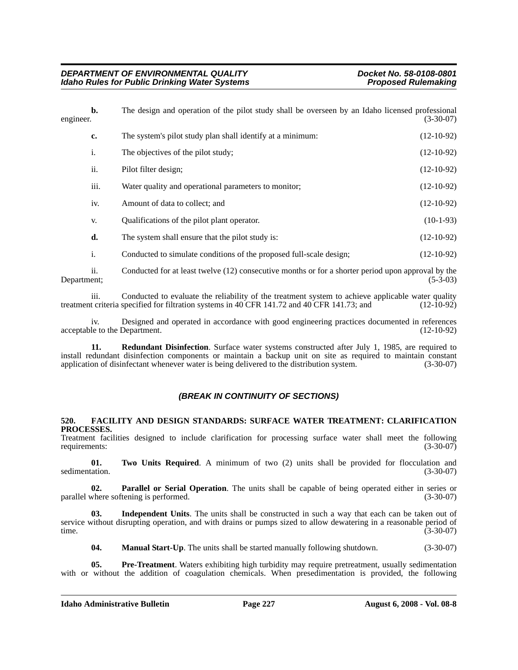| engineer. | $\mathbf{b}$ . | The design and operation of the pilot study shall be overseen by an Idaho licensed professional | $(3-30-07)$  |
|-----------|----------------|-------------------------------------------------------------------------------------------------|--------------|
|           | c.             | The system's pilot study plan shall identify at a minimum:                                      | $(12-10-92)$ |
|           | i.             | The objectives of the pilot study;                                                              | $(12-10-92)$ |
|           | ii.            | Pilot filter design;                                                                            | $(12-10-92)$ |
|           | iii.           | Water quality and operational parameters to monitor;                                            | $(12-10-92)$ |
|           | iv.            | Amount of data to collect; and                                                                  | $(12-10-92)$ |
|           | V.             | Qualifications of the pilot plant operator.                                                     | $(10-1-93)$  |
|           | d.             | The system shall ensure that the pilot study is:                                                | $(12-10-92)$ |
|           | i.             | Conducted to simulate conditions of the proposed full-scale design;                             | $(12-10-92)$ |
|           |                |                                                                                                 |              |

ii. Conducted for at least twelve (12) consecutive months or for a shorter period upon approval by the ent: Department;

iii. Conducted to evaluate the reliability of the treatment system to achieve applicable water quality treatment criteria specified for filtration systems in 40 CFR 141.72 and 40 CFR 141.73; and (12-10-92)

iv. Designed and operated in accordance with good engineering practices documented in references acceptable to the Department.

**11.** Redundant Disinfection. Surface water systems constructed after July 1, 1985, are required to install redundant disinfection components or maintain a backup unit on site as required to maintain constant application of disinfectant whenever water is being delivered to the distribution system. (3-30-07)

# *(BREAK IN CONTINUITY OF SECTIONS)*

### **520. FACILITY AND DESIGN STANDARDS: SURFACE WATER TREATMENT: CLARIFICATION PROCESSES.**

Treatment facilities designed to include clarification for processing surface water shall meet the following requirements:  $(3-30-07)$ 

**01. Two Units Required**. A minimum of two (2) units shall be provided for flocculation and sedimentation. (3-30-07)

**02. Parallel or Serial Operation**. The units shall be capable of being operated either in series or parallel where softening is performed. (3-30-07)

**03. Independent Units**. The units shall be constructed in such a way that each can be taken out of service without disrupting operation, and with drains or pumps sized to allow dewatering in a reasonable period of time. (3-30-07)

**04. Manual Start-Up**. The units shall be started manually following shutdown. (3-30-07)

**05. Pre-Treatment**. Waters exhibiting high turbidity may require pretreatment, usually sedimentation with or without the addition of coagulation chemicals. When presedimentation is provided, the following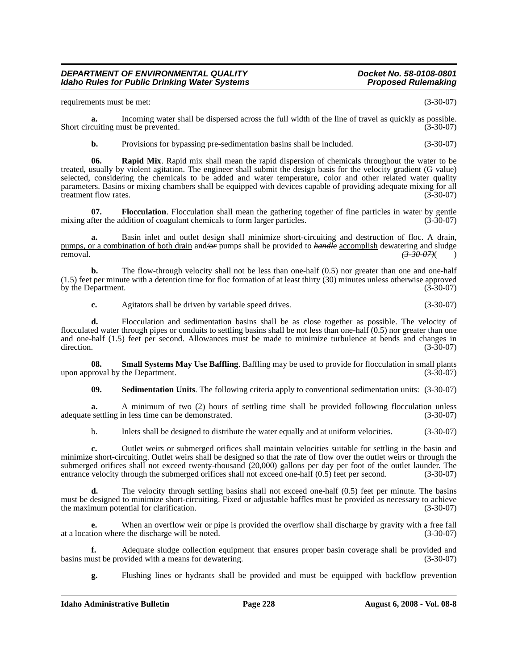requirements must be met: (3-30-07)

**a.** Incoming water shall be dispersed across the full width of the line of travel as quickly as possible.<br>cuiting must be prevented. (3-30-07) Short circuiting must be prevented.

**b.** Provisions for bypassing pre-sedimentation basins shall be included. (3-30-07)

**06. Rapid Mix**. Rapid mix shall mean the rapid dispersion of chemicals throughout the water to be treated, usually by violent agitation. The engineer shall submit the design basis for the velocity gradient (G value) selected, considering the chemicals to be added and water temperature, color and other related water quality parameters. Basins or mixing chambers shall be equipped with devices capable of providing adequate mixing for all treatment flow rates. (3-30-07)

**07. Flocculation**. Flocculation shall mean the gathering together of fine particles in water by gentle mixing after the addition of coagulant chemicals to form larger particles. (3-30-07)

**a.** Basin inlet and outlet design shall minimize short-circuiting and destruction of floc. A drain, pumps, or a combination of both drain and or pumps shall be provided to *handle* accomplish dewatering and sludge removal. removal. *(3-30-07)*( )

**b.** The flow-through velocity shall not be less than one-half (0.5) nor greater than one and one-half (1.5) feet per minute with a detention time for floc formation of at least thirty  $(30)$  minutes unless otherwise approved<br>by the Department.  $(3-30-07)$ by the Department.

**c.** Agitators shall be driven by variable speed drives. (3-30-07)

**d.** Flocculation and sedimentation basins shall be as close together as possible. The velocity of flocculated water through pipes or conduits to settling basins shall be not less than one-half (0.5) nor greater than one and one-half (1.5) feet per second. Allowances must be made to minimize turbulence at bends and changes in direction.  $(3-30-07)$ 

**08. Small Systems May Use Baffling**. Baffling may be used to provide for flocculation in small plants upon approval by the Department. (3-30-07)

**09. Sedimentation Units**. The following criteria apply to conventional sedimentation units: (3-30-07)

**a.** A minimum of two (2) hours of settling time shall be provided following flocculation unless settling in less time can be demonstrated. (3-30-07) adequate settling in less time can be demonstrated.

b. Inlets shall be designed to distribute the water equally and at uniform velocities. (3-30-07)

**c.** Outlet weirs or submerged orifices shall maintain velocities suitable for settling in the basin and minimize short-circuiting. Outlet weirs shall be designed so that the rate of flow over the outlet weirs or through the submerged orifices shall not exceed twenty-thousand (20,000) gallons per day per foot of the outlet launder. The entrance velocity through the submerged orifices shall not exceed one-half (0.5) feet per second. (3-30-07)

**d.** The velocity through settling basins shall not exceed one-half (0.5) feet per minute. The basins must be designed to minimize short-circuiting. Fixed or adjustable baffles must be provided as necessary to achieve<br>the maximum potential for clarification. (3-30-07) the maximum potential for clarification.

**e.** When an overflow weir or pipe is provided the overflow shall discharge by gravity with a free fall at a location where the discharge will be noted. (3-30-07)

**f.** Adequate sludge collection equipment that ensures proper basin coverage shall be provided and ust be provided with a means for dewatering. (3-30-07) basins must be provided with a means for dewatering.

**g.** Flushing lines or hydrants shall be provided and must be equipped with backflow prevention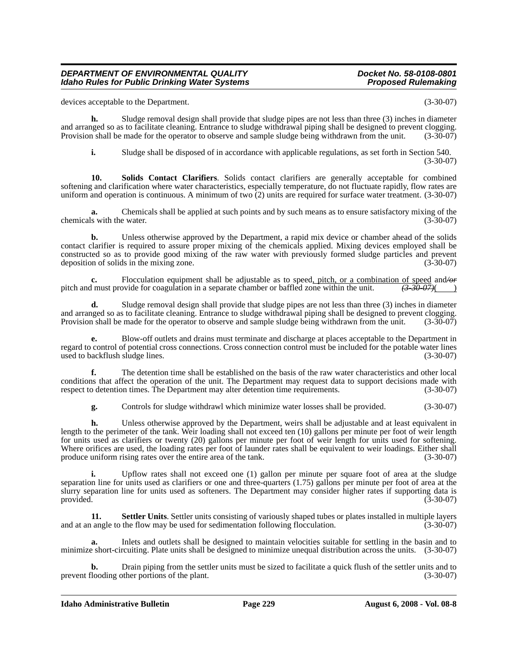devices acceptable to the Department. (3-30-07)

**h.** Sludge removal design shall provide that sludge pipes are not less than three (3) inches in diameter and arranged so as to facilitate cleaning. Entrance to sludge withdrawal piping shall be designed to prevent clogging. Provision shall be made for the operator to observe and sample sludge being withdrawn from the unit. (3-30-07)

**i.** Sludge shall be disposed of in accordance with applicable regulations, as set forth in Section 540. (3-30-07)

**10. Solids Contact Clarifiers**. Solids contact clarifiers are generally acceptable for combined softening and clarification where water characteristics, especially temperature, do not fluctuate rapidly, flow rates are uniform and operation is continuous. A minimum of two (2) units are required for surface water treatment. (3-30-07)

**a.** Chemicals shall be applied at such points and by such means as to ensure satisfactory mixing of the chemicals with the water. (3-30-07)

**b.** Unless otherwise approved by the Department, a rapid mix device or chamber ahead of the solids contact clarifier is required to assure proper mixing of the chemicals applied. Mixing devices employed shall be constructed so as to provide good mixing of the raw water with previously formed sludge particles and prevent deposition of solids in the mixing zone. (3-30-07)

**c.** Flocculation equipment shall be adjustable as to speed, <u>pitch, or a combination of speed</u> and *or* in must provide for coagulation in a separate chamber or baffled zone within the unit.  $\left(\frac{33007}{100000000000000000$ pitch and must provide for coagulation in a separate chamber or baffled zone within the unit.

**d.** Sludge removal design shall provide that sludge pipes are not less than three (3) inches in diameter and arranged so as to facilitate cleaning. Entrance to sludge withdrawal piping shall be designed to prevent clogging. Provision shall be made for the operator to observe and sample sludge being withdrawn from the unit. (3-30-07)

**e.** Blow-off outlets and drains must terminate and discharge at places acceptable to the Department in regard to control of potential cross connections. Cross connection control must be included for the potable water lines<br>(3-30-07) used to backflush sludge lines.

**f.** The detention time shall be established on the basis of the raw water characteristics and other local conditions that affect the operation of the unit. The Department may request data to support decisions made with respect to detention times. The Department may alter detention time requirements. (3-30-07) respect to detention times. The Department may alter detention time requirements.

**g.** Controls for sludge withdrawl which minimize water losses shall be provided. (3-30-07)

**h.** Unless otherwise approved by the Department, weirs shall be adjustable and at least equivalent in length to the perimeter of the tank. Weir loading shall not exceed ten (10) gallons per minute per foot of weir length for units used as clarifiers or twenty (20) gallons per minute per foot of weir length for units used for softening. Where orifices are used, the loading rates per foot of launder rates shall be equivalent to weir loadings. Either shall produce uniform rising rates over the entire area of the tank. (3-30-07)

**i.** Upflow rates shall not exceed one (1) gallon per minute per square foot of area at the sludge separation line for units used as clarifiers or one and three-quarters (1.75) gallons per minute per foot of area at the slurry separation line for units used as softeners. The Department may consider higher rates if supporting data is provided.  $(3-30-07)$ 

**11. Settler Units**. Settler units consisting of variously shaped tubes or plates installed in multiple layers and at an angle to the flow may be used for sedimentation following flocculation. (3-30-07)

**a.** Inlets and outlets shall be designed to maintain velocities suitable for settling in the basin and to minimize short-circuiting. Plate units shall be designed to minimize unequal distribution across the units. (3-30-07)

**b.** Drain piping from the settler units must be sized to facilitate a quick flush of the settler units and to prevent flooding other portions of the plant. (3-30-07)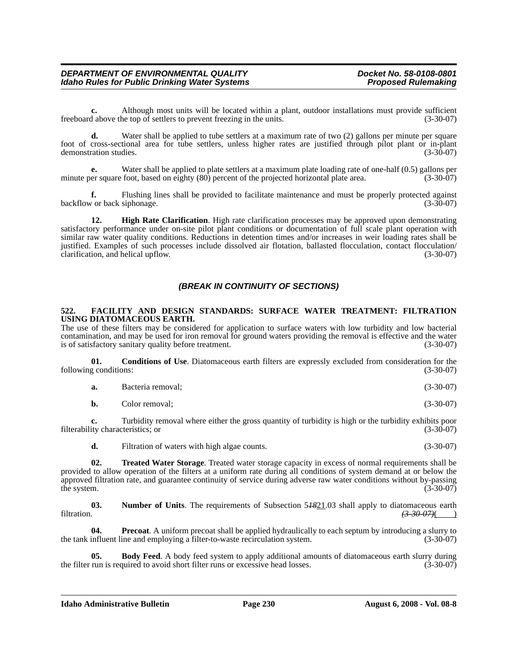**c.** Although most units will be located within a plant, outdoor installations must provide sufficient d above the top of settlers to prevent freezing in the units. (3-30-07) freeboard above the top of settlers to prevent freezing in the units.

**d.** Water shall be applied to tube settlers at a maximum rate of two (2) gallons per minute per square foot of cross-sectional area for tube settlers, unless higher rates are justified through pilot plant or in-plant demonstration studies.

**e.** Water shall be applied to plate settlers at a maximum plate loading rate of one-half (0.5) gallons per minute per square foot, based on eighty (80) percent of the projected horizontal plate area. (3-30-07)

**f.** Flushing lines shall be provided to facilitate maintenance and must be properly protected against v or back siphonage. (3-30-07) backflow or back siphonage.

**12. High Rate Clarification**. High rate clarification processes may be approved upon demonstrating satisfactory performance under on-site pilot plant conditions or documentation of full scale plant operation with similar raw water quality conditions. Reductions in detention times and/or increases in weir loading rates shall be justified. Examples of such processes include dissolved air flotation, ballasted flocculation, contact flocculation/ clarification, and helical upflow. (3-30-07)

### *(BREAK IN CONTINUITY OF SECTIONS)*

#### **522. FACILITY AND DESIGN STANDARDS: SURFACE WATER TREATMENT: FILTRATION USING DIATOMACEOUS EARTH.**

The use of these filters may be considered for application to surface waters with low turbidity and low bacterial contamination, and may be used for iron removal for ground waters providing the removal is effective and the water<br>is of satisfactory sanitary quality before treatment. (3-30-07) is of satisfactory sanitary quality before treatment.

**01. Conditions of Use**. Diatomaceous earth filters are expressly excluded from consideration for the following conditions: (3-30-07)

| a. | Bacteria removal: | $(3-30-07)$ |
|----|-------------------|-------------|
|    |                   |             |

**b.** Color removal; (3-30-07)

**c.** Turbidity removal where either the gross quantity of turbidity is high or the turbidity exhibits poor ity characteristics; or (3-30-07) filterability characteristics; or

**d.** Filtration of waters with high algae counts. (3-30-07)

**02. Treated Water Storage**. Treated water storage capacity in excess of normal requirements shall be provided to allow operation of the filters at a uniform rate during all conditions of system demand at or below the approved filtration rate, and guarantee continuity of service during adverse raw water conditions without by-passing the system.  $(3-30-07)$ 

**03.** Number of Units. The requirements of Subsection 5<del>18</del>21.03 shall apply to diatomaceous earth filtration.  $\left(3.3007\right)(1.60)$ filtration. *(3-30-07)*( )

**04. Precoat**. A uniform precoat shall be applied hydraulically to each septum by introducing a slurry to influent line and employing a filter-to-waste recirculation system.  $(3-30-07)$ the tank influent line and employing a filter-to-waste recirculation system.

**05. Body Feed**. A body feed system to apply additional amounts of diatomaceous earth slurry during the filter run is required to avoid short filter runs or excessive head losses. (3-30-07)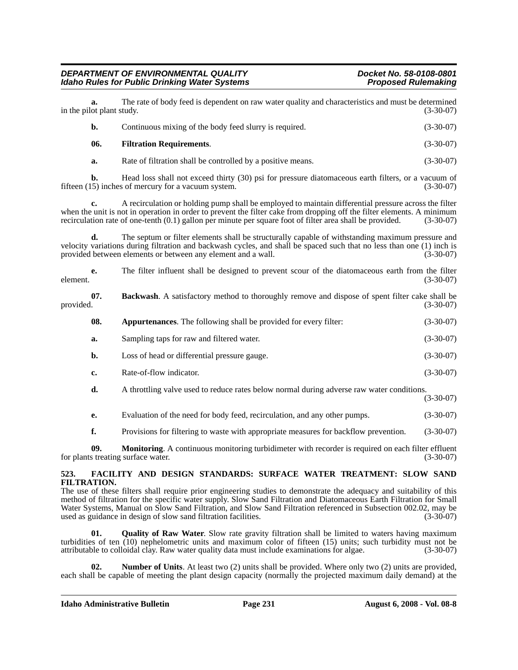| а.<br>in the pilot plant study. |     | The rate of body feed is dependent on raw water quality and characteristics and must be determined                                                                                                                                                                                                                                           | $(3-30-07)$ |
|---------------------------------|-----|----------------------------------------------------------------------------------------------------------------------------------------------------------------------------------------------------------------------------------------------------------------------------------------------------------------------------------------------|-------------|
| $\mathbf{b}$ .                  |     | Continuous mixing of the body feed slurry is required.                                                                                                                                                                                                                                                                                       | $(3-30-07)$ |
|                                 | 06. | <b>Filtration Requirements.</b>                                                                                                                                                                                                                                                                                                              | $(3-30-07)$ |
| a.                              |     | Rate of filtration shall be controlled by a positive means.                                                                                                                                                                                                                                                                                  | $(3-30-07)$ |
| b.                              |     | Head loss shall not exceed thirty (30) psi for pressure diatomaceous earth filters, or a vacuum of<br>fifteen (15) inches of mercury for a vacuum system.                                                                                                                                                                                    | $(3-30-07)$ |
| c.                              |     | A recirculation or holding pump shall be employed to maintain differential pressure across the filter<br>when the unit is not in operation in order to prevent the filter cake from dropping off the filter elements. A minimum<br>recirculation rate of one-tenth (0.1) gallon per minute per square foot of filter area shall be provided. | $(3-30-07)$ |
| d.                              |     | The septum or filter elements shall be structurally capable of withstanding maximum pressure and<br>velocity variations during filtration and backwash cycles, and shall be spaced such that no less than one (1) inch is<br>provided between elements or between any element and a wall.                                                    | $(3-30-07)$ |
| e.<br>element.                  |     | The filter influent shall be designed to prevent scour of the diatomaceous earth from the filter                                                                                                                                                                                                                                             | $(3-30-07)$ |
| provided.                       | 07. | Backwash. A satisfactory method to thoroughly remove and dispose of spent filter cake shall be                                                                                                                                                                                                                                               | $(3-30-07)$ |
|                                 | 08. | Appurtenances. The following shall be provided for every filter:                                                                                                                                                                                                                                                                             | $(3-30-07)$ |
| a.                              |     | Sampling taps for raw and filtered water.                                                                                                                                                                                                                                                                                                    | $(3-30-07)$ |

- **b.** Loss of head or differential pressure gauge. (3-30-07)
- **c.** Rate-of-flow indicator. (3-30-07)
- **d.** A throttling valve used to reduce rates below normal during adverse raw water conditions.

(3-30-07)

- **e.** Evaluation of the need for body feed, recirculation, and any other pumps. (3-30-07)
- **f.** Provisions for filtering to waste with appropriate measures for backflow prevention. (3-30-07)

**09. Monitoring**. A continuous monitoring turbidimeter with recorder is required on each filter effluent for plants treating surface water. (3-30-07)

### **523. FACILITY AND DESIGN STANDARDS: SURFACE WATER TREATMENT: SLOW SAND FILTRATION.**

The use of these filters shall require prior engineering studies to demonstrate the adequacy and suitability of this method of filtration for the specific water supply. Slow Sand Filtration and Diatomaceous Earth Filtration for Small Water Systems, Manual on Slow Sand Filtration, and Slow Sand Filtration referenced in Subsection 002.02, may be used as guidance in design of slow sand filtration facilities. (3-30-07) used as guidance in design of slow sand filtration facilities.

**Quality of Raw Water.** Slow rate gravity filtration shall be limited to waters having maximum turbidities of ten (10) nephelometric units and maximum color of fifteen (15) units; such turbidity must not be attributable to colloidal clay. Raw water quality data must include examinations for algae. (3-30-07)

**02. Number of Units**. At least two (2) units shall be provided. Where only two (2) units are provided, each shall be capable of meeting the plant design capacity (normally the projected maximum daily demand) at the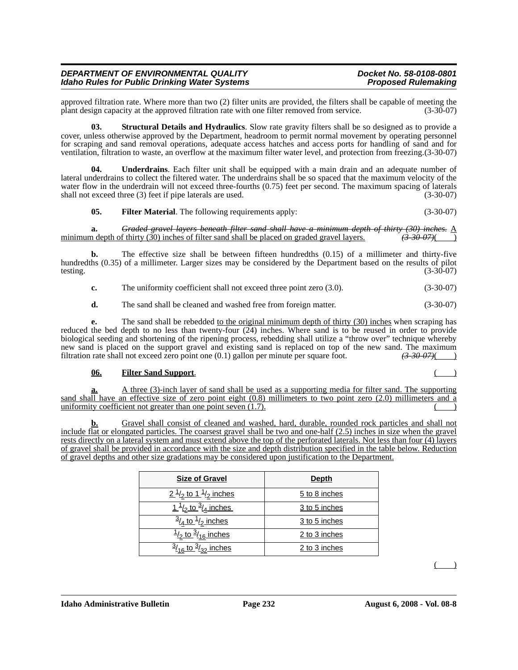approved filtration rate. Where more than two (2) filter units are provided, the filters shall be capable of meeting the plant design capacity at the approved filtration rate with one filter removed from service. (3-30-07) plant design capacity at the approved filtration rate with one filter removed from service.

**03. Structural Details and Hydraulics**. Slow rate gravity filters shall be so designed as to provide a cover, unless otherwise approved by the Department, headroom to permit normal movement by operating personnel for scraping and sand removal operations, adequate access hatches and access ports for handling of sand and for ventilation, filtration to waste, an overflow at the maximum filter water level, and protection from freezing.(3-30-07)

**04. Underdrains**. Each filter unit shall be equipped with a main drain and an adequate number of lateral underdrains to collect the filtered water. The underdrains shall be so spaced that the maximum velocity of the water flow in the underdrain will not exceed three-fourths (0.75) feet per second. The maximum spacing of laterals shall not exceed three (3) feet if pipe laterals are used. (3-30-07)

**05. Filter Material**. The following requirements apply: (3-30-07)

**a.** *Graded gravel layers beneath filter sand shall have a minimum depth of thirty (30) inches.* <u>A</u> n depth of thirty (30) inches. A n depth of thirty (30) inches of filter sand shall be placed on graded gravel layers. ( minimum depth of thirty (30) inches of filter sand shall be placed on graded gravel layers.

**b.** The effective size shall be between fifteen hundredths (0.15) of a millimeter and thirty-five hundredths (0.35) of a millimeter. Larger sizes may be considered by the Department based on the results of pilot testing.  $(3-30-07)$ 

**c.** The uniformity coefficient shall not exceed three point zero (3.0). (3-30-07)

**d.** The sand shall be cleaned and washed free from foreign matter. (3-30-07)

**e.** The sand shall be rebedded to the original minimum depth of thirty (30) inches when scraping has reduced the bed depth to no less than twenty-four (24) inches. Where sand is to be reused in order to provide biological seeding and shortening of the ripening process, rebedding shall utilize a "throw over" technique whereby new sand is placed on the support gravel and existing sand is replaced on top of the new sand. The maximum filtration rate shall not exceed zero point one (0.1) gallon per minute per square foot.  $\left(3-30-07\right)$ filtration rate shall not exceed zero point one  $(0.1)$  gallon per minute per square foot.

### **06. Filter Sand Support.**

**a.** A three (3)-inch layer of sand shall be used as a supporting media for filter sand. The supporting sand shall have an effective size of zero point eight (0.8) millimeters to two point zero (2.0) millimeters and a uniformity coefficient not greater than one point seven  $(1.7)$ .

**b.** Gravel shall consist of cleaned and washed, hard, durable, rounded rock particles and shall not include flat or elongated particles. The coarsest gravel shall be two and one-half (2.5) inches in size when the gravel rests directly on a lateral system and must extend above the top of the perforated laterals. Not less than four (4) layers of gravel shall be provided in accordance with the size and depth distribution specified in the table below. Reduction of gravel depths and other size gradations may be considered upon justification to the Department.

| <b>Size of Gravel</b>                    | <b>Depth</b>  |
|------------------------------------------|---------------|
| $2\frac{1}{2}$ to 1 $\frac{1}{2}$ inches | 5 to 8 inches |
| $1\frac{1}{2}$ to $\frac{3}{4}$ inches   | 3 to 5 inches |
| $\frac{3}{4}$ to $\frac{1}{2}$ inches    | 3 to 5 inches |
| $\frac{1}{2}$ to $\frac{3}{16}$ inches   | 2 to 3 inches |
| $\frac{3}{16}$ to $\frac{3}{32}$ inches  | 2 to 3 inches |

 $($  )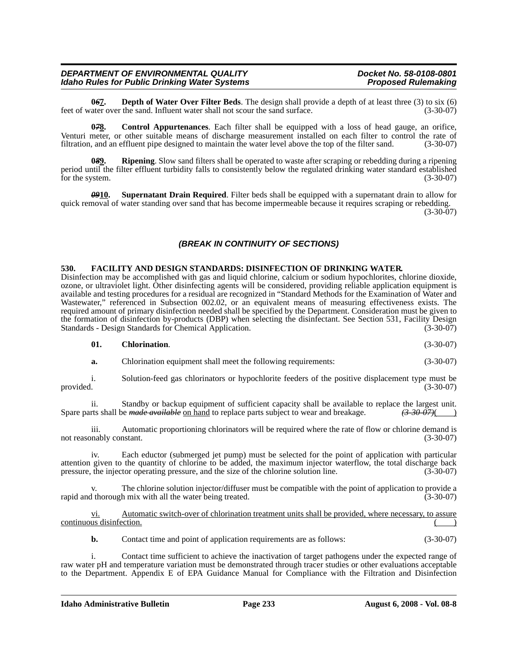**067.** Depth of Water Over Filter Beds. The design shall provide a depth of at least three (3) to six (6) ater over the sand. Influent water shall not scour the sand surface. (3-30-07) feet of water over the sand. Influent water shall not scour the sand surface.

**0***7***8. Control Appurtenances**. Each filter shall be equipped with a loss of head gauge, an orifice, Venturi meter, or other suitable means of discharge measurement installed on each filter to control the rate of filtration, and an effluent pipe designed to maintain the water level above the top of the filter sand. (3-30-07)

**0***8***9. Ripening**. Slow sand filters shall be operated to waste after scraping or rebedding during a ripening period until the filter effluent turbidity falls to consistently below the regulated drinking water standard established for the system.  $(3-30-07)$ 

*09***10. Supernatant Drain Required**. Filter beds shall be equipped with a supernatant drain to allow for quick removal of water standing over sand that has become impermeable because it requires scraping or rebedding.

(3-30-07)

# *(BREAK IN CONTINUITY OF SECTIONS)*

#### **530. FACILITY AND DESIGN STANDARDS: DISINFECTION OF DRINKING WATER.**

Disinfection may be accomplished with gas and liquid chlorine, calcium or sodium hypochlorites, chlorine dioxide, ozone, or ultraviolet light. Other disinfecting agents will be considered, providing reliable application equipment is available and testing procedures for a residual are recognized in "Standard Methods for the Examination of Water and Wastewater," referenced in Subsection 002.02, or an equivalent means of measuring effectiveness exists. The required amount of primary disinfection needed shall be specified by the Department. Consideration must be given to the formation of disinfection by-products (DBP) when selecting the disinfectant. See Section 531, Facility Design Standards - Design Standards for Chemical Application. (3-30-07)

| 01. | <b>Chlorination.</b> | $(3-30-07)$ |
|-----|----------------------|-------------|
|-----|----------------------|-------------|

**a.** Chlorination equipment shall meet the following requirements:  $(3-30-07)$ 

i. Solution-feed gas chlorinators or hypochlorite feeders of the positive displacement type must be provided.  $(3-30-07)$ 

ii. Standby or backup equipment of sufficient capacity shall be available to replace the largest unit. Spare parts shall be *made available* on hand to replace parts subject to wear and breakage. *(3-30-07)*(

iii. Automatic proportioning chlorinators will be required where the rate of flow or chlorine demand is<br>(3-30-07) not reasonably constant.

iv. Each eductor (submerged jet pump) must be selected for the point of application with particular attention given to the quantity of chlorine to be added, the maximum injector waterflow, the total discharge back pressure, the injector operating pressure, and the size of the chlorine solution line. (3-30-07)

v. The chlorine solution injector/diffuser must be compatible with the point of application to provide a rapid and thorough mix with all the water being treated. (3-30-07)

vi. Automatic switch-over of chlorination treatment units shall be provided, where necessary, to assure continuous disinfection.

**b.** Contact time and point of application requirements are as follows: (3-30-07)

i. Contact time sufficient to achieve the inactivation of target pathogens under the expected range of raw water pH and temperature variation must be demonstrated through tracer studies or other evaluations acceptable to the Department. Appendix E of EPA Guidance Manual for Compliance with the Filtration and Disinfection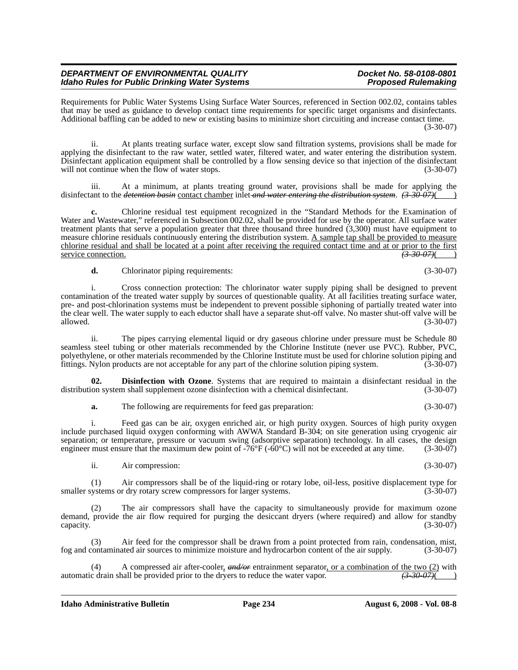Requirements for Public Water Systems Using Surface Water Sources, referenced in Section 002.02, contains tables that may be used as guidance to develop contact time requirements for specific target organisms and disinfectants. Additional baffling can be added to new or existing basins to minimize short circuiting and increase contact time.

(3-30-07)

ii. At plants treating surface water, except slow sand filtration systems, provisions shall be made for applying the disinfectant to the raw water, settled water, filtered water, and water entering the distribution system. Disinfectant application equipment shall be controlled by a flow sensing device so that injection of the disinfectant will not continue when the flow of water stops. (3-30-07)

iii. At a minimum, at plants treating ground water, provisions shall be made for applying the disinfectant to the *detention basin* contact chamber inlet *and water entering the distribution system*. *(3-30-07)*( )

**c.** Chlorine residual test equipment recognized in the "Standard Methods for the Examination of Water and Wastewater," referenced in Subsection 002.02, shall be provided for use by the operator. All surface water treatment plants that serve a population greater that three thousand three hundred (3,300) must have equipment to measure chlorine residuals continuously entering the distribution system. A sample tap shall be provided to measure chlorine residual and shall be located at a point after receiving the required contact time and at or prior to the first service connection.  $\left(3\text{-}30\text{-}07\right)\left(4\text{-}30\text{-}07\right)$ service connection.

**d.** Chlorinator piping requirements: (3-30-07)

i. Cross connection protection: The chlorinator water supply piping shall be designed to prevent contamination of the treated water supply by sources of questionable quality. At all facilities treating surface water, pre- and post-chlorination systems must be independent to prevent possible siphoning of partially treated water into the clear well. The water supply to each eductor shall have a separate shut-off valve. No master shut-off valve will be allowed.  $(3-30-07)$ 

ii. The pipes carrying elemental liquid or dry gaseous chlorine under pressure must be Schedule 80 seamless steel tubing or other materials recommended by the Chlorine Institute (never use PVC). Rubber, PVC, polyethylene, or other materials recommended by the Chlorine Institute must be used for chlorine solution piping and fittings. Nylon products are not acceptable for any part of the chlorine solution piping system.

**02. Disinfection with Ozone**. Systems that are required to maintain a disinfectant residual in the ion system shall supplement ozone disinfection with a chemical disinfectant. (3-30-07) distribution system shall supplement ozone disinfection with a chemical disinfectant.

**a.** The following are requirements for feed gas preparation: (3-30-07)

i. Feed gas can be air, oxygen enriched air, or high purity oxygen. Sources of high purity oxygen include purchased liquid oxygen conforming with AWWA Standard B-304; on site generation using cryogenic air separation; or temperature, pressure or vacuum swing (adsorptive separation) technology. In all cases, the design engineer must ensure that the maximum dew point of -76°F (-60°C) will not be exceeded at any time. (3-30-07)

ii. Air compression: (3-30-07)

(1) Air compressors shall be of the liquid-ring or rotary lobe, oil-less, positive displacement type for smaller systems or dry rotary screw compressors for larger systems. (3-30-07)

(2) The air compressors shall have the capacity to simultaneously provide for maximum ozone demand, provide the air flow required for purging the desiccant dryers (where required) and allow for standby capacity.  $(3-30-07)$ 

(3) Air feed for the compressor shall be drawn from a point protected from rain, condensation, mist, fog and contaminated air sources to minimize moisture and hydrocarbon content of the air supply. (3-30-07)

(4) A compressed air after-cooler, *and/or* entrainment separator, or a combination of the two (2) with automatic drain shall be provided prior to the dryers to reduce the water vapor. *(3-30-07)*( )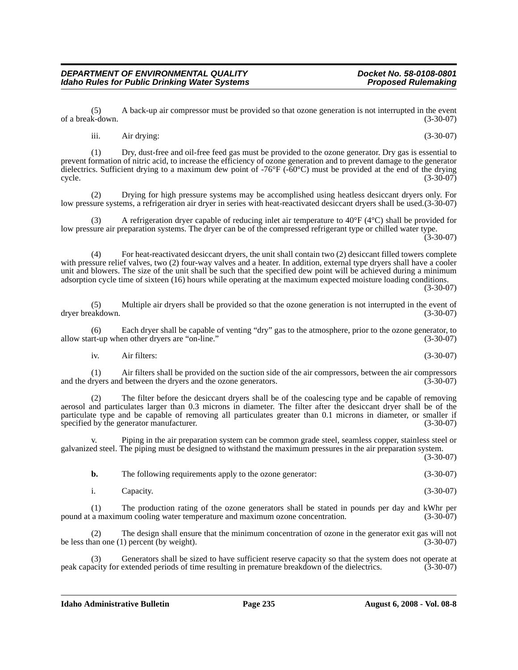(5) A back-up air compressor must be provided so that ozone generation is not interrupted in the event of a break-down. (3-30-07)

iii. Air drying: (3-30-07)

(1) Dry, dust-free and oil-free feed gas must be provided to the ozone generator. Dry gas is essential to prevent formation of nitric acid, to increase the efficiency of ozone generation and to prevent damage to the generator dielectrics. Sufficient drying to a maximum dew point of -76°F (-60°C) must be provided at the end of the drying cycle.  $(3-30-07)$ 

(2) Drying for high pressure systems may be accomplished using heatless desiccant dryers only. For low pressure systems, a refrigeration air dryer in series with heat-reactivated desiccant dryers shall be used.(3-30-07)

(3) A refrigeration dryer capable of reducing inlet air temperature to 40°F (4°C) shall be provided for low pressure air preparation systems. The dryer can be of the compressed refrigerant type or chilled water type.  $(3 - 30 - 07)$ 

(4) For heat-reactivated desiccant dryers, the unit shall contain two (2) desiccant filled towers complete with pressure relief valves, two (2) four-way valves and a heater. In addition, external type dryers shall have a cooler unit and blowers. The size of the unit shall be such that the specified dew point will be achieved during a minimum adsorption cycle time of sixteen (16) hours while operating at the maximum expected moisture loading conditions. (3-30-07)

(5) Multiple air dryers shall be provided so that the ozone generation is not interrupted in the event of cakdown. dryer breakdown.

(6) Each dryer shall be capable of venting "dry" gas to the atmosphere, prior to the ozone generator, to allow start-up when other dryers are "on-line." (3-30-07)

iv. Air filters: (3-30-07)

(1) Air filters shall be provided on the suction side of the air compressors, between the air compressors and the dryers and between the dryers and the ozone generators. (3-30-07)

(2) The filter before the desiccant dryers shall be of the coalescing type and be capable of removing aerosol and particulates larger than 0.3 microns in diameter. The filter after the desiccant dryer shall be of the particulate type and be capable of removing all particulates greater than 0.1 microns in diameter, or smaller if specified by the generator manufacturer. (3-30-07)

v. Piping in the air preparation system can be common grade steel, seamless copper, stainless steel or galvanized steel. The piping must be designed to withstand the maximum pressures in the air preparation system.

(3-30-07)

**b.** The following requirements apply to the ozone generator: (3-30-07)

i. Capacity. (3-30-07)

(1) The production rating of the ozone generators shall be stated in pounds per day and kWhr per pound at a maximum cooling water temperature and maximum ozone concentration.

(2) The design shall ensure that the minimum concentration of ozone in the generator exit gas will not be less than one (1) percent (by weight).  $(3-30-07)$ 

(3) Generators shall be sized to have sufficient reserve capacity so that the system does not operate at acity for extended periods of time resulting in premature breakdown of the dielectrics. (3-30-07) peak capacity for extended periods of time resulting in premature breakdown of the dielectrics.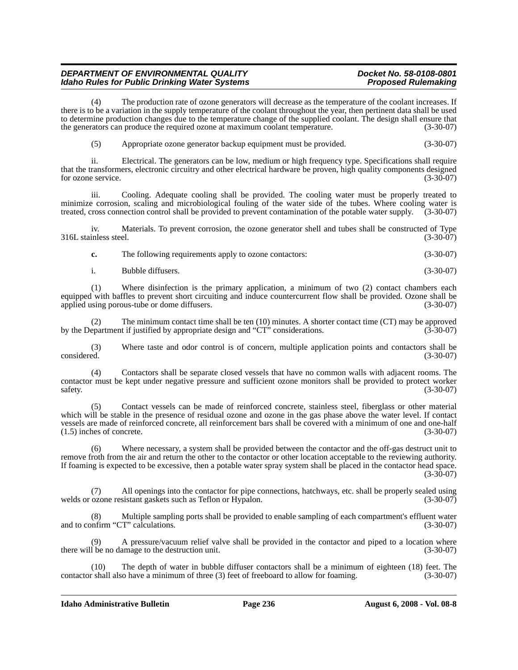The production rate of ozone generators will decrease as the temperature of the coolant increases. If there is to be a variation in the supply temperature of the coolant throughout the year, then pertinent data shall be used to determine production changes due to the temperature change of the supplied coolant. The design shall ensure that the generators can produce the required ozone at maximum coolant temperature. (3-30-07)

(5) Appropriate ozone generator backup equipment must be provided. (3-30-07)

ii. Electrical. The generators can be low, medium or high frequency type. Specifications shall require that the transformers, electronic circuitry and other electrical hardware be proven, high quality components designed<br>(3-30-07) (3-30-07) for ozone service.

iii. Cooling. Adequate cooling shall be provided. The cooling water must be properly treated to minimize corrosion, scaling and microbiological fouling of the water side of the tubes. Where cooling water is treated, cross connection control shall be provided to prevent contamination of the potable water supply. (3-30-07)

iv. Materials. To prevent corrosion, the ozone generator shell and tubes shall be constructed of Type inless steel. (3-30-07) 316L stainless steel.

**c.** The following requirements apply to ozone contactors: (3-30-07)

i. Bubble diffusers. (3-30-07)

(1) Where disinfection is the primary application, a minimum of two (2) contact chambers each equipped with baffles to prevent short circuiting and induce countercurrent flow shall be provided. Ozone shall be applied using porous-tube or dome diffusers. (3-30-07)

(2) The minimum contact time shall be ten (10) minutes. A shorter contact time (CT) may be approved epartment if justified by appropriate design and "CT" considerations. (3-30-07) by the Department if justified by appropriate design and "CT" considerations.

(3) Where taste and odor control is of concern, multiple application points and contactors shall be considered. (3-30-07)

(4) Contactors shall be separate closed vessels that have no common walls with adjacent rooms. The contactor must be kept under negative pressure and sufficient ozone monitors shall be provided to protect worker  $s$ afety. (3-30-07)

Contact vessels can be made of reinforced concrete, stainless steel, fiberglass or other material which will be stable in the presence of residual ozone and ozone in the gas phase above the water level. If contact vessels are made of reinforced concrete, all reinforcement bars shall be covered with a minimum of one and one-half (1.5) inches of concrete. (3-30-07)  $(1.5)$  inches of concrete.

(6) Where necessary, a system shall be provided between the contactor and the off-gas destruct unit to remove froth from the air and return the other to the contactor or other location acceptable to the reviewing authority. If foaming is expected to be excessive, then a potable water spray system shall be placed in the contactor head space. (3-30-07)

(7) All openings into the contactor for pipe connections, hatchways, etc. shall be properly sealed using welds or ozone resistant gaskets such as Teflon or Hypalon. (3-30-07)

(8) Multiple sampling ports shall be provided to enable sampling of each compartment's effluent water and to confirm "CT" calculations. (3-30-07)

(9) A pressure/vacuum relief valve shall be provided in the contactor and piped to a location where there will be no damage to the destruction unit. (3-30-07)

(10) The depth of water in bubble diffuser contactors shall be a minimum of eighteen (18) feet. The contactor shall also have a minimum of three (3) feet of freeboard to allow for foaming. (3-30-07)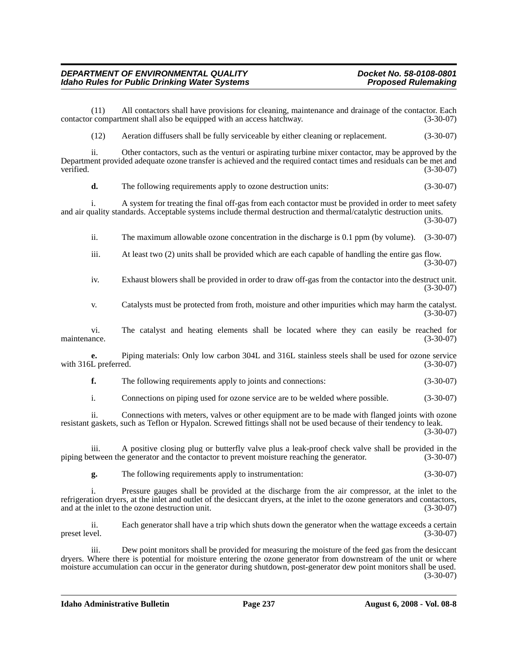(11) All contactors shall have provisions for cleaning, maintenance and drainage of the contactor. Each contactor compartment shall also be equipped with an access hatchway. (3-30-07)

(12) Aeration diffusers shall be fully serviceable by either cleaning or replacement. (3-30-07)

ii. Other contactors, such as the venturi or aspirating turbine mixer contactor, may be approved by the Department provided adequate ozone transfer is achieved and the required contact times and residuals can be met and verified. (3-30-07)

**d.** The following requirements apply to ozone destruction units:  $(3-30-07)$ 

i. A system for treating the final off-gas from each contactor must be provided in order to meet safety and air quality standards. Acceptable systems include thermal destruction and thermal/catalytic destruction units. (3-30-07)

ii. The maximum allowable ozone concentration in the discharge is 0.1 ppm (by volume). (3-30-07)

iii. At least two (2) units shall be provided which are each capable of handling the entire gas flow. (3-30-07)

iv. Exhaust blowers shall be provided in order to draw off-gas from the contactor into the destruct unit. (3-30-07)

v. Catalysts must be protected from froth, moisture and other impurities which may harm the catalyst.  $(3-30-07)$ 

vi. The catalyst and heating elements shall be located where they can easily be reached for maintenance. (3-30-07)

**e.** Piping materials: Only low carbon 304L and 316L stainless steels shall be used for ozone service with 316L preferred. (3-30-07)

**f.** The following requirements apply to joints and connections: (3-30-07)

i. Connections on piping used for ozone service are to be welded where possible. (3-30-07)

ii. Connections with meters, valves or other equipment are to be made with flanged joints with ozone resistant gaskets, such as Teflon or Hypalon. Screwed fittings shall not be used because of their tendency to leak. (3-30-07)

iii. A positive closing plug or butterfly valve plus a leak-proof check valve shall be provided in the piping between the generator and the contactor to prevent moisture reaching the generator. (3-30-07)

**g.** The following requirements apply to instrumentation: (3-30-07)

i. Pressure gauges shall be provided at the discharge from the air compressor, at the inlet to the refrigeration dryers, at the inlet and outlet of the desiccant dryers, at the inlet to the ozone generators and contactors, and at the inlet to the ozone destruction unit. (3-30-07) and at the inlet to the ozone destruction unit.

ii. Each generator shall have a trip which shuts down the generator when the wattage exceeds a certain preset level.  $(3-30-07)$ 

iii. Dew point monitors shall be provided for measuring the moisture of the feed gas from the desiccant dryers. Where there is potential for moisture entering the ozone generator from downstream of the unit or where moisture accumulation can occur in the generator during shutdown, post-generator dew point monitors shall be used. (3-30-07)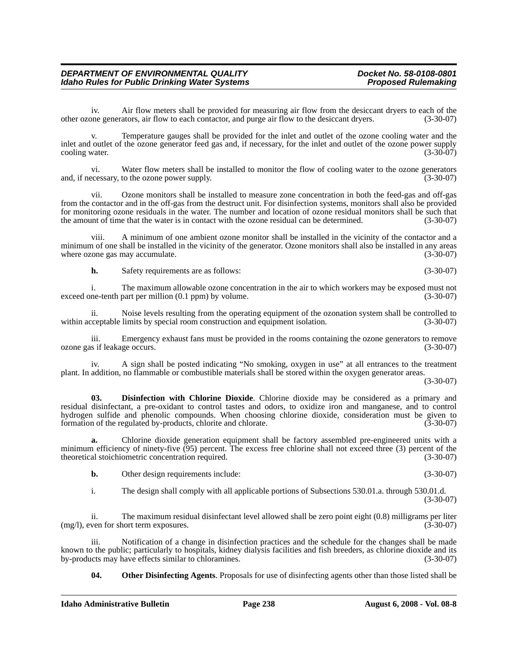iv. Air flow meters shall be provided for measuring air flow from the desiccant dryers to each of the one generators, air flow to each contactor, and purge air flow to the desiccant dryers. (3-30-07) other ozone generators, air flow to each contactor, and purge air flow to the desiccant dryers.

v. Temperature gauges shall be provided for the inlet and outlet of the ozone cooling water and the inlet and outlet of the ozone generator feed gas and, if necessary, for the inlet and outlet of the ozone power supply cooling water.

vi. Water flow meters shall be installed to monitor the flow of cooling water to the ozone generators and, if necessary, to the ozone power supply. (3-30-07) (3-30-07)

vii. Ozone monitors shall be installed to measure zone concentration in both the feed-gas and off-gas from the contactor and in the off-gas from the destruct unit. For disinfection systems, monitors shall also be provided for monitoring ozone residuals in the water. The number and location of ozone residual monitors shall be such that the amount of time that the water is in contact with the ozone residual can be determined. (3-30-07)

viii. A minimum of one ambient ozone monitor shall be installed in the vicinity of the contactor and a minimum of one shall be installed in the vicinity of the generator. Ozone monitors shall also be installed in any areas where ozone gas may accumulate. (3-30-07)

**h.** Safety requirements are as follows: (3-30-07)

i. The maximum allowable ozone concentration in the air to which workers may be exposed must not exceed one-tenth part per million (0.1 ppm) by volume. (3-30-07)

ii. Noise levels resulting from the operating equipment of the ozonation system shall be controlled to within acceptable limits by special room construction and equipment isolation. (3-30-07)

iii. Emergency exhaust fans must be provided in the rooms containing the ozone generators to remove ozone gas if leakage occurs. (3-30-07)

iv. A sign shall be posted indicating "No smoking, oxygen in use" at all entrances to the treatment plant. In addition, no flammable or combustible materials shall be stored within the oxygen generator areas.

(3-30-07)

**03. Disinfection with Chlorine Dioxide**. Chlorine dioxide may be considered as a primary and residual disinfectant, a pre-oxidant to control tastes and odors, to oxidize iron and manganese, and to control hydrogen sulfide and phenolic compounds. When choosing chlorine dioxide, consideration must be given to formation of the regulated by-products, chlorite and chlorate. (3-30-07)

**a.** Chlorine dioxide generation equipment shall be factory assembled pre-engineered units with a minimum efficiency of ninety-five (95) percent. The excess free chlorine shall not exceed three (3) percent of the theoretical stoichiometric concentration required. (3-30-07)

**b.** Other design requirements include: (3-30-07)

i. The design shall comply with all applicable portions of Subsections 530.01.a. through 530.01.d. (3-30-07)

ii. The maximum residual disinfectant level allowed shall be zero point eight (0.8) milligrams per liter (mg/l), even for short term exposures. (3-30-07)

iii. Notification of a change in disinfection practices and the schedule for the changes shall be made known to the public; particularly to hospitals, kidney dialysis facilities and fish breeders, as chlorine dioxide and its by-products may have effects similar to chloramines.

**04. Other Disinfecting Agents**. Proposals for use of disinfecting agents other than those listed shall be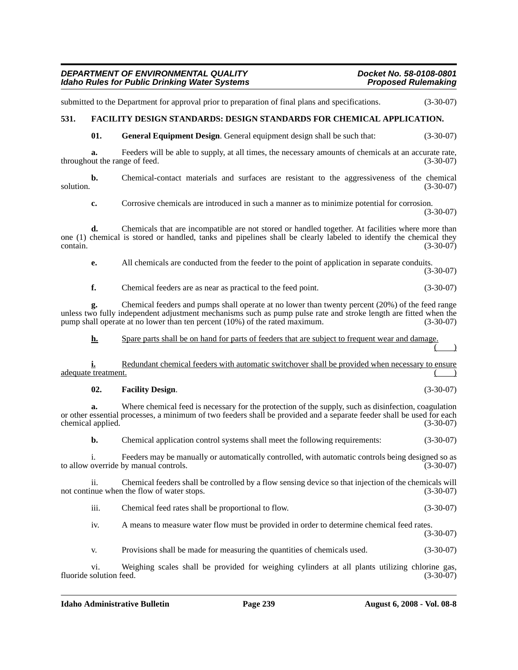**531. FACILITY DESIGN STANDARDS: DESIGN STANDARDS FOR CHEMICAL APPLICATION. 01. General Equipment Design**. General equipment design shall be such that: (3-30-07) **a.** Feeders will be able to supply, at all times, the necessary amounts of chemicals at an accurate rate, ut the range of feed.  $(3-30-07)$ throughout the range of feed. **b.** Chemical-contact materials and surfaces are resistant to the aggressiveness of the chemical (3-30-07)  $solution.$  (3-30-07) **c.** Corrosive chemicals are introduced in such a manner as to minimize potential for corrosion. (3-30-07) **d.** Chemicals that are incompatible are not stored or handled together. At facilities where more than one (1) chemical is stored or handled, tanks and pipelines shall be clearly labeled to identify the chemical they  $\frac{(3-30-07)}{2}$ **e.** All chemicals are conducted from the feeder to the point of application in separate conduits. (3-30-07) **f.** Chemical feeders are as near as practical to the feed point. (3-30-07) **g.** Chemical feeders and pumps shall operate at no lower than twenty percent (20%) of the feed range unless two fully independent adjustment mechanisms such as pump pulse rate and stroke length are fitted when the pump shall operate at no lower than ten percent (10%) of the rated maximum. (3-30-07) **h.** Spare parts shall be on hand for parts of feeders that are subject to frequent wear and damage.  $($  ) **i.** Redundant chemical feeders with automatic switchover shall be provided when necessary to ensure adequate treatment. **02. Facility Design**. (3-30-07) **a.** Where chemical feed is necessary for the protection of the supply, such as disinfection, coagulation or other essential processes, a minimum of two feeders shall be provided and a separate feeder shall be used for each chemical applied. (3-30-07) **b.** Chemical application control systems shall meet the following requirements:  $(3-30-07)$ i. Feeders may be manually or automatically controlled, with automatic controls being designed so as override by manual controls. (3-30-07) to allow override by manual controls. ii. Chemical feeders shall be controlled by a flow sensing device so that injection of the chemicals will not continue when the flow of water stops. (3-30-07) iii. Chemical feed rates shall be proportional to flow. (3-30-07)

submitted to the Department for approval prior to preparation of final plans and specifications. (3-30-07)

iv. A means to measure water flow must be provided in order to determine chemical feed rates. (3-30-07)

v. Provisions shall be made for measuring the quantities of chemicals used. (3-30-07)

vi. Weighing scales shall be provided for weighing cylinders at all plants utilizing chlorine gas, fluoride solution feed. (3-30-07)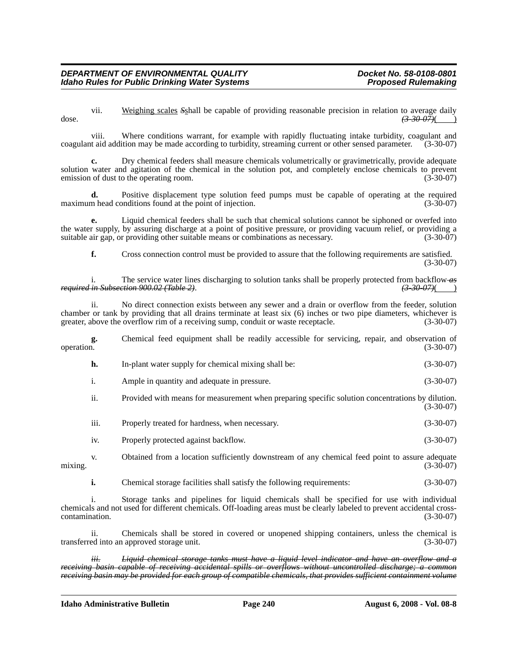vii. Weighing scales *S*shall be capable of providing reasonable precision in relation to average daily dose. *(3-30-07)*( )

viii. Where conditions warrant, for example with rapidly fluctuating intake turbidity, coagulant and coagulant aid addition may be made according to turbidity, streaming current or other sensed parameter. (3-30-07)

**c.** Dry chemical feeders shall measure chemicals volumetrically or gravimetrically, provide adequate solution water and agitation of the chemical in the solution pot, and completely enclose chemicals to prevent emission of dust to the operating room. (3-30-07)

**d.** Positive displacement type solution feed pumps must be capable of operating at the required m head conditions found at the point of injection. (3-30-07) maximum head conditions found at the point of injection.

**e.** Liquid chemical feeders shall be such that chemical solutions cannot be siphoned or overfed into the water supply, by assuring discharge at a point of positive pressure, or providing vacuum relief, or providing a suitable air gap, or providing other suitable means or combinations as necessary. (3-30-07) suitable air gap, or providing other suitable means or combinations as necessary.

**f.** Cross connection control must be provided to assure that the following requirements are satisfied. (3-30-07)

i. The service water lines discharging to solution tanks shall be properly protected from backflow-as (*i*) and *i* m Subsection 900.02 (Table 2). *required in Subsection 900.02 (Table 2).* 

ii. No direct connection exists between any sewer and a drain or overflow from the feeder, solution chamber or tank by providing that all drains terminate at least six (6) inches or two pipe diameters, whichever is greater, above the overflow rim of a receiving sump, conduit or waste receptacle. (3-30-07)

**g.** Chemical feed equipment shall be readily accessible for servicing, repair, and observation of operation.  $(3-30-07)$ 

| h.  | In-plant water supply for chemical mixing shall be:                                              | $(3-30-07)$ |
|-----|--------------------------------------------------------------------------------------------------|-------------|
|     | Ample in quantity and adequate in pressure.                                                      | $(3-30-07)$ |
| ii. | Provided with means for measurement when preparing specific solution concentrations by dilution. | $(3-30-07)$ |

iii. Properly treated for hardness, when necessary. (3-30-07)

iv. Properly protected against backflow. (3-30-07)

v. Obtained from a location sufficiently downstream of any chemical feed point to assure adequate mixing. (3-30-07)

**i.** Chemical storage facilities shall satisfy the following requirements:  $(3-30-07)$ 

i. Storage tanks and pipelines for liquid chemicals shall be specified for use with individual chemicals and not used for different chemicals. Off-loading areas must be clearly labeled to prevent accidental crosscontamination.

ii. Chemicals shall be stored in covered or unopened shipping containers, unless the chemical is transferred into an approved storage unit. (3-30-07)

*iii. Liquid chemical storage tanks must have a liquid level indicator and have an overflow and a receiving basin capable of receiving accidental spills or overflows without uncontrolled discharge; a common receiving basin may be provided for each group of compatible chemicals, that provides sufficient containment volume*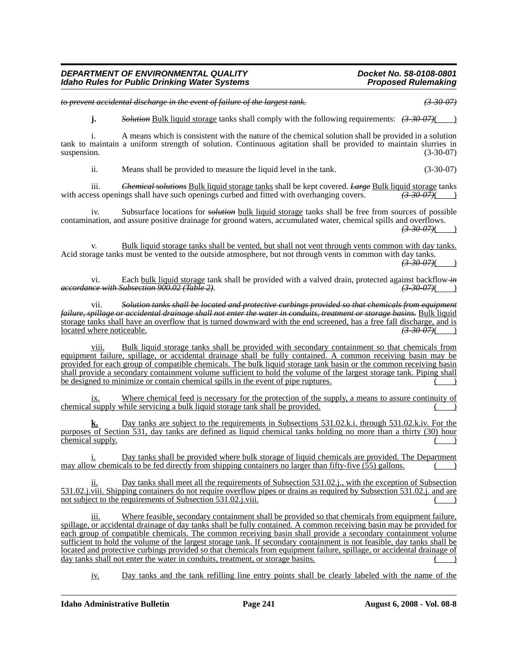*to prevent accidental discharge in the event of failure of the largest tank. (3-30-07)*

**j.** *Solution* Bulk liquid storage tanks shall comply with the following requirements:  $(3-30-07)$ 

i. A means which is consistent with the nature of the chemical solution shall be provided in a solution tank to maintain a uniform strength of solution. Continuous agitation shall be provided to maintain slurries in  $s$  suspension. (3-30-07)

ii. Means shall be provided to measure the liquid level in the tank. (3-30-07)

iii. *Chemical solutions* Bulk liquid storage tanks shall be kept covered. *Large* Bulk liquid storage tanks ess openings shall have such openings curbed and fitted with overhanging covers.  $\frac{(3-30-07)}{(3-30-07)}$ with access openings shall have such openings curbed and fitted with overhanging covers.

Subsurface locations for *solution* bulk liquid storage tanks shall be free from sources of possible contamination, and assure positive drainage for ground waters, accumulated water, chemical spills and overflows.

 $(3-30-07)$ 

v. Bulk liquid storage tanks shall be vented, but shall not vent through vents common with day tanks. Acid storage tanks must be vented to the outside atmosphere, but not through vents in common with day tanks. *(3-30-07)*( )

vi. Each <u>bulk liquid storage</u> tank shall be provided with a valved drain, protected against backflow-in<br>
ree with Subsection 900.02 (Table 2). *accordance with Subsection 900.02 (Table 2).* 

vii. *Solution tanks shall be located and protective curbings provided so that chemicals from equipment failure, spillage or accidental drainage shall not enter the water in conduits, treatment or storage basins.* Bulk liquid storage tanks shall have an overflow that is turned downward with the end screened, has a free fall discharge, and is located where noticeable. located where noticeable.

viii. Bulk liquid storage tanks shall be provided with secondary containment so that chemicals from equipment failure, spillage, or accidental drainage shall be fully contained. A common receiving basin may be provided for each group of compatible chemicals. The bulk liquid storage tank basin or the common receiving basin shall provide a secondary containment volume sufficient to hold the volume of the largest storage tank. Piping shall be designed to minimize or contain chemical spills in the event of pipe ruptures.

ix. Where chemical feed is necessary for the protection of the supply, a means to assure continuity of chemical supply while servicing a bulk liquid storage tank shall be provided.

**k.** Day tanks are subject to the requirements in Subsections 531.02.k.i. through 531.02.k.iv. For the purposes of Section 531, day tanks are defined as liquid chemical tanks holding no more than a thirty (30) hour chemical supply.

i. Day tanks shall be provided where bulk storage of liquid chemicals are provided. The Department may allow chemicals to be fed directly from shipping containers no larger than fifty-five  $(\overline{55})$  gallons.

ii. Day tanks shall meet all the requirements of Subsection 531.02.j., with the exception of Subsection 531.02.j.viii. Shipping containers do not require overflow pipes or drains as required by Subsection 531.02.j. and are not subject to the requirements of Subsection 531.02.j.viii.

iii. Where feasible, secondary containment shall be provided so that chemicals from equipment failure, spillage, or accidental drainage of day tanks shall be fully contained. A common receiving basin may be provided for each group of compatible chemicals. The common receiving basin shall provide a secondary containment volume sufficient to hold the volume of the largest storage tank. If secondary containment is not feasible, day tanks shall be located and protective curbings provided so that chemicals from equipment failure, spillage, or accidental drainage of day tanks shall not enter the water in conduits, treatment, or storage basins.

iv. Day tanks and the tank refilling line entry points shall be clearly labeled with the name of the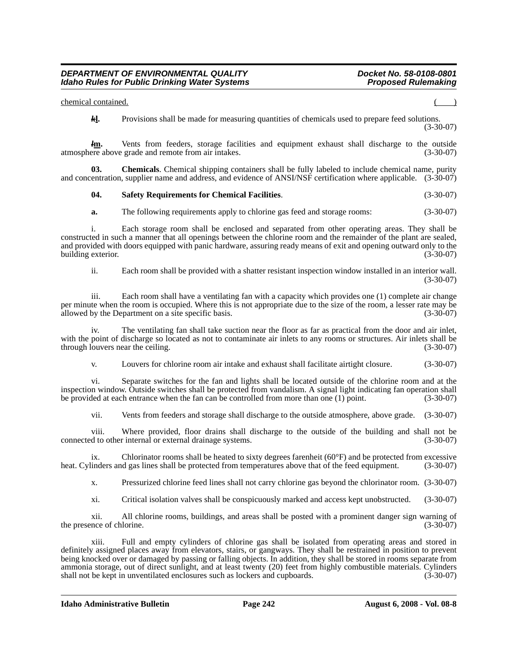chemical contained.

*k***l.** Provisions shall be made for measuring quantities of chemicals used to prepare feed solutions. (3-30-07)

*l***m.** Vents from feeders, storage facilities and equipment exhaust shall discharge to the outside ere above grade and remote from air intakes. (3-30-07) atmosphere above grade and remote from air intakes.

**03. Chemicals**. Chemical shipping containers shall be fully labeled to include chemical name, purity and concentration, supplier name and address, and evidence of ANSI/NSF certification where applicable. (3-30-07)

### **04. Safety Requirements for Chemical Facilities**. (3-30-07)

**a.** The following requirements apply to chlorine gas feed and storage rooms: (3-30-07)

i. Each storage room shall be enclosed and separated from other operating areas. They shall be constructed in such a manner that all openings between the chlorine room and the remainder of the plant are sealed, and provided with doors equipped with panic hardware, assuring ready means of exit and opening outward only to the building exterior. (3-30-07)

ii. Each room shall be provided with a shatter resistant inspection window installed in an interior wall. (3-30-07)

iii. Each room shall have a ventilating fan with a capacity which provides one (1) complete air change per minute when the room is occupied. Where this is not appropriate due to the size of the room, a lesser rate may be allowed by the Department on a site specific basis. (3-30-07) allowed by the Department on a site specific basis.

iv. The ventilating fan shall take suction near the floor as far as practical from the door and air inlet, with the point of discharge so located as not to contaminate air inlets to any rooms or structures. Air inlets shall be through louvers near the ceiling. (3-30-07)

v. Louvers for chlorine room air intake and exhaust shall facilitate airtight closure. (3-30-07)

vi. Separate switches for the fan and lights shall be located outside of the chlorine room and at the inspection window. Outside switches shall be protected from vandalism. A signal light indicating fan operation shall be provided at each entrance when the fan can be controlled from more than one (1) point. (3-30-07)

vii. Vents from feeders and storage shall discharge to the outside atmosphere, above grade. (3-30-07)

viii. Where provided, floor drains shall discharge to the outside of the building and shall not be connected to other internal or external drainage systems. (3-30-07)

ix. Chlorinator rooms shall be heated to sixty degrees farenheit  $(60^{\circ}F)$  and be protected from excessive linders and gas lines shall be protected from temperatures above that of the feed equipment.  $(3\n-30\n-07)$ heat. Cylinders and gas lines shall be protected from temperatures above that of the feed equipment.

x. Pressurized chlorine feed lines shall not carry chlorine gas beyond the chlorinator room. (3-30-07)

xi. Critical isolation valves shall be conspicuously marked and access kept unobstructed. (3-30-07)

xii. All chlorine rooms, buildings, and areas shall be posted with a prominent danger sign warning of the presence of chlorine. (3-30-07) (3-30-07)

xiii. Full and empty cylinders of chlorine gas shall be isolated from operating areas and stored in definitely assigned places away from elevators, stairs, or gangways. They shall be restrained in position to prevent being knocked over or damaged by passing or falling objects. In addition, they shall be stored in rooms separate from ammonia storage, out of direct sunlight, and at least twenty (20) feet from highly combustible materials. Cylinders shall not be kept in unventilated enclosures such as lockers and cupboards. (3-30-07)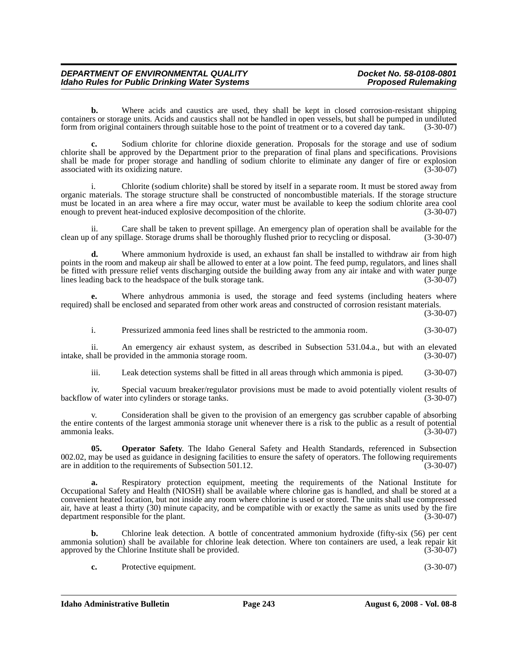**b.** Where acids and caustics are used, they shall be kept in closed corrosion-resistant shipping containers or storage units. Acids and caustics shall not be handled in open vessels, but shall be pumped in undiluted form from original containers through suitable hose to the point of treatment or to a covered day tank. (3-30-07)

**c.** Sodium chlorite for chlorine dioxide generation. Proposals for the storage and use of sodium chlorite shall be approved by the Department prior to the preparation of final plans and specifications. Provisions shall be made for proper storage and handling of sodium chlorite to eliminate any danger of fire or explosion associated with its oxidizing nature. (3-30-07)

i. Chlorite (sodium chlorite) shall be stored by itself in a separate room. It must be stored away from organic materials. The storage structure shall be constructed of noncombustible materials. If the storage structure must be located in an area where a fire may occur, water must be available to keep the sodium chlorite area cool enough to prevent heat-induced explosive decomposition of the chlorite. (3-30-07)

ii. Care shall be taken to prevent spillage. An emergency plan of operation shall be available for the of any spillage. Storage drums shall be thoroughly flushed prior to recycling or disposal. (3-30-07) clean up of any spillage. Storage drums shall be thoroughly flushed prior to recycling or disposal.

**d.** Where ammonium hydroxide is used, an exhaust fan shall be installed to withdraw air from high points in the room and makeup air shall be allowed to enter at a low point. The feed pump, regulators, and lines shall be fitted with pressure relief vents discharging outside the building away from any air intake and with water purge lines leading back to the headspace of the bulk storage tank. (3-30-07) lines leading back to the headspace of the bulk storage tank.

Where anhydrous ammonia is used, the storage and feed systems (including heaters where required) shall be enclosed and separated from other work areas and constructed of corrosion resistant materials.

(3-30-07)

i. Pressurized ammonia feed lines shall be restricted to the ammonia room. (3-30-07)

ii. An emergency air exhaust system, as described in Subsection 531.04.a., but with an elevated intake, shall be provided in the ammonia storage room. (3-30-07)

iii. Leak detection systems shall be fitted in all areas through which ammonia is piped. (3-30-07)

iv. Special vacuum breaker/regulator provisions must be made to avoid potentially violent results of backflow of water into cylinders or storage tanks. (3-30-07)

Consideration shall be given to the provision of an emergency gas scrubber capable of absorbing the entire contents of the largest ammonia storage unit whenever there is a risk to the public as a result of potential ammonia leaks. (3-30-07) ammonia leaks.

**05. Operator Safety**. The Idaho General Safety and Health Standards, referenced in Subsection 002.02, may be used as guidance in designing facilities to ensure the safety of operators. The following requirements are in addition to the requirements of Subsection 501.12. (3-30-07) are in addition to the requirements of Subsection 501.12.

**a.** Respiratory protection equipment, meeting the requirements of the National Institute for Occupational Safety and Health (NIOSH) shall be available where chlorine gas is handled, and shall be stored at a convenient heated location, but not inside any room where chlorine is used or stored. The units shall use compressed air, have at least a thirty (30) minute capacity, and be compatible with or exactly the same as units used by the fire department responsible for the plant.

**b.** Chlorine leak detection. A bottle of concentrated ammonium hydroxide (fifty-six (56) per cent ammonia solution) shall be available for chlorine leak detection. Where ton containers are used, a leak repair kit approved by the Chlorine Institute shall be provided. (3-30-07)

**c.** Protective equipment. (3-30-07)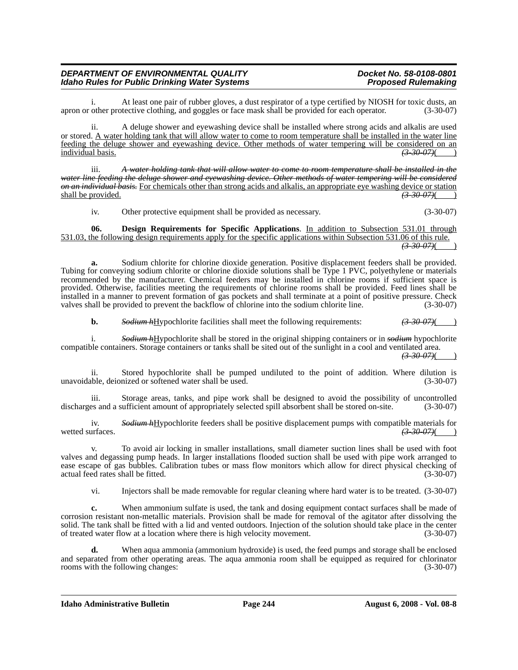i. At least one pair of rubber gloves, a dust respirator of a type certified by NIOSH for toxic dusts, an other protective clothing, and goggles or face mask shall be provided for each operator. (3-30-07) apron or other protective clothing, and goggles or face mask shall be provided for each operator.

ii. A deluge shower and evewashing device shall be installed where strong acids and alkalis are used or stored. A water holding tank that will allow water to come to room temperature shall be installed in the water line feeding the deluge shower and eyewashing device. Other methods of water tempering will be considered on an individual basis.  $\left(3-30-07\right)\left(2-30-07\right)$ individual basis.

iii. *A water holding tank that will allow water to come to room temperature shall be installed in the water line feeding the deluge shower and eyewashing device. Other methods of water tempering will be considered on an individual basis.* For chemicals other than strong acids and alkalis, an appropriate eye washing device or station shall be provided. **(3-30-07)**( $\rightarrow$  6-30-07)

iv. Other protective equipment shall be provided as necessary. (3-30-07)

**06. Design Requirements for Specific Applications**. In addition to Subsection 531.01 through 531.03, the following design requirements apply for the specific applications within Subsection 531.06 of this rule. *(3-30-07)*( )

**a.** Sodium chlorite for chlorine dioxide generation. Positive displacement feeders shall be provided. Tubing for conveying sodium chlorite or chlorine dioxide solutions shall be Type 1 PVC, polyethylene or materials recommended by the manufacturer. Chemical feeders may be installed in chlorine rooms if sufficient space is provided. Otherwise, facilities meeting the requirements of chlorine rooms shall be provided. Feed lines shall be installed in a manner to prevent formation of gas pockets and shall terminate at a point of positive pressure. Check valves shall be provided to prevent the backflow of chlorine into the sodium chlorite line. (3-30-07)

**b.** *Sodium h*Hypochlorite facilities shall meet the following requirements:  $\left(3-30-07\right)$ 

i. *Sodium h*Hypochlorite shall be stored in the original shipping containers or in *sodium* hypochlorite compatible containers. Storage containers or tanks shall be sited out of the sunlight in a cool and ventilated area.

*(3-30-07)*( )

ii. Stored hypochlorite shall be pumped undiluted to the point of addition. Where dilution is unavoidable, deionized or softened water shall be used. (3-30-07)

iii. Storage areas, tanks, and pipe work shall be designed to avoid the possibility of uncontrolled discharges and a sufficient amount of appropriately selected spill absorbent shall be stored on-site. (3-30-07)

iv. *Sodium h*Hypochlorite feeders shall be positive displacement pumps with compatible materials for wetted surfaces. (3-30-07)(  $(3-30-07)$ ( )

v. To avoid air locking in smaller installations, small diameter suction lines shall be used with foot valves and degassing pump heads. In larger installations flooded suction shall be used with pipe work arranged to ease escape of gas bubbles. Calibration tubes or mass flow monitors which allow for direct physical checking of actual feed rates shall be fitted. (3-30-07)

vi. Injectors shall be made removable for regular cleaning where hard water is to be treated. (3-30-07)

**c.** When ammonium sulfate is used, the tank and dosing equipment contact surfaces shall be made of corrosion resistant non-metallic materials. Provision shall be made for removal of the agitator after dissolving the solid. The tank shall be fitted with a lid and vented outdoors. Injection of the solution should take place in the center of treated water flow at a location where there is high velocity movement. (3-30-07)

**d.** When aqua ammonia (ammonium hydroxide) is used, the feed pumps and storage shall be enclosed and separated from other operating areas. The aqua ammonia room shall be equipped as required for chlorinator rooms with the following changes: (3-30-07)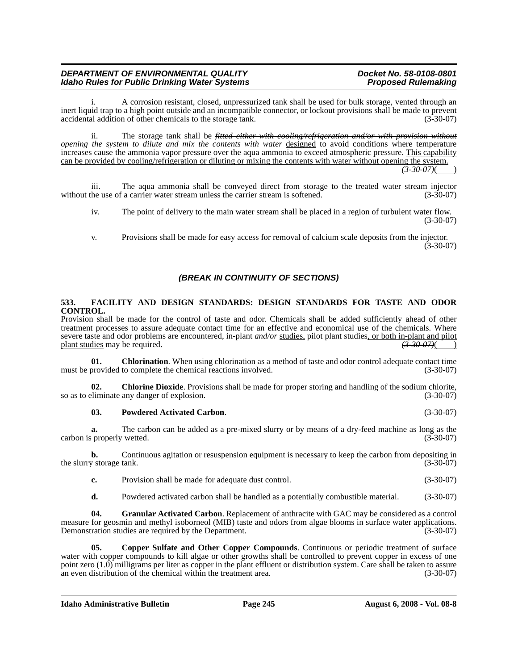A corrosion resistant, closed, unpressurized tank shall be used for bulk storage, vented through an inert liquid trap to a high point outside and an incompatible connector, or lockout provisions shall be made to prevent accidental addition of other chemicals to the storage tank. (3-30-07)

ii. The storage tank shall be *fitted either with cooling/refrigeration and/or with provision without opening the system to dilute and mix the contents with water* designed to avoid conditions where temperature increases cause the ammonia vapor pressure over the aqua ammonia to exceed atmospheric pressure. This capability can be provided by cooling/refrigeration or diluting or mixing the contents with water without opening the system.

*(3-30-07)*( )

iii. The aqua ammonia shall be conveyed direct from storage to the treated water stream injector without the use of a carrier water stream unless the carrier stream is softened. (3-30-07)

iv. The point of delivery to the main water stream shall be placed in a region of turbulent water flow. (3-30-07)

v. Provisions shall be made for easy access for removal of calcium scale deposits from the injector. (3-30-07)

# *(BREAK IN CONTINUITY OF SECTIONS)*

# **533. FACILITY AND DESIGN STANDARDS: DESIGN STANDARDS FOR TASTE AND ODOR CONTROL.**

Provision shall be made for the control of taste and odor. Chemicals shall be added sufficiently ahead of other treatment processes to assure adequate contact time for an effective and economical use of the chemicals. Where severe taste and odor problems are encountered, in-plant *and/or* studies, pilot plant studies, or both in-plant and pilot plant studies may be required. plant studies may be required.

**01. Chlorination**. When using chlorination as a method of taste and odor control adequate contact time must be provided to complete the chemical reactions involved. (3-30-07)

**02. Chlorine Dioxide**. Provisions shall be made for proper storing and handling of the sodium chlorite, so as to eliminate any danger of explosion. (3-30-07)

# **03. Powdered Activated Carbon**. (3-30-07)

**a.** The carbon can be added as a pre-mixed slurry or by means of a dry-feed machine as long as the sproperly wetted. (3-30-07) carbon is properly wetted.

**b.** Continuous agitation or resuspension equipment is necessary to keep the carbon from depositing in the slurry storage tank. (3-30-07) (3-30-07)

**c.** Provision shall be made for adequate dust control. (3-30-07)

**d.** Powdered activated carbon shall be handled as a potentially combustible material. (3-30-07)

**04. Granular Activated Carbon**. Replacement of anthracite with GAC may be considered as a control measure for geosmin and methyl isoborneol (MIB) taste and odors from algae blooms in surface water applications. Demonstration studies are required by the Department. (3-30-07)

**05. Copper Sulfate and Other Copper Compounds**. Continuous or periodic treatment of surface water with copper compounds to kill algae or other growths shall be controlled to prevent copper in excess of one point zero (1.0) milligrams per liter as copper in the plant effluent or distribution system. Care shall be taken to assure an even distribution of the chemical within the treatment area. (3-30-07)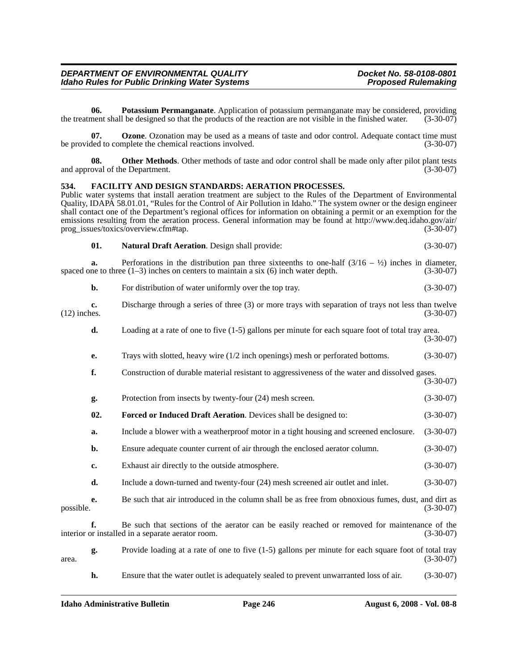**06. Potassium Permanganate**. Application of potassium permanganate may be considered, providing the treatment shall be designed so that the products of the reaction are not visible in the finished water. (3-30-07)

**07.** Ozone. Ozonation may be used as a means of taste and odor control. Adequate contact time must be provided to complete the chemical reactions involved. (3-30-07)

**08.** Other Methods. Other methods of taste and odor control shall be made only after pilot plant tests and approval of the Department. (3-30-07)

# **534. FACILITY AND DESIGN STANDARDS: AERATION PROCESSES.**

Public water systems that install aeration treatment are subject to the Rules of the Department of Environmental Quality, IDAPA 58.01.01, "Rules for the Control of Air Pollution in Idaho." The system owner or the design engineer shall contact one of the Department's regional offices for information on obtaining a permit or an exemption for the emissions resulting from the aeration process. General information may be found at http://www.deq.idaho.gov/air/ prog\_issues/toxics/overview.cfm#tap. (3-30-07)

|  | <b>Natural Draft Aeration.</b> Design shall provide: | $(3-30-07)$ |
|--|------------------------------------------------------|-------------|
|--|------------------------------------------------------|-------------|

**a.** Perforations in the distribution pan three sixteenths to one-half  $(3/16 - \frac{1}{2})$  inches in diameter, spaced one to three  $(1-3)$  inches on centers to maintain a six  $(6)$  inch water depth.  $(3-30-07)$ 

|  | For distribution of water uniformly over the top tray. | $(3-30-07)$ |
|--|--------------------------------------------------------|-------------|
|--|--------------------------------------------------------|-------------|

|                | Discharge through a series of three $(3)$ or more trays with separation of trays not less than twelve |             |
|----------------|-------------------------------------------------------------------------------------------------------|-------------|
| $(12)$ inches. |                                                                                                       | $(3-30-07)$ |

**d.** Loading at a rate of one to five (1-5) gallons per minute for each square foot of total tray area. (3-30-07)

| Trays with slotted, heavy wire $(1/2 \text{ inch openings})$ mesh or perforated bottoms. | $(3-30-07)$ |
|------------------------------------------------------------------------------------------|-------------|

**f.** Construction of durable material resistant to aggressiveness of the water and dissolved gases. (3-30-07)

| Protection from insects by twenty-four (24) mesh screen. | $(3-30-07)$ |
|----------------------------------------------------------|-------------|

- **02. Forced or Induced Draft Aeration**. Devices shall be designed to: (3-30-07)
- **a.** Include a blower with a weatherproof motor in a tight housing and screened enclosure.  $(3-30-07)$
- **b.** Ensure adequate counter current of air through the enclosed aerator column.  $(3-30-07)$
- **c.** Exhaust air directly to the outside atmosphere. (3-30-07)
- **d.** Include a down-turned and twenty-four (24) mesh screened air outlet and inlet. (3-30-07)
- **e.** Be such that air introduced in the column shall be as free from obnoxious fumes, dust, and dirt as  $p$ ossible. (3-30-07)

**f.** Be such that sections of the aerator can be easily reached or removed for maintenance of the interior or installed in a separate aerator room. (3-30-07)

**g.** Provide loading at a rate of one to five (1-5) gallons per minute for each square foot of total tray (3-30-07) area.  $(3-30-07)$ 

**h.** Ensure that the water outlet is adequately sealed to prevent unwarranted loss of air. (3-30-07)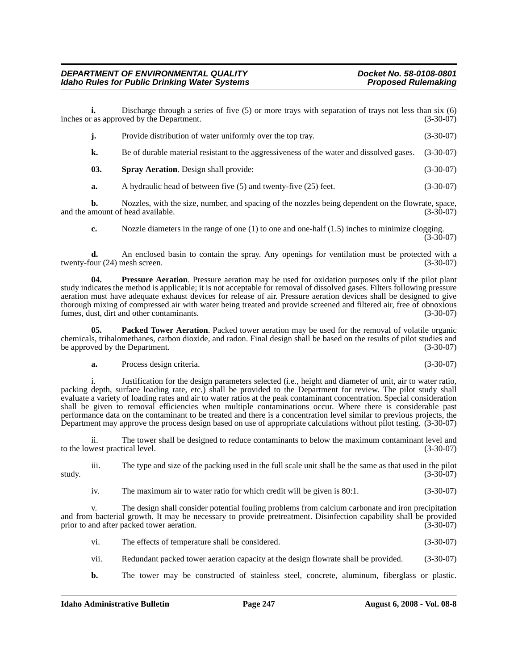**i.** Discharge through a series of five (5) or more trays with separation of trays not less than six (6) inches or as approved by the Department. (3-30-07)

|     | Provide distribution of water uniformly over the top tray.                                         | $(3-30-07)$ |
|-----|----------------------------------------------------------------------------------------------------|-------------|
| k.  | Be of durable material resistant to the aggressiveness of the water and dissolved gases. (3-30-07) |             |
| 03. | <b>Spray Aeration.</b> Design shall provide:                                                       | $(3-30-07)$ |

**a.** A hydraulic head of between five (5) and twenty-five (25) feet. (3-30-07)

**b.** Nozzles, with the size, number, and spacing of the nozzles being dependent on the flowrate, space, and the amount of head available. (3-30-07) and the amount of head available.

**c.** Nozzle diameters in the range of one (1) to one and one-half (1.5) inches to minimize clogging.  $(3-30-07)$ 

**d.** An enclosed basin to contain the spray. Any openings for ventilation must be protected with a our (24) mesh screen. (3-30-07) twenty-four  $(24)$  mesh screen.

**04. Pressure Aeration**. Pressure aeration may be used for oxidation purposes only if the pilot plant study indicates the method is applicable; it is not acceptable for removal of dissolved gases. Filters following pressure aeration must have adequate exhaust devices for release of air. Pressure aeration devices shall be designed to give thorough mixing of compressed air with water being treated and provide screened and filtered air, free of obnoxious fumes, dust, dirt and other contaminants. (3-30-07) fumes, dust, dirt and other contaminants.

**05. Packed Tower Aeration**. Packed tower aeration may be used for the removal of volatile organic chemicals, trihalomethanes, carbon dioxide, and radon. Final design shall be based on the results of pilot studies and be approved by the Department. (3-30-07)

**a.** Process design criteria. (3-30-07)

i. Justification for the design parameters selected (i.e., height and diameter of unit, air to water ratio, packing depth, surface loading rate, etc.) shall be provided to the Department for review. The pilot study shall evaluate a variety of loading rates and air to water ratios at the peak contaminant concentration. Special consideration shall be given to removal efficiencies when multiple contaminations occur. Where there is considerable past performance data on the contaminant to be treated and there is a concentration level similar to previous projects, the Department may approve the process design based on use of appropriate calculations without pilot testing. (3-30-07)

ii. The tower shall be designed to reduce contaminants to below the maximum contaminant level and to the lowest practical level. (3-30-07) (3-30-07)

iii. The type and size of the packing used in the full scale unit shall be the same as that used in the pilot  $\frac{1}{3}$  study. (3-30-07)

iv. The maximum air to water ratio for which credit will be given is 80:1. (3-30-07)

v. The design shall consider potential fouling problems from calcium carbonate and iron precipitation and from bacterial growth. It may be necessary to provide pretreatment. Disinfection capability shall be provided prior to and after packed tower aeration. (3-30-07)

vi. The effects of temperature shall be considered. (3-30-07)

vii. Redundant packed tower aeration capacity at the design flowrate shall be provided. (3-30-07)

**b.** The tower may be constructed of stainless steel, concrete, aluminum, fiberglass or plastic.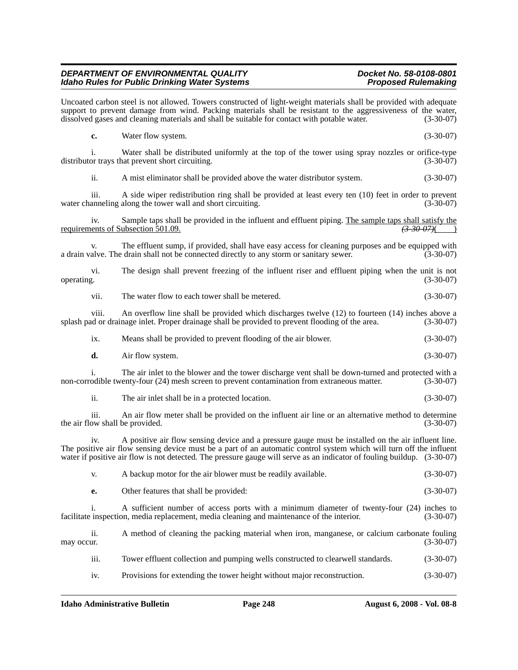# ii. A mist eliminator shall be provided above the water distributor system. (3-30-07)

distributor trays that prevent short circuiting.

*Idaho Rules for Public Drinking Water Systems* 

iii. A side wiper redistribution ring shall be provided at least every ten (10) feet in order to prevent anneling along the tower wall and short circuiting. (3-30-07) water channeling along the tower wall and short circuiting.

i. Water shall be distributed uniformly at the top of the tower using spray nozzles or orifice-type or travs that prevent short circuiting.

Uncoated carbon steel is not allowed. Towers constructed of light-weight materials shall be provided with adequate support to prevent damage from wind. Packing materials shall be resistant to the aggressiveness of the water, dissolved gases and cleaning materials and shall be suitable for contact with potable water. (3-30-07)

iv. Sample taps shall be provided in the influent and effluent piping. The sample taps shall satisfy the lents of Subsection 501.09. requirements of Subsection 501.09.

v. The effluent sump, if provided, shall have easy access for cleaning purposes and be equipped with a drain valve. The drain shall not be connected directly to any storm or sanitary sewer. (3-30-07)

vi. The design shall prevent freezing of the influent riser and effluent piping when the unit is not operating. (3-30-07)

vii. The water flow to each tower shall be metered. (3-30-07)

viii. An overflow line shall be provided which discharges twelve (12) to fourteen (14) inches above a nd or drainage inlet. Proper drainage shall be provided to prevent flooding of the area. (3-30-07) splash pad or drainage inlet. Proper drainage shall be provided to prevent flooding of the area.

ix. Means shall be provided to prevent flooding of the air blower. (3-30-07)

**d.** Air flow system. (3-30-07)

i. The air inlet to the blower and the tower discharge vent shall be down-turned and protected with a odible twenty-four (24) mesh screen to prevent contamination from extraneous matter. (3-30-07) non-corrodible twenty-four (24) mesh screen to prevent contamination from extraneous matter.

ii. The air inlet shall be in a protected location. (3-30-07)

iii. An air flow meter shall be provided on the influent air line or an alternative method to determine the air flow shall be provided. (3-30-07) (3-30-07)

iv. A positive air flow sensing device and a pressure gauge must be installed on the air influent line. The positive air flow sensing device must be a part of an automatic control system which will turn off the influent water if positive air flow is not detected. The pressure gauge will serve as an indicator of fouling buildup. (3-30-07)

| A backup motor for the air blower must be readily available. | $(3-30-07)$ |
|--------------------------------------------------------------|-------------|
| Other features that shall be provided:                       | $(3-30-07)$ |

i. A sufficient number of access ports with a minimum diameter of twenty-four (24) inches to inspection, media replacement, media cleaning and maintenance of the interior. (3-30-07) facilitate inspection, media replacement, media cleaning and maintenance of the interior.

| may occur.       | A method of cleaning the packing material when iron, manganese, or calcium carbonate fouling | $(3-30-07)$ |
|------------------|----------------------------------------------------------------------------------------------|-------------|
| $\cdots$<br>111. | Tower effluent collection and pumping wells constructed to clearwell standards.              | $(3-30-07)$ |

iv. Provisions for extending the tower height without major reconstruction. (3-30-07)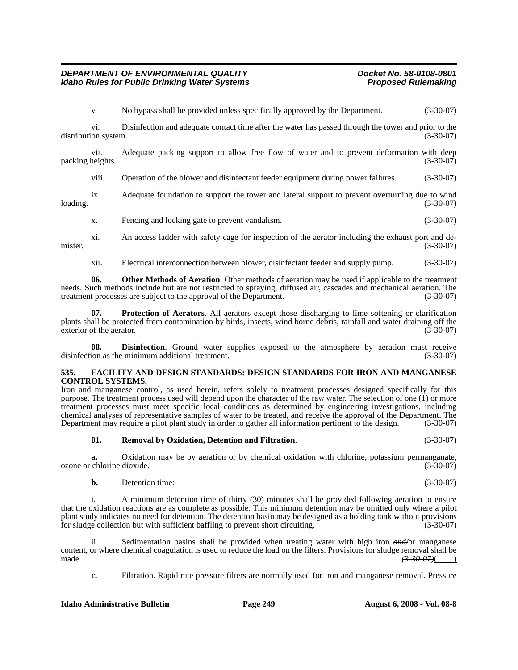v. No bypass shall be provided unless specifically approved by the Department. (3-30-07)

vi. Disinfection and adequate contact time after the water has passed through the tower and prior to the distribution system.

vii. Adequate packing support to allow free flow of water and to prevent deformation with deep<br>heights. (3-30-07) packing heights.

viii. Operation of the blower and disinfectant feeder equipment during power failures. (3-30-07)

ix. Adequate foundation to support the tower and lateral support to prevent overturning due to wind  $\frac{1}{2}$  loading. (3-30-07)

x. Fencing and locking gate to prevent vandalism. (3-30-07)

xi. An access ladder with safety cage for inspection of the aerator including the exhaust port and demister. (3-30-07)

xii. Electrical interconnection between blower, disinfectant feeder and supply pump. (3-30-07)

**06. Other Methods of Aeration**. Other methods of aeration may be used if applicable to the treatment needs. Such methods include but are not restricted to spraying, diffused air, cascades and mechanical aeration. The treatment processes are subject to the approval of the Department. (3-30-07)

**07. Protection of Aerators**. All aerators except those discharging to lime softening or clarification plants shall be protected from contamination by birds, insects, wind borne debris, rainfall and water draining off the exterior of the aerator. (3-30-07) exterior of the aerator.

**08. Disinfection**. Ground water supplies exposed to the atmosphere by aeration must receive disinfection as the minimum additional treatment. (3-30-07)

### **535. FACILITY AND DESIGN STANDARDS: DESIGN STANDARDS FOR IRON AND MANGANESE CONTROL SYSTEMS.**

Iron and manganese control, as used herein, refers solely to treatment processes designed specifically for this purpose. The treatment process used will depend upon the character of the raw water. The selection of one (1) or more treatment processes must meet specific local conditions as determined by engineering investigations, including chemical analyses of representative samples of water to be treated, and receive the approval of the Department. The Department may require a pilot plant study in order to gather all information pertinent to the design. (3-30-07)

# **01. Removal by Oxidation, Detention and Filtration**. (3-30-07)

**a.** Oxidation may be by aeration or by chemical oxidation with chlorine, potassium permanganate, chlorine dioxide. (3-30-07) ozone or chlorine dioxide.

**b.** Detention time: (3-30-07)

i. A minimum detention time of thirty (30) minutes shall be provided following aeration to ensure that the oxidation reactions are as complete as possible. This minimum detention may be omitted only where a pilot plant study indicates no need for detention. The detention basin may be designed as a holding tank without provisions for sludge collection but with sufficient baffling to prevent short circuiting. (3-30-07)

ii. Sedimentation basins shall be provided when treating water with high iron *and/*or manganese content, or where chemical coagulation is used to reduce the load on the filters. Provisions for sludge removal shall be made.  $\left(3-30-07\right)$  $\left(3-30-07\right)$ ( )

**c.** Filtration. Rapid rate pressure filters are normally used for iron and manganese removal. Pressure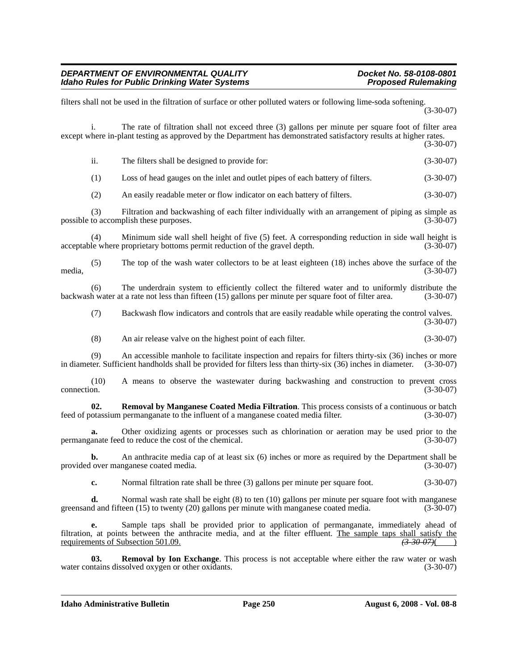filters shall not be used in the filtration of surface or other polluted waters or following lime-soda softening. (3-30-07)

i. The rate of filtration shall not exceed three (3) gallons per minute per square foot of filter area except where in-plant testing as approved by the Department has demonstrated satisfactory results at higher rates. (3-30-07)

ii. The filters shall be designed to provide for: (3-30-07)

(1) Loss of head gauges on the inlet and outlet pipes of each battery of filters. (3-30-07)

(2) An easily readable meter or flow indicator on each battery of filters. (3-30-07)

(3) Filtration and backwashing of each filter individually with an arrangement of piping as simple as possible to accomplish these purposes. (3-30-07)

(4) Minimum side wall shell height of five (5) feet. A corresponding reduction in side wall height is le where proprietary bottoms permit reduction of the gravel depth. (3-30-07) acceptable where proprietary bottoms permit reduction of the gravel depth.

(5) The top of the wash water collectors to be at least eighteen (18) inches above the surface of the media, (3-30-07)

(6) The underdrain system to efficiently collect the filtered water and to uniformly distribute the backwash water at a rate not less than fifteen (15) gallons per minute per square foot of filter area. (3-30-07)

(7) Backwash flow indicators and controls that are easily readable while operating the control valves. (3-30-07)

(8) An air release valve on the highest point of each filter. (3-30-07)

An accessible manhole to facilitate inspection and repairs for filters thirty-six (36) inches or more in diameter. Sufficient handholds shall be provided for filters less than thirty-six (36) inches in diameter. (3-30-07)

(10) A means to observe the wastewater during backwashing and construction to prevent cross connection. (3-30-07)

**02. Removal by Manganese Coated Media Filtration**. This process consists of a continuous or batch feed of potassium permanganate to the influent of a manganese coated media filter. (3-30-07)

**a.** Other oxidizing agents or processes such as chlorination or aeration may be used prior to the permanganate feed to reduce the cost of the chemical. (3-30-07)

**b.** An anthracite media cap of at least six (6) inches or more as required by the Department shall be lover manganese coated media. (3-30-07) provided over manganese coated media.

**c.** Normal filtration rate shall be three (3) gallons per minute per square foot.  $(3-30-07)$ 

**d.** Normal wash rate shall be eight (8) to ten (10) gallons per minute per square foot with manganese greensand and fifteen (15) to twenty (20) gallons per minute with manganese coated media. (3-30-07)

**e.** Sample taps shall be provided prior to application of permanganate, immediately ahead of filtration, at points between the anthracite media, and at the filter effluent. The sample taps shall satisfy the requirements of Subsection 501.09. requirements of Subsection 501.09.

**03. Removal by Ion Exchange**. This process is not acceptable where either the raw water or wash ntains dissolved oxygen or other oxidants. (3-30-07) water contains dissolved oxygen or other oxidants.

**Idaho Administrative Bulletin Page 250 August 6, 2008 - Vol. 08-8**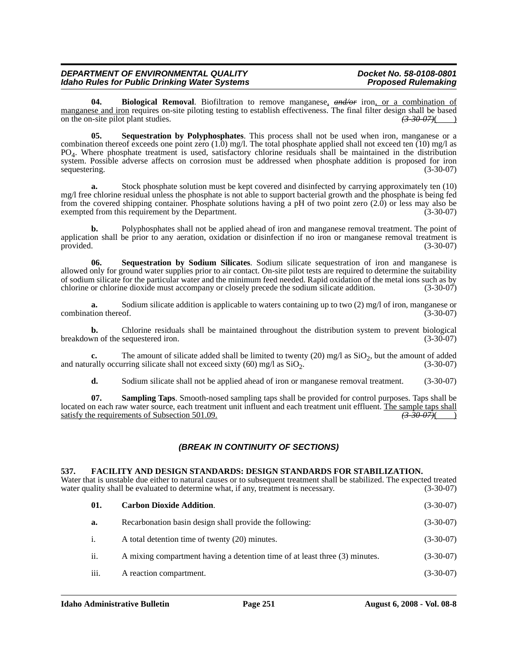**04. Biological Removal**. Biofiltration to remove manganese, *and/or* iron, or a combination of manganese and iron requires on-site piloting testing to establish effectiveness. The final filter design shall be based on the on-site pilot plant studies. *(3-30-07)*( )

**05. Sequestration by Polyphosphates**. This process shall not be used when iron, manganese or a combination thereof exceeds one point zero  $(1.0)$  mg/l. The total phosphate applied shall not exceed ten  $(10)$  mg/l as PO4. Where phosphate treatment is used, satisfactory chlorine residuals shall be maintained in the distribution system. Possible adverse affects on corrosion must be addressed when phosphate addition is proposed for iron sequestering. (3-30-07)

**a.** Stock phosphate solution must be kept covered and disinfected by carrying approximately ten (10) mg/l free chlorine residual unless the phosphate is not able to support bacterial growth and the phosphate is being fed from the covered shipping container. Phosphate solutions having a pH of two point zero (2.0) or less may also be exempted from this requirement by the Department. (3-30-07)

**b.** Polyphosphates shall not be applied ahead of iron and manganese removal treatment. The point of application shall be prior to any aeration, oxidation or disinfection if no iron or manganese removal treatment is provided.  $(3-30-07)$ 

**06. Sequestration by Sodium Silicates**. Sodium silicate sequestration of iron and manganese is allowed only for ground water supplies prior to air contact. On-site pilot tests are required to determine the suitability of sodium silicate for the particular water and the minimum feed needed. Rapid oxidation of the metal ions such as by chlorine or chlorine dioxide must accompany or closely precede the sodium silicate addition. (3-30-07)

**a.** Sodium silicate addition is applicable to waters containing up to two (2) mg/l of iron, manganese or tion thereof. (3-30-07) combination thereof.

**b.** Chlorine residuals shall be maintained throughout the distribution system to prevent biological breakdown of the sequestered iron. (3-30-07)

**c.** The amount of silicate added shall be limited to twenty (20) mg/l as  $SiO_2$ , but the amount of added rally occurring silicate shall not exceed sixty (60) mg/l as  $SiO_2$ . (3-30-07) and naturally occurring silicate shall not exceed sixty  $(60)$  mg/l as  $SiO<sub>2</sub>$ .

**d.** Sodium silicate shall not be applied ahead of iron or manganese removal treatment. (3-30-07)

**07. Sampling Taps**. Smooth-nosed sampling taps shall be provided for control purposes. Taps shall be located on each raw water source, each treatment unit influent and each treatment unit effluent. The sample taps shall satisfy the requirements of Subsection 501.09. satisfy the requirements of Subsection 501.09.

# *(BREAK IN CONTINUITY OF SECTIONS)*

# **537. FACILITY AND DESIGN STANDARDS: DESIGN STANDARDS FOR STABILIZATION.**

Water that is unstable due either to natural causes or to subsequent treatment shall be stabilized. The expected treated water quality shall be evaluated to determine what, if any, treatment is necessary. (3-30-07)

| 01.              | <b>Carbon Dioxide Addition.</b>                                             | $(3-30-07)$ |
|------------------|-----------------------------------------------------------------------------|-------------|
| a.               | Recarbonation basin design shall provide the following:                     | $(3-30-07)$ |
| i.               | A total detention time of twenty (20) minutes.                              | $(3-30-07)$ |
| ii.              | A mixing compartment having a detention time of at least three (3) minutes. | $(3-30-07)$ |
| $\cdots$<br>111. | A reaction compartment.                                                     | $(3-30-07)$ |
|                  |                                                                             |             |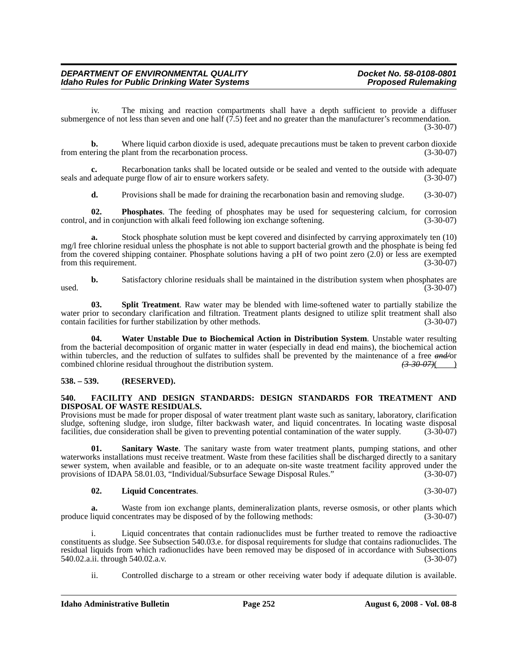iv. The mixing and reaction compartments shall have a depth sufficient to provide a diffuser submergence of not less than seven and one half  $(7.5)$  feet and no greater than the manufacturer's recommendation. (3-30-07)

**b.** Where liquid carbon dioxide is used, adequate precautions must be taken to prevent carbon dioxide ering the plant from the recarbonation process. (3-30-07) from entering the plant from the recarbonation process.

**c.** Recarbonation tanks shall be located outside or be sealed and vented to the outside with adequate seals and adequate purge flow of air to ensure workers safety. (3-30-07)

**d.** Provisions shall be made for draining the recarbonation basin and removing sludge. (3-30-07)

**02. Phosphates**. The feeding of phosphates may be used for sequestering calcium, for corrosion control, and in conjunction with alkali feed following ion exchange softening. (3-30-07)

**a.** Stock phosphate solution must be kept covered and disinfected by carrying approximately ten (10) mg/l free chlorine residual unless the phosphate is not able to support bacterial growth and the phosphate is being fed from the covered shipping container. Phosphate solutions having a pH of two point zero (2.0) or less are exempted from this requirement. (3-30-07)

**b.** Satisfactory chlorine residuals shall be maintained in the distribution system when phosphates are (3-30-07)  $used.$  (3-30-07)

**03. Split Treatment**. Raw water may be blended with lime-softened water to partially stabilize the water prior to secondary clarification and filtration. Treatment plants designed to utilize split treatment shall also contain facilities for further stabilization by other methods. (3-30-07)

Water Unstable Due to Biochemical Action in Distribution System. Unstable water resulting from the bacterial decomposition of organic matter in water (especially in dead end mains), the biochemical action within tubercles, and the reduction of sulfates to sulfides shall be prevented by the maintenance of a free *and/*or combined chlorine residual throughout the distribution system.  $\left(3.3007\right)(1.60)$ combined chlorine residual throughout the distribution system.

# **538. – 539. (RESERVED).**

# **540. FACILITY AND DESIGN STANDARDS: DESIGN STANDARDS FOR TREATMENT AND DISPOSAL OF WASTE RESIDUALS.**

Provisions must be made for proper disposal of water treatment plant waste such as sanitary, laboratory, clarification sludge, softening sludge, iron sludge, filter backwash water, and liquid concentrates. In locating waste disposal facilities, due consideration shall be given to preventing potential contamination of the water supply. (3-3 facilities, due consideration shall be given to preventing potential contamination of the water supply.

**01. Sanitary Waste**. The sanitary waste from water treatment plants, pumping stations, and other waterworks installations must receive treatment. Waste from these facilities shall be discharged directly to a sanitary sewer system, when available and feasible, or to an adequate on-site waste treatment facility approved under the provisions of IDAPA 58.01.03, "Individual/Subsurface Sewage Disposal Rules." (3-30-07) provisions of IDAPA 58.01.03, "Individual/Subsurface Sewage Disposal Rules."

# **02. Liquid Concentrates**. (3-30-07)

**a.** Waste from ion exchange plants, demineralization plants, reverse osmosis, or other plants which liquid concentrates may be disposed of by the following methods:  $(3-30-07)$ produce liquid concentrates may be disposed of by the following methods:

Liquid concentrates that contain radionuclides must be further treated to remove the radioactive constituents as sludge. See Subsection 540.03.e. for disposal requirements for sludge that contains radionuclides. The residual liquids from which radionuclides have been removed may be disposed of in accordance with Subsections 540.02.a.ii. through 540.02.a.v. (3-30-07) 540.02.a.ii. through 540.02.a.v.

ii. Controlled discharge to a stream or other receiving water body if adequate dilution is available.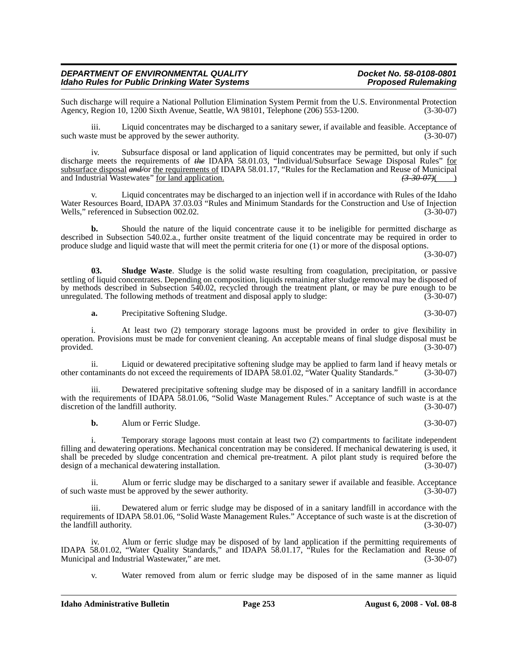Such discharge will require a National Pollution Elimination System Permit from the U.S. Environmental Protection<br>Agency, Region 10, 1200 Sixth Ayenue, Seattle, WA 98101, Telephone (206) 553-1200. (3-30-07) Agency, Region 10, 1200 Sixth Avenue, Seattle, WA 98101, Telephone (206) 553-1200.

iii. Liquid concentrates may be discharged to a sanitary sewer, if available and feasible. Acceptance of such waste must be approved by the sewer authority. (3-30-07)

iv. Subsurface disposal or land application of liquid concentrates may be permitted, but only if such discharge meets the requirements of *the* IDAPA 58.01.03, "Individual/Subsurface Sewage Disposal Rules" for subsurface disposal *and/*or <u>the requirements of</u> IDAPA 58.01.17, "Rules for the Reclamation and Reuse of Municipal<br>and Industrial Wastewater." <u>for land application.</u> and Industrial Wastewater<sup>*n*</sup> for land application.

Liquid concentrates may be discharged to an injection well if in accordance with Rules of the Idaho Water Resources Board, IDAPA 37.03.03 "Rules and Minimum Standards for the Construction and Use of Injection Wells," referenced in Subsection 002.02. (3-30-07) (3-30-07)

**b.** Should the nature of the liquid concentrate cause it to be ineligible for permitted discharge as described in Subsection 540.02.a., further onsite treatment of the liquid concentrate may be required in order to produce sludge and liquid waste that will meet the permit criteria for one (1) or more of the disposal options.

(3-30-07)

**03. Sludge Waste**. Sludge is the solid waste resulting from coagulation, precipitation, or passive settling of liquid concentrates. Depending on composition, liquids remaining after sludge removal may be disposed of by methods described in Subsection 540.02, recycled through the treatment plant, or may be pure enough to be unregulated. The following methods of treatment and disposal apply to sludge: (3-30-07)

**a.** Precipitative Softening Sludge. (3-30-07)

i. At least two (2) temporary storage lagoons must be provided in order to give flexibility in operation. Provisions must be made for convenient cleaning. An acceptable means of final sludge disposal must be provided.  $(3-30-07)$ 

ii. Liquid or dewatered precipitative softening sludge may be applied to farm land if heavy metals or other contaminants do not exceed the requirements of IDAPA 58.01.02, "Water Quality Standards." (3-30-07)

iii. Dewatered precipitative softening sludge may be disposed of in a sanitary landfill in accordance with the requirements of IDAPA 58.01.06, "Solid Waste Management Rules." Acceptance of such waste is at the discretion of the landfill authority. (3-30-07)

**b.** Alum or Ferric Sludge. (3-30-07)

i. Temporary storage lagoons must contain at least two (2) compartments to facilitate independent filling and dewatering operations. Mechanical concentration may be considered. If mechanical dewatering is used, it shall be preceded by sludge concentration and chemical pre-treatment. A pilot plant study is required before the design of a mechanical dewatering installation. (3-30-07)

ii. Alum or ferric sludge may be discharged to a sanitary sewer if available and feasible. Acceptance of such waste must be approved by the sewer authority. (3-30-07)

iii. Dewatered alum or ferric sludge may be disposed of in a sanitary landfill in accordance with the requirements of IDAPA 58.01.06, "Solid Waste Management Rules." Acceptance of such waste is at the discretion of the landfill authority. (3-30-07) (3-30-07)

iv. Alum or ferric sludge may be disposed of by land application if the permitting requirements of IDAPA 58.01.02, "Water Quality Standards," and IDAPA 58.01.17, "Rules for the Reclamation and Reuse of Municipal and Industrial Wastewater," are met.

v. Water removed from alum or ferric sludge may be disposed of in the same manner as liquid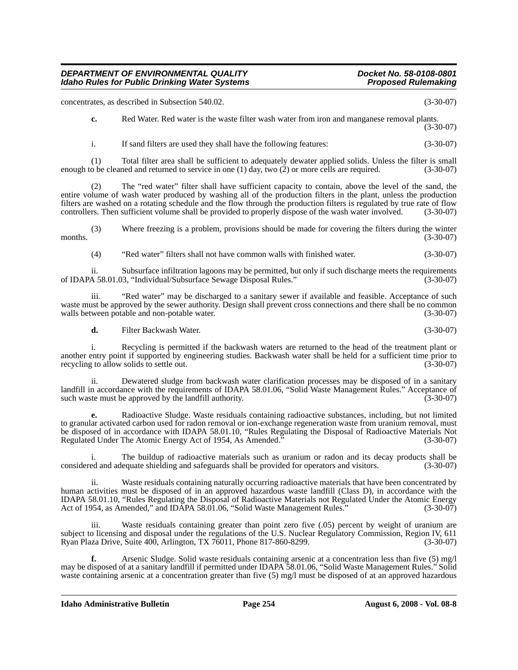concentrates, as described in Subsection 540.02. (3-30-07)

**c.** Red Water. Red water is the waste filter wash water from iron and manganese removal plants. (3-30-07)

i. If sand filters are used they shall have the following features: (3-30-07)

(1) Total filter area shall be sufficient to adequately dewater applied solids. Unless the filter is small enough to be cleaned and returned to service in one (1) day, two (2) or more cells are required. (3-30-07)

(2) The "red water" filter shall have sufficient capacity to contain, above the level of the sand, the entire volume of wash water produced by washing all of the production filters in the plant, unless the production filters are washed on a rotating schedule and the flow through the production filters is regulated by true rate of flow controllers. Then sufficient volume shall be provided to properly dispose of the wash water involved. (3-30-07)

(3) Where freezing is a problem, provisions should be made for covering the filters during the winter months. (3-30-07)

(4) "Red water" filters shall not have common walls with finished water. (3-30-07)

ii. Subsurface infiltration lagoons may be permitted, but only if such discharge meets the requirements<br>A 58.01.03. "Individual/Subsurface Sewage Disposal Rules." (3-30-07) of IDAPA 58.01.03, "Individual/Subsurface Sewage Disposal Rules."

iii. "Red water" may be discharged to a sanitary sewer if available and feasible. Acceptance of such waste must be approved by the sewer authority. Design shall prevent cross connections and there shall be no common walls between potable and non-potable water. (3-30-07) walls between potable and non-potable water.

**d.** Filter Backwash Water. (3-30-07)

i. Recycling is permitted if the backwash waters are returned to the head of the treatment plant or another entry point if supported by engineering studies. Backwash water shall be held for a sufficient time prior to recycling to allow solids to settle out. (3-30-07) recycling to allow solids to settle out.

ii. Dewatered sludge from backwash water clarification processes may be disposed of in a sanitary landfill in accordance with the requirements of IDAPA 58.01.06, "Solid Waste Management Rules." Acceptance of such waste must be approved by the landfill authority. (3-30-07)

**e.** Radioactive Sludge. Waste residuals containing radioactive substances, including, but not limited to granular activated carbon used for radon removal or ion-exchange regeneration waste from uranium removal, must be disposed of in accordance with IDAPA 58.01.10, "Rules Regulating the Disposal of Radioactive Materials Not Regulated Under The Atomic Energy Act of 1954, As Amended." (3-30-07)

i. The buildup of radioactive materials such as uranium or radon and its decay products shall be ed and adequate shielding and safeguards shall be provided for operators and visitors. (3-30-07) considered and adequate shielding and safeguards shall be provided for operators and visitors.

ii. Waste residuals containing naturally occurring radioactive materials that have been concentrated by human activities must be disposed of in an approved hazardous waste landfill (Class D), in accordance with the IDAPA 58.01.10, "Rules Regulating the Disposal of Radioactive Materials not Regulated Under the Atomic Energy Act of 1954, as Amended," and IDAPA 58.01.06, "Solid Waste Management Rules."

iii. Waste residuals containing greater than point zero five (.05) percent by weight of uranium are subject to licensing and disposal under the regulations of the U.S. Nuclear Regulatory Commission, Region IV, 611 Ryan Plaza Drive, Suite 400, Arlington, TX 76011, Phone 817-860-8299. (3-30-07)

**f.** Arsenic Sludge. Solid waste residuals containing arsenic at a concentration less than five (5) mg/l may be disposed of at a sanitary landfill if permitted under IDAPA 58.01.06, "Solid Waste Management Rules." Solid waste containing arsenic at a concentration greater than five (5) mg/l must be disposed of at an approved hazardous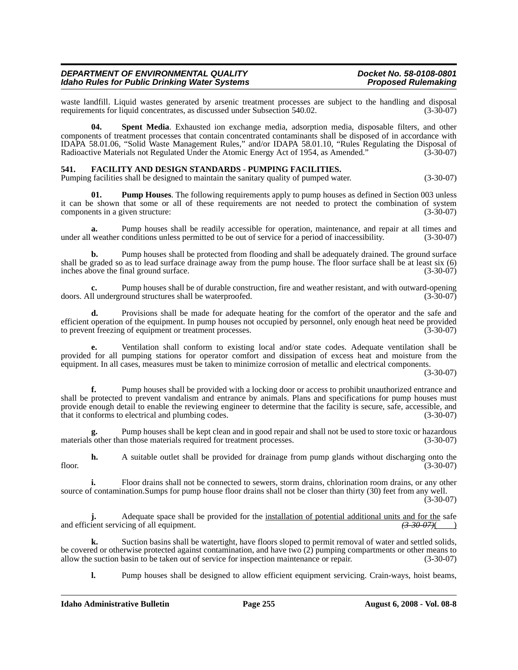waste landfill. Liquid wastes generated by arsenic treatment processes are subject to the handling and disposal requirements for liquid concentrates, as discussed under Subsection 540.02. (3-30-07) requirements for liquid concentrates, as discussed under Subsection 540.02.

**04. Spent Media**. Exhausted ion exchange media, adsorption media, disposable filters, and other components of treatment processes that contain concentrated contaminants shall be disposed of in accordance with IDAPA 58.01.06, "Solid Waste Management Rules," and/or IDAPA 58.01.10, "Rules Regulating the Disposal of Radioactive Materials not Regulated Under the Atomic Energy Act of 1954, as Amended."

### **541. FACILITY AND DESIGN STANDARDS - PUMPING FACILITIES.**

Pumping facilities shall be designed to maintain the sanitary quality of pumped water. (3-30-07)

**01. Pump Houses**. The following requirements apply to pump houses as defined in Section 003 unless it can be shown that some or all of these requirements are not needed to protect the combination of system components in a given structure: (3-30-07)

**a.** Pump houses shall be readily accessible for operation, maintenance, and repair at all times and weather conditions unless permitted to be out of service for a period of inaccessibility. (3-30-07) under all weather conditions unless permitted to be out of service for a period of inaccessibility.

**b.** Pump houses shall be protected from flooding and shall be adequately drained. The ground surface shall be graded so as to lead surface drainage away from the pump house. The floor surface shall be at least six (6) inches above the final ground surface. (3-30-07)

**c.** Pump houses shall be of durable construction, fire and weather resistant, and with outward-opening doors. All underground structures shall be waterproofed. (3-30-07)

**d.** Provisions shall be made for adequate heating for the comfort of the operator and the safe and efficient operation of the equipment. In pump houses not occupied by personnel, only enough heat need be provided<br>to prevent freezing of equipment or treatment processes. to prevent freezing of equipment or treatment processes.

**e.** Ventilation shall conform to existing local and/or state codes. Adequate ventilation shall be provided for all pumping stations for operator comfort and dissipation of excess heat and moisture from the equipment. In all cases, measures must be taken to minimize corrosion of metallic and electrical components.

(3-30-07)

**f.** Pump houses shall be provided with a locking door or access to prohibit unauthorized entrance and shall be protected to prevent vandalism and entrance by animals. Plans and specifications for pump houses must provide enough detail to enable the reviewing engineer to determine that the facility is secure, safe, accessible, and that it conforms to electrical and plumbing codes. (3-30-07)

**g.** Pump houses shall be kept clean and in good repair and shall not be used to store toxic or hazardous materials other than those materials required for treatment processes. (3-30-07)

**h.** A suitable outlet shall be provided for drainage from pump glands without discharging onto the (3-30-07) floor. (3-30-07)

**i.** Floor drains shall not be connected to sewers, storm drains, chlorination room drains, or any other source of contamination.Sumps for pump house floor drains shall not be closer than thirty (30) feet from any well. (3-30-07)

**j.** Adequate space shall be provided for the <u>installation of potential additional units and for the</u> safe and efficient servicing of all equipment. *(3-30-07)*  $(3-30-07)$ 

**k.** Suction basins shall be watertight, have floors sloped to permit removal of water and settled solids, be covered or otherwise protected against contamination, and have two  $(2)$  pumping compartments or other means to allow the suction basin to be taken out of service for inspection maintenance or repair.  $(3-30-07)$ allow the suction basin to be taken out of service for inspection maintenance or repair.

**l.** Pump houses shall be designed to allow efficient equipment servicing. Crain-ways, hoist beams,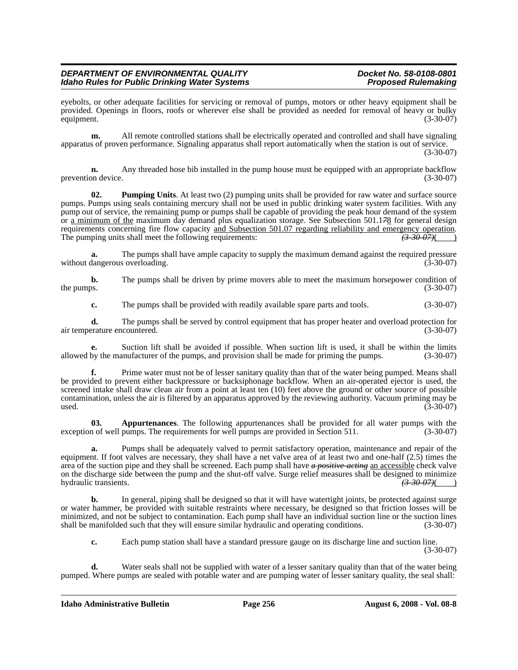eyebolts, or other adequate facilities for servicing or removal of pumps, motors or other heavy equipment shall be provided. Openings in floors, roofs or wherever else shall be provided as needed for removal of heavy or bulky equipment. (3-30-07)

**m.** All remote controlled stations shall be electrically operated and controlled and shall have signaling apparatus of proven performance. Signaling apparatus shall report automatically when the station is out of service. (3-30-07)

**n.** Any threaded hose bib installed in the pump house must be equipped with an appropriate backflow prevention device. (3-30-07)

**02. Pumping Units**. At least two (2) pumping units shall be provided for raw water and surface source pumps. Pumps using seals containing mercury shall not be used in public drinking water system facilities. With any pump out of service, the remaining pump or pumps shall be capable of providing the peak hour demand of the system or a minimum of the maximum day demand plus equalization storage. See Subsection 501.1*7*8 for general design requirements concerning fire flow capacity and Subsection 501.07 regarding reliability and emergency operation.<br>The pumping units shall meet the following requirements:<br> $\frac{(3.30 \text{ } 0.07)}{(3.30 \text{ } 0.07)}$ The pumping units shall meet the following requirements:

**a.** The pumps shall have ample capacity to supply the maximum demand against the required pressure without dangerous overloading. (3-30-07)

**b.** The pumps shall be driven by prime movers able to meet the maximum horsepower condition of the pumps. (3-30-07) the pumps.  $(3-30-07)$ 

**c.** The pumps shall be provided with readily available spare parts and tools. (3-30-07)

**d.** The pumps shall be served by control equipment that has proper heater and overload protection for erature encountered. (3-30-07) air temperature encountered.

**e.** Suction lift shall be avoided if possible. When suction lift is used, it shall be within the limits by the manufacturer of the pumps, and provision shall be made for priming the pumps.  $(3-30-07)$ allowed by the manufacturer of the pumps, and provision shall be made for priming the pumps.

**f.** Prime water must not be of lesser sanitary quality than that of the water being pumped. Means shall be provided to prevent either backpressure or backsiphonage backflow. When an air-operated ejector is used, the screened intake shall draw clean air from a point at least ten (10) feet above the ground or other source of possible contamination, unless the air is filtered by an apparatus approved by the reviewing authority. Vacuum priming may be  $used.$  (3-30-07)

**03. Appurtenances**. The following appurtenances shall be provided for all water pumps with the n of well pumps. The requirements for well pumps are provided in Section 511. (3-30-07) exception of well pumps. The requirements for well pumps are provided in Section 511.

**a.** Pumps shall be adequately valved to permit satisfactory operation, maintenance and repair of the equipment. If foot valves are necessary, they shall have a net valve area of at least two and one-half (2.5) times the area of the suction pipe and they shall be screened. Each pump shall have *a positive acting* an accessible check valve on the discharge side between the pump and the shut-off valve. Surge relief measures shall be designed to minimize hydraulic transients.  $\left(3\text{-}30\text{-}07\right)\left(4\text{-}30\text{-}07\right)$ hydraulic transients.

**b.** In general, piping shall be designed so that it will have watertight joints, be protected against surge or water hammer, be provided with suitable restraints where necessary, be designed so that friction losses will be minimized, and not be subject to contamination. Each pump shall have an individual suction line or the suction lines shall be manifolded such that they will ensure similar hydraulic and operating conditions. (3-30-07)

**c.** Each pump station shall have a standard pressure gauge on its discharge line and suction line. (3-30-07)

**d.** Water seals shall not be supplied with water of a lesser sanitary quality than that of the water being pumped. Where pumps are sealed with potable water and are pumping water of lesser sanitary quality, the seal shall: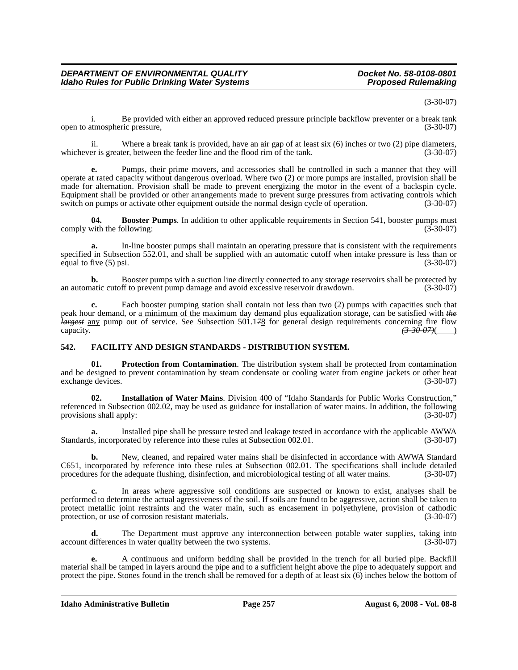### (3-30-07)

i. Be provided with either an approved reduced pressure principle backflow preventer or a break tank open to atmospheric pressure, (3-30-07)

ii. Where a break tank is provided, have an air gap of at least six (6) inches or two (2) pipe diameters, er is greater, between the feeder line and the flood rim of the tank. (3-30-07) whichever is greater, between the feeder line and the flood rim of the tank.

**e.** Pumps, their prime movers, and accessories shall be controlled in such a manner that they will operate at rated capacity without dangerous overload. Where two (2) or more pumps are installed, provision shall be made for alternation. Provision shall be made to prevent energizing the motor in the event of a backspin cycle. Equipment shall be provided or other arrangements made to prevent surge pressures from activating controls which switch on pumps or activate other equipment outside the normal design cycle of operation. (3-30-07) switch on pumps or activate other equipment outside the normal design cycle of operation.

**04. Booster Pumps**. In addition to other applicable requirements in Section 541, booster pumps must with the following: (3-30-07) comply with the following:

**a.** In-line booster pumps shall maintain an operating pressure that is consistent with the requirements specified in Subsection 552.01, and shall be supplied with an automatic cutoff when intake pressure is less than or equal to five (5) psi.  $(3-30-07)$ 

**b.** Booster pumps with a suction line directly connected to any storage reservoirs shall be protected by a atic cutoff to prevent pump damage and avoid excessive reservoir drawdown.  $(3-30-07)$ an automatic cutoff to prevent pump damage and avoid excessive reservoir drawdown.

**c.** Each booster pumping station shall contain not less than two (2) pumps with capacities such that peak hour demand, or a minimum of the maximum day demand plus equalization storage, can be satisfied with *the largest* <u>any</u> pump out of service. See Subsection 501.178 for general design requirements concerning fire flow capacity. capacity. *(3-30-07)*( )

# **542. FACILITY AND DESIGN STANDARDS - DISTRIBUTION SYSTEM.**

**01. Protection from Contamination**. The distribution system shall be protected from contamination and be designed to prevent contamination by steam condensate or cooling water from engine jackets or other heat exchange devices. (3-30-07)

**02. Installation of Water Mains**. Division 400 of "Idaho Standards for Public Works Construction," referenced in Subsection 002.02, may be used as guidance for installation of water mains. In addition, the following provisions shall apply: (3-30-07)

**a.** Installed pipe shall be pressure tested and leakage tested in accordance with the applicable AWWA Standards, incorporated by reference into these rules at Subsection 002.01. (3-30-07)

**b.** New, cleaned, and repaired water mains shall be disinfected in accordance with AWWA Standard C651, incorporated by reference into these rules at Subsection 002.01. The specifications shall include detailed procedures for the adequate flushing, disinfection, and microbiological testing of all water mains. (3-30-07)

**c.** In areas where aggressive soil conditions are suspected or known to exist, analyses shall be performed to determine the actual agressiveness of the soil. If soils are found to be aggressive, action shall be taken to protect metallic joint restraints and the water main, such as encasement in polyethylene, provision of cathodic protection, or use of corrosion resistant materials. (3-30-07) protection, or use of corrosion resistant materials.

**d.** The Department must approve any interconnection between potable water supplies, taking into account differences in water quality between the two systems. (3-30-07)

**e.** A continuous and uniform bedding shall be provided in the trench for all buried pipe. Backfill material shall be tamped in layers around the pipe and to a sufficient height above the pipe to adequately support and protect the pipe. Stones found in the trench shall be removed for a depth of at least six (6) inches below the bottom of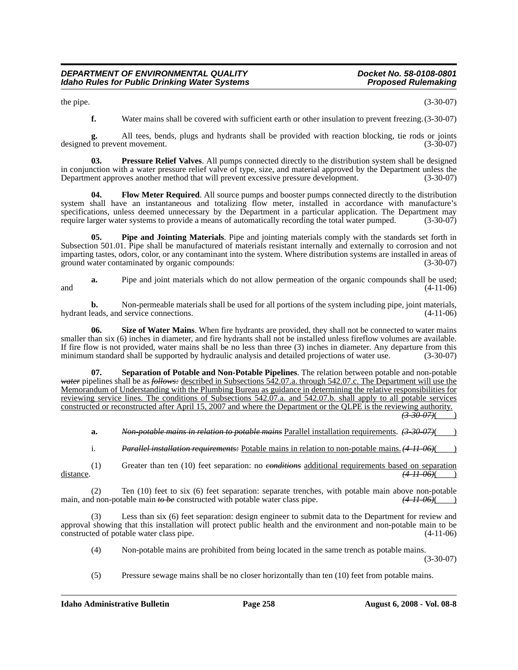the pipe.  $(3-30-07)$ 

**f.** Water mains shall be covered with sufficient earth or other insulation to prevent freezing. (3-30-07)

**g.** All tees, bends, plugs and hydrants shall be provided with reaction blocking, tie rods or joints designed to prevent movement. (3-30-07)

**03. Pressure Relief Valves**. All pumps connected directly to the distribution system shall be designed in conjunction with a water pressure relief valve of type, size, and material approved by the Department unless the Department approves another method that will prevent excessive pressure development. (3-30-07)

**04. Flow Meter Required**. All source pumps and booster pumps connected directly to the distribution system shall have an instantaneous and totalizing flow meter, installed in accordance with manufacture's specifications, unless deemed unnecessary by the Department in a particular application. The Department may require larger water systems to provide a means of automatically recording the total water pumped. (3-30-07)

**05. Pipe and Jointing Materials**. Pipe and jointing materials comply with the standards set forth in Subsection 501.01. Pipe shall be manufactured of materials resistant internally and externally to corrosion and not imparting tastes, odors, color, or any contaminant into the system. Where distribution systems are installed in areas of ground water contaminated by organic compounds: (3-30-07)

**a.** Pipe and joint materials which do not allow permeation of the organic compounds shall be used;  $(4-11-06)$ and  $(4-11-06)$ 

**b.** Non-permeable materials shall be used for all portions of the system including pipe, joint materials, leads, and service connections. (4-11-06) hydrant leads, and service connections.

**06. Size of Water Mains**. When fire hydrants are provided, they shall not be connected to water mains smaller than six (6) inches in diameter, and fire hydrants shall not be installed unless fireflow volumes are available. If fire flow is not provided, water mains shall be no less than three (3) inches in diameter. Any departure from this minimum standard shall be supported by hydraulic analysis and detailed projections of water use. (3-30-0 minimum standard shall be supported by hydraulic analysis and detailed projections of water use.

**07. Separation of Potable and Non-Potable Pipelines**. The relation between potable and non-potable *water* pipelines shall be as *follows:* described in Subsections 542.07.a. through 542.07.c. The Department will use the Memorandum of Understanding with the Plumbing Bureau as guidance in determining the relative responsibilities for reviewing service lines. The conditions of Subsections 542.07.a. and 542.07.b. shall apply to all potable services constructed or reconstructed after April 15, 2007 and where the Department or the QLPE is the reviewing authority. *(3-30-07)*( )

**a.** *Non-potable mains in relation to potable mains* Parallel installation requirements. *(3-30-07)*( )

i. *Parallel installation requirements:* Potable mains in relation to non-potable mains.*(4-11-06)*( )

(1) Greater than ten (10) feet separation: no *conditions* additional requirements based on separation distance. *(4-11-06)*( )

(2) Ten (10) feet to six (6) feet separation: separate trenches, with potable main above non-potable main, and non-potable main *to be* constructed with potable water class pipe.  $\left(4-H-06\right)$ 

(3) Less than six (6) feet separation: design engineer to submit data to the Department for review and approval showing that this installation will protect public health and the environment and non-potable main to be constructed of potable water class pipe. (4-11-06)

(4) Non-potable mains are prohibited from being located in the same trench as potable mains.

- (3-30-07)
- (5) Pressure sewage mains shall be no closer horizontally than ten (10) feet from potable mains.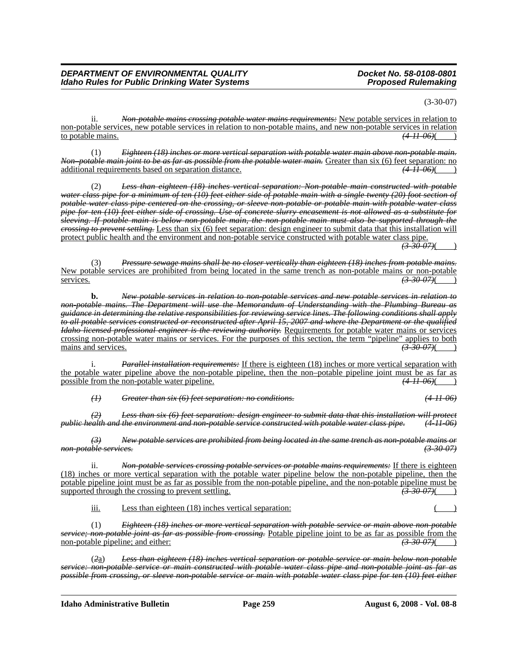### (3-30-07)

ii. *Non-potable mains crossing potable water mains requirements:* New potable services in relation to non-potable services, new potable services in relation to non-potable mains, and new non-potable services in relation to potable mains. *(4-11-06)*( )

(1) *Eighteen (18) inches or more vertical separation with potable water main above non-potable main. Non–potable main joint to be as far as possible from the potable water main.* Greater than six (6) feet separation: no additional requirements based on separation distance. additional requirements based on separation distance.

(2) *Less than eighteen (18) inches vertical separation: Non-potable main constructed with potable water class pipe for a minimum of ten (10) feet either side of potable main with a single twenty (20) foot section of potable water class pipe centered on the crossing, or sleeve non-potable or potable main with potable water class pipe for ten (10) feet either side of crossing. Use of concrete slurry encasement is not allowed as a substitute for sleeving. If potable main is below non-potable main, the non-potable main must also be supported through the crossing to prevent settling.* Less than six (6) feet separation: design engineer to submit data that this installation will protect public health and the environment and non-potable service constructed with potable water class pipe.

*(3-30-07)*( )

(3) *Pressure sewage mains shall be no closer vertically than eighteen (18) inches from potable mains.* New potable services are prohibited from being located in the same trench as non-potable mains or non-potable services.<br> $\left(3-30-07\right)$ services. *(3-30-07)*( )

**b.** *New potable services in relation to non-potable services and new potable services in relation to non-potable mains. The Department will use the Memorandum of Understanding with the Plumbing Bureau as guidance in determining the relative responsibilities for reviewing service lines. The following conditions shall apply to all potable services constructed or reconstructed after April 15, 2007 and where the Department or the qualified Idaho licensed professional engineer is the reviewing authority.* Requirements for potable water mains or services crossing non-potable water mains or services. For the purposes of this section, the term "pipeline" applies to both mains and services.  $\frac{(3-30-07)}{(1-30-07)}$ mains and services.

i. *Parallel installation requirements:* If there is eighteen (18) inches or more vertical separation with the potable water pipeline above the non-potable pipeline, then the non-potable pipeline joint must be as far as possible from the non-potable water pipeline.  $\frac{4-11-06}{1}$ possible from the non-potable water pipeline.

*(1) Greater than six (6) feet separation: no conditions. (4-11-06)*

*(2) Less than six (6) feet separation: design engineer to submit data that this installation will protect public health and the environment and non-potable service constructed with potable water class pipe. (4-11-06)*

*(3) New potable services are prohibited from being located in the same trench as non-potable mains or non-potable services. (3-30-07)*

ii. *Non-potable services crossing potable services or potable mains requirements:* If there is eighteen (18) inches or more vertical separation with the potable water pipeline below the non-potable pipeline, then the potable pipeline joint must be as far as possible from the non-potable pipeline, and the non-potable pipeline must be supported through the crossing to prevent settling. *(3-30-07)*(

iii. Less than eighteen (18) inches vertical separation: ( )

(1) *Eighteen (18) inches or more vertical separation with potable service or main above non-potable service; non-potable joint as far as possible from crossing.* Potable pipeline joint to be as far as possible from the non-potable pipeline; and either: *(3-30-07)* (3-30-07)

(*2*a) *Less than eighteen (18) inches vertical separation or potable service or main below non-potable service: non-potable service or main constructed with potable water class pipe and non-potable joint as far as possible from crossing, or sleeve non-potable service or main with potable water class pipe for ten (10) feet either*

**Idaho Administrative Bulletin Page 259 August 6, 2008 - Vol. 08-8**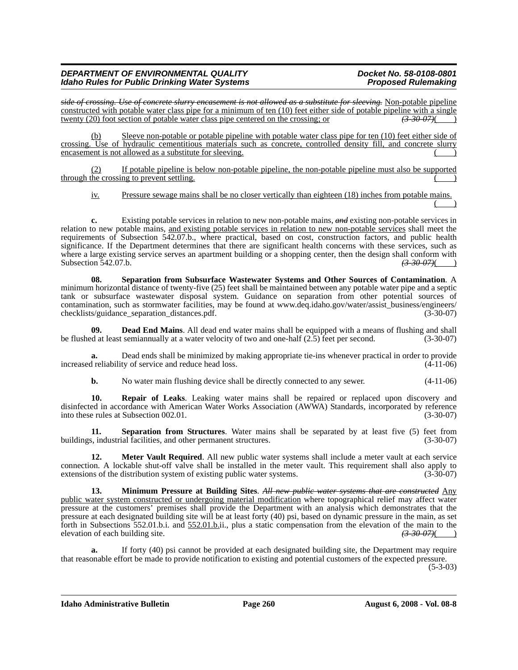*side of crossing. Use of concrete slurry encasement is not allowed as a substitute for sleeving.* Non-potable pipeline constructed with potable water class pipe for a minimum of ten (10) feet either side of potable pipeline with a single twenty (20) foot section of potable water class pipe centered on the crossing; or *(3-30-07)*( )

(b) Sleeve non-potable or potable pipeline with potable water class pipe for ten (10) feet either side of crossing. Use of hydraulic cementitious materials such as concrete, controlled density fill, and concrete slurry encasement is not allowed as a substitute for sleeving.

(2) If potable pipeline is below non-potable pipeline, the non-potable pipeline must also be supported through the crossing to prevent settling.

### iv. Pressure sewage mains shall be no closer vertically than eighteen (18) inches from potable mains.  $($   $)$

**c.** Existing potable services in relation to new non-potable mains, *and* existing non-potable services in relation to new potable mains, and existing potable services in relation to new non-potable services shall meet the requirements of Subsection 542.07.b., where practical, based on cost, construction factors, and public health significance. If the Department determines that there are significant health concerns with these services, such as where a large existing service serves an apartment building or a shopping center, then the design shall conform with Subsection 542.07.b.  $\left(3,30,07\right)$ Subsection 542.07.b.

**08. Separation from Subsurface Wastewater Systems and Other Sources of Contamination**. A minimum horizontal distance of twenty-five (25) feet shall be maintained between any potable water pipe and a septic tank or subsurface wastewater disposal system. Guidance on separation from other potential sources of contamination, such as stormwater facilities, may be found at www.deq.idaho.gov/water/assist\_business/engineers/ checklists/guidance\_separation\_distances.pdf.

**Dead End Mains**. All dead end water mains shall be equipped with a means of flushing and shall be flushed at least semiannually at a water velocity of two and one-half (2.5) feet per second. (3-30-07)

**a.** Dead ends shall be minimized by making appropriate tie-ins whenever practical in order to provide d reliability of service and reduce head loss.  $(4-11-06)$ increased reliability of service and reduce head loss.

**b.** No water main flushing device shall be directly connected to any sewer.  $(4-11-06)$ 

**10. Repair of Leaks**. Leaking water mains shall be repaired or replaced upon discovery and disinfected in accordance with American Water Works Association (AWWA) Standards, incorporated by reference into these rules at Subsection 002.01. (3-30-07)

**11. Separation from Structures**. Water mains shall be separated by at least five (5) feet from buildings, industrial facilities, and other permanent structures. (3-30-07)

**12.** Meter Vault Required. All new public water systems shall include a meter vault at each service connection. A lockable shut-off valve shall be installed in the meter vault. This requirement shall also apply to extensions of the distribution system of existing public water systems. (3-30-07)

**13. Minimum Pressure at Building Sites**. *All new public water systems that are constructed* Any public water system constructed or undergoing material modification where topographical relief may affect water pressure at the customers' premises shall provide the Department with an analysis which demonstrates that the pressure at each designated building site will be at least forty (40) psi, based on dynamic pressure in the main, as set forth in Subsections 552.01.b.i. and 552.01.b.ii., plus a static compensation from the elevation of the main to the elevation of each building site.  $\left(3\text{-}30\text{-}07\right)$ 

**a.** If forty (40) psi cannot be provided at each designated building site, the Department may require that reasonable effort be made to provide notification to existing and potential customers of the expected pressure. (5-3-03)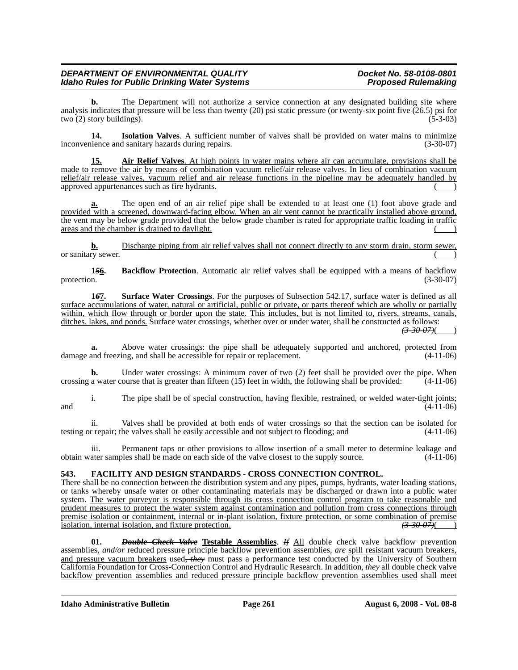# *DEPARTMENT OF ENVIRONMENTAL QUALITY*<br>Idaho Rules for Public Drinking Water Systems **Department of the Convention of the Convention** *Idaho Rules for Public Drinking Water Systems*

The Department will not authorize a service connection at any designated building site where analysis indicates that pressure will be less than twenty (20) psi static pressure (or twenty-six point five (26.5) psi for two (2) story buildings). (5-3-03)

**14. Isolation Valves**. A sufficient number of valves shall be provided on water mains to minimize inconvenience and sanitary hazards during repairs. (3-30-07)

**15. Air Relief Valves**. At high points in water mains where air can accumulate, provisions shall be made to remove the air by means of combination vacuum relief/air release valves. In lieu of combination vacuum relief/air release valves, vacuum relief and air release functions in the pipeline may be adequately handled by approved appurtenances such as fire hydrants.

**a.** The open end of an air relief pipe shall be extended to at least one (1) foot above grade and provided with a screened, downward-facing elbow. When an air vent cannot be practically installed above ground, the vent may be below grade provided that the below grade chamber is rated for appropriate traffic loading in traffic areas and the chamber is drained to daylight.

**b.** Discharge piping from air relief valves shall not connect directly to any storm drain, storm sewer, or sanitary sewer.

**15<u>6</u>. Backflow Protection**. Automatic air relief valves shall be equipped with a means of backflow protection. (3-30-07) protection.  $(3-30-07)$ 

**1***6***7. Surface Water Crossings**. For the purposes of Subsection 542.17, surface water is defined as all surface accumulations of water, natural or artificial, public or private, or parts thereof which are wholly or partially within, which flow through or border upon the state. This includes, but is not limited to, rivers, streams, canals, ditches, lakes, and ponds. Surface water crossings, whether over or under water, shall be constructed as follows: *(3-30-07)*( )

**a.** Above water crossings: the pipe shall be adequately supported and anchored, protected from damage and freezing, and shall be accessible for repair or replacement. (4-11-06)

**b.** Under water crossings: A minimum cover of two (2) feet shall be provided over the pipe. When crossing a water course that is greater than fifteen (15) feet in width, the following shall be provided: (4-11-06)

i. The pipe shall be of special construction, having flexible, restrained, or welded water-tight joints; and  $(4-11-06)$ 

ii. Valves shall be provided at both ends of water crossings so that the section can be isolated for repair; the valves shall be easily accessible and not subject to flooding; and (4-11-06) testing or repair; the valves shall be easily accessible and not subject to flooding; and

iii. Permanent taps or other provisions to allow insertion of a small meter to determine leakage and obtain water samples shall be made on each side of the valve closest to the supply source. (4-11-06)

# **543. FACILITY AND DESIGN STANDARDS - CROSS CONNECTION CONTROL.**

There shall be no connection between the distribution system and any pipes, pumps, hydrants, water loading stations, or tanks whereby unsafe water or other contaminating materials may be discharged or drawn into a public water system. The water purveyor is responsible through its cross connection control program to take reasonable and prudent measures to protect the water system against contamination and pollution from cross connections through premise isolation or containment, internal or in-plant isolation, fixture protection, or some combination of premise isolation, internal isolation, and fixture protection. isolation, internal isolation, and fixture protection.

**01.** *Double Check Valve* **Testable Assemblies**. *If* All double check valve backflow prevention assemblies, *and/or* reduced pressure principle backflow prevention assemblies, *are* spill resistant vacuum breakers, and pressure vacuum breakers used, they must pass a performance test conducted by the University of Southern California Foundation for Cross-Connection Control and Hydraulic Research. In addition*, they* all double check valve backflow prevention assemblies and reduced pressure principle backflow prevention assemblies used shall meet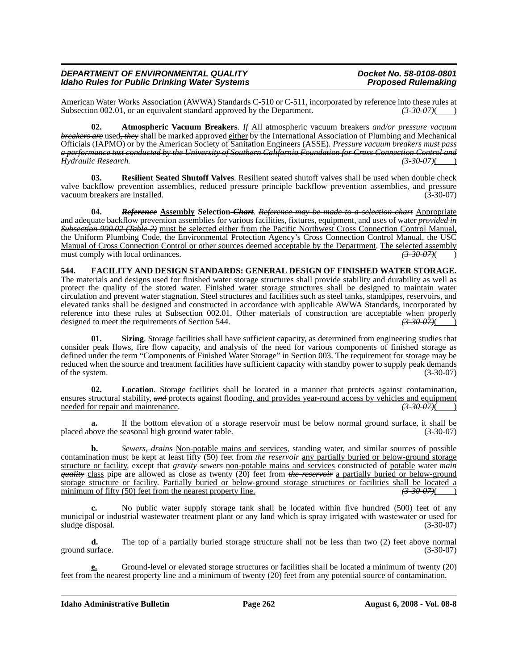American Water Works Association (AWWA) Standards C-510 or C-511, incorporated by reference into these rules at Subsection 002.01, or an equivalent standard approved by the Department. Subsection 002.01, or an equivalent standard approved by the Department.

**02. Atmospheric Vacuum Breakers**. *If* All atmospheric vacuum breakers *and/or pressure vacuum breakers are* used*, they* shall be marked approved either by the International Association of Plumbing and Mechanical Officials (IAPMO) or by the American Society of Sanitation Engineers (ASSE). *Pressure vacuum breakers must pass a performance test conducted by the University of Southern California Foundation for Cross Connection Control and Hydraulic Research. (3-30-07)*( )

**03. Resilient Seated Shutoff Valves**. Resilient seated shutoff valves shall be used when double check valve backflow prevention assemblies, reduced pressure principle backflow prevention assemblies, and pressure vacuum breakers are installed. (3-30-07)

**04.** *Reference* **Assembly Selection** *Chart*. *Reference may be made to a selection chart* Appropriate and adequate backflow prevention assemblies for various facilities, fixtures, equipment, and uses of water *provided in Subsection 900.02 (Table 2)* must be selected either from the Pacific Northwest Cross Connection Control Manual, the Uniform Plumbing Code, the Environmental Protection Agency's Cross Connection Control Manual, the USC Manual of Cross Connection Control or other sources deemed acceptable by the Department. The selected assembly must comply with local ordinances.  $\left(3\text{-}30\text{-}07\right)$ 

**544. FACILITY AND DESIGN STANDARDS: GENERAL DESIGN OF FINISHED WATER STORAGE.** The materials and designs used for finished water storage structures shall provide stability and durability as well as protect the quality of the stored water. Finished water storage structures shall be designed to maintain water circulation and prevent water stagnation. Steel structures and facilities such as steel tanks, standpipes, reservoirs, and elevated tanks shall be designed and constructed in accordance with applicable AWWA Standards, incorporated by reference into these rules at Subsection 002.01. Other materials of construction are acceptable when properly designed to meet the requirements of Section 544.  $\left(3\text{-}30\text{-}07\right)(\text{)}$ designed to meet the requirements of Section 544.

**01. Sizing**. Storage facilities shall have sufficient capacity, as determined from engineering studies that consider peak flows, fire flow capacity, and analysis of the need for various components of finished storage as defined under the term "Components of Finished Water Storage" in Section 003. The requirement for storage may be reduced when the source and treatment facilities have sufficient capacity with standby power to supply peak demands of the system.  $(3-30-07)$ 

**02. Location**. Storage facilities shall be located in a manner that protects against contamination, ensures structural stability, *and* protects against flooding, and provides year-round access by vehicles and equipment needed for repair and maintenance. needed for repair and maintenance.

**a.** If the bottom elevation of a storage reservoir must be below normal ground surface, it shall be placed above the seasonal high ground water table. (3-30-07)

**b.** *Sewers, drains* Non-potable mains and services, standing water, and similar sources of possible contamination must be kept at least fifty (50) feet from *the reservoir* any partially buried or below-ground storage structure or facility, except that *gravity sewers* non-potable mains and services constructed of potable water *main quality* class pipe are allowed as close as twenty (20) feet from *the reservoir* a partially buried or below-ground storage structure or facility. Partially buried or below-ground storage structures or facilities shall be located a minimum of fifty (50) feet from the nearest property line. *(3-30-07)*(*3-30-07)*(

No public water supply storage tank shall be located within five hundred (500) feet of any municipal or industrial wastewater treatment plant or any land which is spray irrigated with wastewater or used for sludge disposal. (3-30-07) (3-30-07)

**d.** The top of a partially buried storage structure shall not be less than two (2) feet above normal urface. (3-30-07) ground surface.

**e.** Ground-level or elevated storage structures or facilities shall be located a minimum of twenty (20) feet from the nearest property line and a minimum of twenty (20) feet from any potential source of contamination.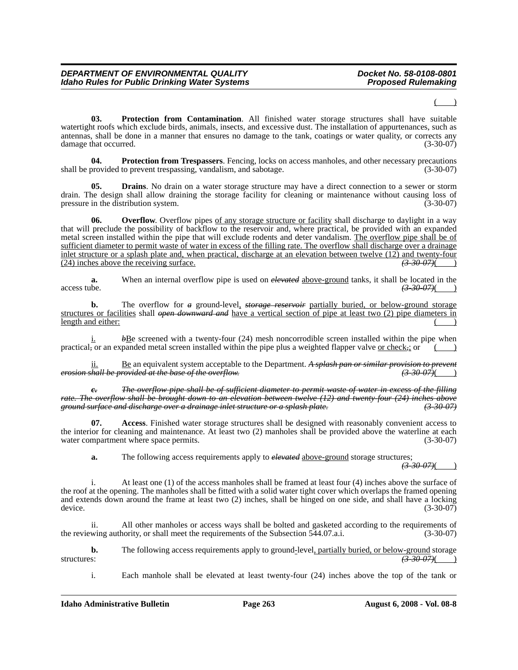$($ 

**03. Protection from Contamination**. All finished water storage structures shall have suitable watertight roofs which exclude birds, animals, insects, and excessive dust. The installation of appurtenances, such as antennas, shall be done in a manner that ensures no damage to the tank, coatings or water quality, or corrects any damage that occurred. (3-30-07)

**04. Protection from Trespassers**. Fencing, locks on access manholes, and other necessary precautions shall be provided to prevent trespassing, vandalism, and sabotage. (3-30-07)

**05. Drains**. No drain on a water storage structure may have a direct connection to a sewer or storm drain. The design shall allow draining the storage facility for cleaning or maintenance without causing loss of pressure in the distribution system. (3-30-07) pressure in the distribution system.

**06.** Overflow. Overflow pipes of any storage structure or facility shall discharge to daylight in a way that will preclude the possibility of backflow to the reservoir and, where practical, be provided with an expanded metal screen installed within the pipe that will exclude rodents and deter vandalism. The overflow pipe shall be of sufficient diameter to permit waste of water in excess of the filling rate. The overflow shall discharge over a drainage inlet structure or a splash plate and, when practical, discharge at an elevation between twelve (12) and twenty-four (24) inches above the receiving surface. (24) inches above the receiving surface. *(3-30-07)*( )

**a.** When an internal overflow pipe is used on *elevated* above-ground tanks, it shall be located in the access tube.  $\left(3.30-0.07\right)$  $\frac{(3-30-0.07)}{(3-30-0.07)}$ 

**b.** The overflow for *a* ground-level, *storage reservoir* partially buried, or below-ground storage structures or facilities shall *open downward and* have a vertical section of pipe at least two (2) pipe diameters in length and either:

i. *b***Be** screened with a twenty-four (24) mesh noncorrodible screen installed within the pipe when practical, or an expanded metal screen installed within the pipe plus a weighted flapper valve <u>or check</u>, or

ii. Be an equivalent system acceptable to the Department. *A splash pan or similar provision to prevent erosion shall be provided at the base of the overflow. (3-30-07)*( )

*The overflow pipe shall be of sufficient diameter to permit waste of water in excess of the filling rate. The overflow shall be brought down to an elevation between twelve (12) and twenty-four (24) inches above ground surface and discharge over a drainage inlet structure or a splash plate. (3-30-07)*

**07. Access**. Finished water storage structures shall be designed with reasonably convenient access to the interior for cleaning and maintenance. At least two (2) manholes shall be provided above the waterline at each water compartment where space permits. (3-30-07)

**a.** The following access requirements apply to *elevated* above-ground storage structures;

*(3-30-07)*( )

At least one (1) of the access manholes shall be framed at least four (4) inches above the surface of the roof at the opening. The manholes shall be fitted with a solid water tight cover which overlaps the framed opening and extends down around the frame at least two (2) inches, shall be hinged on one side, and shall have a locking device.  $(3-30-07)$ 

ii. All other manholes or access ways shall be bolted and gasketed according to the requirements of the reviewing authority, or shall meet the requirements of the Subsection 544.07.a.i. (3-30-07)

**b.** The following access requirements apply to ground-level, partially buried, or below-ground storage structures:  $\frac{73.30-07}{7}$ structures: *(3-30-07)*( )

i. Each manhole shall be elevated at least twenty-four (24) inches above the top of the tank or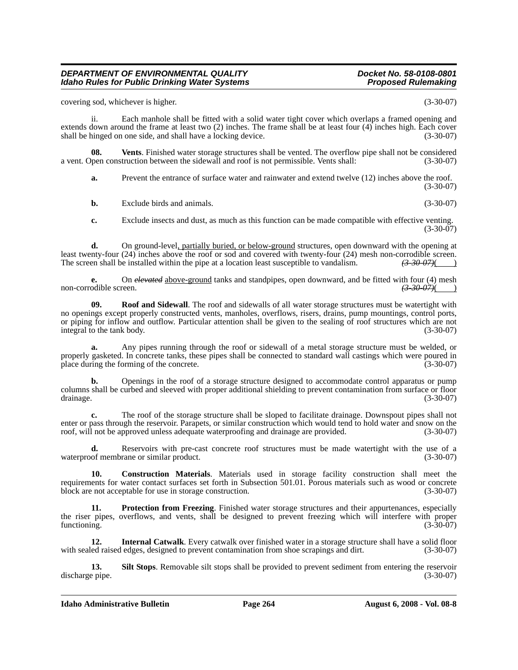covering sod, whichever is higher. (3-30-07)

ii. Each manhole shall be fitted with a solid water tight cover which overlaps a framed opening and extends down around the frame at least two (2) inches. The frame shall be at least four (4) inches high. Each cover shall be hinged on one side, and shall have a locking device. (3-30-07)

**08.** Vents. Finished water storage structures shall be vented. The overflow pipe shall not be considered being construction between the sidewall and roof is not permissible. Vents shall: (3-30-07) a vent. Open construction between the sidewall and roof is not permissible. Vents shall:

**a.** Prevent the entrance of surface water and rainwater and extend twelve (12) inches above the roof. (3-30-07)

**b.** Exclude birds and animals. (3-30-07)

**c.** Exclude insects and dust, as much as this function can be made compatible with effective venting.  $(3-30-07)$ 

**d.** On ground-level, partially buried, or below-ground structures, open downward with the opening at least twenty-four (24) inches above the roof or sod and covered with twenty-four (24) mesh non-corrodible screen.<br>The screen shall be installed within the pipe at a location least susceptible to vandalism.  $\left(3.3007\right)^2$ The screen shall be installed within the pipe at a location least susceptible to vandalism.

**e.** On *elevated* above-ground tanks and standpipes, open downward, and be fitted with four (4) mesh odible screen.  $\overline{(3, 30, 07)}$ non-corrodible screen. *(3-30-07)*( )

**09. Roof and Sidewall**. The roof and sidewalls of all water storage structures must be watertight with no openings except properly constructed vents, manholes, overflows, risers, drains, pump mountings, control ports, or piping for inflow and outflow. Particular attention shall be given to the sealing of roof structures which are not integral to the tank body. (3-30-07) integral to the tank body.

**a.** Any pipes running through the roof or sidewall of a metal storage structure must be welded, or properly gasketed. In concrete tanks, these pipes shall be connected to standard wall castings which were poured in place during the forming of the concrete. (3-30-07)

**b.** Openings in the roof of a storage structure designed to accommodate control apparatus or pump columns shall be curbed and sleeved with proper additional shielding to prevent contamination from surface or floor drainage. (3-30-07)

**c.** The roof of the storage structure shall be sloped to facilitate drainage. Downspout pipes shall not enter or pass through the reservoir. Parapets, or similar construction which would tend to hold water and snow on the roof, will not be approved unless adequate waterproofing and drainage are provided. (3-30-07) roof, will not be approved unless adequate waterproofing and drainage are provided.

**d.** Reservoirs with pre-cast concrete roof structures must be made watertight with the use of a waterproof membrane or similar product. (3-30-07)

**10. Construction Materials**. Materials used in storage facility construction shall meet the requirements for water contact surfaces set forth in Subsection 501.01. Porous materials such as wood or concrete block are not acceptable for use in storage construction. (3-30-07)

**11. Protection from Freezing**. Finished water storage structures and their appurtenances, especially the riser pipes, overflows, and vents, shall be designed to prevent freezing which will interfere with proper functioning.  $(3-30-07)$ 

**12. Internal Catwalk**. Every catwalk over finished water in a storage structure shall have a solid floor with sealed raised edges, designed to prevent contamination from shoe scrapings and dirt. (3-30-07)

**13. Silt Stops**. Removable silt stops shall be provided to prevent sediment from entering the reservoir discharge pipe. (3-30-07)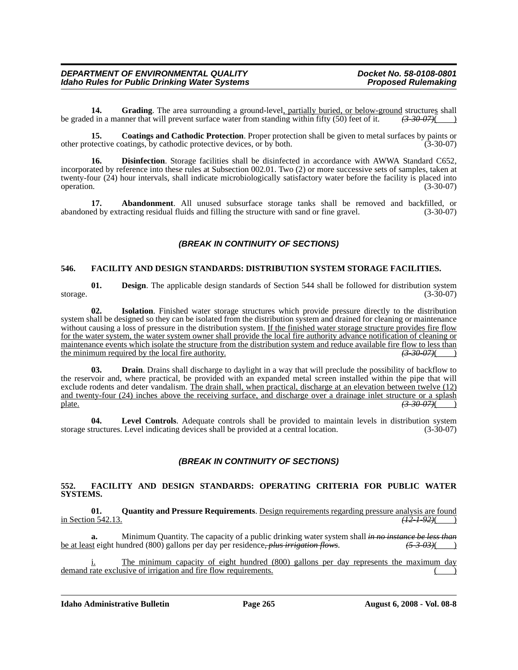**14.** Grading. The area surrounding a ground-level, partially buried, or below-ground structures shall be graded in a manner that will prevent surface water from standing within fifty (50) feet of it.  $\left(3\text{-}30\text{-}07\right)\left(2\text{-}1\right)$ 

**15. Coatings and Cathodic Protection**. Proper protection shall be given to metal surfaces by paints or other protective coatings, by cathodic protective devices, or by both. (3-30-07)

**16. Disinfection**. Storage facilities shall be disinfected in accordance with AWWA Standard C652, incorporated by reference into these rules at Subsection 002.01. Two (2) or more successive sets of samples, taken at twenty-four (24) hour intervals, shall indicate microbiologically satisfactory water before the facility is placed into operation.  $(3-30-07)$ 

**17. Abandonment**. All unused subsurface storage tanks shall be removed and backfilled, or abandoned by extracting residual fluids and filling the structure with sand or fine gravel. (3-30-07)

# *(BREAK IN CONTINUITY OF SECTIONS)*

# **546. FACILITY AND DESIGN STANDARDS: DISTRIBUTION SYSTEM STORAGE FACILITIES.**

**01. Design**. The applicable design standards of Section 544 shall be followed for distribution system storage. (3-30-07)

**02. Isolation**. Finished water storage structures which provide pressure directly to the distribution system shall be designed so they can be isolated from the distribution system and drained for cleaning or maintenance without causing a loss of pressure in the distribution system. If the finished water storage structure provides fire flow for the water system, the water system owner shall provide the local fire authority advance notification of cleaning or maintenance events which isolate the structure from the distribution system and reduce available fire flow to less than the minimum required by the local fire authority.  $\left(3\text{-}30\text{-}07\right)$ the minimum required by the local fire authority.

**Drain**. Drains shall discharge to daylight in a way that will preclude the possibility of backflow to the reservoir and, where practical, be provided with an expanded metal screen installed within the pipe that will exclude rodents and deter vandalism. The drain shall, when practical, discharge at an elevation between twelve (12) and twenty-four (24) inches above the receiving surface, and discharge over a drainage inlet structure or a splash plate.<br> $\left(3-30-07\right)$ plate. *(3-30-07)*( )

**04.** Level Controls. Adequate controls shall be provided to maintain levels in distribution system tructures. Level indicating devices shall be provided at a central location. (3-30-07) storage structures. Level indicating devices shall be provided at a central location.

# *(BREAK IN CONTINUITY OF SECTIONS)*

# **552. FACILITY AND DESIGN STANDARDS: OPERATING CRITERIA FOR PUBLIC WATER SYSTEMS.**

**01. Quantity and Pressure Requirements**. Design requirements regarding pressure analysis are found in Section 542.13. *(12-1-92)*( )

**a.** Minimum Quantity. The capacity of a public drinking water system shall *in no instance be less than* be at least eight hundred (800) gallons per day per residence*, plus irrigation flows*. *(5-3-03)*( )

The minimum capacity of eight hundred (800) gallons per day represents the maximum day demand rate exclusive of irrigation and fire flow requirements.

**Idaho Administrative Bulletin Page 265 August 6, 2008 - Vol. 08-8**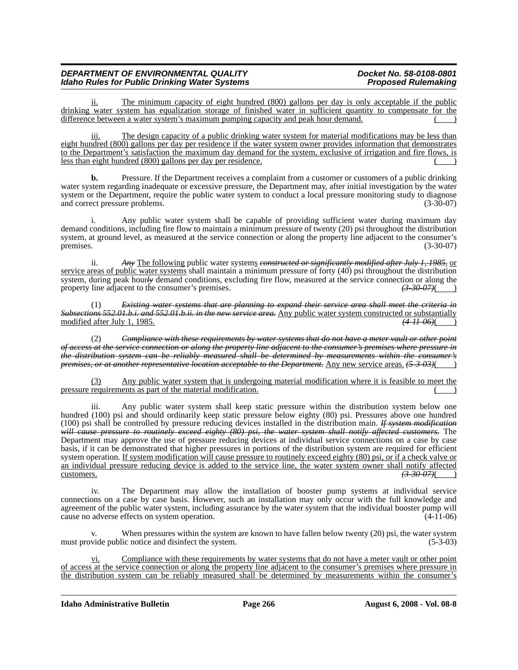ii. The minimum capacity of eight hundred (800) gallons per day is only acceptable if the public drinking water system has equalization storage of finished water in sufficient quantity to compensate for the difference between a water system's maximum pumping capacity and peak hour demand.

iii. The design capacity of a public drinking water system for material modifications may be less than eight hundred (800) gallons per day per residence if the water system owner provides information that demonstrates to the Department's satisfaction the maximum day demand for the system, exclusive of irrigation and fire flows, is less than eight hundred (800) gallons per day per residence.

**b.** Pressure. If the Department receives a complaint from a customer or customers of a public drinking water system regarding inadequate or excessive pressure, the Department may, after initial investigation by the water system or the Department, require the public water system to conduct a local pressure monitoring study to diagnose<br>and correct pressure problems. (3-30-07) and correct pressure problems.

i. Any public water system shall be capable of providing sufficient water during maximum day demand conditions, including fire flow to maintain a minimum pressure of twenty (20) psi throughout the distribution system, at ground level, as measured at the service connection or along the property line adjacent to the consumer's premises.  $(3-30-07)$ 

ii. *Any* The following public water systems *constructed or significantly modified after July 1, 1985,* or service areas of public water systems shall maintain a minimum pressure of forty (40) psi throughout the distribution system, during peak hour<del>ly</del> demand conditions, excluding fire flow, measured at the service connection or along the property line adjacent to the consumer's premises.  $\left(3.3007\right)(1.60)$ property line adjacent to the consumer's premises.

(1) *Existing water systems that are planning to expand their service area shall meet the criteria in Subsections 552.01.b.i. and 552.01.b.ii. in the new service area.* Any public water system constructed or substantially modified after July 1, 1985. *(4-11-06)*( )

(2) *Compliance with these requirements by water systems that do not have a meter vault or other point of access at the service connection or along the property line adjacent to the consumer's premises where pressure in the distribution system can be reliably measured shall be determined by measurements within the consumer's premises, or at another representative location acceptable to the Department.* Any new service areas. *(5-3-03)*( )

(3) Any public water system that is undergoing material modification where it is feasible to meet the pressure requirements as part of the material modification.

iii. Any public water system shall keep static pressure within the distribution system below one hundred (100) psi and should ordinarily keep static pressure below eighty (80) psi. Pressures above one hundred (100) psi shall be controlled by pressure reducing devices installed in the distribution main. *If system modification will cause pressure to routinely exceed eighty (80) psi, the water system shall notify affected customers.* The Department may approve the use of pressure reducing devices at individual service connections on a case by case basis, if it can be demonstrated that higher pressures in portions of the distribution system are required for efficient system operation. If system modification will cause pressure to routinely exceed eighty (80) psi, or if a check valve or an individual pressure reducing device is added to the service line, the water system owner shall notify affected customers.<br>  $\left(3-30-07\right)\left(4-30-07\right)$ customers. *(3-30-07)*( )

iv. The Department may allow the installation of booster pump systems at individual service connections on a case by case basis. However, such an installation may only occur with the full knowledge and agreement of the public water system, including assurance by the water system that the individual booster pump will cause no adverse effects on system operation. (4-11-06) cause no adverse effects on system operation.

When pressures within the system are known to have fallen below twenty  $(20)$  psi, the water system must provide public notice and disinfect the system. (5-3-03)

vi. Compliance with these requirements by water systems that do not have a meter vault or other point of access at the service connection or along the property line adjacent to the consumer's premises where pressure in the distribution system can be reliably measured shall be determined by measurements within the consumer's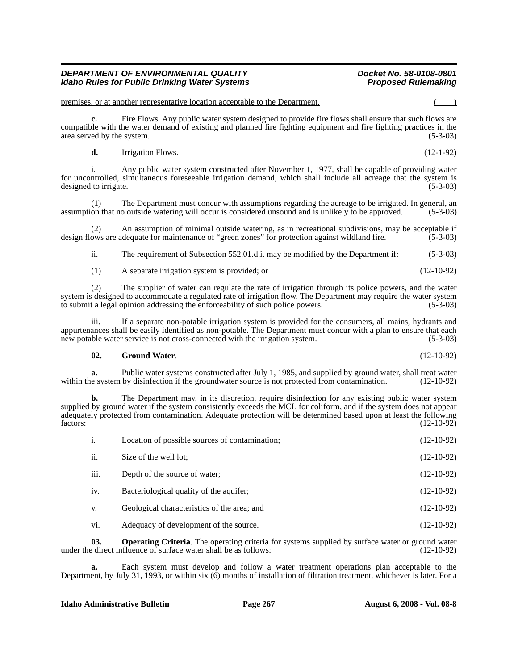# premises, or at another representative location acceptable to the Department.

*Idaho Rules for Public Drinking Water Systems* 

**c.** Fire Flows. Any public water system designed to provide fire flows shall ensure that such flows are compatible with the water demand of existing and planned fire fighting equipment and fire fighting practices in the area served by the system. (5-3-03)

**d.** Irrigation Flows. (12-1-92)

i. Any public water system constructed after November 1, 1977, shall be capable of providing water for uncontrolled, simultaneous foreseeable irrigation demand, which shall include all acreage that the system is designed to irrigate. (5-3-03)

(1) The Department must concur with assumptions regarding the acreage to be irrigated. In general, an assumption that no outside watering will occur is considered unsound and is unlikely to be approved. (5-3-03)

(2) An assumption of minimal outside watering, as in recreational subdivisions, may be acceptable if ows are adequate for maintenance of "green zones" for protection against wildland fire. (5-3-03) design flows are adequate for maintenance of "green zones" for protection against wildland fire.

ii. The requirement of Subsection 552.01.d.i. may be modified by the Department if: (5-3-03)

(1) A separate irrigation system is provided; or (12-10-92)

(2) The supplier of water can regulate the rate of irrigation through its police powers, and the water system is designed to accommodate a regulated rate of irrigation flow. The Department may require the water system to submit a legal opinion addressing the enforceability of such police powers. (5-3-03)

iii. If a separate non-potable irrigation system is provided for the consumers, all mains, hydrants and appurtenances shall be easily identified as non-potable. The Department must concur with a plan to ensure that each new potable water service is not cross-connected with the irrigation system. (5-3-03)

# **02. Ground Water**. (12-10-92)

**a.** Public water systems constructed after July 1, 1985, and supplied by ground water, shall treat water within the system by disinfection if the groundwater source is not protected from contamination. (12-10-92)

**b.** The Department may, in its discretion, require disinfection for any existing public water system supplied by ground water if the system consistently exceeds the MCL for coliform, and if the system does not appear adequately protected from contamination. Adequate protection will be determined based upon at least the following factors: (12-10-92)

| i.   | Location of possible sources of contamination; | $(12-10-92)$ |
|------|------------------------------------------------|--------------|
| ii.  | Size of the well lot:                          | $(12-10-92)$ |
| iii. | Depth of the source of water;                  | $(12-10-92)$ |
| iv.  | Bacteriological quality of the aquifer.        | $(12-10-92)$ |
| V.   | Geological characteristics of the area; and    | $(12-10-92)$ |
| vi.  | Adequacy of development of the source.         | $(12-10-92)$ |

**03. Operating Criteria**. The operating criteria for systems supplied by surface water or ground water under the direct influence of surface water shall be as follows: (12-10-92)

**a.** Each system must develop and follow a water treatment operations plan acceptable to the Department, by July 31, 1993, or within six (6) months of installation of filtration treatment, whichever is later. For a

# *DEPARTMENT OF ENVIRONMENTAL QUALITY*<br>Idaho Rules for Public Drinking Water Systems **Department Proposed Rulemaking**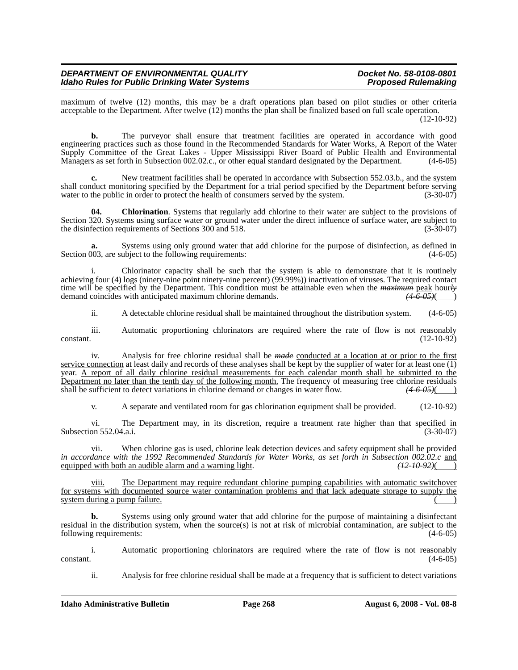maximum of twelve (12) months, this may be a draft operations plan based on pilot studies or other criteria acceptable to the Department. After twelve (12) months the plan shall be finalized based on full scale operation. (12-10-92)

**b.** The purveyor shall ensure that treatment facilities are operated in accordance with good engineering practices such as those found in the Recommended Standards for Water Works, A Report of the Water Supply Committee of the Great Lakes - Upper Mississippi River Board of Public Health and Environmental Managers as set forth in Subsection 002.02.c., or other equal standard designated by the Department. (4-6-05)

New treatment facilities shall be operated in accordance with Subsection 552.03.b., and the system shall conduct monitoring specified by the Department for a trial period specified by the Department before serving water to the public in order to protect the health of consumers served by the system. (3-30-07) water to the public in order to protect the health of consumers served by the system.

**04. Chlorination**. Systems that regularly add chlorine to their water are subject to the provisions of Section 320. Systems using surface water or ground water under the direct influence of surface water, are subject to the disinfection requirements of Sections 300 and 518. (3-30-07)

Systems using only ground water that add chlorine for the purpose of disinfection, as defined in Section 003, are subject to the following requirements: (4-6-05)

i. Chlorinator capacity shall be such that the system is able to demonstrate that it is routinely achieving four (4) logs (ninety-nine point ninety-nine percent) (99.99%)) inactivation of viruses. The required contact time will be specified by the Department. This condition must be attainable even when the *maximum* peak hour*ly* demand coincides with anticipated maximum chlorine demands. *(4-6-05)*( )

ii. A detectable chlorine residual shall be maintained throughout the distribution system. (4-6-05)

iii. Automatic proportioning chlorinators are required where the rate of flow is not reasonably  $\frac{(12-10-92)}{2}$ 

iv. Analysis for free chlorine residual shall be *made* conducted at a location at or prior to the first service connection at least daily and records of these analyses shall be kept by the supplier of water for at least one (1) year. A report of all daily chlorine residual measurements for each calendar month shall be submitted to the Department no later than the tenth day of the following month. The frequency of measuring free chlorine residuals shall be sufficient to detect variations in chlorine demand or changes in water flow.  $(4.6.05)()$ shall be sufficient to detect variations in chlorine demand or changes in water flow. (4-6-05)(

v. A separate and ventilated room for gas chlorination equipment shall be provided. (12-10-92)

vi. The Department may, in its discretion, require a treatment rate higher than that specified in Subsection 552.04.a.i.

vii. When chlorine gas is used, chlorine leak detection devices and safety equipment shall be provided *in accordance with the 1992 Recommended Standards for Water Works, as set forth in Subsection 002.02.e* and equipped with both an audible alarm and a warning light. equipped with both an audible alarm and a warning light.  $(12-10-92)()$ 

viii. The Department may require redundant chlorine pumping capabilities with automatic switchover for systems with documented source water contamination problems and that lack adequate storage to supply the system during a pump failure.

**b.** Systems using only ground water that add chlorine for the purpose of maintaining a disinfectant residual in the distribution system, when the source(s) is not at risk of microbial contamination, are subject to the following requirements: (4-6-05)

i. Automatic proportioning chlorinators are required where the rate of flow is not reasonably constant. (4-6-05)  $\frac{(4-6-05)}{2}$ 

ii. Analysis for free chlorine residual shall be made at a frequency that is sufficient to detect variations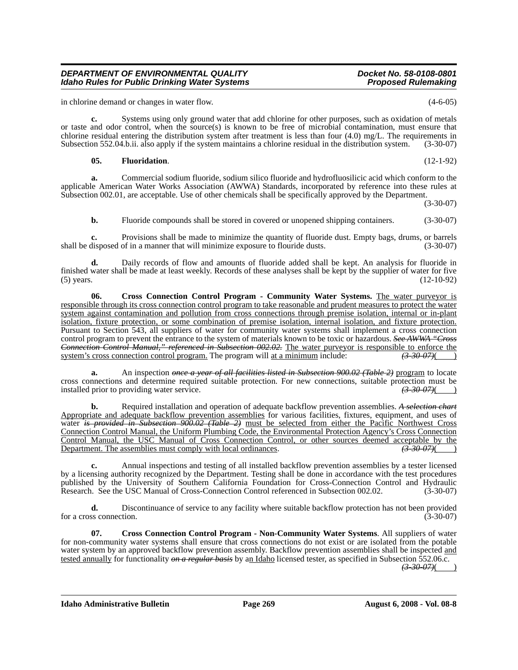in chlorine demand or changes in water flow. (4-6-05)

**c.** Systems using only ground water that add chlorine for other purposes, such as oxidation of metals or taste and odor control, when the source(s) is known to be free of microbial contamination, must ensure that chlorine residual entering the distribution system after treatment is less than four (4.0) mg/L. The requirements in Subsection 552.04.b.ii. also apply if the system maintains a chlorine residual in the distribution system. (3-30-07)

**05. Fluoridation**. (12-1-92)

**a.** Commercial sodium fluoride, sodium silico fluoride and hydrofluosilicic acid which conform to the applicable American Water Works Association (AWWA) Standards, incorporated by reference into these rules at Subsection 002.01, are acceptable. Use of other chemicals shall be specifically approved by the Department.

(3-30-07)

**b.** Fluoride compounds shall be stored in covered or unopened shipping containers. (3-30-07)

**c.** Provisions shall be made to minimize the quantity of fluoride dust. Empty bags, drums, or barrels shall be disposed of in a manner that will minimize exposure to flouride dusts. (3-30-07)

**d.** Daily records of flow and amounts of fluoride added shall be kept. An analysis for fluoride in finished water shall be made at least weekly. Records of these analyses shall be kept by the supplier of water for five (5) years.  $(12-10-92)$ 

**06. Cross Connection Control Program - Community Water Systems.** The water purveyor is responsible through its cross connection control program to take reasonable and prudent measures to protect the water system against contamination and pollution from cross connections through premise isolation, internal or in-plant isolation, fixture protection, or some combination of premise isolation, internal isolation, and fixture protection. Pursuant to Section 543, all suppliers of water for community water systems shall implement a cross connection control program to prevent the entrance to the system of materials known to be toxic or hazardous. *See AWWA "Cross Connection Control Manual," referenced in Subsection 002.02.* The water purveyor is responsible to enforce the system's cross connection control program. The program will at a minimum include:  $\left(3-30-07\right)\left(2-30-07\right)$ system's cross connection control program. The program will at a minimum include:

**a.** An inspection *once a year of all facilities listed in Subsection 900.02 (Table 2)* program to locate cross connections and determine required suitable protection. For new connections, suitable protection must be installed prior to providing water service.  $\frac{(3.30 \text{ } 0.07)()}{(3.30 \text{ } 0.07)()}$ installed prior to providing water service.  $\left(3.30-0.07\right)\left(1.30-0.07\right)$ 

**b.** Required installation and operation of adequate backflow prevention assemblies. A selection chart Appropriate and adequate backflow prevention assemblies for various facilities, fixtures, equipment, and uses of water *is provided in Subsection 900.02 (Table 2)* must be selected from either the Pacific Northwest Cross Connection Control Manual, the Uniform Plumbing Code, the Environmental Protection Agency's Cross Connection Control Manual, the USC Manual of Cross Connection Control, or other sources deemed acceptable by the Department. The assemblies must comply with local ordinances. *(3-30-07)*( )

**c.** Annual inspections and testing of all installed backflow prevention assemblies by a tester licensed by a licensing authority recognized by the Department. Testing shall be done in accordance with the test procedures published by the University of Southern California Foundation for Cross-Connection Control and Hydraulic Research. See the USC Manual of Cross-Connection Control referenced in Subsection 002.02. (3-30-07)

**d.** Discontinuance of service to any facility where suitable backflow protection has not been provided ss connection. (3-30-07) for a cross connection.

**07. Cross Connection Control Program - Non-Community Water Systems**. All suppliers of water for non-community water systems shall ensure that cross connections do not exist or are isolated from the potable water system by an approved backflow prevention assembly. Backflow prevention assemblies shall be inspected and tested annually for functionality *on a regular basis* by an Idaho licensed tester, as specified in Subsection 552.06.c. *(3-30-07)*( )

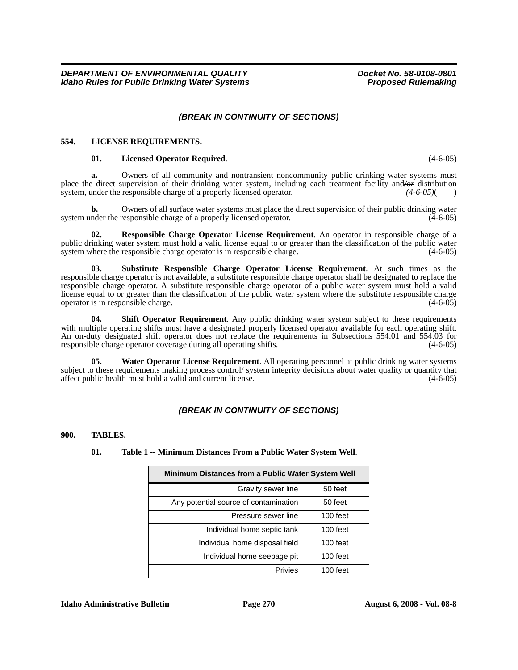# *(BREAK IN CONTINUITY OF SECTIONS)*

# **554. LICENSE REQUIREMENTS.**

### **01. Licensed Operator Required**. (4-6-05)

**a.** Owners of all community and nontransient noncommunity public drinking water systems must place the direct supervision of their drinking water system, including each treatment facility and*/or* distribution system, under the responsible charge of a properly licensed operator.  $(4-6-0.6)$  (4-6-05)( )

**b.** Owners of all surface water systems must place the direct supervision of their public drinking water system under the responsible charge of a properly licensed operator.  $(4-6-05)$ 

**02. Responsible Charge Operator License Requirement**. An operator in responsible charge of a public drinking water system must hold a valid license equal to or greater than the classification of the public water system where the responsible charge operator is in responsible charge. (4-6-05)

**03. Substitute Responsible Charge Operator License Requirement**. At such times as the responsible charge operator is not available, a substitute responsible charge operator shall be designated to replace the responsible charge operator. A substitute responsible charge operator of a public water system must hold a valid license equal to or greater than the classification of the public water system where the substitute responsible charge operator is in responsible charge. (4-6-05) operator is in responsible charge.

**04.** Shift Operator Requirement. Any public drinking water system subject to these requirements with multiple operating shifts must have a designated properly licensed operator available for each operating shift. An on-duty designated shift operator does not replace the requirements in Subsections 554.01 and 554.03 for responsible charge operator coverage during all operating shifts. (4-6-05)

**05. Water Operator License Requirement**. All operating personnel at public drinking water systems subject to these requirements making process control/ system integrity decisions about water quality or quantity that affect public health must hold a valid and current license. (4-6-05)

# *(BREAK IN CONTINUITY OF SECTIONS)*

# **900. TABLES.**

# **01. Table 1 -- Minimum Distances From a Public Water System Well**.

| <b>Minimum Distances from a Public Water System Well</b> |            |  |
|----------------------------------------------------------|------------|--|
| Gravity sewer line                                       | 50 feet    |  |
| Any potential source of contamination                    | 50 feet    |  |
| Pressure sewer line                                      | $100$ feet |  |
| Individual home septic tank                              | $100$ feet |  |
| Individual home disposal field                           | 100 feet   |  |
| Individual home seepage pit                              | $100$ feet |  |
| Privies                                                  | 100 feet   |  |

**Idaho Administrative Bulletin Page 270 August 6, 2008 - Vol. 08-8**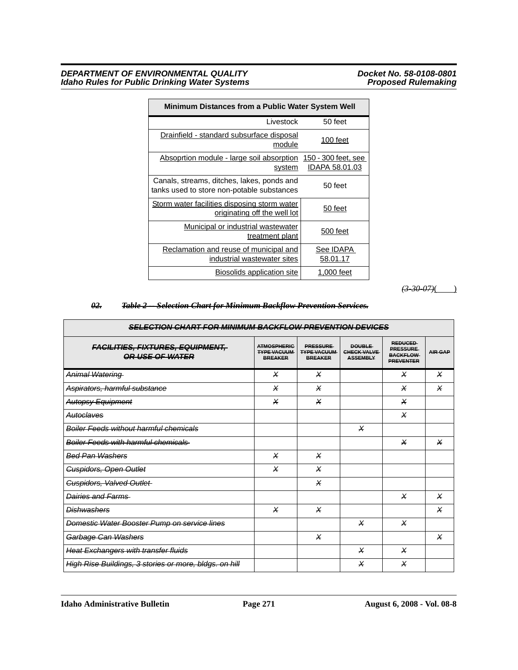# *DEPARTMENT OF ENVIRONMENTAL QUALITY Docket No. 58-0108-0801 Idaho Rules for Public Drinking Water Systems Proposed Rulemaking Proposed Rulemaking*

| <b>Minimum Distances from a Public Water System Well</b>                                 |                                       |  |
|------------------------------------------------------------------------------------------|---------------------------------------|--|
| Livestock                                                                                | 50 feet                               |  |
| Drainfield - standard subsurface disposal<br>module                                      | 100 feet                              |  |
| Absoprtion module - large soil absorption<br>system                                      | 150 - 300 feet, see<br>IDAPA 58.01.03 |  |
| Canals, streams, ditches, lakes, ponds and<br>tanks used to store non-potable substances | 50 feet                               |  |
| Storm water facilities disposing storm water<br>originating off the well lot             | 50 feet                               |  |
| <b>Municipal or industrial wastewater</b><br>treatment plant                             | 500 feet                              |  |
| Reclamation and reuse of municipal and<br>industrial wastewater sites                    | See IDAPA<br>58.01.17                 |  |
| <b>Biosolids application site</b>                                                        | 1,000 feet                            |  |

 $(3-30-07)$ (

# *02. Table 2 -- Selection Chart for Minimum Backflow Prevention Services.*

| <b>SELECTION CHART FOR MINIMUM BACKFLOW PREVENTION DEVICES</b>    |                                                            |                                                         |                                                        |                                                                          |                |
|-------------------------------------------------------------------|------------------------------------------------------------|---------------------------------------------------------|--------------------------------------------------------|--------------------------------------------------------------------------|----------------|
| <b>FACILITIES, FIXTURES, EQUIPMENT,</b><br><b>OR USE OF WATER</b> | <b>ATMOSPHERIC</b><br><b>TYPE VACUUM</b><br><b>BREAKER</b> | <b>PRESSURE</b><br><b>TYPE VACUUM</b><br><b>BREAKER</b> | <b>DOUBLE</b><br><b>CHECK VALVE</b><br><b>ASSEMBLY</b> | <b>REDUCED</b><br><b>PRESSURE</b><br><b>BACKFLOW</b><br><b>PREVENTER</b> | <b>AIR GAP</b> |
| Animal Watering                                                   | X                                                          | X                                                       |                                                        | X                                                                        | x              |
| Aspirators, harmful substance                                     | X                                                          | X                                                       |                                                        | $\boldsymbol{\mathsf{x}}$                                                | x              |
| <b>Autopsy Equipment</b>                                          | X                                                          | X                                                       |                                                        | X                                                                        |                |
| Autoclaves                                                        |                                                            |                                                         |                                                        | X                                                                        |                |
| Boiler Feeds without harmful chemicals                            |                                                            |                                                         | X                                                      |                                                                          |                |
| <b>Boiler Feeds with harmful chemicals</b>                        |                                                            |                                                         |                                                        | $\boldsymbol{\mathsf{x}}$                                                | x              |
| <del>Bed Pan Washers</del>                                        | $\boldsymbol{\mathsf{x}}$                                  | $\boldsymbol{\mathsf{x}}$                               |                                                        |                                                                          |                |
| <b>Cuspidors, Open Outlet</b>                                     | X                                                          | X                                                       |                                                        |                                                                          |                |
| <b>Cuspidors, Valved Outlet-</b>                                  |                                                            | X                                                       |                                                        |                                                                          |                |
| Dairies and Farms                                                 |                                                            |                                                         |                                                        | X                                                                        | x              |
| Dishwashers                                                       | $\boldsymbol{\mathsf{x}}$                                  | X                                                       |                                                        |                                                                          | x              |
| Domestic Water Booster Pump on service lines                      |                                                            |                                                         | X                                                      | X                                                                        |                |
| Garbage Can Washers                                               |                                                            | $\boldsymbol{\mathsf{x}}$                               |                                                        |                                                                          | X              |
| <b>Heat Exchangers with transfer fluids</b>                       |                                                            |                                                         | $\boldsymbol{\mathsf{x}}$                              | $\chi$                                                                   |                |
| High Rise Buildings, 3 stories or more, bldgs. on hill            |                                                            |                                                         | Х                                                      | X                                                                        |                |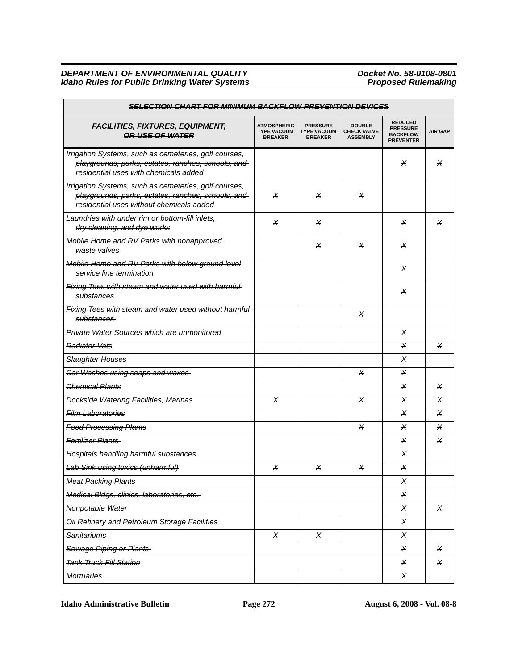# *DEPARTMENT OF ENVIRONMENTAL QUALITY Docket No. 58-0108-0801 Idaho Rules for Public Drinking Water Systems Proposed Rulemaking Proposed Rulemaking*

| <b>SELECTION CHART FOR MINIMUM BACKFLOW PREVENTION DEVICES</b>                                                                                          |                                                            |                                                         |                                                        |                                                                     |                |
|---------------------------------------------------------------------------------------------------------------------------------------------------------|------------------------------------------------------------|---------------------------------------------------------|--------------------------------------------------------|---------------------------------------------------------------------|----------------|
| <del>FACILITIES, FIXTURES, EQUIPMENT,</del><br><b>OR USE OF WATER</b>                                                                                   | <b>ATMOSPHERIC</b><br><b>TYPE VACUUM</b><br><b>BREAKER</b> | <b>PRESSURE</b><br><b>TYPE VACUUM</b><br><b>BREAKER</b> | <b>DOUBLE</b><br><b>CHECK VALVE</b><br><b>ASSEMBLY</b> | REDUCED-<br><b>PRESSURE</b><br><b>BACKFLOW-</b><br><b>PREVENTER</b> | <b>AIR GAP</b> |
| Irrigation Systems, such as cemeteries, golf courses,<br>playgrounds, parks, estates, ranches, schools, and<br>residential uses with chemicals added    |                                                            |                                                         |                                                        | Х                                                                   | Х              |
| Irrigation Systems, such as cemeteries, golf courses,<br>playgrounds, parks, estates, ranches, schools, and<br>residential uses without chemicals added | X                                                          | X                                                       | X                                                      |                                                                     |                |
| Laundries with under rim or bottom-fill inlets.<br>dry cleaning, and dye works                                                                          | X                                                          | Х                                                       |                                                        | X                                                                   | Х              |
| Mobile Home and RV Parks with nonapproved<br>waste valves                                                                                               |                                                            | Х                                                       | X                                                      | X                                                                   |                |
| Mobile Home and RV Parks with below ground level<br>service line termination                                                                            |                                                            |                                                         |                                                        | X                                                                   |                |
| Fixing Tees with steam and water used with harmful-<br>substances                                                                                       |                                                            |                                                         |                                                        | X                                                                   |                |
| Fixing Tees with steam and water used without harmful-<br>substances                                                                                    |                                                            |                                                         | X                                                      |                                                                     |                |
| Private Water Sources which are unmonitored                                                                                                             |                                                            |                                                         |                                                        | $\boldsymbol{\times}$                                               |                |
| Radiator-Vats                                                                                                                                           |                                                            |                                                         |                                                        | X                                                                   | Х              |
| Slaughter Houses                                                                                                                                        |                                                            |                                                         |                                                        | $\boldsymbol{\mathsf{X}}$                                           |                |
| <b>Car Washes using soaps and waxes</b>                                                                                                                 |                                                            |                                                         | $\chi$                                                 | $\boldsymbol{\times}$                                               |                |
| <b>Chemical Plants</b>                                                                                                                                  |                                                            |                                                         |                                                        | X                                                                   | Х              |
| Dockside Watering Facilities, Marinas                                                                                                                   | x                                                          |                                                         | x                                                      | $\boldsymbol{\mathsf{X}}$                                           | X              |
| <del>Film Laboratories</del>                                                                                                                            |                                                            |                                                         |                                                        | $\boldsymbol{\times}$                                               | X              |
| <b>Food Processing Plants</b>                                                                                                                           |                                                            |                                                         | X                                                      | X                                                                   | Х              |
| <b>Fertilizer Plants</b>                                                                                                                                |                                                            |                                                         |                                                        | X                                                                   | X              |
| Hospitals handling harmful substances                                                                                                                   |                                                            |                                                         |                                                        | X                                                                   |                |
| <b>Lab Sink using toxics (unharmful)</b>                                                                                                                | Х                                                          | Х                                                       | Х                                                      | Х                                                                   |                |
| <b>Meat Packing Plants</b>                                                                                                                              |                                                            |                                                         |                                                        | $\boldsymbol{\mathsf{X}}$                                           |                |
| Medical Bldgs, clinics, laboratories, etc.                                                                                                              |                                                            |                                                         |                                                        | X                                                                   |                |
| Nonpotable Water                                                                                                                                        |                                                            |                                                         |                                                        | X                                                                   | X              |
| Oil Refinery and Petroleum Storage Facilities                                                                                                           |                                                            |                                                         |                                                        | X                                                                   |                |
| Sanitariums                                                                                                                                             | X                                                          | X                                                       |                                                        | Χ                                                                   |                |
| Sewage Piping or Plants                                                                                                                                 |                                                            |                                                         |                                                        | X                                                                   | X              |
| <b>Tank Truck Fill Station</b>                                                                                                                          |                                                            |                                                         |                                                        | X                                                                   | Χ              |
| <b>Mortuaries</b>                                                                                                                                       |                                                            |                                                         |                                                        | Χ                                                                   |                |

**Idaho Administrative Bulletin Page 272 August 6, 2008 - Vol. 08-8**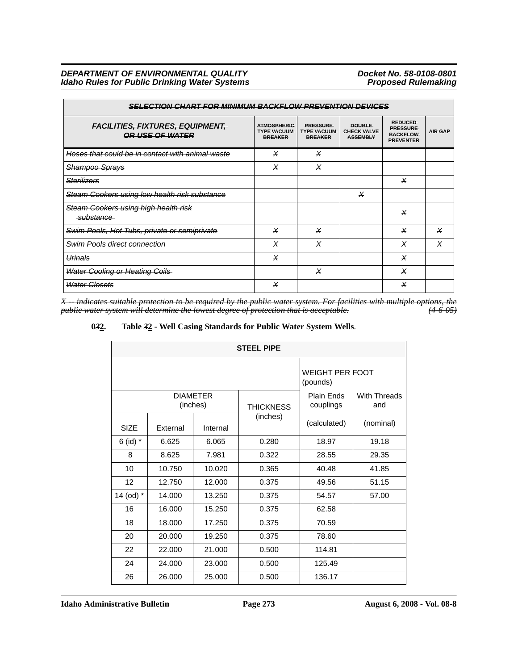| <b>SELECTION CHART FOR MINIMUM BACKFLOW PREVENTION DEVICES</b>    |                                                            |                                                         |                                                        |                                                                          |                |
|-------------------------------------------------------------------|------------------------------------------------------------|---------------------------------------------------------|--------------------------------------------------------|--------------------------------------------------------------------------|----------------|
| <b>FACILITIES, FIXTURES, EQUIPMENT,</b><br><b>OR USE OF WATER</b> | <b>ATMOSPHERIC</b><br><b>TYPE VACUUM</b><br><b>BREAKER</b> | <b>PRESSURE</b><br><b>TYPE VACUUM</b><br><b>BREAKER</b> | <b>DOUBLE</b><br><b>CHECK VALVE</b><br><b>ASSEMBLY</b> | <b>REDUCED</b><br><b>PRESSURE</b><br><b>BACKFLOW</b><br><b>PREVENTER</b> | <b>AIR GAP</b> |
| Hoses that could be in contact with animal waste                  | X                                                          | X                                                       |                                                        |                                                                          |                |
| <del>Shampoo Sprays</del>                                         | X                                                          | X                                                       |                                                        |                                                                          |                |
| <del>Sterilizers</del>                                            |                                                            |                                                         |                                                        | ×                                                                        |                |
| Steam Cookers using low health risk substance                     |                                                            |                                                         | x                                                      |                                                                          |                |
| Steam Cookers using high health risk<br>-substance-               |                                                            |                                                         |                                                        | ×                                                                        |                |
| Swim Pools, Hot Tubs, private or semiprivate                      | X                                                          | x                                                       |                                                        | x                                                                        | x              |
| <del>Swim Pools direct connection</del>                           | X                                                          | X                                                       |                                                        | X                                                                        | x              |
| Urinals                                                           | X                                                          |                                                         |                                                        |                                                                          |                |
| <b>Water Cooling or Heating Coils</b>                             |                                                            | Х                                                       |                                                        | X                                                                        |                |
| <b>Water Closets</b>                                              | x                                                          |                                                         |                                                        | x                                                                        |                |

*X -- indicates suitable protection to be required by the public water system. For facilities with multiple options, the public water system will determine the lowest degree of protection that is acceptable. (4-6-05)*

# **0***3***2. Table** *3***2 - Well Casing Standards for Public Water System Wells**.

| <b>STEEL PIPE</b>           |          |                  |                                    |                            |           |
|-----------------------------|----------|------------------|------------------------------------|----------------------------|-----------|
|                             |          |                  | <b>WEIGHT PER FOOT</b><br>(pounds) |                            |           |
| <b>DIAMETER</b><br>(inches) |          | <b>THICKNESS</b> | Plain Ends<br>couplings            | <b>With Threads</b><br>and |           |
| <b>SIZE</b>                 | External | Internal         | (inches)                           | (calculated)               | (nominal) |
| $6$ (id) $*$                | 6.625    | 6.065            | 0.280                              | 18.97                      | 19.18     |
| 8                           | 8.625    | 7.981            | 0.322                              | 28.55                      | 29.35     |
| 10                          | 10.750   | 10.020           | 0.365                              | 40.48                      | 41.85     |
| 12                          | 12.750   | 12.000           | 0.375                              | 49.56                      | 51.15     |
| 14 (od) $*$                 | 14.000   | 13.250           | 0.375                              | 54.57                      | 57.00     |
| 16                          | 16.000   | 15.250           | 0.375                              | 62.58                      |           |
| 18                          | 18.000   | 17.250           | 0.375                              | 70.59                      |           |
| 20                          | 20.000   | 19.250           | 0.375                              | 78.60                      |           |
| 22                          | 22.000   | 21.000           | 0.500                              | 114.81                     |           |
| 24                          | 24.000   | 23,000           | 0.500                              | 125.49                     |           |
| 26                          | 26.000   | 25.000           | 0.500                              | 136.17                     |           |

**Idaho Administrative Bulletin Page 273 August 6, 2008 - Vol. 08-8**